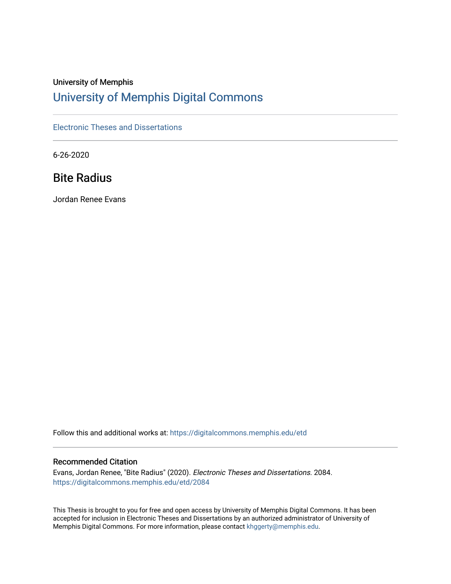# University of Memphis [University of Memphis Digital Commons](https://digitalcommons.memphis.edu/)

[Electronic Theses and Dissertations](https://digitalcommons.memphis.edu/etd)

6-26-2020

# Bite Radius

Jordan Renee Evans

Follow this and additional works at: [https://digitalcommons.memphis.edu/etd](https://digitalcommons.memphis.edu/etd?utm_source=digitalcommons.memphis.edu%2Fetd%2F2084&utm_medium=PDF&utm_campaign=PDFCoverPages) 

### Recommended Citation

Evans, Jordan Renee, "Bite Radius" (2020). Electronic Theses and Dissertations. 2084. [https://digitalcommons.memphis.edu/etd/2084](https://digitalcommons.memphis.edu/etd/2084?utm_source=digitalcommons.memphis.edu%2Fetd%2F2084&utm_medium=PDF&utm_campaign=PDFCoverPages) 

This Thesis is brought to you for free and open access by University of Memphis Digital Commons. It has been accepted for inclusion in Electronic Theses and Dissertations by an authorized administrator of University of Memphis Digital Commons. For more information, please contact [khggerty@memphis.edu.](mailto:khggerty@memphis.edu)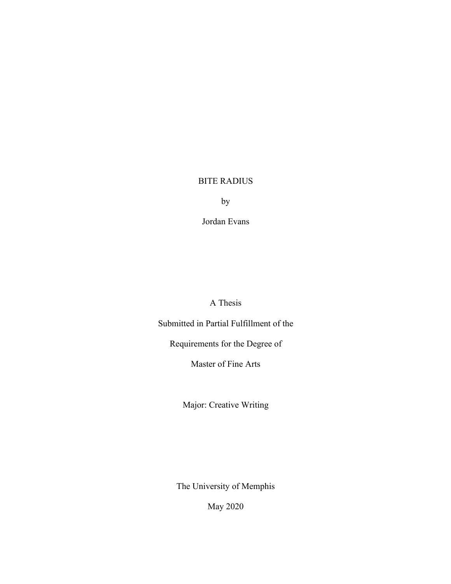## BITE RADIUS

by

Jordan Evans

A Thesis

Submitted in Partial Fulfillment of the

Requirements for the Degree of

Master of Fine Arts

Major: Creative Writing

The University of Memphis

May 2020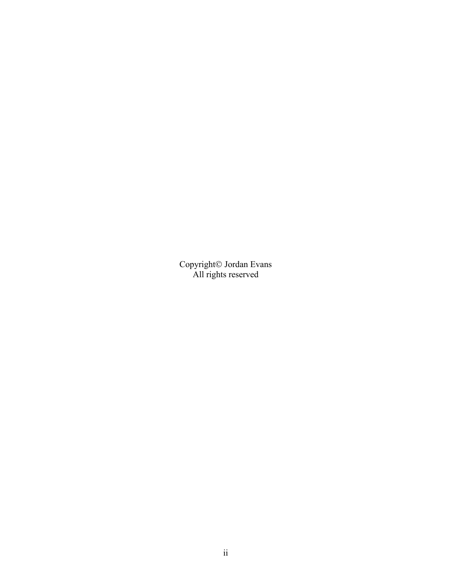Copyright<sup>©</sup> Jordan Evans All rights reserved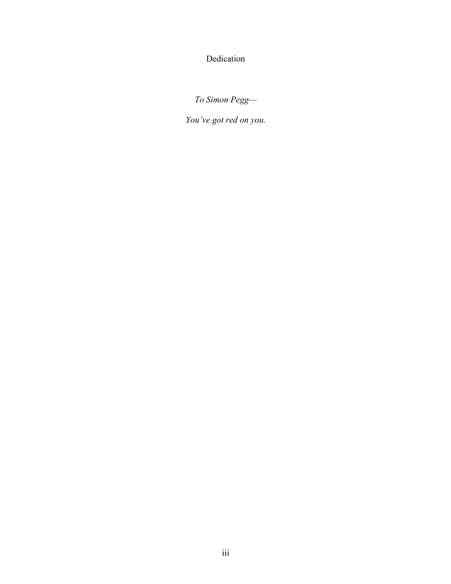Dedication

*To Simon Pegg—*

*You've got red on you.*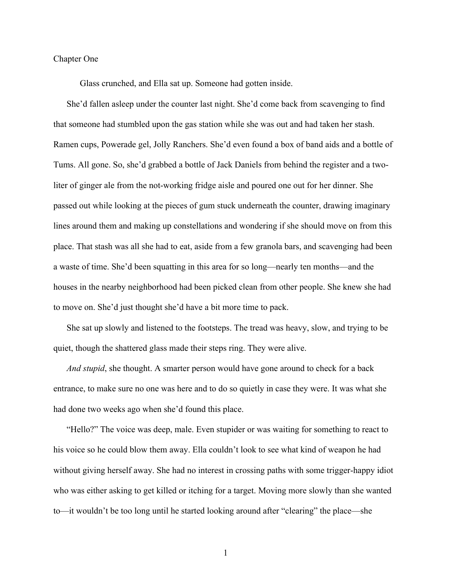#### Chapter One

Glass crunched, and Ella sat up. Someone had gotten inside.

She'd fallen asleep under the counter last night. She'd come back from scavenging to find that someone had stumbled upon the gas station while she was out and had taken her stash. Ramen cups, Powerade gel, Jolly Ranchers. She'd even found a box of band aids and a bottle of Tums. All gone. So, she'd grabbed a bottle of Jack Daniels from behind the register and a twoliter of ginger ale from the not-working fridge aisle and poured one out for her dinner. She passed out while looking at the pieces of gum stuck underneath the counter, drawing imaginary lines around them and making up constellations and wondering if she should move on from this place. That stash was all she had to eat, aside from a few granola bars, and scavenging had been a waste of time. She'd been squatting in this area for so long—nearly ten months—and the houses in the nearby neighborhood had been picked clean from other people. She knew she had to move on. She'd just thought she'd have a bit more time to pack.

She sat up slowly and listened to the footsteps. The tread was heavy, slow, and trying to be quiet, though the shattered glass made their steps ring. They were alive.

*And stupid*, she thought. A smarter person would have gone around to check for a back entrance, to make sure no one was here and to do so quietly in case they were. It was what she had done two weeks ago when she'd found this place.

"Hello?" The voice was deep, male. Even stupider or was waiting for something to react to his voice so he could blow them away. Ella couldn't look to see what kind of weapon he had without giving herself away. She had no interest in crossing paths with some trigger-happy idiot who was either asking to get killed or itching for a target. Moving more slowly than she wanted to—it wouldn't be too long until he started looking around after "clearing" the place—she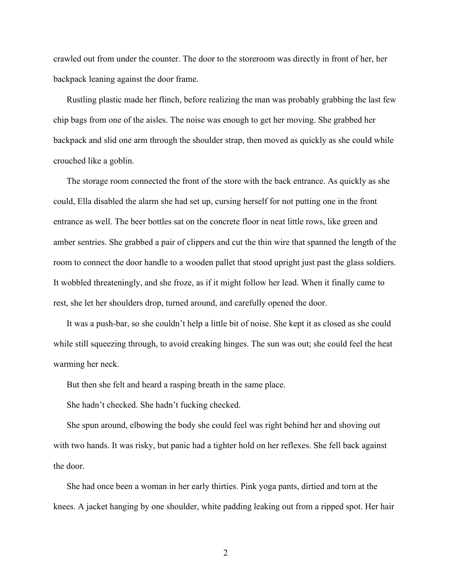crawled out from under the counter. The door to the storeroom was directly in front of her, her backpack leaning against the door frame.

Rustling plastic made her flinch, before realizing the man was probably grabbing the last few chip bags from one of the aisles. The noise was enough to get her moving. She grabbed her backpack and slid one arm through the shoulder strap, then moved as quickly as she could while crouched like a goblin.

The storage room connected the front of the store with the back entrance. As quickly as she could, Ella disabled the alarm she had set up, cursing herself for not putting one in the front entrance as well. The beer bottles sat on the concrete floor in neat little rows, like green and amber sentries. She grabbed a pair of clippers and cut the thin wire that spanned the length of the room to connect the door handle to a wooden pallet that stood upright just past the glass soldiers. It wobbled threateningly, and she froze, as if it might follow her lead. When it finally came to rest, she let her shoulders drop, turned around, and carefully opened the door.

It was a push-bar, so she couldn't help a little bit of noise. She kept it as closed as she could while still squeezing through, to avoid creaking hinges. The sun was out; she could feel the heat warming her neck.

But then she felt and heard a rasping breath in the same place.

She hadn't checked. She hadn't fucking checked.

She spun around, elbowing the body she could feel was right behind her and shoving out with two hands. It was risky, but panic had a tighter hold on her reflexes. She fell back against the door.

She had once been a woman in her early thirties. Pink yoga pants, dirtied and torn at the knees. A jacket hanging by one shoulder, white padding leaking out from a ripped spot. Her hair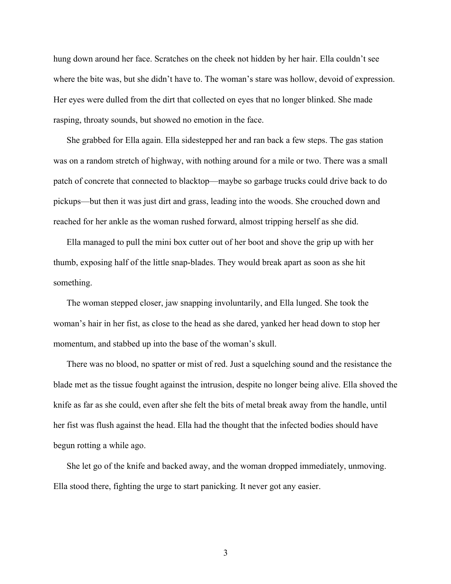hung down around her face. Scratches on the cheek not hidden by her hair. Ella couldn't see where the bite was, but she didn't have to. The woman's stare was hollow, devoid of expression. Her eyes were dulled from the dirt that collected on eyes that no longer blinked. She made rasping, throaty sounds, but showed no emotion in the face.

She grabbed for Ella again. Ella sidestepped her and ran back a few steps. The gas station was on a random stretch of highway, with nothing around for a mile or two. There was a small patch of concrete that connected to blacktop—maybe so garbage trucks could drive back to do pickups—but then it was just dirt and grass, leading into the woods. She crouched down and reached for her ankle as the woman rushed forward, almost tripping herself as she did.

Ella managed to pull the mini box cutter out of her boot and shove the grip up with her thumb, exposing half of the little snap-blades. They would break apart as soon as she hit something.

The woman stepped closer, jaw snapping involuntarily, and Ella lunged. She took the woman's hair in her fist, as close to the head as she dared, yanked her head down to stop her momentum, and stabbed up into the base of the woman's skull.

There was no blood, no spatter or mist of red. Just a squelching sound and the resistance the blade met as the tissue fought against the intrusion, despite no longer being alive. Ella shoved the knife as far as she could, even after she felt the bits of metal break away from the handle, until her fist was flush against the head. Ella had the thought that the infected bodies should have begun rotting a while ago.

She let go of the knife and backed away, and the woman dropped immediately, unmoving. Ella stood there, fighting the urge to start panicking. It never got any easier.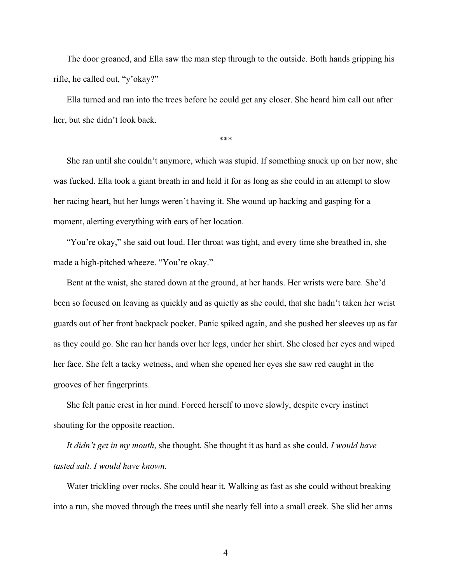The door groaned, and Ella saw the man step through to the outside. Both hands gripping his rifle, he called out, "y'okay?"

Ella turned and ran into the trees before he could get any closer. She heard him call out after her, but she didn't look back.

\*\*\*

She ran until she couldn't anymore, which was stupid. If something snuck up on her now, she was fucked. Ella took a giant breath in and held it for as long as she could in an attempt to slow her racing heart, but her lungs weren't having it. She wound up hacking and gasping for a moment, alerting everything with ears of her location.

"You're okay," she said out loud. Her throat was tight, and every time she breathed in, she made a high-pitched wheeze. "You're okay."

Bent at the waist, she stared down at the ground, at her hands. Her wrists were bare. She'd been so focused on leaving as quickly and as quietly as she could, that she hadn't taken her wrist guards out of her front backpack pocket. Panic spiked again, and she pushed her sleeves up as far as they could go. She ran her hands over her legs, under her shirt. She closed her eyes and wiped her face. She felt a tacky wetness, and when she opened her eyes she saw red caught in the grooves of her fingerprints.

She felt panic crest in her mind. Forced herself to move slowly, despite every instinct shouting for the opposite reaction.

*It didn't get in my mouth*, she thought. She thought it as hard as she could. *I would have tasted salt. I would have known.* 

Water trickling over rocks. She could hear it. Walking as fast as she could without breaking into a run, she moved through the trees until she nearly fell into a small creek. She slid her arms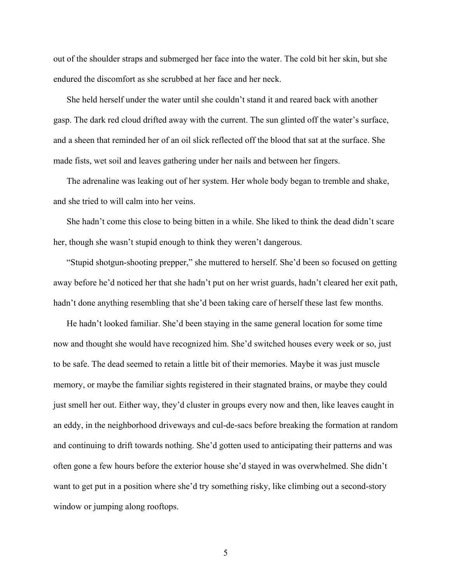out of the shoulder straps and submerged her face into the water. The cold bit her skin, but she endured the discomfort as she scrubbed at her face and her neck.

She held herself under the water until she couldn't stand it and reared back with another gasp. The dark red cloud drifted away with the current. The sun glinted off the water's surface, and a sheen that reminded her of an oil slick reflected off the blood that sat at the surface. She made fists, wet soil and leaves gathering under her nails and between her fingers.

The adrenaline was leaking out of her system. Her whole body began to tremble and shake, and she tried to will calm into her veins.

She hadn't come this close to being bitten in a while. She liked to think the dead didn't scare her, though she wasn't stupid enough to think they weren't dangerous.

"Stupid shotgun-shooting prepper," she muttered to herself. She'd been so focused on getting away before he'd noticed her that she hadn't put on her wrist guards, hadn't cleared her exit path, hadn't done anything resembling that she'd been taking care of herself these last few months.

He hadn't looked familiar. She'd been staying in the same general location for some time now and thought she would have recognized him. She'd switched houses every week or so, just to be safe. The dead seemed to retain a little bit of their memories. Maybe it was just muscle memory, or maybe the familiar sights registered in their stagnated brains, or maybe they could just smell her out. Either way, they'd cluster in groups every now and then, like leaves caught in an eddy, in the neighborhood driveways and cul-de-sacs before breaking the formation at random and continuing to drift towards nothing. She'd gotten used to anticipating their patterns and was often gone a few hours before the exterior house she'd stayed in was overwhelmed. She didn't want to get put in a position where she'd try something risky, like climbing out a second-story window or jumping along rooftops.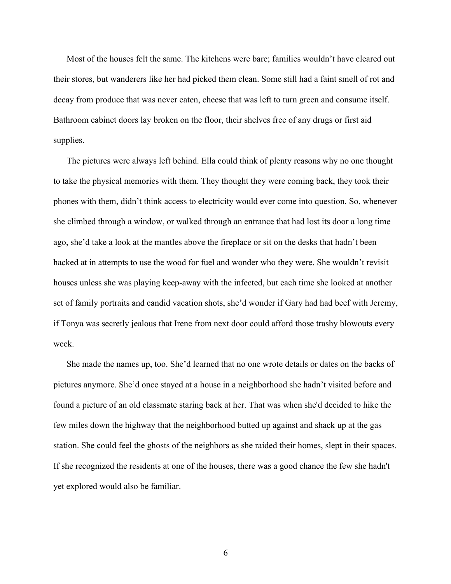Most of the houses felt the same. The kitchens were bare; families wouldn't have cleared out their stores, but wanderers like her had picked them clean. Some still had a faint smell of rot and decay from produce that was never eaten, cheese that was left to turn green and consume itself. Bathroom cabinet doors lay broken on the floor, their shelves free of any drugs or first aid supplies.

The pictures were always left behind. Ella could think of plenty reasons why no one thought to take the physical memories with them. They thought they were coming back, they took their phones with them, didn't think access to electricity would ever come into question. So, whenever she climbed through a window, or walked through an entrance that had lost its door a long time ago, she'd take a look at the mantles above the fireplace or sit on the desks that hadn't been hacked at in attempts to use the wood for fuel and wonder who they were. She wouldn't revisit houses unless she was playing keep-away with the infected, but each time she looked at another set of family portraits and candid vacation shots, she'd wonder if Gary had had beef with Jeremy, if Tonya was secretly jealous that Irene from next door could afford those trashy blowouts every week.

She made the names up, too. She'd learned that no one wrote details or dates on the backs of pictures anymore. She'd once stayed at a house in a neighborhood she hadn't visited before and found a picture of an old classmate staring back at her. That was when she'd decided to hike the few miles down the highway that the neighborhood butted up against and shack up at the gas station. She could feel the ghosts of the neighbors as she raided their homes, slept in their spaces. If she recognized the residents at one of the houses, there was a good chance the few she hadn't yet explored would also be familiar.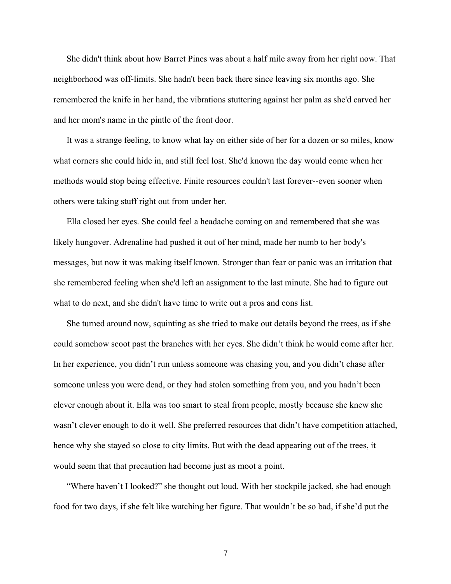She didn't think about how Barret Pines was about a half mile away from her right now. That neighborhood was off-limits. She hadn't been back there since leaving six months ago. She remembered the knife in her hand, the vibrations stuttering against her palm as she'd carved her and her mom's name in the pintle of the front door.

It was a strange feeling, to know what lay on either side of her for a dozen or so miles, know what corners she could hide in, and still feel lost. She'd known the day would come when her methods would stop being effective. Finite resources couldn't last forever--even sooner when others were taking stuff right out from under her.

Ella closed her eyes. She could feel a headache coming on and remembered that she was likely hungover. Adrenaline had pushed it out of her mind, made her numb to her body's messages, but now it was making itself known. Stronger than fear or panic was an irritation that she remembered feeling when she'd left an assignment to the last minute. She had to figure out what to do next, and she didn't have time to write out a pros and cons list.

She turned around now, squinting as she tried to make out details beyond the trees, as if she could somehow scoot past the branches with her eyes. She didn't think he would come after her. In her experience, you didn't run unless someone was chasing you, and you didn't chase after someone unless you were dead, or they had stolen something from you, and you hadn't been clever enough about it. Ella was too smart to steal from people, mostly because she knew she wasn't clever enough to do it well. She preferred resources that didn't have competition attached, hence why she stayed so close to city limits. But with the dead appearing out of the trees, it would seem that that precaution had become just as moot a point.

"Where haven't I looked?" she thought out loud. With her stockpile jacked, she had enough food for two days, if she felt like watching her figure. That wouldn't be so bad, if she'd put the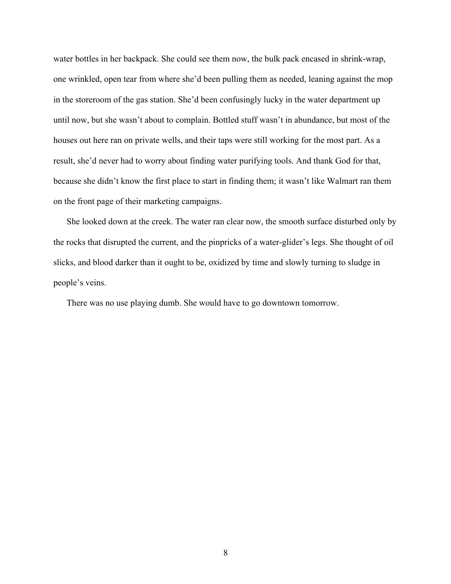water bottles in her backpack. She could see them now, the bulk pack encased in shrink-wrap, one wrinkled, open tear from where she'd been pulling them as needed, leaning against the mop in the storeroom of the gas station. She'd been confusingly lucky in the water department up until now, but she wasn't about to complain. Bottled stuff wasn't in abundance, but most of the houses out here ran on private wells, and their taps were still working for the most part. As a result, she'd never had to worry about finding water purifying tools. And thank God for that, because she didn't know the first place to start in finding them; it wasn't like Walmart ran them on the front page of their marketing campaigns.

She looked down at the creek. The water ran clear now, the smooth surface disturbed only by the rocks that disrupted the current, and the pinpricks of a water-glider's legs. She thought of oil slicks, and blood darker than it ought to be, oxidized by time and slowly turning to sludge in people's veins.

There was no use playing dumb. She would have to go downtown tomorrow.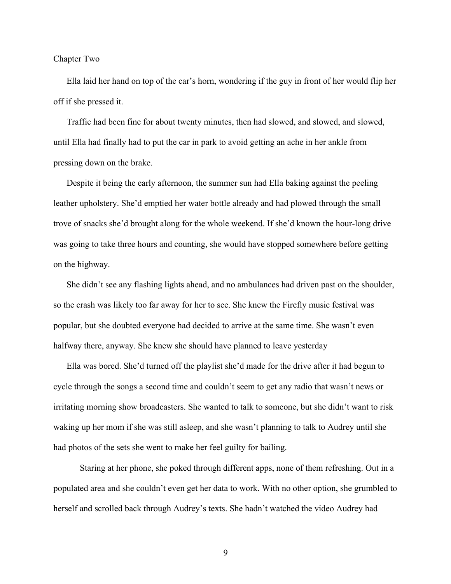### Chapter Two

Ella laid her hand on top of the car's horn, wondering if the guy in front of her would flip her off if she pressed it.

Traffic had been fine for about twenty minutes, then had slowed, and slowed, and slowed, until Ella had finally had to put the car in park to avoid getting an ache in her ankle from pressing down on the brake.

Despite it being the early afternoon, the summer sun had Ella baking against the peeling leather upholstery. She'd emptied her water bottle already and had plowed through the small trove of snacks she'd brought along for the whole weekend. If she'd known the hour-long drive was going to take three hours and counting, she would have stopped somewhere before getting on the highway.

She didn't see any flashing lights ahead, and no ambulances had driven past on the shoulder, so the crash was likely too far away for her to see. She knew the Firefly music festival was popular, but she doubted everyone had decided to arrive at the same time. She wasn't even halfway there, anyway. She knew she should have planned to leave yesterday

Ella was bored. She'd turned off the playlist she'd made for the drive after it had begun to cycle through the songs a second time and couldn't seem to get any radio that wasn't news or irritating morning show broadcasters. She wanted to talk to someone, but she didn't want to risk waking up her mom if she was still asleep, and she wasn't planning to talk to Audrey until she had photos of the sets she went to make her feel guilty for bailing.

Staring at her phone, she poked through different apps, none of them refreshing. Out in a populated area and she couldn't even get her data to work. With no other option, she grumbled to herself and scrolled back through Audrey's texts. She hadn't watched the video Audrey had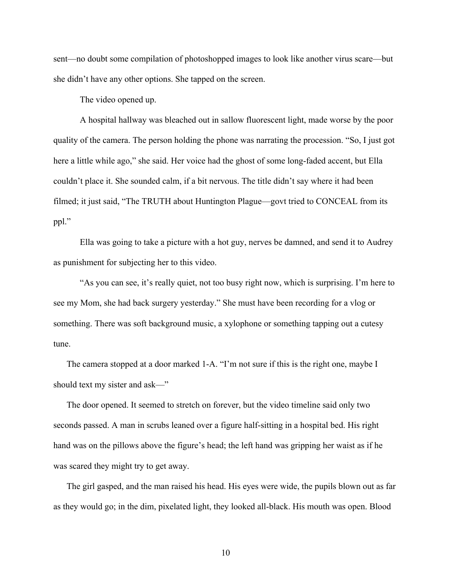sent—no doubt some compilation of photoshopped images to look like another virus scare—but she didn't have any other options. She tapped on the screen.

The video opened up.

A hospital hallway was bleached out in sallow fluorescent light, made worse by the poor quality of the camera. The person holding the phone was narrating the procession. "So, I just got here a little while ago," she said. Her voice had the ghost of some long-faded accent, but Ella couldn't place it. She sounded calm, if a bit nervous. The title didn't say where it had been filmed; it just said, "The TRUTH about Huntington Plague—govt tried to CONCEAL from its ppl."

Ella was going to take a picture with a hot guy, nerves be damned, and send it to Audrey as punishment for subjecting her to this video.

"As you can see, it's really quiet, not too busy right now, which is surprising. I'm here to see my Mom, she had back surgery yesterday." She must have been recording for a vlog or something. There was soft background music, a xylophone or something tapping out a cutesy tune.

The camera stopped at a door marked 1-A. "I'm not sure if this is the right one, maybe I should text my sister and ask—"

The door opened. It seemed to stretch on forever, but the video timeline said only two seconds passed. A man in scrubs leaned over a figure half-sitting in a hospital bed. His right hand was on the pillows above the figure's head; the left hand was gripping her waist as if he was scared they might try to get away.

The girl gasped, and the man raised his head. His eyes were wide, the pupils blown out as far as they would go; in the dim, pixelated light, they looked all-black. His mouth was open. Blood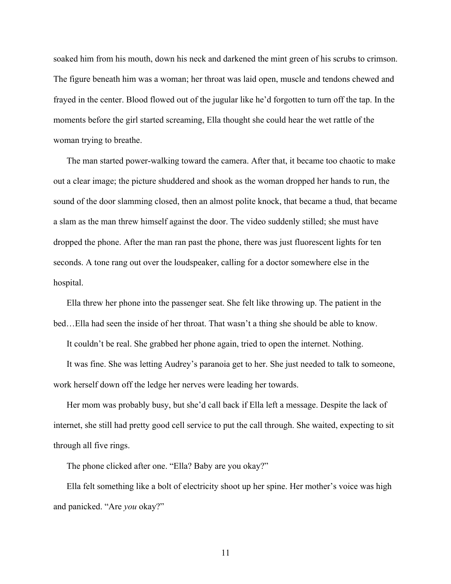soaked him from his mouth, down his neck and darkened the mint green of his scrubs to crimson. The figure beneath him was a woman; her throat was laid open, muscle and tendons chewed and frayed in the center. Blood flowed out of the jugular like he'd forgotten to turn off the tap. In the moments before the girl started screaming, Ella thought she could hear the wet rattle of the woman trying to breathe.

The man started power-walking toward the camera. After that, it became too chaotic to make out a clear image; the picture shuddered and shook as the woman dropped her hands to run, the sound of the door slamming closed, then an almost polite knock, that became a thud, that became a slam as the man threw himself against the door. The video suddenly stilled; she must have dropped the phone. After the man ran past the phone, there was just fluorescent lights for ten seconds. A tone rang out over the loudspeaker, calling for a doctor somewhere else in the hospital.

Ella threw her phone into the passenger seat. She felt like throwing up. The patient in the bed…Ella had seen the inside of her throat. That wasn't a thing she should be able to know.

It couldn't be real. She grabbed her phone again, tried to open the internet. Nothing.

It was fine. She was letting Audrey's paranoia get to her. She just needed to talk to someone, work herself down off the ledge her nerves were leading her towards.

Her mom was probably busy, but she'd call back if Ella left a message. Despite the lack of internet, she still had pretty good cell service to put the call through. She waited, expecting to sit through all five rings.

The phone clicked after one. "Ella? Baby are you okay?"

Ella felt something like a bolt of electricity shoot up her spine. Her mother's voice was high and panicked. "Are *you* okay?"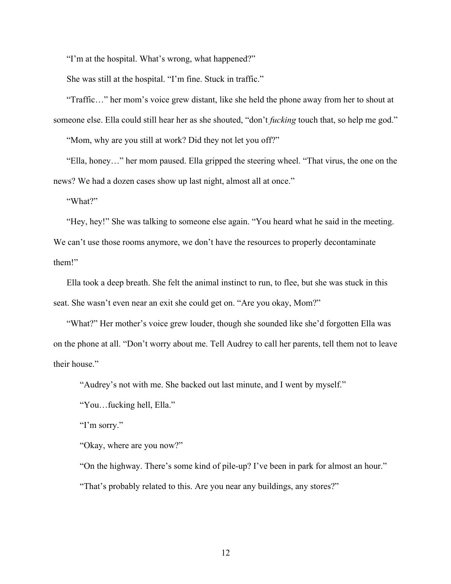"I'm at the hospital. What's wrong, what happened?"

She was still at the hospital. "I'm fine. Stuck in traffic."

"Traffic…" her mom's voice grew distant, like she held the phone away from her to shout at someone else. Ella could still hear her as she shouted, "don't *fucking* touch that, so help me god."

"Mom, why are you still at work? Did they not let you off?"

"Ella, honey…" her mom paused. Ella gripped the steering wheel. "That virus, the one on the news? We had a dozen cases show up last night, almost all at once."

"What?"

"Hey, hey!" She was talking to someone else again. "You heard what he said in the meeting. We can't use those rooms anymore, we don't have the resources to properly decontaminate them!"

Ella took a deep breath. She felt the animal instinct to run, to flee, but she was stuck in this seat. She wasn't even near an exit she could get on. "Are you okay, Mom?"

"What?" Her mother's voice grew louder, though she sounded like she'd forgotten Ella was on the phone at all. "Don't worry about me. Tell Audrey to call her parents, tell them not to leave their house."

"Audrey's not with me. She backed out last minute, and I went by myself."

"You…fucking hell, Ella."

"I'm sorry."

"Okay, where are you now?"

"On the highway. There's some kind of pile-up? I've been in park for almost an hour."

"That's probably related to this. Are you near any buildings, any stores?"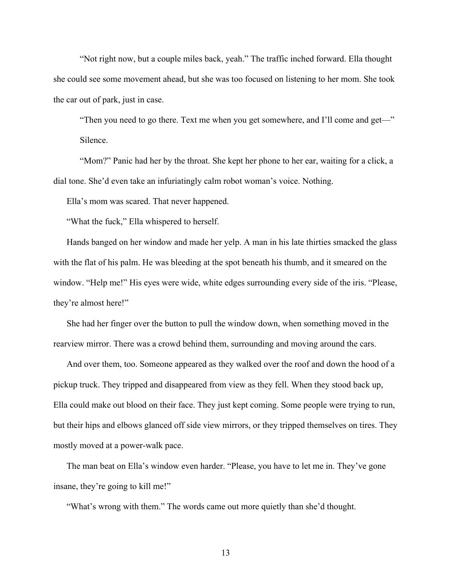"Not right now, but a couple miles back, yeah." The traffic inched forward. Ella thought she could see some movement ahead, but she was too focused on listening to her mom. She took the car out of park, just in case.

"Then you need to go there. Text me when you get somewhere, and I'll come and get—" Silence.

"Mom?" Panic had her by the throat. She kept her phone to her ear, waiting for a click, a dial tone. She'd even take an infuriatingly calm robot woman's voice. Nothing.

Ella's mom was scared. That never happened.

"What the fuck," Ella whispered to herself.

Hands banged on her window and made her yelp. A man in his late thirties smacked the glass with the flat of his palm. He was bleeding at the spot beneath his thumb, and it smeared on the window. "Help me!" His eyes were wide, white edges surrounding every side of the iris. "Please, they're almost here!"

She had her finger over the button to pull the window down, when something moved in the rearview mirror. There was a crowd behind them, surrounding and moving around the cars.

And over them, too. Someone appeared as they walked over the roof and down the hood of a pickup truck. They tripped and disappeared from view as they fell. When they stood back up, Ella could make out blood on their face. They just kept coming. Some people were trying to run, but their hips and elbows glanced off side view mirrors, or they tripped themselves on tires. They mostly moved at a power-walk pace.

The man beat on Ella's window even harder. "Please, you have to let me in. They've gone insane, they're going to kill me!"

"What's wrong with them." The words came out more quietly than she'd thought.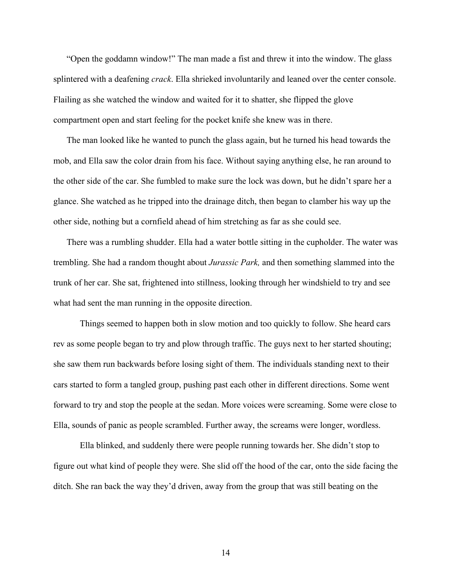"Open the goddamn window!" The man made a fist and threw it into the window. The glass splintered with a deafening *crack*. Ella shrieked involuntarily and leaned over the center console. Flailing as she watched the window and waited for it to shatter, she flipped the glove compartment open and start feeling for the pocket knife she knew was in there.

The man looked like he wanted to punch the glass again, but he turned his head towards the mob, and Ella saw the color drain from his face. Without saying anything else, he ran around to the other side of the car. She fumbled to make sure the lock was down, but he didn't spare her a glance. She watched as he tripped into the drainage ditch, then began to clamber his way up the other side, nothing but a cornfield ahead of him stretching as far as she could see.

There was a rumbling shudder. Ella had a water bottle sitting in the cupholder. The water was trembling. She had a random thought about *Jurassic Park,* and then something slammed into the trunk of her car. She sat, frightened into stillness, looking through her windshield to try and see what had sent the man running in the opposite direction.

Things seemed to happen both in slow motion and too quickly to follow. She heard cars rev as some people began to try and plow through traffic. The guys next to her started shouting; she saw them run backwards before losing sight of them. The individuals standing next to their cars started to form a tangled group, pushing past each other in different directions. Some went forward to try and stop the people at the sedan. More voices were screaming. Some were close to Ella, sounds of panic as people scrambled. Further away, the screams were longer, wordless.

Ella blinked, and suddenly there were people running towards her. She didn't stop to figure out what kind of people they were. She slid off the hood of the car, onto the side facing the ditch. She ran back the way they'd driven, away from the group that was still beating on the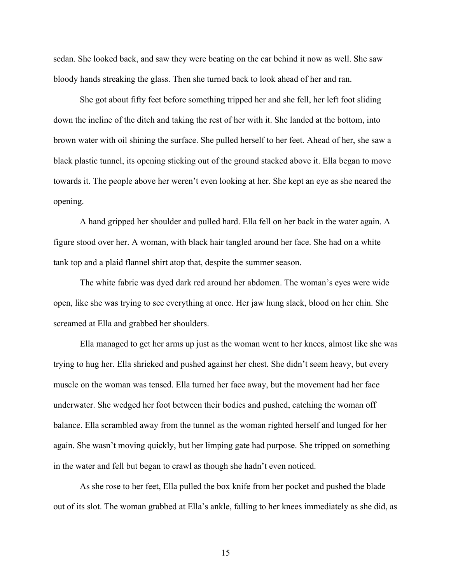sedan. She looked back, and saw they were beating on the car behind it now as well. She saw bloody hands streaking the glass. Then she turned back to look ahead of her and ran.

She got about fifty feet before something tripped her and she fell, her left foot sliding down the incline of the ditch and taking the rest of her with it. She landed at the bottom, into brown water with oil shining the surface. She pulled herself to her feet. Ahead of her, she saw a black plastic tunnel, its opening sticking out of the ground stacked above it. Ella began to move towards it. The people above her weren't even looking at her. She kept an eye as she neared the opening.

A hand gripped her shoulder and pulled hard. Ella fell on her back in the water again. A figure stood over her. A woman, with black hair tangled around her face. She had on a white tank top and a plaid flannel shirt atop that, despite the summer season.

The white fabric was dyed dark red around her abdomen. The woman's eyes were wide open, like she was trying to see everything at once. Her jaw hung slack, blood on her chin. She screamed at Ella and grabbed her shoulders.

Ella managed to get her arms up just as the woman went to her knees, almost like she was trying to hug her. Ella shrieked and pushed against her chest. She didn't seem heavy, but every muscle on the woman was tensed. Ella turned her face away, but the movement had her face underwater. She wedged her foot between their bodies and pushed, catching the woman off balance. Ella scrambled away from the tunnel as the woman righted herself and lunged for her again. She wasn't moving quickly, but her limping gate had purpose. She tripped on something in the water and fell but began to crawl as though she hadn't even noticed.

As she rose to her feet, Ella pulled the box knife from her pocket and pushed the blade out of its slot. The woman grabbed at Ella's ankle, falling to her knees immediately as she did, as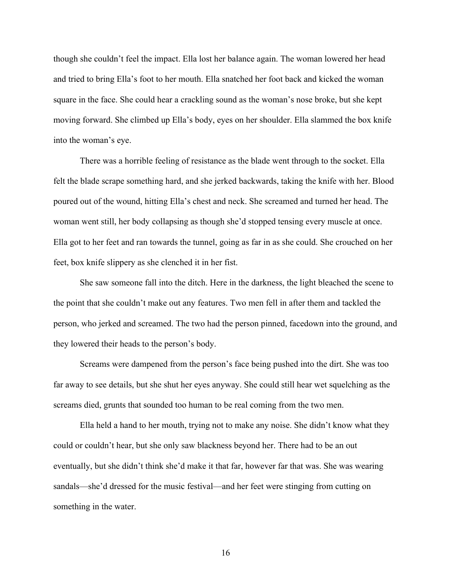though she couldn't feel the impact. Ella lost her balance again. The woman lowered her head and tried to bring Ella's foot to her mouth. Ella snatched her foot back and kicked the woman square in the face. She could hear a crackling sound as the woman's nose broke, but she kept moving forward. She climbed up Ella's body, eyes on her shoulder. Ella slammed the box knife into the woman's eye.

There was a horrible feeling of resistance as the blade went through to the socket. Ella felt the blade scrape something hard, and she jerked backwards, taking the knife with her. Blood poured out of the wound, hitting Ella's chest and neck. She screamed and turned her head. The woman went still, her body collapsing as though she'd stopped tensing every muscle at once. Ella got to her feet and ran towards the tunnel, going as far in as she could. She crouched on her feet, box knife slippery as she clenched it in her fist.

She saw someone fall into the ditch. Here in the darkness, the light bleached the scene to the point that she couldn't make out any features. Two men fell in after them and tackled the person, who jerked and screamed. The two had the person pinned, facedown into the ground, and they lowered their heads to the person's body.

Screams were dampened from the person's face being pushed into the dirt. She was too far away to see details, but she shut her eyes anyway. She could still hear wet squelching as the screams died, grunts that sounded too human to be real coming from the two men.

Ella held a hand to her mouth, trying not to make any noise. She didn't know what they could or couldn't hear, but she only saw blackness beyond her. There had to be an out eventually, but she didn't think she'd make it that far, however far that was. She was wearing sandals—she'd dressed for the music festival—and her feet were stinging from cutting on something in the water.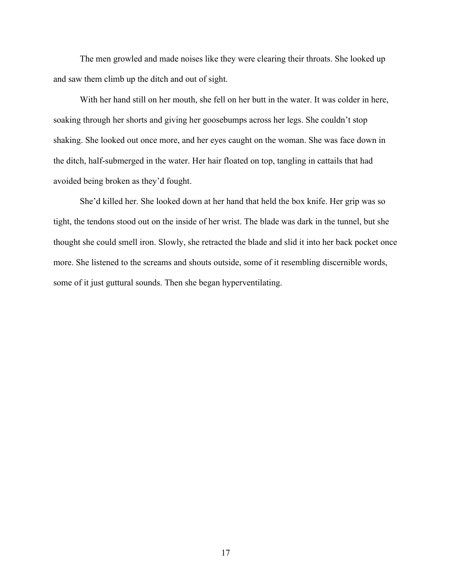The men growled and made noises like they were clearing their throats. She looked up and saw them climb up the ditch and out of sight.

With her hand still on her mouth, she fell on her butt in the water. It was colder in here, soaking through her shorts and giving her goosebumps across her legs. She couldn't stop shaking. She looked out once more, and her eyes caught on the woman. She was face down in the ditch, half-submerged in the water. Her hair floated on top, tangling in cattails that had avoided being broken as they'd fought.

She'd killed her. She looked down at her hand that held the box knife. Her grip was so tight, the tendons stood out on the inside of her wrist. The blade was dark in the tunnel, but she thought she could smell iron. Slowly, she retracted the blade and slid it into her back pocket once more. She listened to the screams and shouts outside, some of it resembling discernible words, some of it just guttural sounds. Then she began hyperventilating.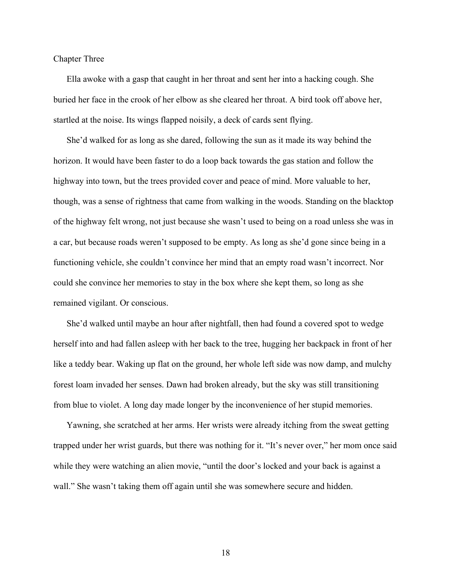Chapter Three

Ella awoke with a gasp that caught in her throat and sent her into a hacking cough. She buried her face in the crook of her elbow as she cleared her throat. A bird took off above her, startled at the noise. Its wings flapped noisily, a deck of cards sent flying.

She'd walked for as long as she dared, following the sun as it made its way behind the horizon. It would have been faster to do a loop back towards the gas station and follow the highway into town, but the trees provided cover and peace of mind. More valuable to her, though, was a sense of rightness that came from walking in the woods. Standing on the blacktop of the highway felt wrong, not just because she wasn't used to being on a road unless she was in a car, but because roads weren't supposed to be empty. As long as she'd gone since being in a functioning vehicle, she couldn't convince her mind that an empty road wasn't incorrect. Nor could she convince her memories to stay in the box where she kept them, so long as she remained vigilant. Or conscious.

She'd walked until maybe an hour after nightfall, then had found a covered spot to wedge herself into and had fallen asleep with her back to the tree, hugging her backpack in front of her like a teddy bear. Waking up flat on the ground, her whole left side was now damp, and mulchy forest loam invaded her senses. Dawn had broken already, but the sky was still transitioning from blue to violet. A long day made longer by the inconvenience of her stupid memories.

Yawning, she scratched at her arms. Her wrists were already itching from the sweat getting trapped under her wrist guards, but there was nothing for it. "It's never over," her mom once said while they were watching an alien movie, "until the door's locked and your back is against a wall." She wasn't taking them off again until she was somewhere secure and hidden.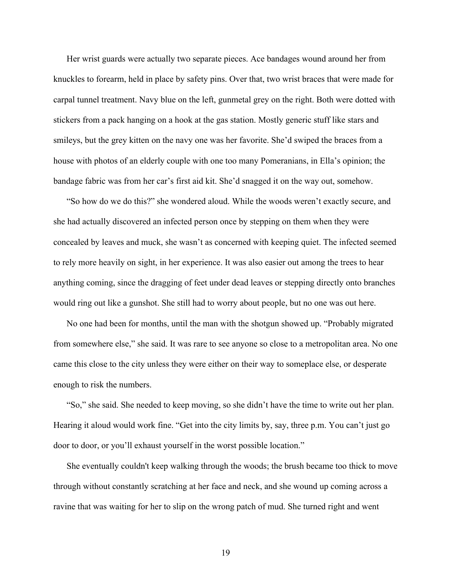Her wrist guards were actually two separate pieces. Ace bandages wound around her from knuckles to forearm, held in place by safety pins. Over that, two wrist braces that were made for carpal tunnel treatment. Navy blue on the left, gunmetal grey on the right. Both were dotted with stickers from a pack hanging on a hook at the gas station. Mostly generic stuff like stars and smileys, but the grey kitten on the navy one was her favorite. She'd swiped the braces from a house with photos of an elderly couple with one too many Pomeranians, in Ella's opinion; the bandage fabric was from her car's first aid kit. She'd snagged it on the way out, somehow.

"So how do we do this?" she wondered aloud. While the woods weren't exactly secure, and she had actually discovered an infected person once by stepping on them when they were concealed by leaves and muck, she wasn't as concerned with keeping quiet. The infected seemed to rely more heavily on sight, in her experience. It was also easier out among the trees to hear anything coming, since the dragging of feet under dead leaves or stepping directly onto branches would ring out like a gunshot. She still had to worry about people, but no one was out here.

No one had been for months, until the man with the shotgun showed up. "Probably migrated from somewhere else," she said. It was rare to see anyone so close to a metropolitan area. No one came this close to the city unless they were either on their way to someplace else, or desperate enough to risk the numbers.

"So," she said. She needed to keep moving, so she didn't have the time to write out her plan. Hearing it aloud would work fine. "Get into the city limits by, say, three p.m. You can't just go door to door, or you'll exhaust yourself in the worst possible location."

She eventually couldn't keep walking through the woods; the brush became too thick to move through without constantly scratching at her face and neck, and she wound up coming across a ravine that was waiting for her to slip on the wrong patch of mud. She turned right and went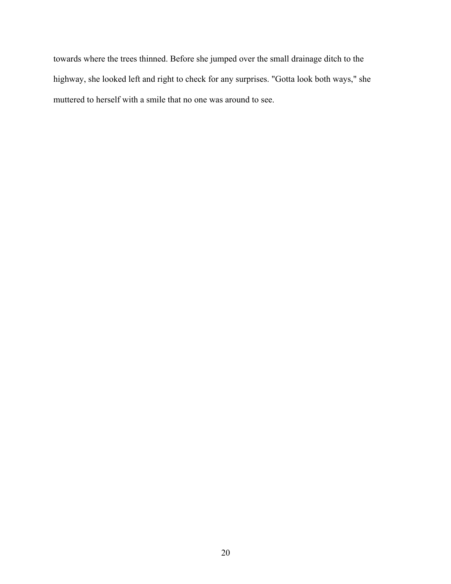towards where the trees thinned. Before she jumped over the small drainage ditch to the highway, she looked left and right to check for any surprises. "Gotta look both ways," she muttered to herself with a smile that no one was around to see.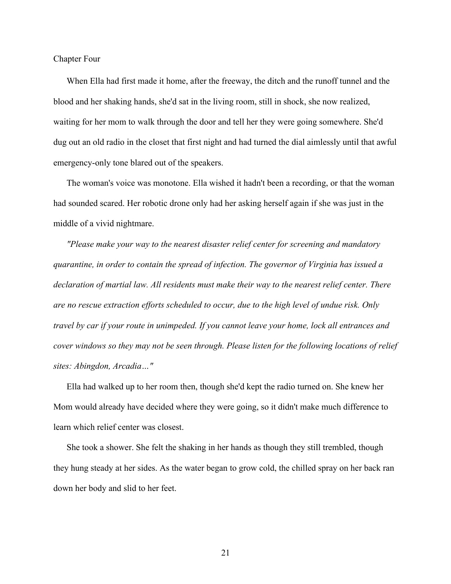Chapter Four

When Ella had first made it home, after the freeway, the ditch and the runoff tunnel and the blood and her shaking hands, she'd sat in the living room, still in shock, she now realized, waiting for her mom to walk through the door and tell her they were going somewhere. She'd dug out an old radio in the closet that first night and had turned the dial aimlessly until that awful emergency-only tone blared out of the speakers.

The woman's voice was monotone. Ella wished it hadn't been a recording, or that the woman had sounded scared. Her robotic drone only had her asking herself again if she was just in the middle of a vivid nightmare.

*"Please make your way to the nearest disaster relief center for screening and mandatory quarantine, in order to contain the spread of infection. The governor of Virginia has issued a declaration of martial law. All residents must make their way to the nearest relief center. There are no rescue extraction efforts scheduled to occur, due to the high level of undue risk. Only travel by car if your route in unimpeded. If you cannot leave your home, lock all entrances and cover windows so they may not be seen through. Please listen for the following locations of relief sites: Abingdon, Arcadia…"*

Ella had walked up to her room then, though she'd kept the radio turned on. She knew her Mom would already have decided where they were going, so it didn't make much difference to learn which relief center was closest.

She took a shower. She felt the shaking in her hands as though they still trembled, though they hung steady at her sides. As the water began to grow cold, the chilled spray on her back ran down her body and slid to her feet.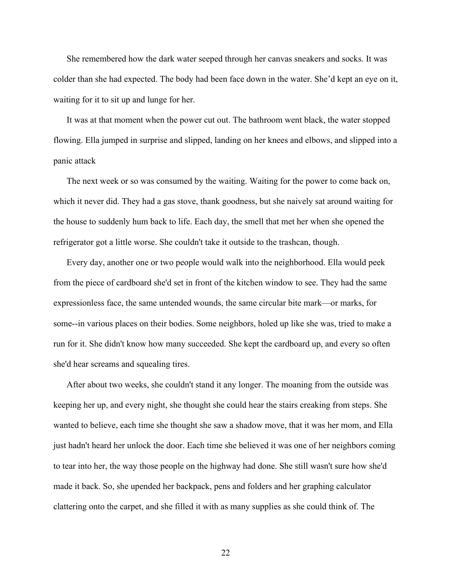She remembered how the dark water seeped through her canvas sneakers and socks. It was colder than she had expected. The body had been face down in the water. She'd kept an eye on it, waiting for it to sit up and lunge for her.

It was at that moment when the power cut out. The bathroom went black, the water stopped flowing. Ella jumped in surprise and slipped, landing on her knees and elbows, and slipped into a panic attack

The next week or so was consumed by the waiting. Waiting for the power to come back on, which it never did. They had a gas stove, thank goodness, but she naively sat around waiting for the house to suddenly hum back to life. Each day, the smell that met her when she opened the refrigerator got a little worse. She couldn't take it outside to the trashcan, though.

Every day, another one or two people would walk into the neighborhood. Ella would peek from the piece of cardboard she'd set in front of the kitchen window to see. They had the same expressionless face, the same untended wounds, the same circular bite mark—or marks, for some--in various places on their bodies. Some neighbors, holed up like she was, tried to make a run for it. She didn't know how many succeeded. She kept the cardboard up, and every so often she'd hear screams and squealing tires.

After about two weeks, she couldn't stand it any longer. The moaning from the outside was keeping her up, and every night, she thought she could hear the stairs creaking from steps. She wanted to believe, each time she thought she saw a shadow move, that it was her mom, and Ella just hadn't heard her unlock the door. Each time she believed it was one of her neighbors coming to tear into her, the way those people on the highway had done. She still wasn't sure how she'd made it back. So, she upended her backpack, pens and folders and her graphing calculator clattering onto the carpet, and she filled it with as many supplies as she could think of. The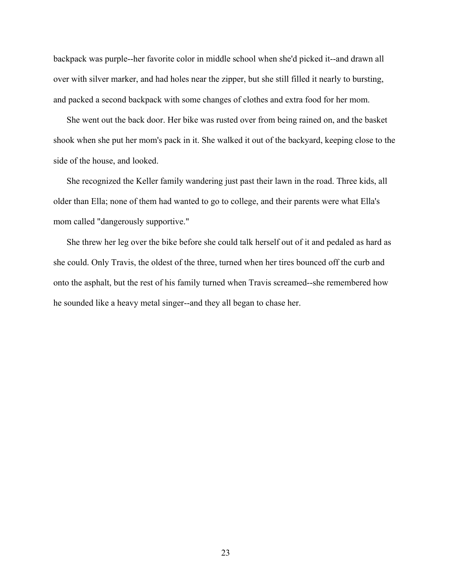backpack was purple--her favorite color in middle school when she'd picked it--and drawn all over with silver marker, and had holes near the zipper, but she still filled it nearly to bursting, and packed a second backpack with some changes of clothes and extra food for her mom.

She went out the back door. Her bike was rusted over from being rained on, and the basket shook when she put her mom's pack in it. She walked it out of the backyard, keeping close to the side of the house, and looked.

She recognized the Keller family wandering just past their lawn in the road. Three kids, all older than Ella; none of them had wanted to go to college, and their parents were what Ella's mom called "dangerously supportive."

She threw her leg over the bike before she could talk herself out of it and pedaled as hard as she could. Only Travis, the oldest of the three, turned when her tires bounced off the curb and onto the asphalt, but the rest of his family turned when Travis screamed--she remembered how he sounded like a heavy metal singer--and they all began to chase her.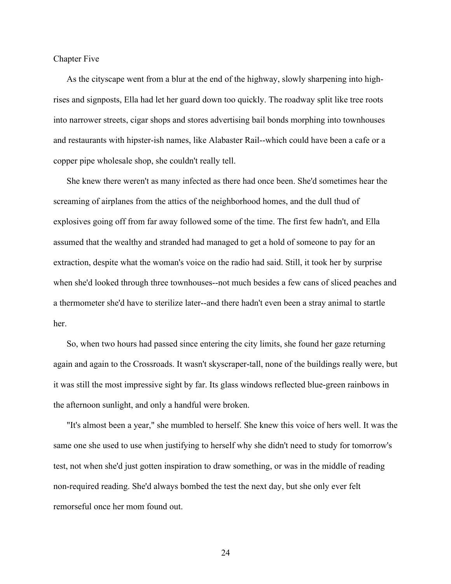Chapter Five

As the cityscape went from a blur at the end of the highway, slowly sharpening into highrises and signposts, Ella had let her guard down too quickly. The roadway split like tree roots into narrower streets, cigar shops and stores advertising bail bonds morphing into townhouses and restaurants with hipster-ish names, like Alabaster Rail--which could have been a cafe or a copper pipe wholesale shop, she couldn't really tell.

She knew there weren't as many infected as there had once been. She'd sometimes hear the screaming of airplanes from the attics of the neighborhood homes, and the dull thud of explosives going off from far away followed some of the time. The first few hadn't, and Ella assumed that the wealthy and stranded had managed to get a hold of someone to pay for an extraction, despite what the woman's voice on the radio had said. Still, it took her by surprise when she'd looked through three townhouses--not much besides a few cans of sliced peaches and a thermometer she'd have to sterilize later--and there hadn't even been a stray animal to startle her.

So, when two hours had passed since entering the city limits, she found her gaze returning again and again to the Crossroads. It wasn't skyscraper-tall, none of the buildings really were, but it was still the most impressive sight by far. Its glass windows reflected blue-green rainbows in the afternoon sunlight, and only a handful were broken.

"It's almost been a year," she mumbled to herself. She knew this voice of hers well. It was the same one she used to use when justifying to herself why she didn't need to study for tomorrow's test, not when she'd just gotten inspiration to draw something, or was in the middle of reading non-required reading. She'd always bombed the test the next day, but she only ever felt remorseful once her mom found out.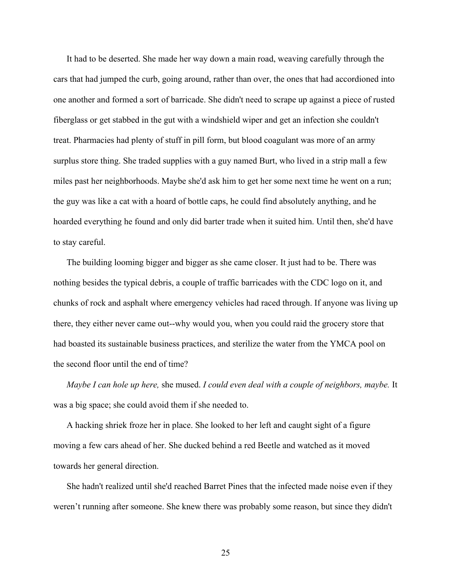It had to be deserted. She made her way down a main road, weaving carefully through the cars that had jumped the curb, going around, rather than over, the ones that had accordioned into one another and formed a sort of barricade. She didn't need to scrape up against a piece of rusted fiberglass or get stabbed in the gut with a windshield wiper and get an infection she couldn't treat. Pharmacies had plenty of stuff in pill form, but blood coagulant was more of an army surplus store thing. She traded supplies with a guy named Burt, who lived in a strip mall a few miles past her neighborhoods. Maybe she'd ask him to get her some next time he went on a run; the guy was like a cat with a hoard of bottle caps, he could find absolutely anything, and he hoarded everything he found and only did barter trade when it suited him. Until then, she'd have to stay careful.

The building looming bigger and bigger as she came closer. It just had to be. There was nothing besides the typical debris, a couple of traffic barricades with the CDC logo on it, and chunks of rock and asphalt where emergency vehicles had raced through. If anyone was living up there, they either never came out--why would you, when you could raid the grocery store that had boasted its sustainable business practices, and sterilize the water from the YMCA pool on the second floor until the end of time?

*Maybe I can hole up here,* she mused. *I could even deal with a couple of neighbors, maybe.* It was a big space; she could avoid them if she needed to.

A hacking shriek froze her in place. She looked to her left and caught sight of a figure moving a few cars ahead of her. She ducked behind a red Beetle and watched as it moved towards her general direction.

She hadn't realized until she'd reached Barret Pines that the infected made noise even if they weren't running after someone. She knew there was probably some reason, but since they didn't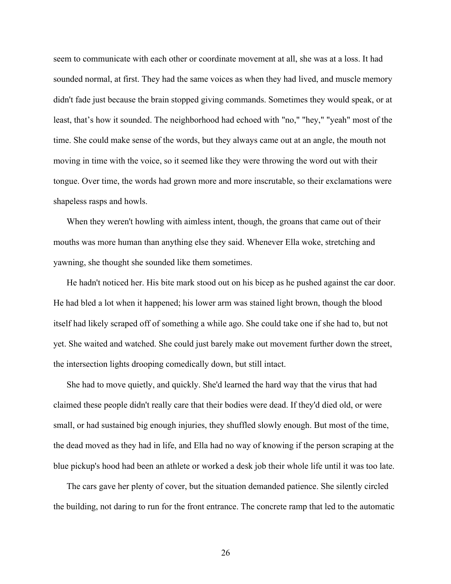seem to communicate with each other or coordinate movement at all, she was at a loss. It had sounded normal, at first. They had the same voices as when they had lived, and muscle memory didn't fade just because the brain stopped giving commands. Sometimes they would speak, or at least, that's how it sounded. The neighborhood had echoed with "no," "hey," "yeah" most of the time. She could make sense of the words, but they always came out at an angle, the mouth not moving in time with the voice, so it seemed like they were throwing the word out with their tongue. Over time, the words had grown more and more inscrutable, so their exclamations were shapeless rasps and howls.

When they weren't howling with aimless intent, though, the groans that came out of their mouths was more human than anything else they said. Whenever Ella woke, stretching and yawning, she thought she sounded like them sometimes.

He hadn't noticed her. His bite mark stood out on his bicep as he pushed against the car door. He had bled a lot when it happened; his lower arm was stained light brown, though the blood itself had likely scraped off of something a while ago. She could take one if she had to, but not yet. She waited and watched. She could just barely make out movement further down the street, the intersection lights drooping comedically down, but still intact.

She had to move quietly, and quickly. She'd learned the hard way that the virus that had claimed these people didn't really care that their bodies were dead. If they'd died old, or were small, or had sustained big enough injuries, they shuffled slowly enough. But most of the time, the dead moved as they had in life, and Ella had no way of knowing if the person scraping at the blue pickup's hood had been an athlete or worked a desk job their whole life until it was too late.

The cars gave her plenty of cover, but the situation demanded patience. She silently circled the building, not daring to run for the front entrance. The concrete ramp that led to the automatic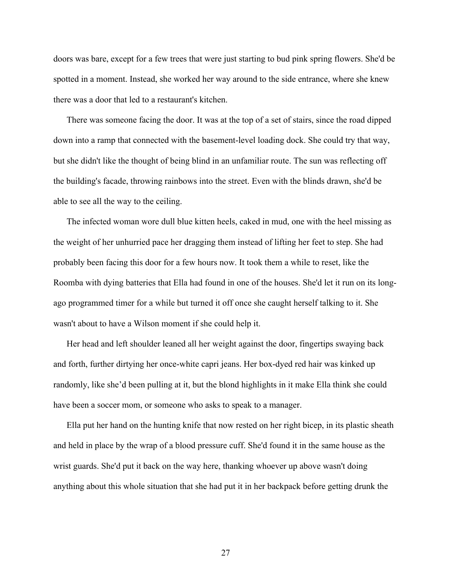doors was bare, except for a few trees that were just starting to bud pink spring flowers. She'd be spotted in a moment. Instead, she worked her way around to the side entrance, where she knew there was a door that led to a restaurant's kitchen.

There was someone facing the door. It was at the top of a set of stairs, since the road dipped down into a ramp that connected with the basement-level loading dock. She could try that way, but she didn't like the thought of being blind in an unfamiliar route. The sun was reflecting off the building's facade, throwing rainbows into the street. Even with the blinds drawn, she'd be able to see all the way to the ceiling.

The infected woman wore dull blue kitten heels, caked in mud, one with the heel missing as the weight of her unhurried pace her dragging them instead of lifting her feet to step. She had probably been facing this door for a few hours now. It took them a while to reset, like the Roomba with dying batteries that Ella had found in one of the houses. She'd let it run on its longago programmed timer for a while but turned it off once she caught herself talking to it. She wasn't about to have a Wilson moment if she could help it.

Her head and left shoulder leaned all her weight against the door, fingertips swaying back and forth, further dirtying her once-white capri jeans. Her box-dyed red hair was kinked up randomly, like she'd been pulling at it, but the blond highlights in it make Ella think she could have been a soccer mom, or someone who asks to speak to a manager.

Ella put her hand on the hunting knife that now rested on her right bicep, in its plastic sheath and held in place by the wrap of a blood pressure cuff. She'd found it in the same house as the wrist guards. She'd put it back on the way here, thanking whoever up above wasn't doing anything about this whole situation that she had put it in her backpack before getting drunk the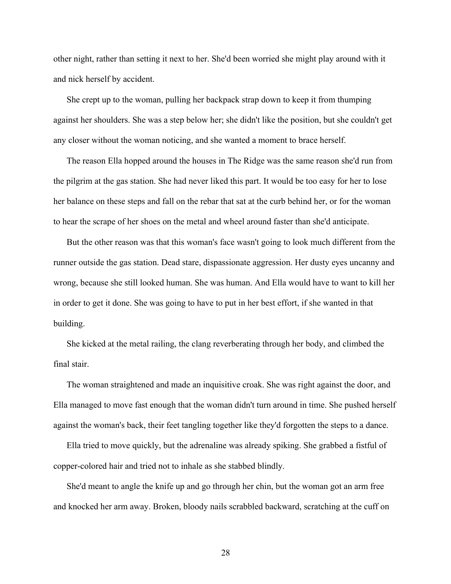other night, rather than setting it next to her. She'd been worried she might play around with it and nick herself by accident.

She crept up to the woman, pulling her backpack strap down to keep it from thumping against her shoulders. She was a step below her; she didn't like the position, but she couldn't get any closer without the woman noticing, and she wanted a moment to brace herself.

The reason Ella hopped around the houses in The Ridge was the same reason she'd run from the pilgrim at the gas station. She had never liked this part. It would be too easy for her to lose her balance on these steps and fall on the rebar that sat at the curb behind her, or for the woman to hear the scrape of her shoes on the metal and wheel around faster than she'd anticipate.

But the other reason was that this woman's face wasn't going to look much different from the runner outside the gas station. Dead stare, dispassionate aggression. Her dusty eyes uncanny and wrong, because she still looked human. She was human. And Ella would have to want to kill her in order to get it done. She was going to have to put in her best effort, if she wanted in that building.

She kicked at the metal railing, the clang reverberating through her body, and climbed the final stair.

The woman straightened and made an inquisitive croak. She was right against the door, and Ella managed to move fast enough that the woman didn't turn around in time. She pushed herself against the woman's back, their feet tangling together like they'd forgotten the steps to a dance.

Ella tried to move quickly, but the adrenaline was already spiking. She grabbed a fistful of copper-colored hair and tried not to inhale as she stabbed blindly.

She'd meant to angle the knife up and go through her chin, but the woman got an arm free and knocked her arm away. Broken, bloody nails scrabbled backward, scratching at the cuff on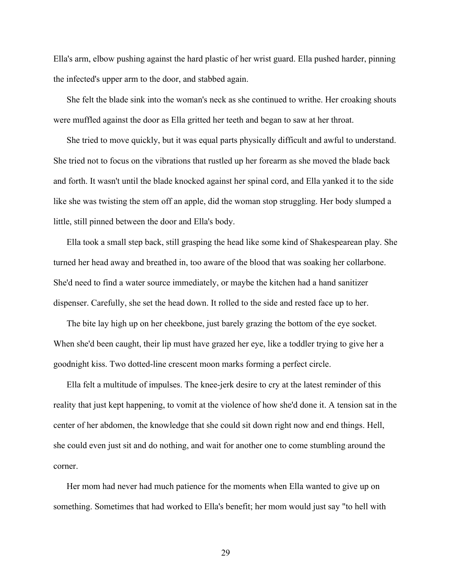Ella's arm, elbow pushing against the hard plastic of her wrist guard. Ella pushed harder, pinning the infected's upper arm to the door, and stabbed again.

She felt the blade sink into the woman's neck as she continued to writhe. Her croaking shouts were muffled against the door as Ella gritted her teeth and began to saw at her throat.

She tried to move quickly, but it was equal parts physically difficult and awful to understand. She tried not to focus on the vibrations that rustled up her forearm as she moved the blade back and forth. It wasn't until the blade knocked against her spinal cord, and Ella yanked it to the side like she was twisting the stem off an apple, did the woman stop struggling. Her body slumped a little, still pinned between the door and Ella's body.

Ella took a small step back, still grasping the head like some kind of Shakespearean play. She turned her head away and breathed in, too aware of the blood that was soaking her collarbone. She'd need to find a water source immediately, or maybe the kitchen had a hand sanitizer dispenser. Carefully, she set the head down. It rolled to the side and rested face up to her.

The bite lay high up on her cheekbone, just barely grazing the bottom of the eye socket. When she'd been caught, their lip must have grazed her eye, like a toddler trying to give her a goodnight kiss. Two dotted-line crescent moon marks forming a perfect circle.

Ella felt a multitude of impulses. The knee-jerk desire to cry at the latest reminder of this reality that just kept happening, to vomit at the violence of how she'd done it. A tension sat in the center of her abdomen, the knowledge that she could sit down right now and end things. Hell, she could even just sit and do nothing, and wait for another one to come stumbling around the corner.

Her mom had never had much patience for the moments when Ella wanted to give up on something. Sometimes that had worked to Ella's benefit; her mom would just say "to hell with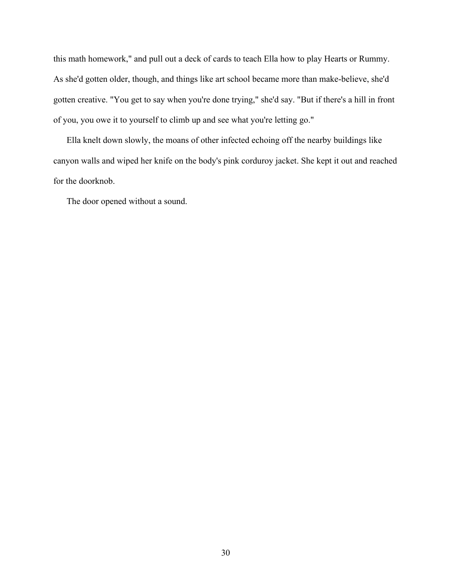this math homework," and pull out a deck of cards to teach Ella how to play Hearts or Rummy. As she'd gotten older, though, and things like art school became more than make-believe, she'd gotten creative. "You get to say when you're done trying," she'd say. "But if there's a hill in front of you, you owe it to yourself to climb up and see what you're letting go."

Ella knelt down slowly, the moans of other infected echoing off the nearby buildings like canyon walls and wiped her knife on the body's pink corduroy jacket. She kept it out and reached for the doorknob.

The door opened without a sound.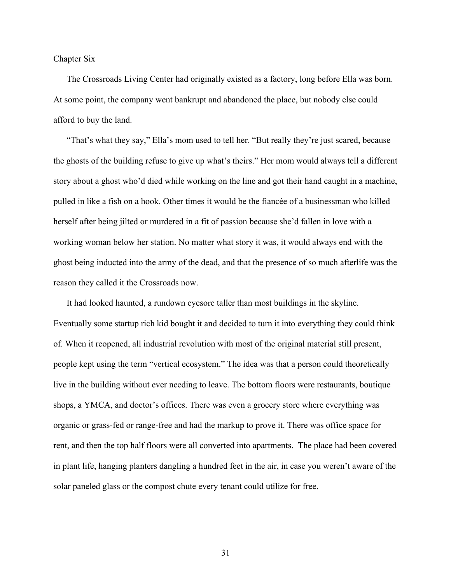Chapter Six

The Crossroads Living Center had originally existed as a factory, long before Ella was born. At some point, the company went bankrupt and abandoned the place, but nobody else could afford to buy the land.

"That's what they say," Ella's mom used to tell her. "But really they're just scared, because the ghosts of the building refuse to give up what's theirs." Her mom would always tell a different story about a ghost who'd died while working on the line and got their hand caught in a machine, pulled in like a fish on a hook. Other times it would be the fiancée of a businessman who killed herself after being jilted or murdered in a fit of passion because she'd fallen in love with a working woman below her station. No matter what story it was, it would always end with the ghost being inducted into the army of the dead, and that the presence of so much afterlife was the reason they called it the Crossroads now.

It had looked haunted, a rundown eyesore taller than most buildings in the skyline. Eventually some startup rich kid bought it and decided to turn it into everything they could think of. When it reopened, all industrial revolution with most of the original material still present, people kept using the term "vertical ecosystem." The idea was that a person could theoretically live in the building without ever needing to leave. The bottom floors were restaurants, boutique shops, a YMCA, and doctor's offices. There was even a grocery store where everything was organic or grass-fed or range-free and had the markup to prove it. There was office space for rent, and then the top half floors were all converted into apartments. The place had been covered in plant life, hanging planters dangling a hundred feet in the air, in case you weren't aware of the solar paneled glass or the compost chute every tenant could utilize for free.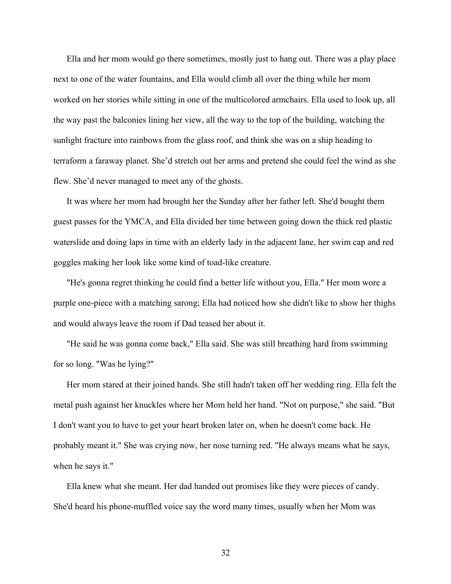Ella and her mom would go there sometimes, mostly just to hang out. There was a play place next to one of the water fountains, and Ella would climb all over the thing while her mom worked on her stories while sitting in one of the multicolored armchairs. Ella used to look up, all the way past the balconies lining her view, all the way to the top of the building, watching the sunlight fracture into rainbows from the glass roof, and think she was on a ship heading to terraform a faraway planet. She'd stretch out her arms and pretend she could feel the wind as she flew. She'd never managed to meet any of the ghosts.

It was where her mom had brought her the Sunday after her father left. She'd bought them guest passes for the YMCA, and Ella divided her time between going down the thick red plastic waterslide and doing laps in time with an elderly lady in the adjacent lane, her swim cap and red goggles making her look like some kind of toad-like creature.

"He's gonna regret thinking he could find a better life without you, Ella." Her mom wore a purple one-piece with a matching sarong; Ella had noticed how she didn't like to show her thighs and would always leave the room if Dad teased her about it.

"He said he was gonna come back," Ella said. She was still breathing hard from swimming for so long. "Was he lying?"

Her mom stared at their joined hands. She still hadn't taken off her wedding ring. Ella felt the metal push against her knuckles where her Mom held her hand. "Not on purpose," she said. "But I don't want you to have to get your heart broken later on, when he doesn't come back. He probably meant it." She was crying now, her nose turning red. "He always means what he says, when he says it."

Ella knew what she meant. Her dad handed out promises like they were pieces of candy. She'd heard his phone-muffled voice say the word many times, usually when her Mom was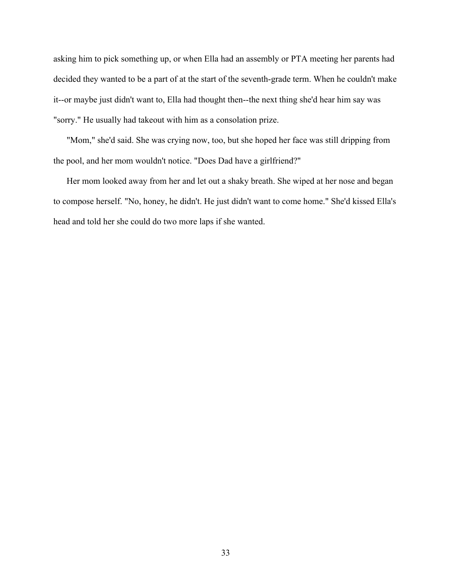asking him to pick something up, or when Ella had an assembly or PTA meeting her parents had decided they wanted to be a part of at the start of the seventh-grade term. When he couldn't make it--or maybe just didn't want to, Ella had thought then--the next thing she'd hear him say was "sorry." He usually had takeout with him as a consolation prize.

"Mom," she'd said. She was crying now, too, but she hoped her face was still dripping from the pool, and her mom wouldn't notice. "Does Dad have a girlfriend?"

Her mom looked away from her and let out a shaky breath. She wiped at her nose and began to compose herself. "No, honey, he didn't. He just didn't want to come home." She'd kissed Ella's head and told her she could do two more laps if she wanted.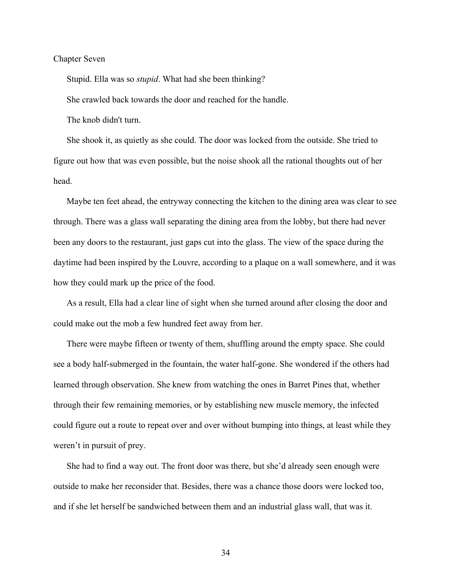## Chapter Seven

Stupid. Ella was so *stupid*. What had she been thinking?

She crawled back towards the door and reached for the handle.

The knob didn't turn.

She shook it, as quietly as she could. The door was locked from the outside. She tried to figure out how that was even possible, but the noise shook all the rational thoughts out of her head.

Maybe ten feet ahead, the entryway connecting the kitchen to the dining area was clear to see through. There was a glass wall separating the dining area from the lobby, but there had never been any doors to the restaurant, just gaps cut into the glass. The view of the space during the daytime had been inspired by the Louvre, according to a plaque on a wall somewhere, and it was how they could mark up the price of the food.

As a result, Ella had a clear line of sight when she turned around after closing the door and could make out the mob a few hundred feet away from her.

There were maybe fifteen or twenty of them, shuffling around the empty space. She could see a body half-submerged in the fountain, the water half-gone. She wondered if the others had learned through observation. She knew from watching the ones in Barret Pines that, whether through their few remaining memories, or by establishing new muscle memory, the infected could figure out a route to repeat over and over without bumping into things, at least while they weren't in pursuit of prey.

She had to find a way out. The front door was there, but she'd already seen enough were outside to make her reconsider that. Besides, there was a chance those doors were locked too, and if she let herself be sandwiched between them and an industrial glass wall, that was it.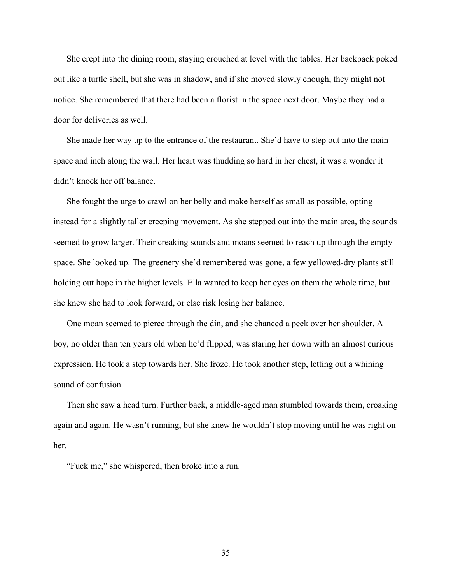She crept into the dining room, staying crouched at level with the tables. Her backpack poked out like a turtle shell, but she was in shadow, and if she moved slowly enough, they might not notice. She remembered that there had been a florist in the space next door. Maybe they had a door for deliveries as well.

She made her way up to the entrance of the restaurant. She'd have to step out into the main space and inch along the wall. Her heart was thudding so hard in her chest, it was a wonder it didn't knock her off balance.

She fought the urge to crawl on her belly and make herself as small as possible, opting instead for a slightly taller creeping movement. As she stepped out into the main area, the sounds seemed to grow larger. Their creaking sounds and moans seemed to reach up through the empty space. She looked up. The greenery she'd remembered was gone, a few yellowed-dry plants still holding out hope in the higher levels. Ella wanted to keep her eyes on them the whole time, but she knew she had to look forward, or else risk losing her balance.

One moan seemed to pierce through the din, and she chanced a peek over her shoulder. A boy, no older than ten years old when he'd flipped, was staring her down with an almost curious expression. He took a step towards her. She froze. He took another step, letting out a whining sound of confusion.

Then she saw a head turn. Further back, a middle-aged man stumbled towards them, croaking again and again. He wasn't running, but she knew he wouldn't stop moving until he was right on her.

"Fuck me," she whispered, then broke into a run.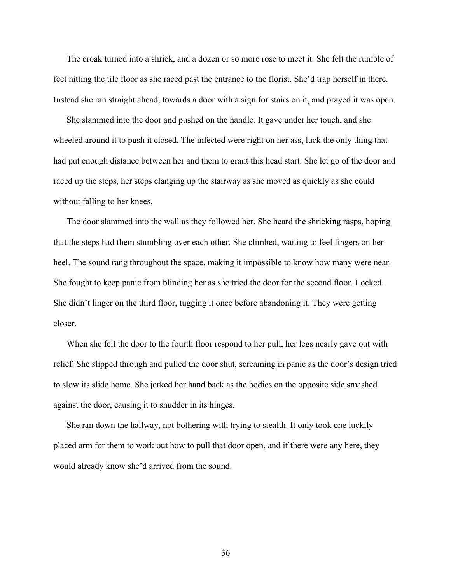The croak turned into a shriek, and a dozen or so more rose to meet it. She felt the rumble of feet hitting the tile floor as she raced past the entrance to the florist. She'd trap herself in there. Instead she ran straight ahead, towards a door with a sign for stairs on it, and prayed it was open.

She slammed into the door and pushed on the handle. It gave under her touch, and she wheeled around it to push it closed. The infected were right on her ass, luck the only thing that had put enough distance between her and them to grant this head start. She let go of the door and raced up the steps, her steps clanging up the stairway as she moved as quickly as she could without falling to her knees.

The door slammed into the wall as they followed her. She heard the shrieking rasps, hoping that the steps had them stumbling over each other. She climbed, waiting to feel fingers on her heel. The sound rang throughout the space, making it impossible to know how many were near. She fought to keep panic from blinding her as she tried the door for the second floor. Locked. She didn't linger on the third floor, tugging it once before abandoning it. They were getting closer.

When she felt the door to the fourth floor respond to her pull, her legs nearly gave out with relief. She slipped through and pulled the door shut, screaming in panic as the door's design tried to slow its slide home. She jerked her hand back as the bodies on the opposite side smashed against the door, causing it to shudder in its hinges.

She ran down the hallway, not bothering with trying to stealth. It only took one luckily placed arm for them to work out how to pull that door open, and if there were any here, they would already know she'd arrived from the sound.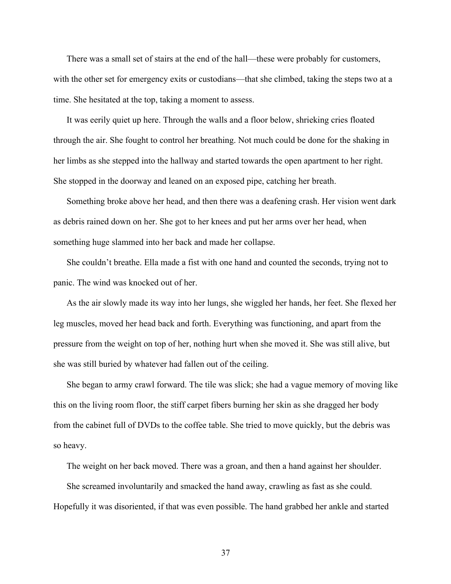There was a small set of stairs at the end of the hall—these were probably for customers, with the other set for emergency exits or custodians—that she climbed, taking the steps two at a time. She hesitated at the top, taking a moment to assess.

It was eerily quiet up here. Through the walls and a floor below, shrieking cries floated through the air. She fought to control her breathing. Not much could be done for the shaking in her limbs as she stepped into the hallway and started towards the open apartment to her right. She stopped in the doorway and leaned on an exposed pipe, catching her breath.

Something broke above her head, and then there was a deafening crash. Her vision went dark as debris rained down on her. She got to her knees and put her arms over her head, when something huge slammed into her back and made her collapse.

She couldn't breathe. Ella made a fist with one hand and counted the seconds, trying not to panic. The wind was knocked out of her.

As the air slowly made its way into her lungs, she wiggled her hands, her feet. She flexed her leg muscles, moved her head back and forth. Everything was functioning, and apart from the pressure from the weight on top of her, nothing hurt when she moved it. She was still alive, but she was still buried by whatever had fallen out of the ceiling.

She began to army crawl forward. The tile was slick; she had a vague memory of moving like this on the living room floor, the stiff carpet fibers burning her skin as she dragged her body from the cabinet full of DVDs to the coffee table. She tried to move quickly, but the debris was so heavy.

The weight on her back moved. There was a groan, and then a hand against her shoulder.

She screamed involuntarily and smacked the hand away, crawling as fast as she could. Hopefully it was disoriented, if that was even possible. The hand grabbed her ankle and started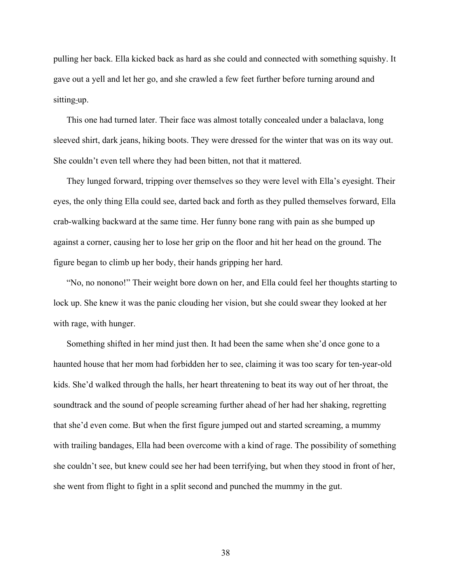pulling her back. Ella kicked back as hard as she could and connected with something squishy. It gave out a yell and let her go, and she crawled a few feet further before turning around and sitting-up.

This one had turned later. Their face was almost totally concealed under a balaclava, long sleeved shirt, dark jeans, hiking boots. They were dressed for the winter that was on its way out. She couldn't even tell where they had been bitten, not that it mattered.

They lunged forward, tripping over themselves so they were level with Ella's eyesight. Their eyes, the only thing Ella could see, darted back and forth as they pulled themselves forward, Ella crab-walking backward at the same time. Her funny bone rang with pain as she bumped up against a corner, causing her to lose her grip on the floor and hit her head on the ground. The figure began to climb up her body, their hands gripping her hard.

"No, no nonono!" Their weight bore down on her, and Ella could feel her thoughts starting to lock up. She knew it was the panic clouding her vision, but she could swear they looked at her with rage, with hunger.

Something shifted in her mind just then. It had been the same when she'd once gone to a haunted house that her mom had forbidden her to see, claiming it was too scary for ten-year-old kids. She'd walked through the halls, her heart threatening to beat its way out of her throat, the soundtrack and the sound of people screaming further ahead of her had her shaking, regretting that she'd even come. But when the first figure jumped out and started screaming, a mummy with trailing bandages, Ella had been overcome with a kind of rage. The possibility of something she couldn't see, but knew could see her had been terrifying, but when they stood in front of her, she went from flight to fight in a split second and punched the mummy in the gut.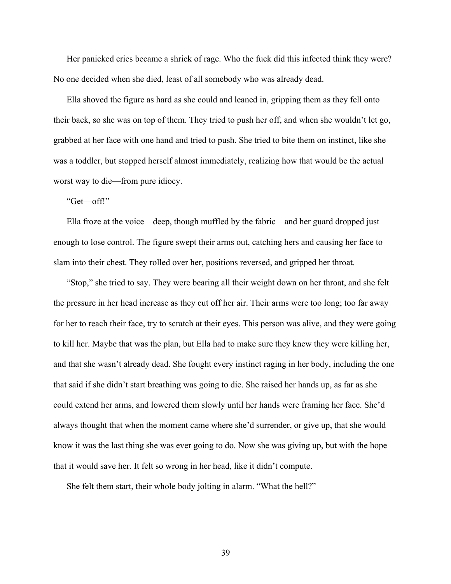Her panicked cries became a shriek of rage. Who the fuck did this infected think they were? No one decided when she died, least of all somebody who was already dead.

Ella shoved the figure as hard as she could and leaned in, gripping them as they fell onto their back, so she was on top of them. They tried to push her off, and when she wouldn't let go, grabbed at her face with one hand and tried to push. She tried to bite them on instinct, like she was a toddler, but stopped herself almost immediately, realizing how that would be the actual worst way to die—from pure idiocy.

## "Get—off!"

Ella froze at the voice—deep, though muffled by the fabric—and her guard dropped just enough to lose control. The figure swept their arms out, catching hers and causing her face to slam into their chest. They rolled over her, positions reversed, and gripped her throat.

"Stop," she tried to say. They were bearing all their weight down on her throat, and she felt the pressure in her head increase as they cut off her air. Their arms were too long; too far away for her to reach their face, try to scratch at their eyes. This person was alive, and they were going to kill her. Maybe that was the plan, but Ella had to make sure they knew they were killing her, and that she wasn't already dead. She fought every instinct raging in her body, including the one that said if she didn't start breathing was going to die. She raised her hands up, as far as she could extend her arms, and lowered them slowly until her hands were framing her face. She'd always thought that when the moment came where she'd surrender, or give up, that she would know it was the last thing she was ever going to do. Now she was giving up, but with the hope that it would save her. It felt so wrong in her head, like it didn't compute.

She felt them start, their whole body jolting in alarm. "What the hell?"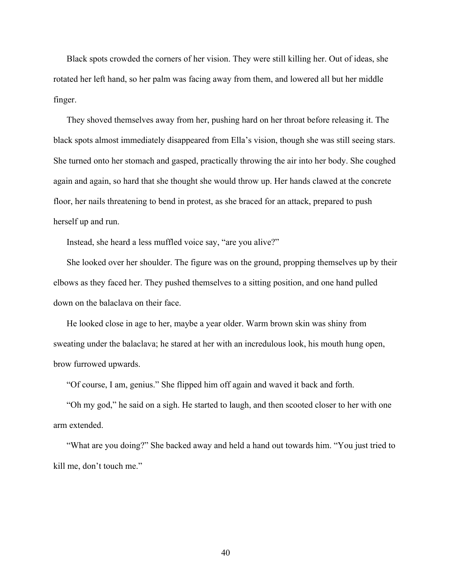Black spots crowded the corners of her vision. They were still killing her. Out of ideas, she rotated her left hand, so her palm was facing away from them, and lowered all but her middle finger.

They shoved themselves away from her, pushing hard on her throat before releasing it. The black spots almost immediately disappeared from Ella's vision, though she was still seeing stars. She turned onto her stomach and gasped, practically throwing the air into her body. She coughed again and again, so hard that she thought she would throw up. Her hands clawed at the concrete floor, her nails threatening to bend in protest, as she braced for an attack, prepared to push herself up and run.

Instead, she heard a less muffled voice say, "are you alive?"

She looked over her shoulder. The figure was on the ground, propping themselves up by their elbows as they faced her. They pushed themselves to a sitting position, and one hand pulled down on the balaclava on their face.

He looked close in age to her, maybe a year older. Warm brown skin was shiny from sweating under the balaclava; he stared at her with an incredulous look, his mouth hung open, brow furrowed upwards.

"Of course, I am, genius." She flipped him off again and waved it back and forth.

"Oh my god," he said on a sigh. He started to laugh, and then scooted closer to her with one arm extended.

"What are you doing?" She backed away and held a hand out towards him. "You just tried to kill me, don't touch me."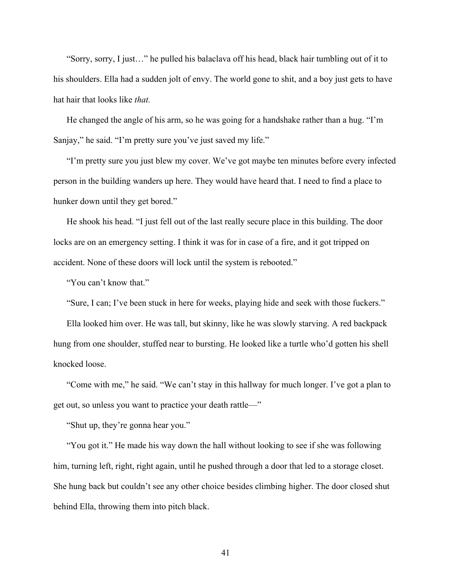"Sorry, sorry, I just…" he pulled his balaclava off his head, black hair tumbling out of it to his shoulders. Ella had a sudden jolt of envy. The world gone to shit, and a boy just gets to have hat hair that looks like *that.*

He changed the angle of his arm, so he was going for a handshake rather than a hug. "I'm Sanjay," he said. "I'm pretty sure you've just saved my life."

"I'm pretty sure you just blew my cover. We've got maybe ten minutes before every infected person in the building wanders up here. They would have heard that. I need to find a place to hunker down until they get bored."

He shook his head. "I just fell out of the last really secure place in this building. The door locks are on an emergency setting. I think it was for in case of a fire, and it got tripped on accident. None of these doors will lock until the system is rebooted."

"You can't know that."

"Sure, I can; I've been stuck in here for weeks, playing hide and seek with those fuckers."

Ella looked him over. He was tall, but skinny, like he was slowly starving. A red backpack hung from one shoulder, stuffed near to bursting. He looked like a turtle who'd gotten his shell knocked loose.

"Come with me," he said. "We can't stay in this hallway for much longer. I've got a plan to get out, so unless you want to practice your death rattle—"

"Shut up, they're gonna hear you."

"You got it." He made his way down the hall without looking to see if she was following him, turning left, right, right again, until he pushed through a door that led to a storage closet. She hung back but couldn't see any other choice besides climbing higher. The door closed shut behind Ella, throwing them into pitch black.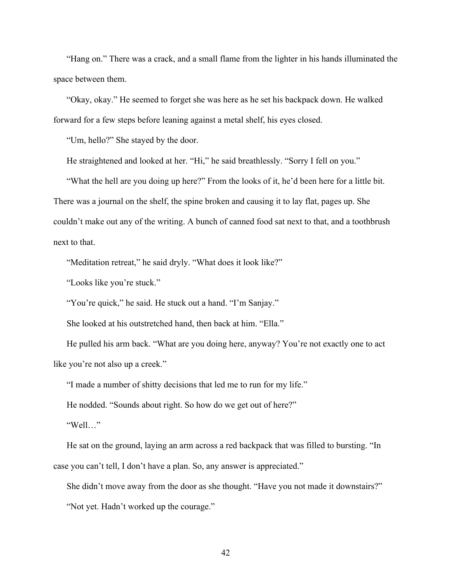"Hang on." There was a crack, and a small flame from the lighter in his hands illuminated the space between them.

"Okay, okay." He seemed to forget she was here as he set his backpack down. He walked forward for a few steps before leaning against a metal shelf, his eyes closed.

"Um, hello?" She stayed by the door.

He straightened and looked at her. "Hi," he said breathlessly. "Sorry I fell on you."

"What the hell are you doing up here?" From the looks of it, he'd been here for a little bit. There was a journal on the shelf, the spine broken and causing it to lay flat, pages up. She couldn't make out any of the writing. A bunch of canned food sat next to that, and a toothbrush next to that.

"Meditation retreat," he said dryly. "What does it look like?"

"Looks like you're stuck."

"You're quick," he said. He stuck out a hand. "I'm Sanjay."

She looked at his outstretched hand, then back at him. "Ella."

He pulled his arm back. "What are you doing here, anyway? You're not exactly one to act like you're not also up a creek."

"I made a number of shitty decisions that led me to run for my life."

He nodded. "Sounds about right. So how do we get out of here?"

"Well…"

He sat on the ground, laying an arm across a red backpack that was filled to bursting. "In case you can't tell, I don't have a plan. So, any answer is appreciated."

She didn't move away from the door as she thought. "Have you not made it downstairs?"

"Not yet. Hadn't worked up the courage."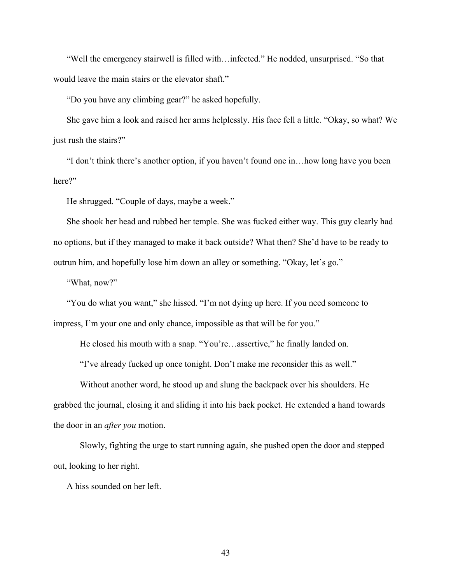"Well the emergency stairwell is filled with…infected." He nodded, unsurprised. "So that would leave the main stairs or the elevator shaft."

"Do you have any climbing gear?" he asked hopefully.

She gave him a look and raised her arms helplessly. His face fell a little. "Okay, so what? We just rush the stairs?"

"I don't think there's another option, if you haven't found one in…how long have you been here?"

He shrugged. "Couple of days, maybe a week."

She shook her head and rubbed her temple. She was fucked either way. This guy clearly had no options, but if they managed to make it back outside? What then? She'd have to be ready to outrun him, and hopefully lose him down an alley or something. "Okay, let's go."

"What, now?"

"You do what you want," she hissed. "I'm not dying up here. If you need someone to impress, I'm your one and only chance, impossible as that will be for you."

He closed his mouth with a snap. "You're…assertive," he finally landed on.

"I've already fucked up once tonight. Don't make me reconsider this as well."

Without another word, he stood up and slung the backpack over his shoulders. He grabbed the journal, closing it and sliding it into his back pocket. He extended a hand towards the door in an *after you* motion.

Slowly, fighting the urge to start running again, she pushed open the door and stepped out, looking to her right.

A hiss sounded on her left.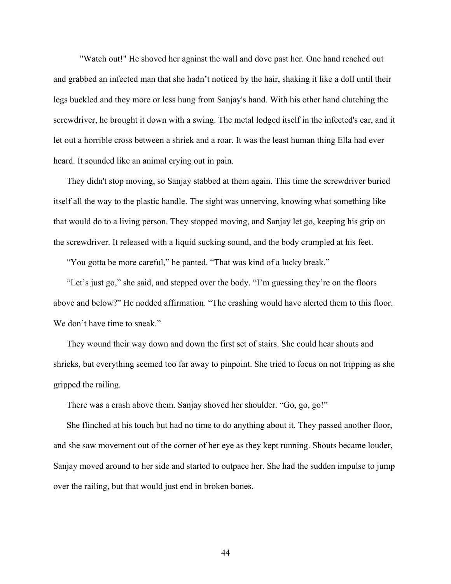"Watch out!" He shoved her against the wall and dove past her. One hand reached out and grabbed an infected man that she hadn't noticed by the hair, shaking it like a doll until their legs buckled and they more or less hung from Sanjay's hand. With his other hand clutching the screwdriver, he brought it down with a swing. The metal lodged itself in the infected's ear, and it let out a horrible cross between a shriek and a roar. It was the least human thing Ella had ever heard. It sounded like an animal crying out in pain.

They didn't stop moving, so Sanjay stabbed at them again. This time the screwdriver buried itself all the way to the plastic handle. The sight was unnerving, knowing what something like that would do to a living person. They stopped moving, and Sanjay let go, keeping his grip on the screwdriver. It released with a liquid sucking sound, and the body crumpled at his feet.

"You gotta be more careful," he panted. "That was kind of a lucky break."

"Let's just go," she said, and stepped over the body. "I'm guessing they're on the floors above and below?" He nodded affirmation. "The crashing would have alerted them to this floor. We don't have time to sneak."

They wound their way down and down the first set of stairs. She could hear shouts and shrieks, but everything seemed too far away to pinpoint. She tried to focus on not tripping as she gripped the railing.

There was a crash above them. Sanjay shoved her shoulder. "Go, go, go!"

She flinched at his touch but had no time to do anything about it. They passed another floor, and she saw movement out of the corner of her eye as they kept running. Shouts became louder, Sanjay moved around to her side and started to outpace her. She had the sudden impulse to jump over the railing, but that would just end in broken bones.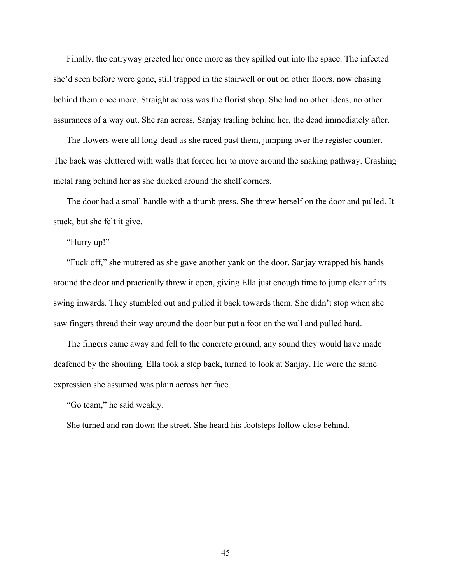Finally, the entryway greeted her once more as they spilled out into the space. The infected she'd seen before were gone, still trapped in the stairwell or out on other floors, now chasing behind them once more. Straight across was the florist shop. She had no other ideas, no other assurances of a way out. She ran across, Sanjay trailing behind her, the dead immediately after.

The flowers were all long-dead as she raced past them, jumping over the register counter. The back was cluttered with walls that forced her to move around the snaking pathway. Crashing metal rang behind her as she ducked around the shelf corners.

The door had a small handle with a thumb press. She threw herself on the door and pulled. It stuck, but she felt it give.

"Hurry up!"

"Fuck off," she muttered as she gave another yank on the door. Sanjay wrapped his hands around the door and practically threw it open, giving Ella just enough time to jump clear of its swing inwards. They stumbled out and pulled it back towards them. She didn't stop when she saw fingers thread their way around the door but put a foot on the wall and pulled hard.

The fingers came away and fell to the concrete ground, any sound they would have made deafened by the shouting. Ella took a step back, turned to look at Sanjay. He wore the same expression she assumed was plain across her face.

"Go team," he said weakly.

She turned and ran down the street. She heard his footsteps follow close behind.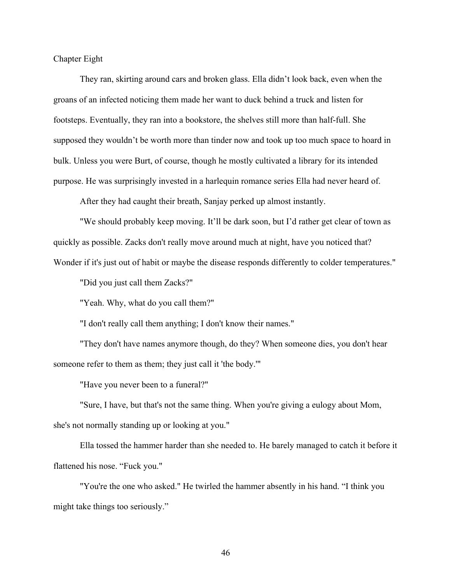Chapter Eight

They ran, skirting around cars and broken glass. Ella didn't look back, even when the groans of an infected noticing them made her want to duck behind a truck and listen for footsteps. Eventually, they ran into a bookstore, the shelves still more than half-full. She supposed they wouldn't be worth more than tinder now and took up too much space to hoard in bulk. Unless you were Burt, of course, though he mostly cultivated a library for its intended purpose. He was surprisingly invested in a harlequin romance series Ella had never heard of.

After they had caught their breath, Sanjay perked up almost instantly.

"We should probably keep moving. It'll be dark soon, but I'd rather get clear of town as quickly as possible. Zacks don't really move around much at night, have you noticed that? Wonder if it's just out of habit or maybe the disease responds differently to colder temperatures."

"Did you just call them Zacks?"

"Yeah. Why, what do you call them?"

"I don't really call them anything; I don't know their names."

"They don't have names anymore though, do they? When someone dies, you don't hear someone refer to them as them; they just call it 'the body.'"

"Have you never been to a funeral?"

"Sure, I have, but that's not the same thing. When you're giving a eulogy about Mom, she's not normally standing up or looking at you."

Ella tossed the hammer harder than she needed to. He barely managed to catch it before it flattened his nose. "Fuck you."

"You're the one who asked." He twirled the hammer absently in his hand. "I think you might take things too seriously."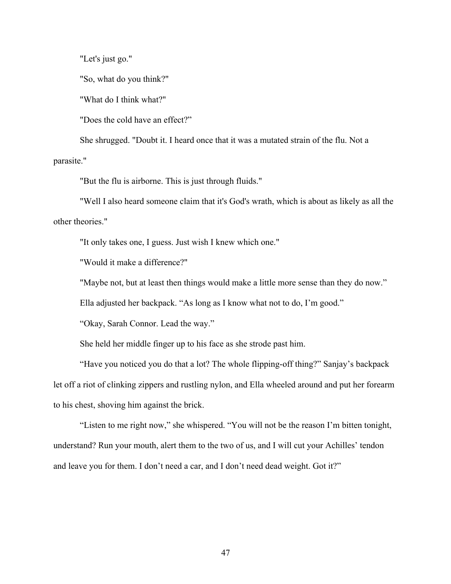"Let's just go."

"So, what do you think?"

"What do I think what?"

"Does the cold have an effect?"

She shrugged. "Doubt it. I heard once that it was a mutated strain of the flu. Not a parasite."

"But the flu is airborne. This is just through fluids."

"Well I also heard someone claim that it's God's wrath, which is about as likely as all the other theories."

"It only takes one, I guess. Just wish I knew which one."

"Would it make a difference?"

"Maybe not, but at least then things would make a little more sense than they do now."

Ella adjusted her backpack. "As long as I know what not to do, I'm good."

"Okay, Sarah Connor. Lead the way."

She held her middle finger up to his face as she strode past him.

"Have you noticed you do that a lot? The whole flipping-off thing?" Sanjay's backpack let off a riot of clinking zippers and rustling nylon, and Ella wheeled around and put her forearm to his chest, shoving him against the brick.

"Listen to me right now," she whispered. "You will not be the reason I'm bitten tonight, understand? Run your mouth, alert them to the two of us, and I will cut your Achilles' tendon and leave you for them. I don't need a car, and I don't need dead weight. Got it?"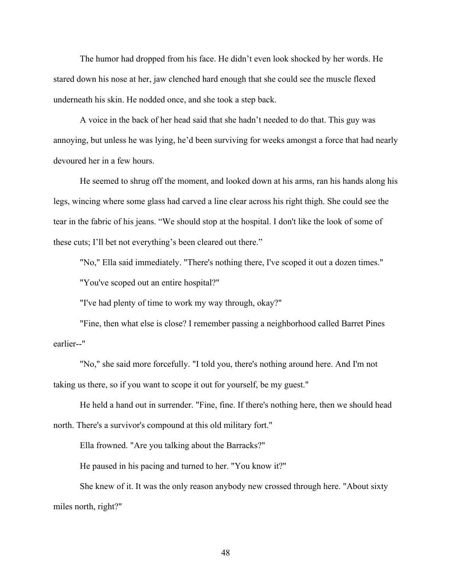The humor had dropped from his face. He didn't even look shocked by her words. He stared down his nose at her, jaw clenched hard enough that she could see the muscle flexed underneath his skin. He nodded once, and she took a step back.

A voice in the back of her head said that she hadn't needed to do that. This guy was annoying, but unless he was lying, he'd been surviving for weeks amongst a force that had nearly devoured her in a few hours.

He seemed to shrug off the moment, and looked down at his arms, ran his hands along his legs, wincing where some glass had carved a line clear across his right thigh. She could see the tear in the fabric of his jeans. "We should stop at the hospital. I don't like the look of some of these cuts; I'll bet not everything's been cleared out there."

"No," Ella said immediately. "There's nothing there, I've scoped it out a dozen times." "You've scoped out an entire hospital?"

"I've had plenty of time to work my way through, okay?"

"Fine, then what else is close? I remember passing a neighborhood called Barret Pines earlier--"

"No," she said more forcefully. "I told you, there's nothing around here. And I'm not taking us there, so if you want to scope it out for yourself, be my guest."

He held a hand out in surrender. "Fine, fine. If there's nothing here, then we should head north. There's a survivor's compound at this old military fort."

Ella frowned. "Are you talking about the Barracks?"

He paused in his pacing and turned to her. "You know it?"

She knew of it. It was the only reason anybody new crossed through here. "About sixty miles north, right?"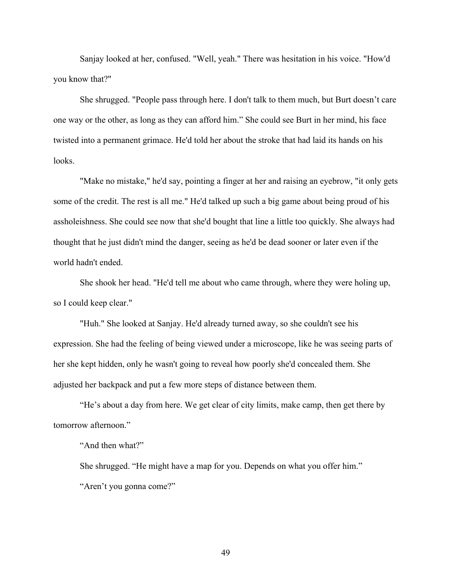Sanjay looked at her, confused. "Well, yeah." There was hesitation in his voice. "How'd you know that?"

She shrugged. "People pass through here. I don't talk to them much, but Burt doesn't care one way or the other, as long as they can afford him." She could see Burt in her mind, his face twisted into a permanent grimace. He'd told her about the stroke that had laid its hands on his looks.

"Make no mistake," he'd say, pointing a finger at her and raising an eyebrow, "it only gets some of the credit. The rest is all me." He'd talked up such a big game about being proud of his assholeishness. She could see now that she'd bought that line a little too quickly. She always had thought that he just didn't mind the danger, seeing as he'd be dead sooner or later even if the world hadn't ended.

She shook her head. "He'd tell me about who came through, where they were holing up, so I could keep clear."

"Huh." She looked at Sanjay. He'd already turned away, so she couldn't see his expression. She had the feeling of being viewed under a microscope, like he was seeing parts of her she kept hidden, only he wasn't going to reveal how poorly she'd concealed them. She adjusted her backpack and put a few more steps of distance between them.

"He's about a day from here. We get clear of city limits, make camp, then get there by tomorrow afternoon."

"And then what?"

She shrugged. "He might have a map for you. Depends on what you offer him." "Aren't you gonna come?"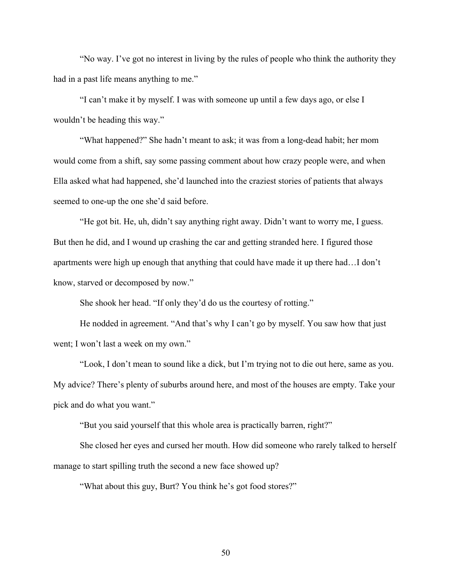"No way. I've got no interest in living by the rules of people who think the authority they had in a past life means anything to me."

"I can't make it by myself. I was with someone up until a few days ago, or else I wouldn't be heading this way."

"What happened?" She hadn't meant to ask; it was from a long-dead habit; her mom would come from a shift, say some passing comment about how crazy people were, and when Ella asked what had happened, she'd launched into the craziest stories of patients that always seemed to one-up the one she'd said before.

"He got bit. He, uh, didn't say anything right away. Didn't want to worry me, I guess. But then he did, and I wound up crashing the car and getting stranded here. I figured those apartments were high up enough that anything that could have made it up there had…I don't know, starved or decomposed by now."

She shook her head. "If only they'd do us the courtesy of rotting."

He nodded in agreement. "And that's why I can't go by myself. You saw how that just went; I won't last a week on my own."

"Look, I don't mean to sound like a dick, but I'm trying not to die out here, same as you. My advice? There's plenty of suburbs around here, and most of the houses are empty. Take your pick and do what you want."

"But you said yourself that this whole area is practically barren, right?"

She closed her eyes and cursed her mouth. How did someone who rarely talked to herself manage to start spilling truth the second a new face showed up?

"What about this guy, Burt? You think he's got food stores?"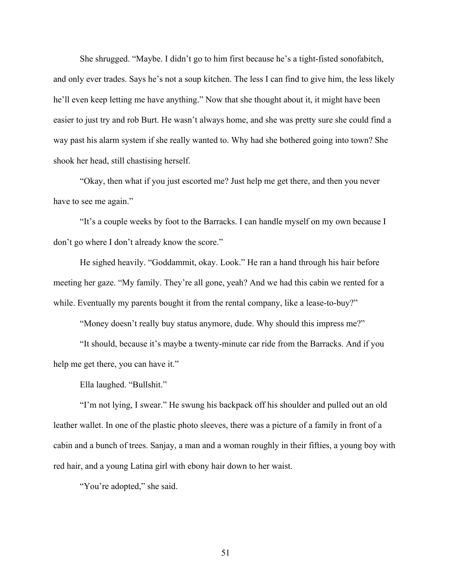She shrugged. "Maybe. I didn't go to him first because he's a tight-fisted sonofabitch, and only ever trades. Says he's not a soup kitchen. The less I can find to give him, the less likely he'll even keep letting me have anything." Now that she thought about it, it might have been easier to just try and rob Burt. He wasn't always home, and she was pretty sure she could find a way past his alarm system if she really wanted to. Why had she bothered going into town? She shook her head, still chastising herself.

"Okay, then what if you just escorted me? Just help me get there, and then you never have to see me again."

"It's a couple weeks by foot to the Barracks. I can handle myself on my own because I don't go where I don't already know the score."

He sighed heavily. "Goddammit, okay. Look." He ran a hand through his hair before meeting her gaze. "My family. They're all gone, yeah? And we had this cabin we rented for a while. Eventually my parents bought it from the rental company, like a lease-to-buy?"

"Money doesn't really buy status anymore, dude. Why should this impress me?"

"It should, because it's maybe a twenty-minute car ride from the Barracks. And if you help me get there, you can have it."

Ella laughed. "Bullshit."

"I'm not lying, I swear." He swung his backpack off his shoulder and pulled out an old leather wallet. In one of the plastic photo sleeves, there was a picture of a family in front of a cabin and a bunch of trees. Sanjay, a man and a woman roughly in their fifties, a young boy with red hair, and a young Latina girl with ebony hair down to her waist.

"You're adopted," she said.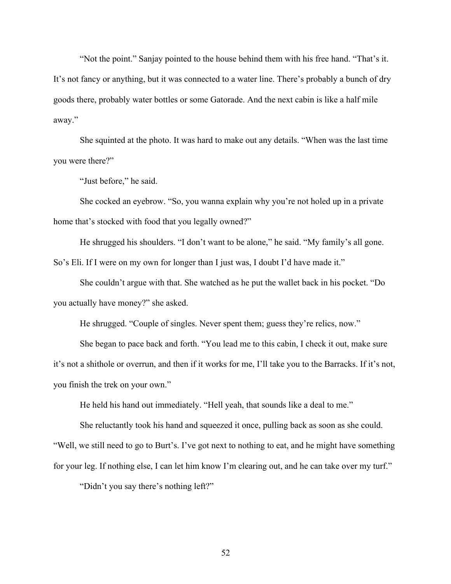"Not the point." Sanjay pointed to the house behind them with his free hand. "That's it. It's not fancy or anything, but it was connected to a water line. There's probably a bunch of dry goods there, probably water bottles or some Gatorade. And the next cabin is like a half mile away."

She squinted at the photo. It was hard to make out any details. "When was the last time you were there?"

"Just before," he said.

She cocked an eyebrow. "So, you wanna explain why you're not holed up in a private home that's stocked with food that you legally owned?"

He shrugged his shoulders. "I don't want to be alone," he said. "My family's all gone. So's Eli. If I were on my own for longer than I just was, I doubt I'd have made it."

She couldn't argue with that. She watched as he put the wallet back in his pocket. "Do you actually have money?" she asked.

He shrugged. "Couple of singles. Never spent them; guess they're relics, now."

She began to pace back and forth. "You lead me to this cabin, I check it out, make sure it's not a shithole or overrun, and then if it works for me, I'll take you to the Barracks. If it's not, you finish the trek on your own."

He held his hand out immediately. "Hell yeah, that sounds like a deal to me."

She reluctantly took his hand and squeezed it once, pulling back as soon as she could. "Well, we still need to go to Burt's. I've got next to nothing to eat, and he might have something for your leg. If nothing else, I can let him know I'm clearing out, and he can take over my turf."

"Didn't you say there's nothing left?"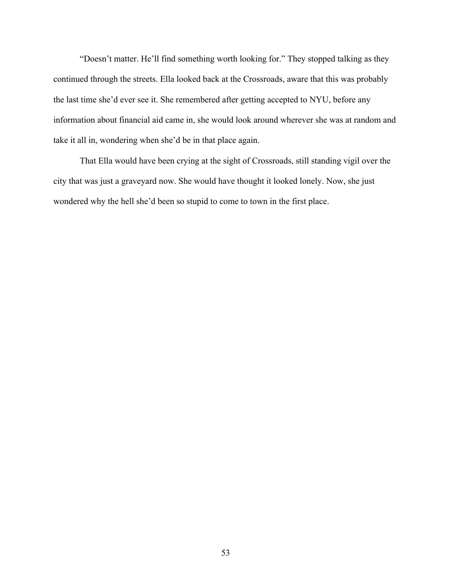"Doesn't matter. He'll find something worth looking for." They stopped talking as they continued through the streets. Ella looked back at the Crossroads, aware that this was probably the last time she'd ever see it. She remembered after getting accepted to NYU, before any information about financial aid came in, she would look around wherever she was at random and take it all in, wondering when she'd be in that place again.

That Ella would have been crying at the sight of Crossroads, still standing vigil over the city that was just a graveyard now. She would have thought it looked lonely. Now, she just wondered why the hell she'd been so stupid to come to town in the first place.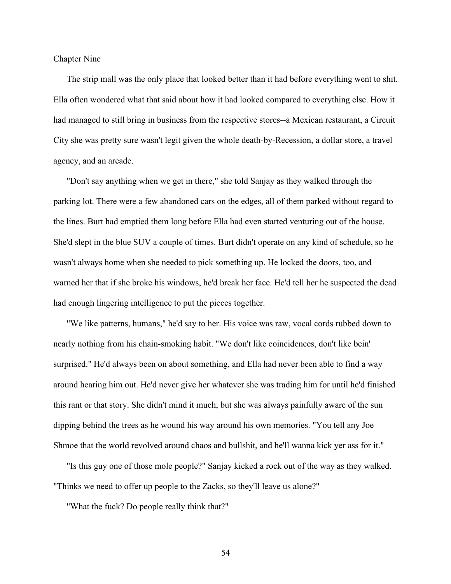Chapter Nine

The strip mall was the only place that looked better than it had before everything went to shit. Ella often wondered what that said about how it had looked compared to everything else. How it had managed to still bring in business from the respective stores--a Mexican restaurant, a Circuit City she was pretty sure wasn't legit given the whole death-by-Recession, a dollar store, a travel agency, and an arcade.

"Don't say anything when we get in there," she told Sanjay as they walked through the parking lot. There were a few abandoned cars on the edges, all of them parked without regard to the lines. Burt had emptied them long before Ella had even started venturing out of the house. She'd slept in the blue SUV a couple of times. Burt didn't operate on any kind of schedule, so he wasn't always home when she needed to pick something up. He locked the doors, too, and warned her that if she broke his windows, he'd break her face. He'd tell her he suspected the dead had enough lingering intelligence to put the pieces together.

"We like patterns, humans," he'd say to her. His voice was raw, vocal cords rubbed down to nearly nothing from his chain-smoking habit. "We don't like coincidences, don't like bein' surprised." He'd always been on about something, and Ella had never been able to find a way around hearing him out. He'd never give her whatever she was trading him for until he'd finished this rant or that story. She didn't mind it much, but she was always painfully aware of the sun dipping behind the trees as he wound his way around his own memories. "You tell any Joe Shmoe that the world revolved around chaos and bullshit, and he'll wanna kick yer ass for it."

"Is this guy one of those mole people?" Sanjay kicked a rock out of the way as they walked. "Thinks we need to offer up people to the Zacks, so they'll leave us alone?"

"What the fuck? Do people really think that?"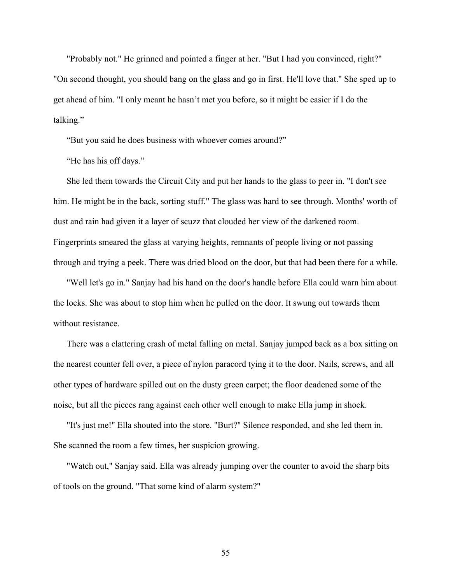"Probably not." He grinned and pointed a finger at her. "But I had you convinced, right?" "On second thought, you should bang on the glass and go in first. He'll love that." She sped up to get ahead of him. "I only meant he hasn't met you before, so it might be easier if I do the talking."

"But you said he does business with whoever comes around?"

"He has his off days."

She led them towards the Circuit City and put her hands to the glass to peer in. "I don't see him. He might be in the back, sorting stuff." The glass was hard to see through. Months' worth of dust and rain had given it a layer of scuzz that clouded her view of the darkened room. Fingerprints smeared the glass at varying heights, remnants of people living or not passing through and trying a peek. There was dried blood on the door, but that had been there for a while.

"Well let's go in." Sanjay had his hand on the door's handle before Ella could warn him about the locks. She was about to stop him when he pulled on the door. It swung out towards them without resistance.

There was a clattering crash of metal falling on metal. Sanjay jumped back as a box sitting on the nearest counter fell over, a piece of nylon paracord tying it to the door. Nails, screws, and all other types of hardware spilled out on the dusty green carpet; the floor deadened some of the noise, but all the pieces rang against each other well enough to make Ella jump in shock.

"It's just me!" Ella shouted into the store. "Burt?" Silence responded, and she led them in. She scanned the room a few times, her suspicion growing.

"Watch out," Sanjay said. Ella was already jumping over the counter to avoid the sharp bits of tools on the ground. "That some kind of alarm system?"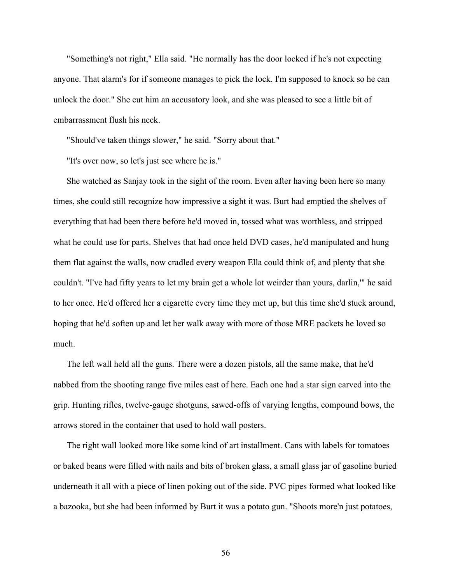"Something's not right," Ella said. "He normally has the door locked if he's not expecting anyone. That alarm's for if someone manages to pick the lock. I'm supposed to knock so he can unlock the door." She cut him an accusatory look, and she was pleased to see a little bit of embarrassment flush his neck.

"Should've taken things slower," he said. "Sorry about that."

"It's over now, so let's just see where he is."

She watched as Sanjay took in the sight of the room. Even after having been here so many times, she could still recognize how impressive a sight it was. Burt had emptied the shelves of everything that had been there before he'd moved in, tossed what was worthless, and stripped what he could use for parts. Shelves that had once held DVD cases, he'd manipulated and hung them flat against the walls, now cradled every weapon Ella could think of, and plenty that she couldn't. "I've had fifty years to let my brain get a whole lot weirder than yours, darlin,'" he said to her once. He'd offered her a cigarette every time they met up, but this time she'd stuck around, hoping that he'd soften up and let her walk away with more of those MRE packets he loved so much.

The left wall held all the guns. There were a dozen pistols, all the same make, that he'd nabbed from the shooting range five miles east of here. Each one had a star sign carved into the grip. Hunting rifles, twelve-gauge shotguns, sawed-offs of varying lengths, compound bows, the arrows stored in the container that used to hold wall posters.

The right wall looked more like some kind of art installment. Cans with labels for tomatoes or baked beans were filled with nails and bits of broken glass, a small glass jar of gasoline buried underneath it all with a piece of linen poking out of the side. PVC pipes formed what looked like a bazooka, but she had been informed by Burt it was a potato gun. "Shoots more'n just potatoes,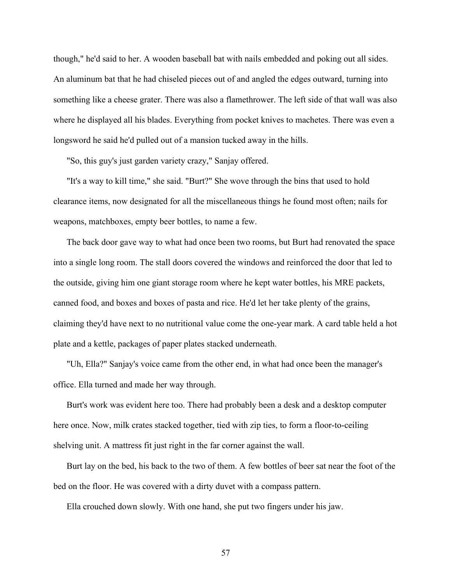though," he'd said to her. A wooden baseball bat with nails embedded and poking out all sides. An aluminum bat that he had chiseled pieces out of and angled the edges outward, turning into something like a cheese grater. There was also a flamethrower. The left side of that wall was also where he displayed all his blades. Everything from pocket knives to machetes. There was even a longsword he said he'd pulled out of a mansion tucked away in the hills.

"So, this guy's just garden variety crazy," Sanjay offered.

"It's a way to kill time," she said. "Burt?" She wove through the bins that used to hold clearance items, now designated for all the miscellaneous things he found most often; nails for weapons, matchboxes, empty beer bottles, to name a few.

The back door gave way to what had once been two rooms, but Burt had renovated the space into a single long room. The stall doors covered the windows and reinforced the door that led to the outside, giving him one giant storage room where he kept water bottles, his MRE packets, canned food, and boxes and boxes of pasta and rice. He'd let her take plenty of the grains, claiming they'd have next to no nutritional value come the one-year mark. A card table held a hot plate and a kettle, packages of paper plates stacked underneath.

"Uh, Ella?" Sanjay's voice came from the other end, in what had once been the manager's office. Ella turned and made her way through.

Burt's work was evident here too. There had probably been a desk and a desktop computer here once. Now, milk crates stacked together, tied with zip ties, to form a floor-to-ceiling shelving unit. A mattress fit just right in the far corner against the wall.

Burt lay on the bed, his back to the two of them. A few bottles of beer sat near the foot of the bed on the floor. He was covered with a dirty duvet with a compass pattern.

Ella crouched down slowly. With one hand, she put two fingers under his jaw.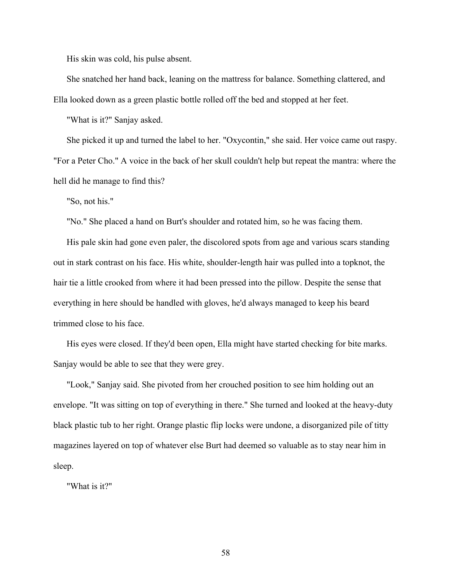His skin was cold, his pulse absent.

She snatched her hand back, leaning on the mattress for balance. Something clattered, and Ella looked down as a green plastic bottle rolled off the bed and stopped at her feet.

"What is it?" Sanjay asked.

She picked it up and turned the label to her. "Oxycontin," she said. Her voice came out raspy. "For a Peter Cho." A voice in the back of her skull couldn't help but repeat the mantra: where the hell did he manage to find this?

"So, not his."

"No." She placed a hand on Burt's shoulder and rotated him, so he was facing them.

His pale skin had gone even paler, the discolored spots from age and various scars standing out in stark contrast on his face. His white, shoulder-length hair was pulled into a topknot, the hair tie a little crooked from where it had been pressed into the pillow. Despite the sense that everything in here should be handled with gloves, he'd always managed to keep his beard trimmed close to his face.

His eyes were closed. If they'd been open, Ella might have started checking for bite marks. Sanjay would be able to see that they were grey.

"Look," Sanjay said. She pivoted from her crouched position to see him holding out an envelope. "It was sitting on top of everything in there." She turned and looked at the heavy-duty black plastic tub to her right. Orange plastic flip locks were undone, a disorganized pile of titty magazines layered on top of whatever else Burt had deemed so valuable as to stay near him in sleep.

"What is it?"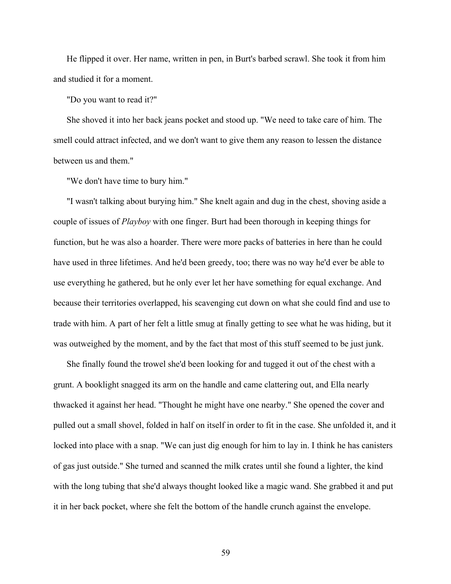He flipped it over. Her name, written in pen, in Burt's barbed scrawl. She took it from him and studied it for a moment.

"Do you want to read it?"

She shoved it into her back jeans pocket and stood up. "We need to take care of him. The smell could attract infected, and we don't want to give them any reason to lessen the distance between us and them."

"We don't have time to bury him."

"I wasn't talking about burying him." She knelt again and dug in the chest, shoving aside a couple of issues of *Playboy* with one finger. Burt had been thorough in keeping things for function, but he was also a hoarder. There were more packs of batteries in here than he could have used in three lifetimes. And he'd been greedy, too; there was no way he'd ever be able to use everything he gathered, but he only ever let her have something for equal exchange. And because their territories overlapped, his scavenging cut down on what she could find and use to trade with him. A part of her felt a little smug at finally getting to see what he was hiding, but it was outweighed by the moment, and by the fact that most of this stuff seemed to be just junk.

She finally found the trowel she'd been looking for and tugged it out of the chest with a grunt. A booklight snagged its arm on the handle and came clattering out, and Ella nearly thwacked it against her head. "Thought he might have one nearby." She opened the cover and pulled out a small shovel, folded in half on itself in order to fit in the case. She unfolded it, and it locked into place with a snap. "We can just dig enough for him to lay in. I think he has canisters of gas just outside." She turned and scanned the milk crates until she found a lighter, the kind with the long tubing that she'd always thought looked like a magic wand. She grabbed it and put it in her back pocket, where she felt the bottom of the handle crunch against the envelope.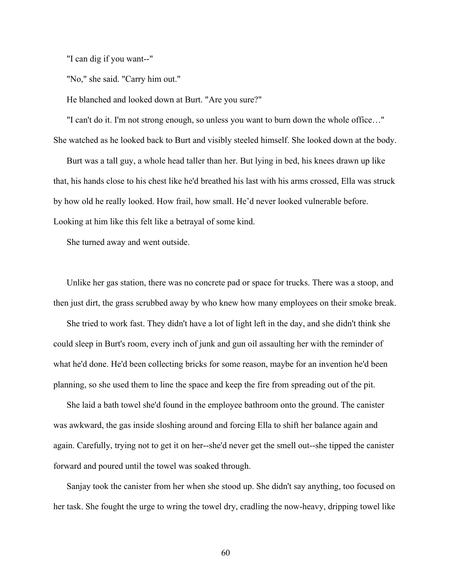"I can dig if you want--"

"No," she said. "Carry him out."

He blanched and looked down at Burt. "Are you sure?"

"I can't do it. I'm not strong enough, so unless you want to burn down the whole office…" She watched as he looked back to Burt and visibly steeled himself. She looked down at the body.

Burt was a tall guy, a whole head taller than her. But lying in bed, his knees drawn up like that, his hands close to his chest like he'd breathed his last with his arms crossed, Ella was struck by how old he really looked. How frail, how small. He'd never looked vulnerable before. Looking at him like this felt like a betrayal of some kind.

She turned away and went outside.

Unlike her gas station, there was no concrete pad or space for trucks. There was a stoop, and then just dirt, the grass scrubbed away by who knew how many employees on their smoke break.

She tried to work fast. They didn't have a lot of light left in the day, and she didn't think she could sleep in Burt's room, every inch of junk and gun oil assaulting her with the reminder of what he'd done. He'd been collecting bricks for some reason, maybe for an invention he'd been planning, so she used them to line the space and keep the fire from spreading out of the pit.

She laid a bath towel she'd found in the employee bathroom onto the ground. The canister was awkward, the gas inside sloshing around and forcing Ella to shift her balance again and again. Carefully, trying not to get it on her--she'd never get the smell out--she tipped the canister forward and poured until the towel was soaked through.

Sanjay took the canister from her when she stood up. She didn't say anything, too focused on her task. She fought the urge to wring the towel dry, cradling the now-heavy, dripping towel like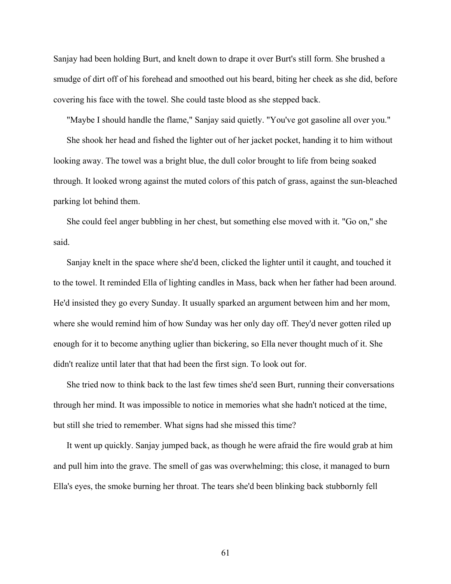Sanjay had been holding Burt, and knelt down to drape it over Burt's still form. She brushed a smudge of dirt off of his forehead and smoothed out his beard, biting her cheek as she did, before covering his face with the towel. She could taste blood as she stepped back.

"Maybe I should handle the flame," Sanjay said quietly. "You've got gasoline all over you."

She shook her head and fished the lighter out of her jacket pocket, handing it to him without looking away. The towel was a bright blue, the dull color brought to life from being soaked through. It looked wrong against the muted colors of this patch of grass, against the sun-bleached parking lot behind them.

She could feel anger bubbling in her chest, but something else moved with it. "Go on," she said.

Sanjay knelt in the space where she'd been, clicked the lighter until it caught, and touched it to the towel. It reminded Ella of lighting candles in Mass, back when her father had been around. He'd insisted they go every Sunday. It usually sparked an argument between him and her mom, where she would remind him of how Sunday was her only day off. They'd never gotten riled up enough for it to become anything uglier than bickering, so Ella never thought much of it. She didn't realize until later that that had been the first sign. To look out for.

She tried now to think back to the last few times she'd seen Burt, running their conversations through her mind. It was impossible to notice in memories what she hadn't noticed at the time, but still she tried to remember. What signs had she missed this time?

It went up quickly. Sanjay jumped back, as though he were afraid the fire would grab at him and pull him into the grave. The smell of gas was overwhelming; this close, it managed to burn Ella's eyes, the smoke burning her throat. The tears she'd been blinking back stubbornly fell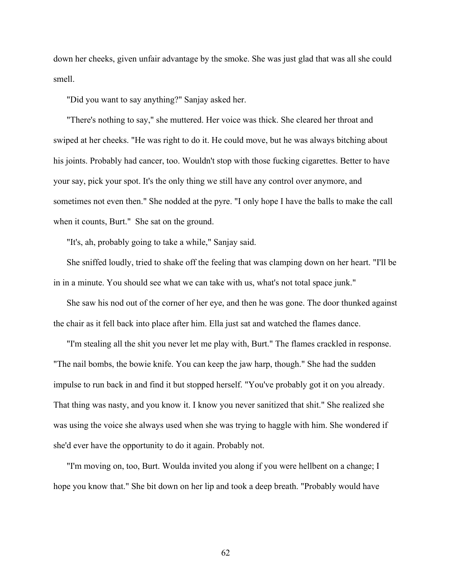down her cheeks, given unfair advantage by the smoke. She was just glad that was all she could smell.

"Did you want to say anything?" Sanjay asked her.

"There's nothing to say," she muttered. Her voice was thick. She cleared her throat and swiped at her cheeks. "He was right to do it. He could move, but he was always bitching about his joints. Probably had cancer, too. Wouldn't stop with those fucking cigarettes. Better to have your say, pick your spot. It's the only thing we still have any control over anymore, and sometimes not even then." She nodded at the pyre. "I only hope I have the balls to make the call when it counts, Burt." She sat on the ground.

"It's, ah, probably going to take a while," Sanjay said.

She sniffed loudly, tried to shake off the feeling that was clamping down on her heart. "I'll be in in a minute. You should see what we can take with us, what's not total space junk."

She saw his nod out of the corner of her eye, and then he was gone. The door thunked against the chair as it fell back into place after him. Ella just sat and watched the flames dance.

"I'm stealing all the shit you never let me play with, Burt." The flames crackled in response. "The nail bombs, the bowie knife. You can keep the jaw harp, though." She had the sudden impulse to run back in and find it but stopped herself. "You've probably got it on you already. That thing was nasty, and you know it. I know you never sanitized that shit." She realized she was using the voice she always used when she was trying to haggle with him. She wondered if she'd ever have the opportunity to do it again. Probably not.

"I'm moving on, too, Burt. Woulda invited you along if you were hellbent on a change; I hope you know that." She bit down on her lip and took a deep breath. "Probably would have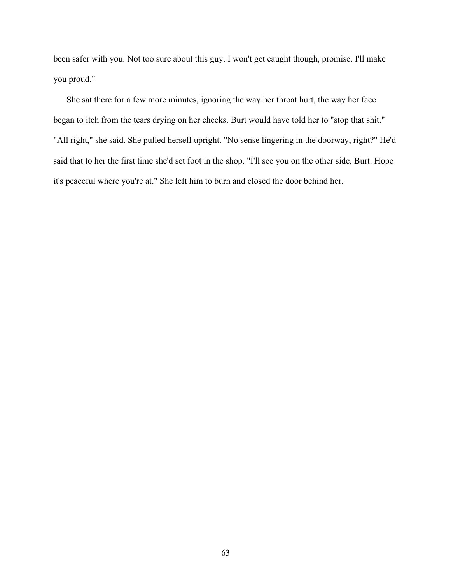been safer with you. Not too sure about this guy. I won't get caught though, promise. I'll make you proud."

She sat there for a few more minutes, ignoring the way her throat hurt, the way her face began to itch from the tears drying on her cheeks. Burt would have told her to "stop that shit." "All right," she said. She pulled herself upright. "No sense lingering in the doorway, right?" He'd said that to her the first time she'd set foot in the shop. "I'll see you on the other side, Burt. Hope it's peaceful where you're at." She left him to burn and closed the door behind her.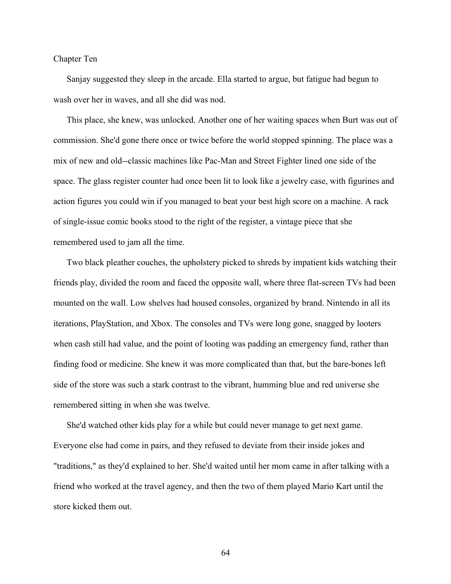## Chapter Ten

Sanjay suggested they sleep in the arcade. Ella started to argue, but fatigue had begun to wash over her in waves, and all she did was nod.

This place, she knew, was unlocked. Another one of her waiting spaces when Burt was out of commission. She'd gone there once or twice before the world stopped spinning. The place was a mix of new and old--classic machines like Pac-Man and Street Fighter lined one side of the space. The glass register counter had once been lit to look like a jewelry case, with figurines and action figures you could win if you managed to beat your best high score on a machine. A rack of single-issue comic books stood to the right of the register, a vintage piece that she remembered used to jam all the time.

Two black pleather couches, the upholstery picked to shreds by impatient kids watching their friends play, divided the room and faced the opposite wall, where three flat-screen TVs had been mounted on the wall. Low shelves had housed consoles, organized by brand. Nintendo in all its iterations, PlayStation, and Xbox. The consoles and TVs were long gone, snagged by looters when cash still had value, and the point of looting was padding an emergency fund, rather than finding food or medicine. She knew it was more complicated than that, but the bare-bones left side of the store was such a stark contrast to the vibrant, humming blue and red universe she remembered sitting in when she was twelve.

She'd watched other kids play for a while but could never manage to get next game. Everyone else had come in pairs, and they refused to deviate from their inside jokes and "traditions," as they'd explained to her. She'd waited until her mom came in after talking with a friend who worked at the travel agency, and then the two of them played Mario Kart until the store kicked them out.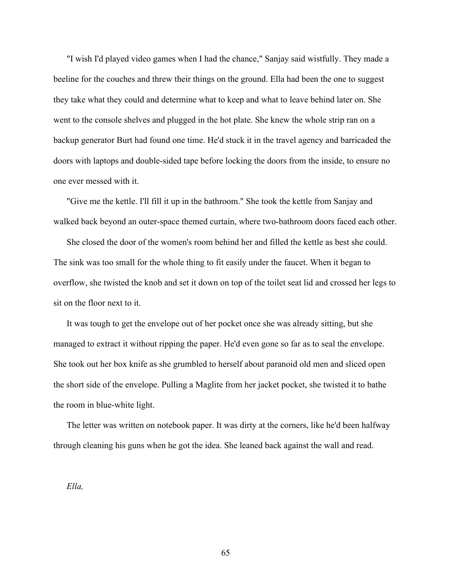"I wish I'd played video games when I had the chance," Sanjay said wistfully. They made a beeline for the couches and threw their things on the ground. Ella had been the one to suggest they take what they could and determine what to keep and what to leave behind later on. She went to the console shelves and plugged in the hot plate. She knew the whole strip ran on a backup generator Burt had found one time. He'd stuck it in the travel agency and barricaded the doors with laptops and double-sided tape before locking the doors from the inside, to ensure no one ever messed with it.

"Give me the kettle. I'll fill it up in the bathroom." She took the kettle from Sanjay and walked back beyond an outer-space themed curtain, where two-bathroom doors faced each other.

She closed the door of the women's room behind her and filled the kettle as best she could. The sink was too small for the whole thing to fit easily under the faucet. When it began to overflow, she twisted the knob and set it down on top of the toilet seat lid and crossed her legs to sit on the floor next to it.

It was tough to get the envelope out of her pocket once she was already sitting, but she managed to extract it without ripping the paper. He'd even gone so far as to seal the envelope. She took out her box knife as she grumbled to herself about paranoid old men and sliced open the short side of the envelope. Pulling a Maglite from her jacket pocket, she twisted it to bathe the room in blue-white light.

The letter was written on notebook paper. It was dirty at the corners, like he'd been halfway through cleaning his guns when he got the idea. She leaned back against the wall and read.

*Ella,*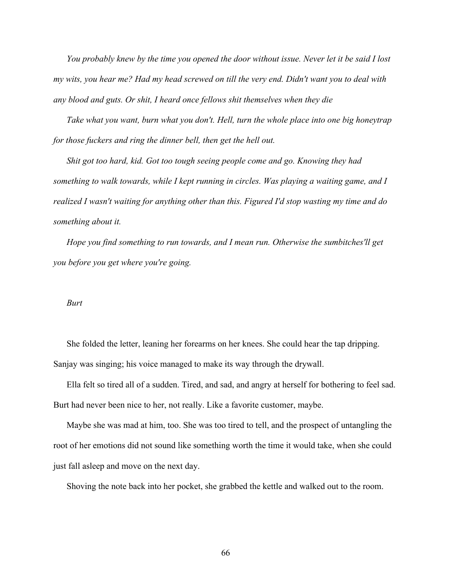*You probably knew by the time you opened the door without issue. Never let it be said I lost my wits, you hear me? Had my head screwed on till the very end. Didn't want you to deal with any blood and guts. Or shit, I heard once fellows shit themselves when they die*

*Take what you want, burn what you don't. Hell, turn the whole place into one big honeytrap for those fuckers and ring the dinner bell, then get the hell out.*

*Shit got too hard, kid. Got too tough seeing people come and go. Knowing they had something to walk towards, while I kept running in circles. Was playing a waiting game, and I realized I wasn't waiting for anything other than this. Figured I'd stop wasting my time and do something about it.* 

*Hope you find something to run towards, and I mean run. Otherwise the sumbitches'll get you before you get where you're going.*

## *Burt*

She folded the letter, leaning her forearms on her knees. She could hear the tap dripping. Sanjay was singing; his voice managed to make its way through the drywall.

Ella felt so tired all of a sudden. Tired, and sad, and angry at herself for bothering to feel sad. Burt had never been nice to her, not really. Like a favorite customer, maybe.

Maybe she was mad at him, too. She was too tired to tell, and the prospect of untangling the root of her emotions did not sound like something worth the time it would take, when she could just fall asleep and move on the next day.

Shoving the note back into her pocket, she grabbed the kettle and walked out to the room.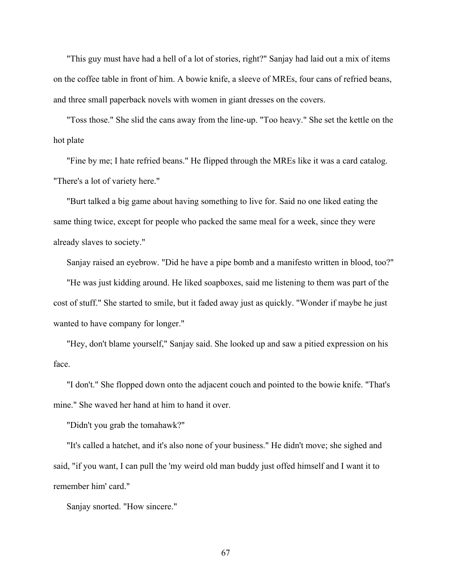"This guy must have had a hell of a lot of stories, right?" Sanjay had laid out a mix of items on the coffee table in front of him. A bowie knife, a sleeve of MREs, four cans of refried beans, and three small paperback novels with women in giant dresses on the covers.

"Toss those." She slid the cans away from the line-up. "Too heavy." She set the kettle on the hot plate

"Fine by me; I hate refried beans." He flipped through the MREs like it was a card catalog. "There's a lot of variety here."

"Burt talked a big game about having something to live for. Said no one liked eating the same thing twice, except for people who packed the same meal for a week, since they were already slaves to society."

Sanjay raised an eyebrow. "Did he have a pipe bomb and a manifesto written in blood, too?"

"He was just kidding around. He liked soapboxes, said me listening to them was part of the cost of stuff." She started to smile, but it faded away just as quickly. "Wonder if maybe he just wanted to have company for longer."

"Hey, don't blame yourself," Sanjay said. She looked up and saw a pitied expression on his face.

"I don't." She flopped down onto the adjacent couch and pointed to the bowie knife. "That's mine." She waved her hand at him to hand it over.

"Didn't you grab the tomahawk?"

"It's called a hatchet, and it's also none of your business." He didn't move; she sighed and said, "if you want, I can pull the 'my weird old man buddy just offed himself and I want it to remember him' card."

Sanjay snorted. "How sincere."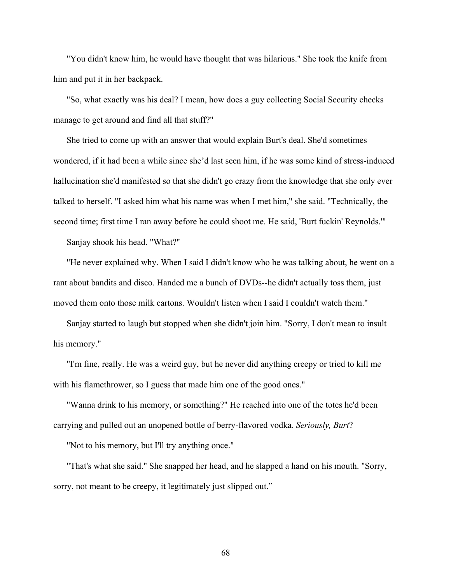"You didn't know him, he would have thought that was hilarious." She took the knife from him and put it in her backpack.

"So, what exactly was his deal? I mean, how does a guy collecting Social Security checks manage to get around and find all that stuff?"

She tried to come up with an answer that would explain Burt's deal. She'd sometimes wondered, if it had been a while since she'd last seen him, if he was some kind of stress-induced hallucination she'd manifested so that she didn't go crazy from the knowledge that she only ever talked to herself. "I asked him what his name was when I met him," she said. "Technically, the second time; first time I ran away before he could shoot me. He said, 'Burt fuckin' Reynolds.'"

Sanjay shook his head. "What?"

"He never explained why. When I said I didn't know who he was talking about, he went on a rant about bandits and disco. Handed me a bunch of DVDs--he didn't actually toss them, just moved them onto those milk cartons. Wouldn't listen when I said I couldn't watch them."

Sanjay started to laugh but stopped when she didn't join him. "Sorry, I don't mean to insult his memory."

"I'm fine, really. He was a weird guy, but he never did anything creepy or tried to kill me with his flamethrower, so I guess that made him one of the good ones."

"Wanna drink to his memory, or something?" He reached into one of the totes he'd been carrying and pulled out an unopened bottle of berry-flavored vodka. *Seriously, Burt*?

"Not to his memory, but I'll try anything once."

"That's what she said." She snapped her head, and he slapped a hand on his mouth. "Sorry, sorry, not meant to be creepy, it legitimately just slipped out."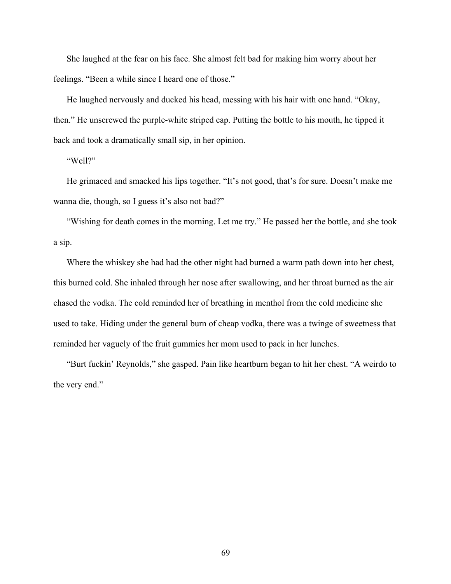She laughed at the fear on his face. She almost felt bad for making him worry about her feelings. "Been a while since I heard one of those."

He laughed nervously and ducked his head, messing with his hair with one hand. "Okay, then." He unscrewed the purple-white striped cap. Putting the bottle to his mouth, he tipped it back and took a dramatically small sip, in her opinion.

"Well?"

He grimaced and smacked his lips together. "It's not good, that's for sure. Doesn't make me wanna die, though, so I guess it's also not bad?"

"Wishing for death comes in the morning. Let me try." He passed her the bottle, and she took a sip.

Where the whiskey she had had the other night had burned a warm path down into her chest, this burned cold. She inhaled through her nose after swallowing, and her throat burned as the air chased the vodka. The cold reminded her of breathing in menthol from the cold medicine she used to take. Hiding under the general burn of cheap vodka, there was a twinge of sweetness that reminded her vaguely of the fruit gummies her mom used to pack in her lunches.

"Burt fuckin' Reynolds," she gasped. Pain like heartburn began to hit her chest. "A weirdo to the very end."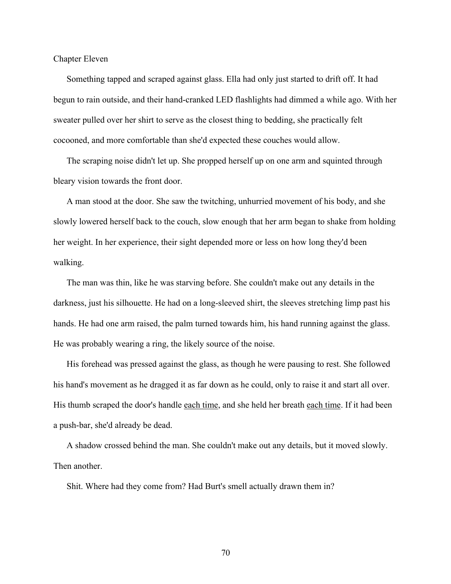Chapter Eleven

Something tapped and scraped against glass. Ella had only just started to drift off. It had begun to rain outside, and their hand-cranked LED flashlights had dimmed a while ago. With her sweater pulled over her shirt to serve as the closest thing to bedding, she practically felt cocooned, and more comfortable than she'd expected these couches would allow.

The scraping noise didn't let up. She propped herself up on one arm and squinted through bleary vision towards the front door.

A man stood at the door. She saw the twitching, unhurried movement of his body, and she slowly lowered herself back to the couch, slow enough that her arm began to shake from holding her weight. In her experience, their sight depended more or less on how long they'd been walking.

The man was thin, like he was starving before. She couldn't make out any details in the darkness, just his silhouette. He had on a long-sleeved shirt, the sleeves stretching limp past his hands. He had one arm raised, the palm turned towards him, his hand running against the glass. He was probably wearing a ring, the likely source of the noise.

His forehead was pressed against the glass, as though he were pausing to rest. She followed his hand's movement as he dragged it as far down as he could, only to raise it and start all over. His thumb scraped the door's handle each time, and she held her breath each time. If it had been a push-bar, she'd already be dead.

A shadow crossed behind the man. She couldn't make out any details, but it moved slowly. Then another.

Shit. Where had they come from? Had Burt's smell actually drawn them in?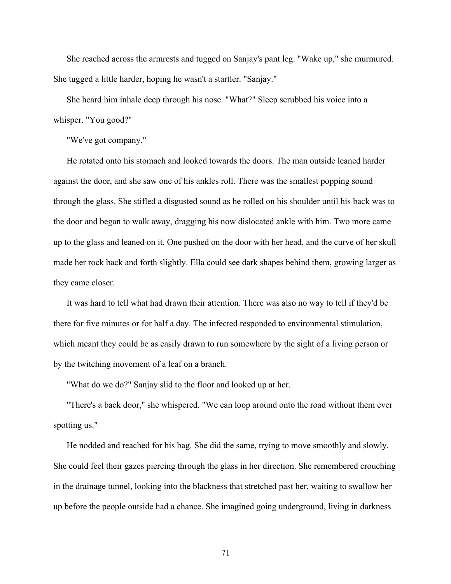She reached across the armrests and tugged on Sanjay's pant leg. "Wake up," she murmured. She tugged a little harder, hoping he wasn't a startler. "Sanjay."

She heard him inhale deep through his nose. "What?" Sleep scrubbed his voice into a whisper. "You good?"

"We've got company."

He rotated onto his stomach and looked towards the doors. The man outside leaned harder against the door, and she saw one of his ankles roll. There was the smallest popping sound through the glass. She stifled a disgusted sound as he rolled on his shoulder until his back was to the door and began to walk away, dragging his now dislocated ankle with him. Two more came up to the glass and leaned on it. One pushed on the door with her head, and the curve of her skull made her rock back and forth slightly. Ella could see dark shapes behind them, growing larger as they came closer.

It was hard to tell what had drawn their attention. There was also no way to tell if they'd be there for five minutes or for half a day. The infected responded to environmental stimulation, which meant they could be as easily drawn to run somewhere by the sight of a living person or by the twitching movement of a leaf on a branch.

"What do we do?" Sanjay slid to the floor and looked up at her.

"There's a back door," she whispered. "We can loop around onto the road without them ever spotting us."

He nodded and reached for his bag. She did the same, trying to move smoothly and slowly. She could feel their gazes piercing through the glass in her direction. She remembered crouching in the drainage tunnel, looking into the blackness that stretched past her, waiting to swallow her up before the people outside had a chance. She imagined going underground, living in darkness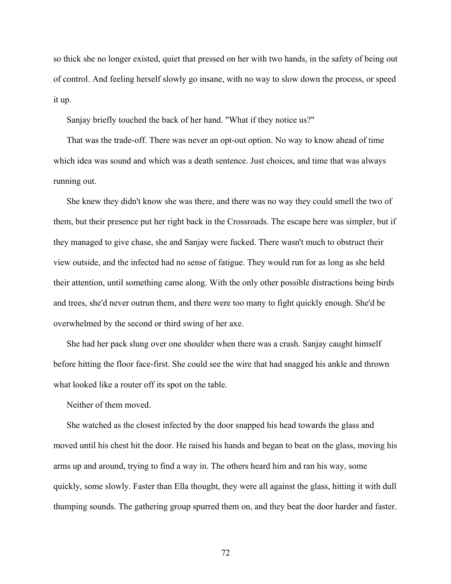so thick she no longer existed, quiet that pressed on her with two hands, in the safety of being out of control. And feeling herself slowly go insane, with no way to slow down the process, or speed it up.

Sanjay briefly touched the back of her hand. "What if they notice us?"

That was the trade-off. There was never an opt-out option. No way to know ahead of time which idea was sound and which was a death sentence. Just choices, and time that was always running out.

She knew they didn't know she was there, and there was no way they could smell the two of them, but their presence put her right back in the Crossroads. The escape here was simpler, but if they managed to give chase, she and Sanjay were fucked. There wasn't much to obstruct their view outside, and the infected had no sense of fatigue. They would run for as long as she held their attention, until something came along. With the only other possible distractions being birds and trees, she'd never outrun them, and there were too many to fight quickly enough. She'd be overwhelmed by the second or third swing of her axe.

She had her pack slung over one shoulder when there was a crash. Sanjay caught himself before hitting the floor face-first. She could see the wire that had snagged his ankle and thrown what looked like a router off its spot on the table.

Neither of them moved.

She watched as the closest infected by the door snapped his head towards the glass and moved until his chest hit the door. He raised his hands and began to beat on the glass, moving his arms up and around, trying to find a way in. The others heard him and ran his way, some quickly, some slowly. Faster than Ella thought, they were all against the glass, hitting it with dull thumping sounds. The gathering group spurred them on, and they beat the door harder and faster.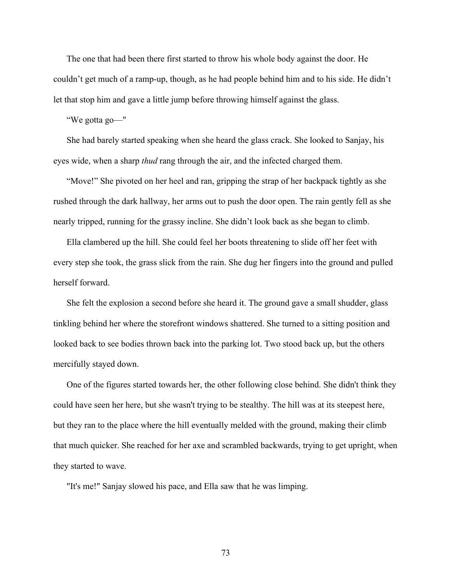The one that had been there first started to throw his whole body against the door. He couldn't get much of a ramp-up, though, as he had people behind him and to his side. He didn't let that stop him and gave a little jump before throwing himself against the glass.

"We gotta go—"

She had barely started speaking when she heard the glass crack. She looked to Sanjay, his eyes wide, when a sharp *thud* rang through the air, and the infected charged them.

"Move!" She pivoted on her heel and ran, gripping the strap of her backpack tightly as she rushed through the dark hallway, her arms out to push the door open. The rain gently fell as she nearly tripped, running for the grassy incline. She didn't look back as she began to climb.

Ella clambered up the hill. She could feel her boots threatening to slide off her feet with every step she took, the grass slick from the rain. She dug her fingers into the ground and pulled herself forward.

She felt the explosion a second before she heard it. The ground gave a small shudder, glass tinkling behind her where the storefront windows shattered. She turned to a sitting position and looked back to see bodies thrown back into the parking lot. Two stood back up, but the others mercifully stayed down.

One of the figures started towards her, the other following close behind. She didn't think they could have seen her here, but she wasn't trying to be stealthy. The hill was at its steepest here, but they ran to the place where the hill eventually melded with the ground, making their climb that much quicker. She reached for her axe and scrambled backwards, trying to get upright, when they started to wave.

"It's me!" Sanjay slowed his pace, and Ella saw that he was limping.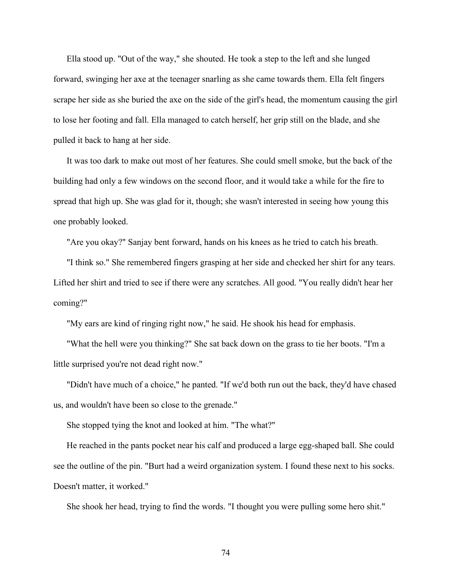Ella stood up. "Out of the way," she shouted. He took a step to the left and she lunged forward, swinging her axe at the teenager snarling as she came towards them. Ella felt fingers scrape her side as she buried the axe on the side of the girl's head, the momentum causing the girl to lose her footing and fall. Ella managed to catch herself, her grip still on the blade, and she pulled it back to hang at her side.

It was too dark to make out most of her features. She could smell smoke, but the back of the building had only a few windows on the second floor, and it would take a while for the fire to spread that high up. She was glad for it, though; she wasn't interested in seeing how young this one probably looked.

"Are you okay?" Sanjay bent forward, hands on his knees as he tried to catch his breath.

"I think so." She remembered fingers grasping at her side and checked her shirt for any tears. Lifted her shirt and tried to see if there were any scratches. All good. "You really didn't hear her coming?"

"My ears are kind of ringing right now," he said. He shook his head for emphasis.

"What the hell were you thinking?" She sat back down on the grass to tie her boots. "I'm a little surprised you're not dead right now."

"Didn't have much of a choice," he panted. "If we'd both run out the back, they'd have chased us, and wouldn't have been so close to the grenade."

She stopped tying the knot and looked at him. "The what?"

He reached in the pants pocket near his calf and produced a large egg-shaped ball. She could see the outline of the pin. "Burt had a weird organization system. I found these next to his socks. Doesn't matter, it worked."

She shook her head, trying to find the words. "I thought you were pulling some hero shit."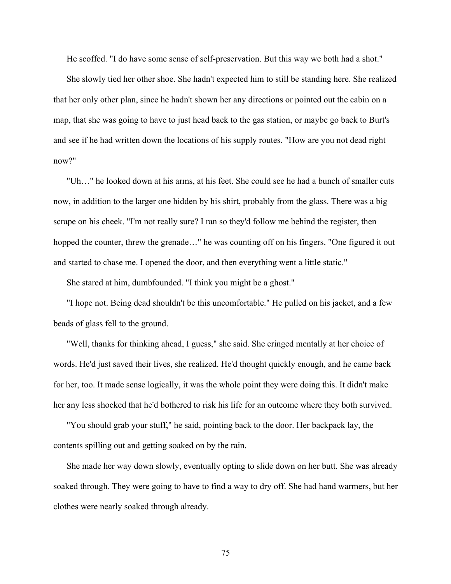He scoffed. "I do have some sense of self-preservation. But this way we both had a shot."

She slowly tied her other shoe. She hadn't expected him to still be standing here. She realized that her only other plan, since he hadn't shown her any directions or pointed out the cabin on a map, that she was going to have to just head back to the gas station, or maybe go back to Burt's and see if he had written down the locations of his supply routes. "How are you not dead right now?"

"Uh…" he looked down at his arms, at his feet. She could see he had a bunch of smaller cuts now, in addition to the larger one hidden by his shirt, probably from the glass. There was a big scrape on his cheek. "I'm not really sure? I ran so they'd follow me behind the register, then hopped the counter, threw the grenade..." he was counting off on his fingers. "One figured it out and started to chase me. I opened the door, and then everything went a little static."

She stared at him, dumbfounded. "I think you might be a ghost."

"I hope not. Being dead shouldn't be this uncomfortable." He pulled on his jacket, and a few beads of glass fell to the ground.

"Well, thanks for thinking ahead, I guess," she said. She cringed mentally at her choice of words. He'd just saved their lives, she realized. He'd thought quickly enough, and he came back for her, too. It made sense logically, it was the whole point they were doing this. It didn't make her any less shocked that he'd bothered to risk his life for an outcome where they both survived.

"You should grab your stuff," he said, pointing back to the door. Her backpack lay, the contents spilling out and getting soaked on by the rain.

She made her way down slowly, eventually opting to slide down on her butt. She was already soaked through. They were going to have to find a way to dry off. She had hand warmers, but her clothes were nearly soaked through already.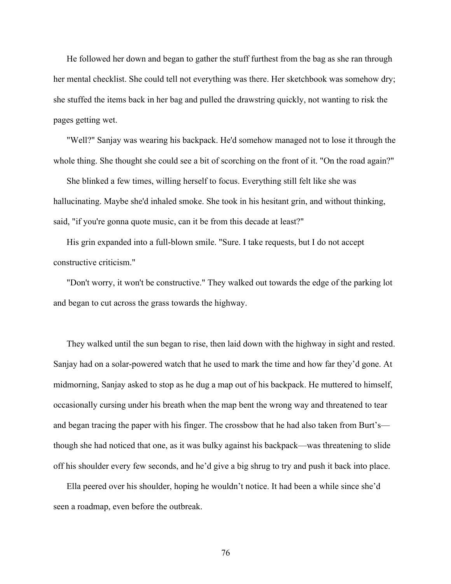He followed her down and began to gather the stuff furthest from the bag as she ran through her mental checklist. She could tell not everything was there. Her sketchbook was somehow dry; she stuffed the items back in her bag and pulled the drawstring quickly, not wanting to risk the pages getting wet.

"Well?" Sanjay was wearing his backpack. He'd somehow managed not to lose it through the whole thing. She thought she could see a bit of scorching on the front of it. "On the road again?"

She blinked a few times, willing herself to focus. Everything still felt like she was hallucinating. Maybe she'd inhaled smoke. She took in his hesitant grin, and without thinking, said, "if you're gonna quote music, can it be from this decade at least?"

His grin expanded into a full-blown smile. "Sure. I take requests, but I do not accept constructive criticism."

"Don't worry, it won't be constructive." They walked out towards the edge of the parking lot and began to cut across the grass towards the highway.

They walked until the sun began to rise, then laid down with the highway in sight and rested. Sanjay had on a solar-powered watch that he used to mark the time and how far they'd gone. At midmorning, Sanjay asked to stop as he dug a map out of his backpack. He muttered to himself, occasionally cursing under his breath when the map bent the wrong way and threatened to tear and began tracing the paper with his finger. The crossbow that he had also taken from Burt's though she had noticed that one, as it was bulky against his backpack—was threatening to slide off his shoulder every few seconds, and he'd give a big shrug to try and push it back into place.

Ella peered over his shoulder, hoping he wouldn't notice. It had been a while since she'd seen a roadmap, even before the outbreak.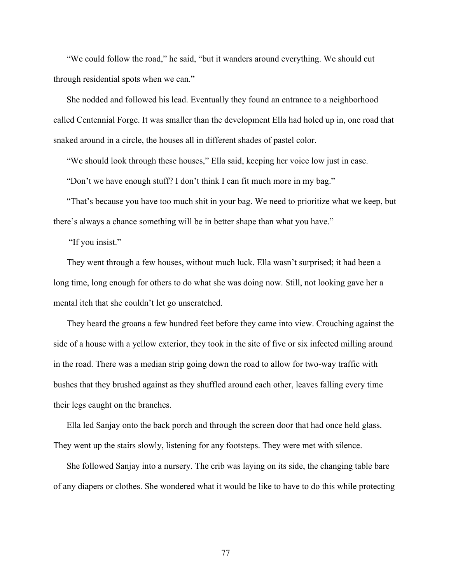"We could follow the road," he said, "but it wanders around everything. We should cut through residential spots when we can."

She nodded and followed his lead. Eventually they found an entrance to a neighborhood called Centennial Forge. It was smaller than the development Ella had holed up in, one road that snaked around in a circle, the houses all in different shades of pastel color.

"We should look through these houses," Ella said, keeping her voice low just in case.

"Don't we have enough stuff? I don't think I can fit much more in my bag."

"That's because you have too much shit in your bag. We need to prioritize what we keep, but there's always a chance something will be in better shape than what you have."

"If you insist."

They went through a few houses, without much luck. Ella wasn't surprised; it had been a long time, long enough for others to do what she was doing now. Still, not looking gave her a mental itch that she couldn't let go unscratched.

They heard the groans a few hundred feet before they came into view. Crouching against the side of a house with a yellow exterior, they took in the site of five or six infected milling around in the road. There was a median strip going down the road to allow for two-way traffic with bushes that they brushed against as they shuffled around each other, leaves falling every time their legs caught on the branches.

Ella led Sanjay onto the back porch and through the screen door that had once held glass. They went up the stairs slowly, listening for any footsteps. They were met with silence.

She followed Sanjay into a nursery. The crib was laying on its side, the changing table bare of any diapers or clothes. She wondered what it would be like to have to do this while protecting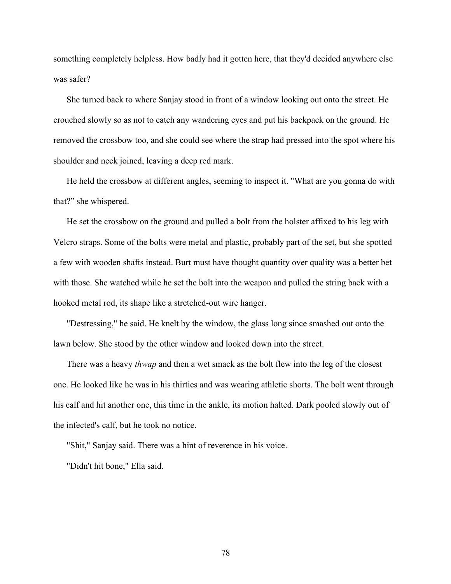something completely helpless. How badly had it gotten here, that they'd decided anywhere else was safer?

She turned back to where Sanjay stood in front of a window looking out onto the street. He crouched slowly so as not to catch any wandering eyes and put his backpack on the ground. He removed the crossbow too, and she could see where the strap had pressed into the spot where his shoulder and neck joined, leaving a deep red mark.

He held the crossbow at different angles, seeming to inspect it. "What are you gonna do with that?" she whispered.

He set the crossbow on the ground and pulled a bolt from the holster affixed to his leg with Velcro straps. Some of the bolts were metal and plastic, probably part of the set, but she spotted a few with wooden shafts instead. Burt must have thought quantity over quality was a better bet with those. She watched while he set the bolt into the weapon and pulled the string back with a hooked metal rod, its shape like a stretched-out wire hanger.

"Destressing," he said. He knelt by the window, the glass long since smashed out onto the lawn below. She stood by the other window and looked down into the street.

There was a heavy *thwap* and then a wet smack as the bolt flew into the leg of the closest one. He looked like he was in his thirties and was wearing athletic shorts. The bolt went through his calf and hit another one, this time in the ankle, its motion halted. Dark pooled slowly out of the infected's calf, but he took no notice.

"Shit," Sanjay said. There was a hint of reverence in his voice.

"Didn't hit bone," Ella said.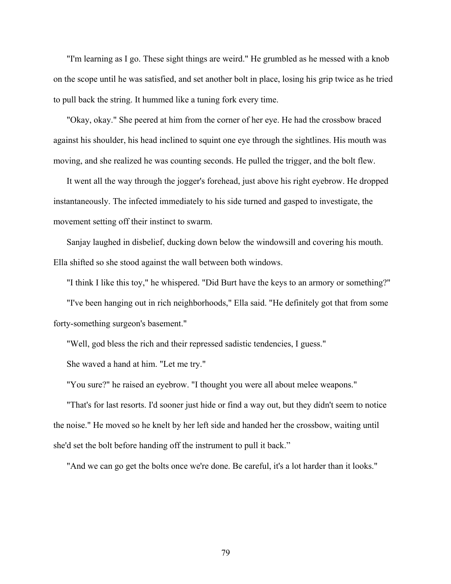"I'm learning as I go. These sight things are weird." He grumbled as he messed with a knob on the scope until he was satisfied, and set another bolt in place, losing his grip twice as he tried to pull back the string. It hummed like a tuning fork every time.

"Okay, okay." She peered at him from the corner of her eye. He had the crossbow braced against his shoulder, his head inclined to squint one eye through the sightlines. His mouth was moving, and she realized he was counting seconds. He pulled the trigger, and the bolt flew.

It went all the way through the jogger's forehead, just above his right eyebrow. He dropped instantaneously. The infected immediately to his side turned and gasped to investigate, the movement setting off their instinct to swarm.

Sanjay laughed in disbelief, ducking down below the windowsill and covering his mouth. Ella shifted so she stood against the wall between both windows.

"I think I like this toy," he whispered. "Did Burt have the keys to an armory or something?" "I've been hanging out in rich neighborhoods," Ella said. "He definitely got that from some forty-something surgeon's basement."

"Well, god bless the rich and their repressed sadistic tendencies, I guess."

She waved a hand at him. "Let me try."

"You sure?" he raised an eyebrow. "I thought you were all about melee weapons."

"That's for last resorts. I'd sooner just hide or find a way out, but they didn't seem to notice the noise." He moved so he knelt by her left side and handed her the crossbow, waiting until she'd set the bolt before handing off the instrument to pull it back."

"And we can go get the bolts once we're done. Be careful, it's a lot harder than it looks."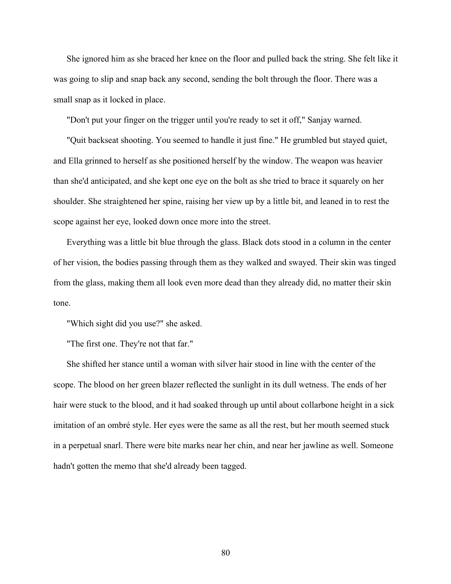She ignored him as she braced her knee on the floor and pulled back the string. She felt like it was going to slip and snap back any second, sending the bolt through the floor. There was a small snap as it locked in place.

"Don't put your finger on the trigger until you're ready to set it off," Sanjay warned.

"Quit backseat shooting. You seemed to handle it just fine." He grumbled but stayed quiet, and Ella grinned to herself as she positioned herself by the window. The weapon was heavier than she'd anticipated, and she kept one eye on the bolt as she tried to brace it squarely on her shoulder. She straightened her spine, raising her view up by a little bit, and leaned in to rest the scope against her eye, looked down once more into the street.

Everything was a little bit blue through the glass. Black dots stood in a column in the center of her vision, the bodies passing through them as they walked and swayed. Their skin was tinged from the glass, making them all look even more dead than they already did, no matter their skin tone.

"Which sight did you use?" she asked.

"The first one. They're not that far."

She shifted her stance until a woman with silver hair stood in line with the center of the scope. The blood on her green blazer reflected the sunlight in its dull wetness. The ends of her hair were stuck to the blood, and it had soaked through up until about collarbone height in a sick imitation of an ombré style. Her eyes were the same as all the rest, but her mouth seemed stuck in a perpetual snarl. There were bite marks near her chin, and near her jawline as well. Someone hadn't gotten the memo that she'd already been tagged.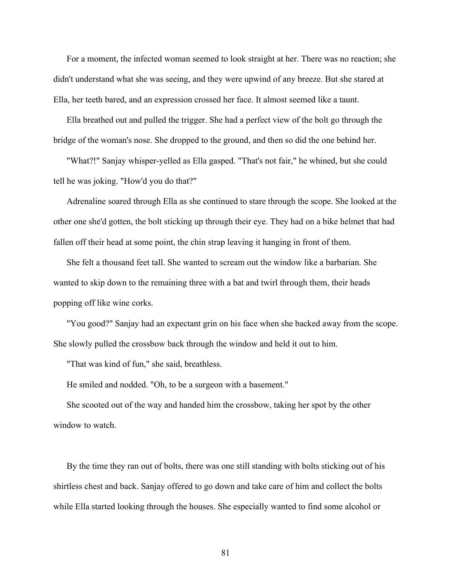For a moment, the infected woman seemed to look straight at her. There was no reaction; she didn't understand what she was seeing, and they were upwind of any breeze. But she stared at Ella, her teeth bared, and an expression crossed her face. It almost seemed like a taunt.

Ella breathed out and pulled the trigger. She had a perfect view of the bolt go through the bridge of the woman's nose. She dropped to the ground, and then so did the one behind her.

"What?!" Sanjay whisper-yelled as Ella gasped. "That's not fair," he whined, but she could tell he was joking. "How'd you do that?"

Adrenaline soared through Ella as she continued to stare through the scope. She looked at the other one she'd gotten, the bolt sticking up through their eye. They had on a bike helmet that had fallen off their head at some point, the chin strap leaving it hanging in front of them.

She felt a thousand feet tall. She wanted to scream out the window like a barbarian. She wanted to skip down to the remaining three with a bat and twirl through them, their heads popping off like wine corks.

"You good?" Sanjay had an expectant grin on his face when she backed away from the scope. She slowly pulled the crossbow back through the window and held it out to him.

"That was kind of fun," she said, breathless.

He smiled and nodded. "Oh, to be a surgeon with a basement."

She scooted out of the way and handed him the crossbow, taking her spot by the other window to watch.

By the time they ran out of bolts, there was one still standing with bolts sticking out of his shirtless chest and back. Sanjay offered to go down and take care of him and collect the bolts while Ella started looking through the houses. She especially wanted to find some alcohol or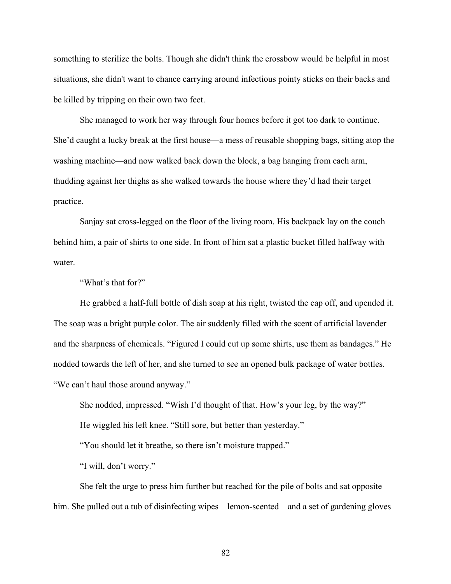something to sterilize the bolts. Though she didn't think the crossbow would be helpful in most situations, she didn't want to chance carrying around infectious pointy sticks on their backs and be killed by tripping on their own two feet.

She managed to work her way through four homes before it got too dark to continue. She'd caught a lucky break at the first house—a mess of reusable shopping bags, sitting atop the washing machine—and now walked back down the block, a bag hanging from each arm, thudding against her thighs as she walked towards the house where they'd had their target practice.

Sanjay sat cross-legged on the floor of the living room. His backpack lay on the couch behind him, a pair of shirts to one side. In front of him sat a plastic bucket filled halfway with water.

"What's that for?"

He grabbed a half-full bottle of dish soap at his right, twisted the cap off, and upended it. The soap was a bright purple color. The air suddenly filled with the scent of artificial lavender and the sharpness of chemicals. "Figured I could cut up some shirts, use them as bandages." He nodded towards the left of her, and she turned to see an opened bulk package of water bottles. "We can't haul those around anyway."

She nodded, impressed. "Wish I'd thought of that. How's your leg, by the way?"

He wiggled his left knee. "Still sore, but better than yesterday."

"You should let it breathe, so there isn't moisture trapped."

"I will, don't worry."

She felt the urge to press him further but reached for the pile of bolts and sat opposite him. She pulled out a tub of disinfecting wipes—lemon-scented—and a set of gardening gloves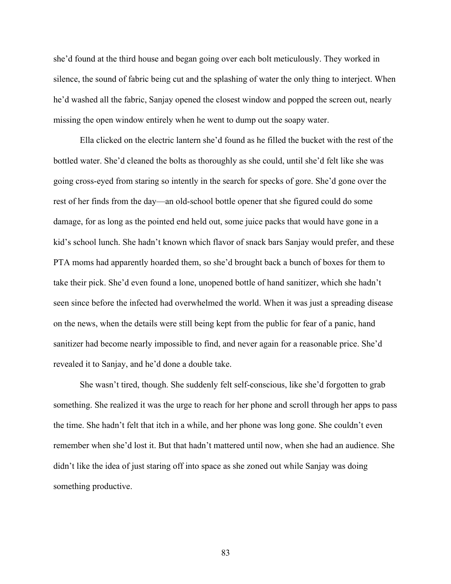she'd found at the third house and began going over each bolt meticulously. They worked in silence, the sound of fabric being cut and the splashing of water the only thing to interject. When he'd washed all the fabric, Sanjay opened the closest window and popped the screen out, nearly missing the open window entirely when he went to dump out the soapy water.

Ella clicked on the electric lantern she'd found as he filled the bucket with the rest of the bottled water. She'd cleaned the bolts as thoroughly as she could, until she'd felt like she was going cross-eyed from staring so intently in the search for specks of gore. She'd gone over the rest of her finds from the day—an old-school bottle opener that she figured could do some damage, for as long as the pointed end held out, some juice packs that would have gone in a kid's school lunch. She hadn't known which flavor of snack bars Sanjay would prefer, and these PTA moms had apparently hoarded them, so she'd brought back a bunch of boxes for them to take their pick. She'd even found a lone, unopened bottle of hand sanitizer, which she hadn't seen since before the infected had overwhelmed the world. When it was just a spreading disease on the news, when the details were still being kept from the public for fear of a panic, hand sanitizer had become nearly impossible to find, and never again for a reasonable price. She'd revealed it to Sanjay, and he'd done a double take.

She wasn't tired, though. She suddenly felt self-conscious, like she'd forgotten to grab something. She realized it was the urge to reach for her phone and scroll through her apps to pass the time. She hadn't felt that itch in a while, and her phone was long gone. She couldn't even remember when she'd lost it. But that hadn't mattered until now, when she had an audience. She didn't like the idea of just staring off into space as she zoned out while Sanjay was doing something productive.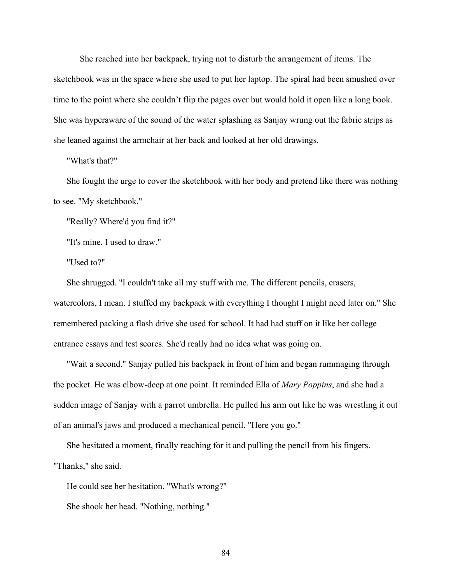She reached into her backpack, trying not to disturb the arrangement of items. The sketchbook was in the space where she used to put her laptop. The spiral had been smushed over time to the point where she couldn't flip the pages over but would hold it open like a long book. She was hyperaware of the sound of the water splashing as Sanjay wrung out the fabric strips as she leaned against the armchair at her back and looked at her old drawings.

## "What's that?"

She fought the urge to cover the sketchbook with her body and pretend like there was nothing to see. "My sketchbook."

"Really? Where'd you find it?"

"It's mine. I used to draw."

"Used to?"

She shrugged. "I couldn't take all my stuff with me. The different pencils, erasers, watercolors, I mean. I stuffed my backpack with everything I thought I might need later on." She remembered packing a flash drive she used for school. It had had stuff on it like her college entrance essays and test scores. She'd really had no idea what was going on.

"Wait a second." Sanjay pulled his backpack in front of him and began rummaging through the pocket. He was elbow-deep at one point. It reminded Ella of *Mary Poppins*, and she had a sudden image of Sanjay with a parrot umbrella. He pulled his arm out like he was wrestling it out of an animal's jaws and produced a mechanical pencil. "Here you go."

She hesitated a moment, finally reaching for it and pulling the pencil from his fingers. "Thanks," she said.

He could see her hesitation. "What's wrong?"

She shook her head. "Nothing, nothing."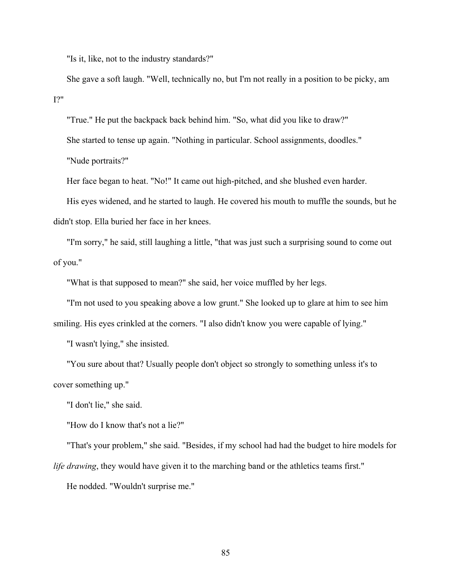"Is it, like, not to the industry standards?"

She gave a soft laugh. "Well, technically no, but I'm not really in a position to be picky, am I?"

"True." He put the backpack back behind him. "So, what did you like to draw?" She started to tense up again. "Nothing in particular. School assignments, doodles." "Nude portraits?"

Her face began to heat. "No!" It came out high-pitched, and she blushed even harder.

His eyes widened, and he started to laugh. He covered his mouth to muffle the sounds, but he didn't stop. Ella buried her face in her knees.

"I'm sorry," he said, still laughing a little, "that was just such a surprising sound to come out of you."

"What is that supposed to mean?" she said, her voice muffled by her legs.

"I'm not used to you speaking above a low grunt." She looked up to glare at him to see him smiling. His eyes crinkled at the corners. "I also didn't know you were capable of lying."

"I wasn't lying," she insisted.

"You sure about that? Usually people don't object so strongly to something unless it's to cover something up."

"I don't lie," she said.

"How do I know that's not a lie?"

"That's your problem," she said. "Besides, if my school had had the budget to hire models for *life drawing*, they would have given it to the marching band or the athletics teams first."

He nodded. "Wouldn't surprise me."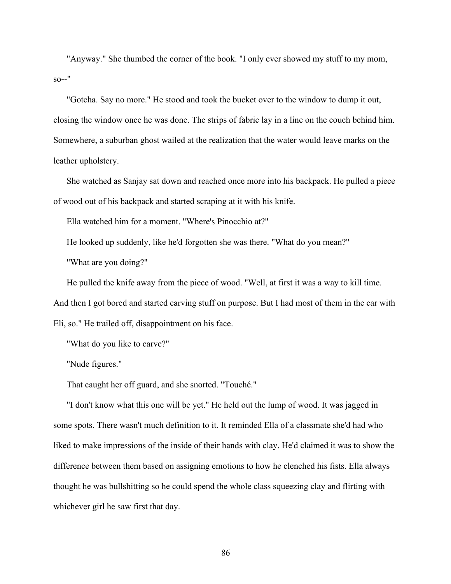"Anyway." She thumbed the corner of the book. "I only ever showed my stuff to my mom,  $so--"$ 

"Gotcha. Say no more." He stood and took the bucket over to the window to dump it out, closing the window once he was done. The strips of fabric lay in a line on the couch behind him. Somewhere, a suburban ghost wailed at the realization that the water would leave marks on the leather upholstery.

She watched as Sanjay sat down and reached once more into his backpack. He pulled a piece of wood out of his backpack and started scraping at it with his knife.

Ella watched him for a moment. "Where's Pinocchio at?"

He looked up suddenly, like he'd forgotten she was there. "What do you mean?"

"What are you doing?"

He pulled the knife away from the piece of wood. "Well, at first it was a way to kill time.

And then I got bored and started carving stuff on purpose. But I had most of them in the car with

Eli, so." He trailed off, disappointment on his face.

"What do you like to carve?"

"Nude figures."

That caught her off guard, and she snorted. "Touché."

"I don't know what this one will be yet." He held out the lump of wood. It was jagged in some spots. There wasn't much definition to it. It reminded Ella of a classmate she'd had who liked to make impressions of the inside of their hands with clay. He'd claimed it was to show the difference between them based on assigning emotions to how he clenched his fists. Ella always thought he was bullshitting so he could spend the whole class squeezing clay and flirting with whichever girl he saw first that day.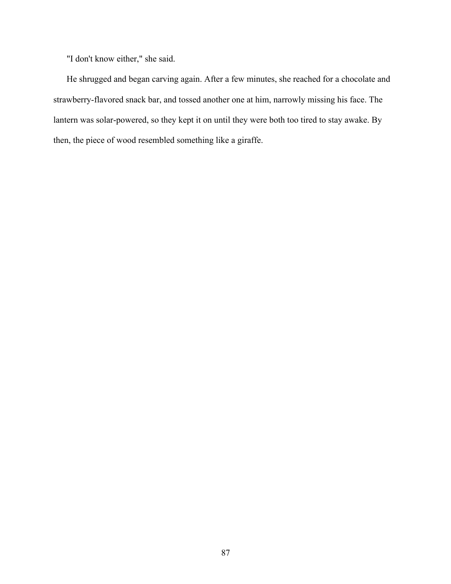"I don't know either," she said.

He shrugged and began carving again. After a few minutes, she reached for a chocolate and strawberry-flavored snack bar, and tossed another one at him, narrowly missing his face. The lantern was solar-powered, so they kept it on until they were both too tired to stay awake. By then, the piece of wood resembled something like a giraffe.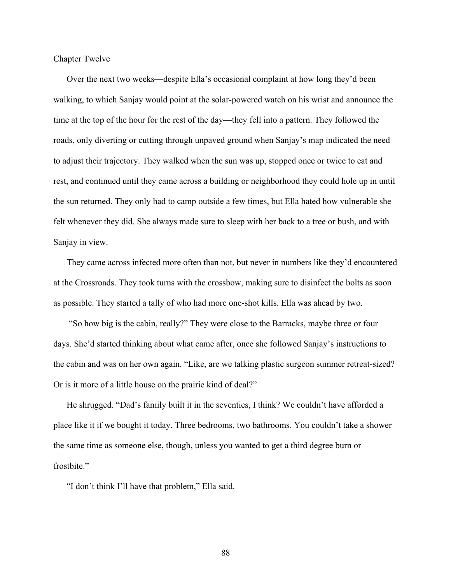Chapter Twelve

Over the next two weeks—despite Ella's occasional complaint at how long they'd been walking, to which Sanjay would point at the solar-powered watch on his wrist and announce the time at the top of the hour for the rest of the day—they fell into a pattern. They followed the roads, only diverting or cutting through unpaved ground when Sanjay's map indicated the need to adjust their trajectory. They walked when the sun was up, stopped once or twice to eat and rest, and continued until they came across a building or neighborhood they could hole up in until the sun returned. They only had to camp outside a few times, but Ella hated how vulnerable she felt whenever they did. She always made sure to sleep with her back to a tree or bush, and with Sanjay in view.

They came across infected more often than not, but never in numbers like they'd encountered at the Crossroads. They took turns with the crossbow, making sure to disinfect the bolts as soon as possible. They started a tally of who had more one-shot kills. Ella was ahead by two.

"So how big is the cabin, really?" They were close to the Barracks, maybe three or four days. She'd started thinking about what came after, once she followed Sanjay's instructions to the cabin and was on her own again. "Like, are we talking plastic surgeon summer retreat-sized? Or is it more of a little house on the prairie kind of deal?"

He shrugged. "Dad's family built it in the seventies, I think? We couldn't have afforded a place like it if we bought it today. Three bedrooms, two bathrooms. You couldn't take a shower the same time as someone else, though, unless you wanted to get a third degree burn or frostbite."

"I don't think I'll have that problem," Ella said.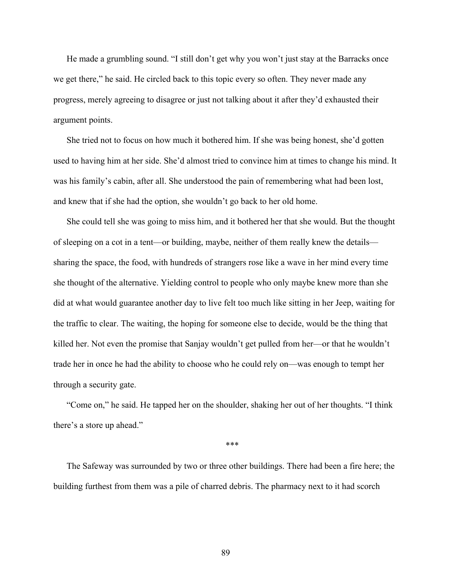He made a grumbling sound. "I still don't get why you won't just stay at the Barracks once we get there," he said. He circled back to this topic every so often. They never made any progress, merely agreeing to disagree or just not talking about it after they'd exhausted their argument points.

She tried not to focus on how much it bothered him. If she was being honest, she'd gotten used to having him at her side. She'd almost tried to convince him at times to change his mind. It was his family's cabin, after all. She understood the pain of remembering what had been lost, and knew that if she had the option, she wouldn't go back to her old home.

She could tell she was going to miss him, and it bothered her that she would. But the thought of sleeping on a cot in a tent—or building, maybe, neither of them really knew the details sharing the space, the food, with hundreds of strangers rose like a wave in her mind every time she thought of the alternative. Yielding control to people who only maybe knew more than she did at what would guarantee another day to live felt too much like sitting in her Jeep, waiting for the traffic to clear. The waiting, the hoping for someone else to decide, would be the thing that killed her. Not even the promise that Sanjay wouldn't get pulled from her—or that he wouldn't trade her in once he had the ability to choose who he could rely on—was enough to tempt her through a security gate.

"Come on," he said. He tapped her on the shoulder, shaking her out of her thoughts. "I think there's a store up ahead."

\*\*\*

The Safeway was surrounded by two or three other buildings. There had been a fire here; the building furthest from them was a pile of charred debris. The pharmacy next to it had scorch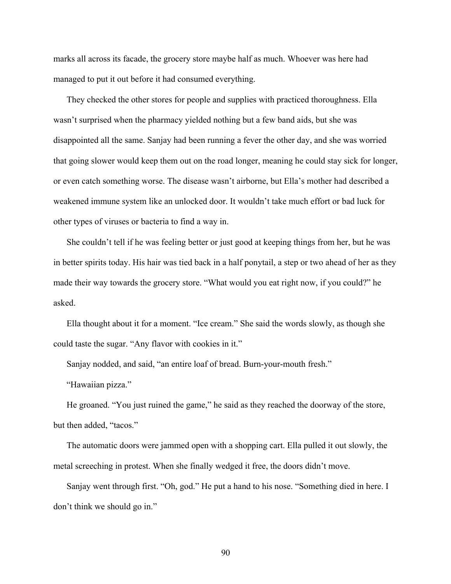marks all across its facade, the grocery store maybe half as much. Whoever was here had managed to put it out before it had consumed everything.

They checked the other stores for people and supplies with practiced thoroughness. Ella wasn't surprised when the pharmacy yielded nothing but a few band aids, but she was disappointed all the same. Sanjay had been running a fever the other day, and she was worried that going slower would keep them out on the road longer, meaning he could stay sick for longer, or even catch something worse. The disease wasn't airborne, but Ella's mother had described a weakened immune system like an unlocked door. It wouldn't take much effort or bad luck for other types of viruses or bacteria to find a way in.

She couldn't tell if he was feeling better or just good at keeping things from her, but he was in better spirits today. His hair was tied back in a half ponytail, a step or two ahead of her as they made their way towards the grocery store. "What would you eat right now, if you could?" he asked.

Ella thought about it for a moment. "Ice cream." She said the words slowly, as though she could taste the sugar. "Any flavor with cookies in it."

Sanjay nodded, and said, "an entire loaf of bread. Burn-your-mouth fresh."

"Hawaiian pizza."

He groaned. "You just ruined the game," he said as they reached the doorway of the store, but then added, "tacos."

The automatic doors were jammed open with a shopping cart. Ella pulled it out slowly, the metal screeching in protest. When she finally wedged it free, the doors didn't move.

Sanjay went through first. "Oh, god." He put a hand to his nose. "Something died in here. I don't think we should go in."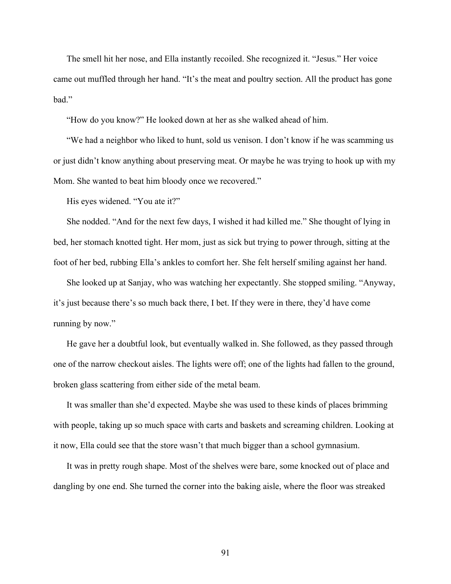The smell hit her nose, and Ella instantly recoiled. She recognized it. "Jesus." Her voice came out muffled through her hand. "It's the meat and poultry section. All the product has gone bad."

"How do you know?" He looked down at her as she walked ahead of him.

"We had a neighbor who liked to hunt, sold us venison. I don't know if he was scamming us or just didn't know anything about preserving meat. Or maybe he was trying to hook up with my Mom. She wanted to beat him bloody once we recovered."

His eyes widened. "You ate it?"

She nodded. "And for the next few days, I wished it had killed me." She thought of lying in bed, her stomach knotted tight. Her mom, just as sick but trying to power through, sitting at the foot of her bed, rubbing Ella's ankles to comfort her. She felt herself smiling against her hand.

She looked up at Sanjay, who was watching her expectantly. She stopped smiling. "Anyway, it's just because there's so much back there, I bet. If they were in there, they'd have come running by now."

He gave her a doubtful look, but eventually walked in. She followed, as they passed through one of the narrow checkout aisles. The lights were off; one of the lights had fallen to the ground, broken glass scattering from either side of the metal beam.

It was smaller than she'd expected. Maybe she was used to these kinds of places brimming with people, taking up so much space with carts and baskets and screaming children. Looking at it now, Ella could see that the store wasn't that much bigger than a school gymnasium.

It was in pretty rough shape. Most of the shelves were bare, some knocked out of place and dangling by one end. She turned the corner into the baking aisle, where the floor was streaked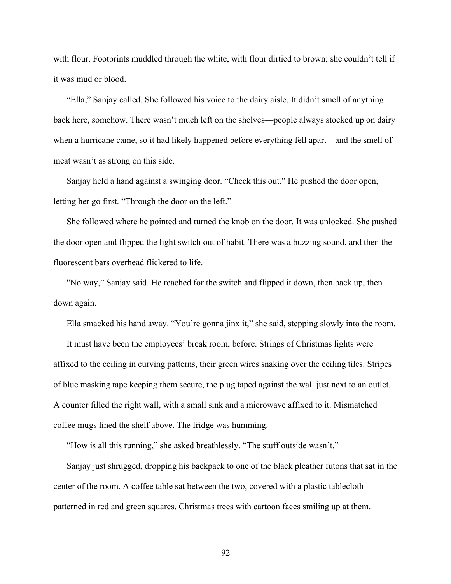with flour. Footprints muddled through the white, with flour dirtied to brown; she couldn't tell if it was mud or blood.

"Ella," Sanjay called. She followed his voice to the dairy aisle. It didn't smell of anything back here, somehow. There wasn't much left on the shelves—people always stocked up on dairy when a hurricane came, so it had likely happened before everything fell apart—and the smell of meat wasn't as strong on this side.

Sanjay held a hand against a swinging door. "Check this out." He pushed the door open, letting her go first. "Through the door on the left."

She followed where he pointed and turned the knob on the door. It was unlocked. She pushed the door open and flipped the light switch out of habit. There was a buzzing sound, and then the fluorescent bars overhead flickered to life.

"No way," Sanjay said. He reached for the switch and flipped it down, then back up, then down again.

Ella smacked his hand away. "You're gonna jinx it," she said, stepping slowly into the room.

It must have been the employees' break room, before. Strings of Christmas lights were affixed to the ceiling in curving patterns, their green wires snaking over the ceiling tiles. Stripes of blue masking tape keeping them secure, the plug taped against the wall just next to an outlet. A counter filled the right wall, with a small sink and a microwave affixed to it. Mismatched coffee mugs lined the shelf above. The fridge was humming.

"How is all this running," she asked breathlessly. "The stuff outside wasn't."

Sanjay just shrugged, dropping his backpack to one of the black pleather futons that sat in the center of the room. A coffee table sat between the two, covered with a plastic tablecloth patterned in red and green squares, Christmas trees with cartoon faces smiling up at them.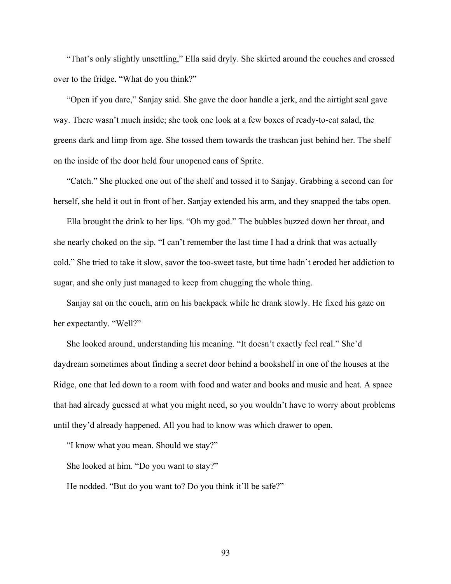"That's only slightly unsettling," Ella said dryly. She skirted around the couches and crossed over to the fridge. "What do you think?"

"Open if you dare," Sanjay said. She gave the door handle a jerk, and the airtight seal gave way. There wasn't much inside; she took one look at a few boxes of ready-to-eat salad, the greens dark and limp from age. She tossed them towards the trashcan just behind her. The shelf on the inside of the door held four unopened cans of Sprite.

"Catch." She plucked one out of the shelf and tossed it to Sanjay. Grabbing a second can for herself, she held it out in front of her. Sanjay extended his arm, and they snapped the tabs open.

Ella brought the drink to her lips. "Oh my god." The bubbles buzzed down her throat, and she nearly choked on the sip. "I can't remember the last time I had a drink that was actually cold." She tried to take it slow, savor the too-sweet taste, but time hadn't eroded her addiction to sugar, and she only just managed to keep from chugging the whole thing.

Sanjay sat on the couch, arm on his backpack while he drank slowly. He fixed his gaze on her expectantly. "Well?"

She looked around, understanding his meaning. "It doesn't exactly feel real." She'd daydream sometimes about finding a secret door behind a bookshelf in one of the houses at the Ridge, one that led down to a room with food and water and books and music and heat. A space that had already guessed at what you might need, so you wouldn't have to worry about problems until they'd already happened. All you had to know was which drawer to open.

"I know what you mean. Should we stay?"

She looked at him. "Do you want to stay?"

He nodded. "But do you want to? Do you think it'll be safe?"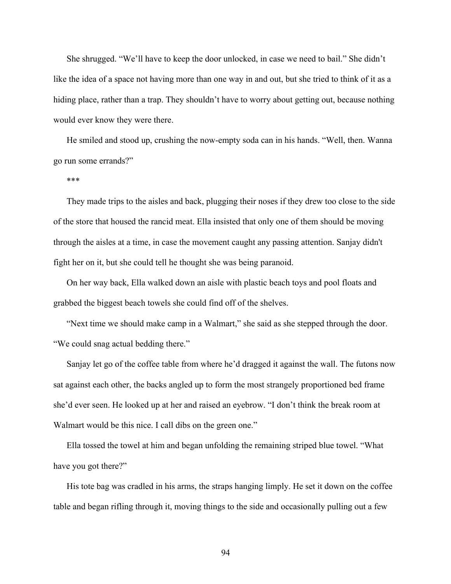She shrugged. "We'll have to keep the door unlocked, in case we need to bail." She didn't like the idea of a space not having more than one way in and out, but she tried to think of it as a hiding place, rather than a trap. They shouldn't have to worry about getting out, because nothing would ever know they were there.

He smiled and stood up, crushing the now-empty soda can in his hands. "Well, then. Wanna go run some errands?"

\*\*\*

They made trips to the aisles and back, plugging their noses if they drew too close to the side of the store that housed the rancid meat. Ella insisted that only one of them should be moving through the aisles at a time, in case the movement caught any passing attention. Sanjay didn't fight her on it, but she could tell he thought she was being paranoid.

On her way back, Ella walked down an aisle with plastic beach toys and pool floats and grabbed the biggest beach towels she could find off of the shelves.

"Next time we should make camp in a Walmart," she said as she stepped through the door. "We could snag actual bedding there."

Sanjay let go of the coffee table from where he'd dragged it against the wall. The futons now sat against each other, the backs angled up to form the most strangely proportioned bed frame she'd ever seen. He looked up at her and raised an eyebrow. "I don't think the break room at Walmart would be this nice. I call dibs on the green one."

Ella tossed the towel at him and began unfolding the remaining striped blue towel. "What have you got there?"

His tote bag was cradled in his arms, the straps hanging limply. He set it down on the coffee table and began rifling through it, moving things to the side and occasionally pulling out a few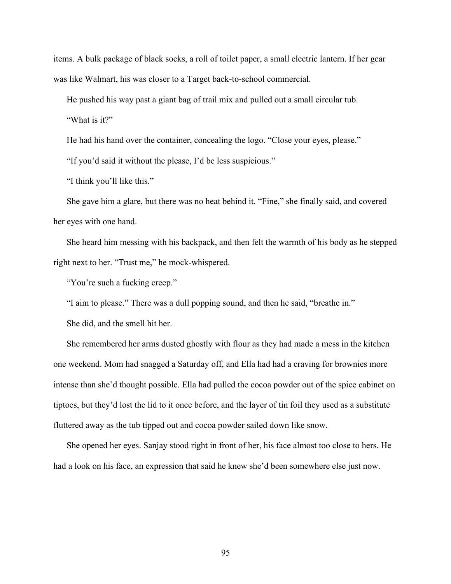items. A bulk package of black socks, a roll of toilet paper, a small electric lantern. If her gear was like Walmart, his was closer to a Target back-to-school commercial.

He pushed his way past a giant bag of trail mix and pulled out a small circular tub.

"What is it?"

He had his hand over the container, concealing the logo. "Close your eyes, please."

"If you'd said it without the please, I'd be less suspicious."

"I think you'll like this."

She gave him a glare, but there was no heat behind it. "Fine," she finally said, and covered her eyes with one hand.

She heard him messing with his backpack, and then felt the warmth of his body as he stepped right next to her. "Trust me," he mock-whispered.

"You're such a fucking creep."

"I aim to please." There was a dull popping sound, and then he said, "breathe in."

She did, and the smell hit her.

She remembered her arms dusted ghostly with flour as they had made a mess in the kitchen one weekend. Mom had snagged a Saturday off, and Ella had had a craving for brownies more intense than she'd thought possible. Ella had pulled the cocoa powder out of the spice cabinet on tiptoes, but they'd lost the lid to it once before, and the layer of tin foil they used as a substitute fluttered away as the tub tipped out and cocoa powder sailed down like snow.

She opened her eyes. Sanjay stood right in front of her, his face almost too close to hers. He had a look on his face, an expression that said he knew she'd been somewhere else just now.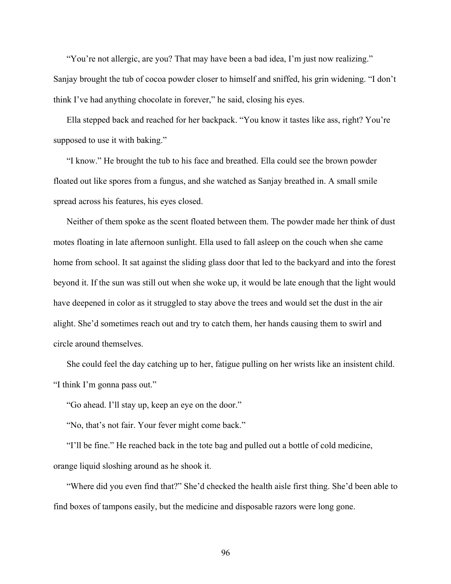"You're not allergic, are you? That may have been a bad idea, I'm just now realizing." Sanjay brought the tub of cocoa powder closer to himself and sniffed, his grin widening. "I don't think I've had anything chocolate in forever," he said, closing his eyes.

Ella stepped back and reached for her backpack. "You know it tastes like ass, right? You're supposed to use it with baking."

"I know." He brought the tub to his face and breathed. Ella could see the brown powder floated out like spores from a fungus, and she watched as Sanjay breathed in. A small smile spread across his features, his eyes closed.

Neither of them spoke as the scent floated between them. The powder made her think of dust motes floating in late afternoon sunlight. Ella used to fall asleep on the couch when she came home from school. It sat against the sliding glass door that led to the backyard and into the forest beyond it. If the sun was still out when she woke up, it would be late enough that the light would have deepened in color as it struggled to stay above the trees and would set the dust in the air alight. She'd sometimes reach out and try to catch them, her hands causing them to swirl and circle around themselves.

She could feel the day catching up to her, fatigue pulling on her wrists like an insistent child. "I think I'm gonna pass out."

"Go ahead. I'll stay up, keep an eye on the door."

"No, that's not fair. Your fever might come back."

"I'll be fine." He reached back in the tote bag and pulled out a bottle of cold medicine, orange liquid sloshing around as he shook it.

"Where did you even find that?" She'd checked the health aisle first thing. She'd been able to find boxes of tampons easily, but the medicine and disposable razors were long gone.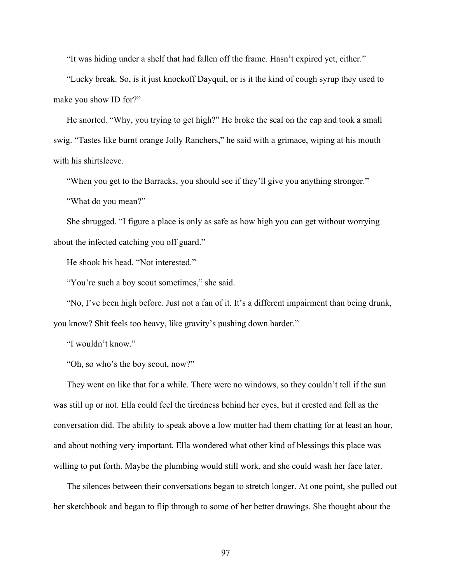"It was hiding under a shelf that had fallen off the frame. Hasn't expired yet, either."

"Lucky break. So, is it just knockoff Dayquil, or is it the kind of cough syrup they used to make you show ID for?"

He snorted. "Why, you trying to get high?" He broke the seal on the cap and took a small swig. "Tastes like burnt orange Jolly Ranchers," he said with a grimace, wiping at his mouth with his shirtsleeve.

"When you get to the Barracks, you should see if they'll give you anything stronger."

"What do you mean?"

She shrugged. "I figure a place is only as safe as how high you can get without worrying about the infected catching you off guard."

He shook his head. "Not interested."

"You're such a boy scout sometimes," she said.

"No, I've been high before. Just not a fan of it. It's a different impairment than being drunk, you know? Shit feels too heavy, like gravity's pushing down harder."

"I wouldn't know."

"Oh, so who's the boy scout, now?"

They went on like that for a while. There were no windows, so they couldn't tell if the sun was still up or not. Ella could feel the tiredness behind her eyes, but it crested and fell as the conversation did. The ability to speak above a low mutter had them chatting for at least an hour, and about nothing very important. Ella wondered what other kind of blessings this place was willing to put forth. Maybe the plumbing would still work, and she could wash her face later.

The silences between their conversations began to stretch longer. At one point, she pulled out her sketchbook and began to flip through to some of her better drawings. She thought about the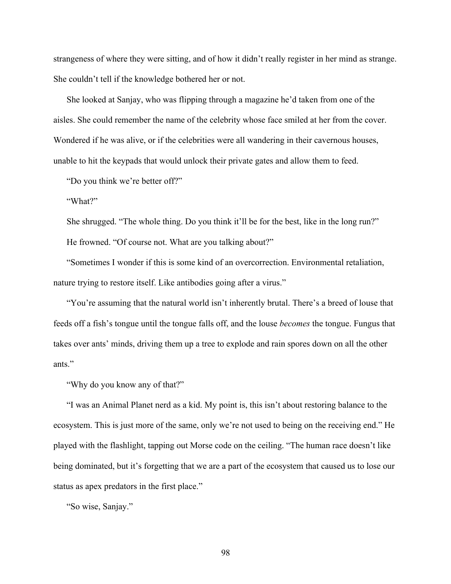strangeness of where they were sitting, and of how it didn't really register in her mind as strange. She couldn't tell if the knowledge bothered her or not.

She looked at Sanjay, who was flipping through a magazine he'd taken from one of the aisles. She could remember the name of the celebrity whose face smiled at her from the cover. Wondered if he was alive, or if the celebrities were all wandering in their cavernous houses, unable to hit the keypads that would unlock their private gates and allow them to feed.

"Do you think we're better off?"

"What?"

She shrugged. "The whole thing. Do you think it'll be for the best, like in the long run?" He frowned. "Of course not. What are you talking about?"

"Sometimes I wonder if this is some kind of an overcorrection. Environmental retaliation, nature trying to restore itself. Like antibodies going after a virus."

"You're assuming that the natural world isn't inherently brutal. There's a breed of louse that feeds off a fish's tongue until the tongue falls off, and the louse *becomes* the tongue. Fungus that takes over ants' minds, driving them up a tree to explode and rain spores down on all the other ants."

"Why do you know any of that?"

"I was an Animal Planet nerd as a kid. My point is, this isn't about restoring balance to the ecosystem. This is just more of the same, only we're not used to being on the receiving end." He played with the flashlight, tapping out Morse code on the ceiling. "The human race doesn't like being dominated, but it's forgetting that we are a part of the ecosystem that caused us to lose our status as apex predators in the first place."

"So wise, Sanjay."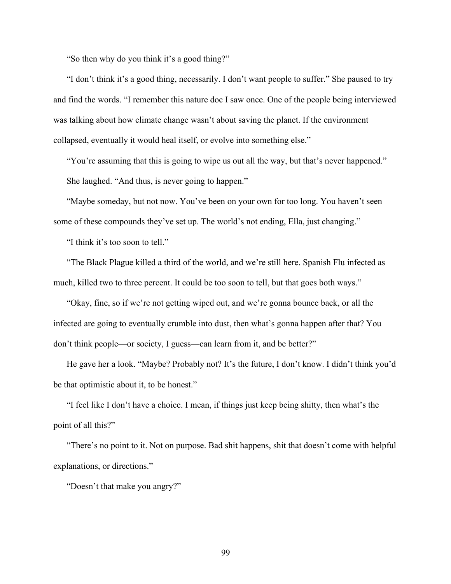"So then why do you think it's a good thing?"

"I don't think it's a good thing, necessarily. I don't want people to suffer." She paused to try and find the words. "I remember this nature doc I saw once. One of the people being interviewed was talking about how climate change wasn't about saving the planet. If the environment collapsed, eventually it would heal itself, or evolve into something else."

"You're assuming that this is going to wipe us out all the way, but that's never happened." She laughed. "And thus, is never going to happen."

"Maybe someday, but not now. You've been on your own for too long. You haven't seen some of these compounds they've set up. The world's not ending, Ella, just changing."

"I think it's too soon to tell."

"The Black Plague killed a third of the world, and we're still here. Spanish Flu infected as much, killed two to three percent. It could be too soon to tell, but that goes both ways."

"Okay, fine, so if we're not getting wiped out, and we're gonna bounce back, or all the infected are going to eventually crumble into dust, then what's gonna happen after that? You don't think people—or society, I guess—can learn from it, and be better?"

He gave her a look. "Maybe? Probably not? It's the future, I don't know. I didn't think you'd be that optimistic about it, to be honest."

"I feel like I don't have a choice. I mean, if things just keep being shitty, then what's the point of all this?"

"There's no point to it. Not on purpose. Bad shit happens, shit that doesn't come with helpful explanations, or directions."

"Doesn't that make you angry?"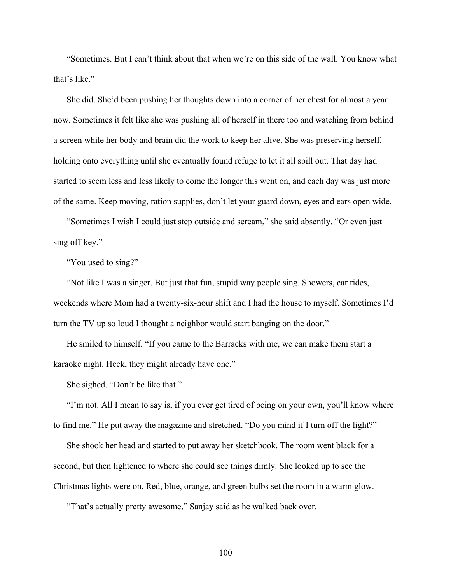"Sometimes. But I can't think about that when we're on this side of the wall. You know what that's like."

She did. She'd been pushing her thoughts down into a corner of her chest for almost a year now. Sometimes it felt like she was pushing all of herself in there too and watching from behind a screen while her body and brain did the work to keep her alive. She was preserving herself, holding onto everything until she eventually found refuge to let it all spill out. That day had started to seem less and less likely to come the longer this went on, and each day was just more of the same. Keep moving, ration supplies, don't let your guard down, eyes and ears open wide.

"Sometimes I wish I could just step outside and scream," she said absently. "Or even just sing off-key."

"You used to sing?"

"Not like I was a singer. But just that fun, stupid way people sing. Showers, car rides, weekends where Mom had a twenty-six-hour shift and I had the house to myself. Sometimes I'd turn the TV up so loud I thought a neighbor would start banging on the door."

He smiled to himself. "If you came to the Barracks with me, we can make them start a karaoke night. Heck, they might already have one."

She sighed. "Don't be like that."

"I'm not. All I mean to say is, if you ever get tired of being on your own, you'll know where to find me." He put away the magazine and stretched. "Do you mind if I turn off the light?"

She shook her head and started to put away her sketchbook. The room went black for a second, but then lightened to where she could see things dimly. She looked up to see the Christmas lights were on. Red, blue, orange, and green bulbs set the room in a warm glow.

"That's actually pretty awesome," Sanjay said as he walked back over.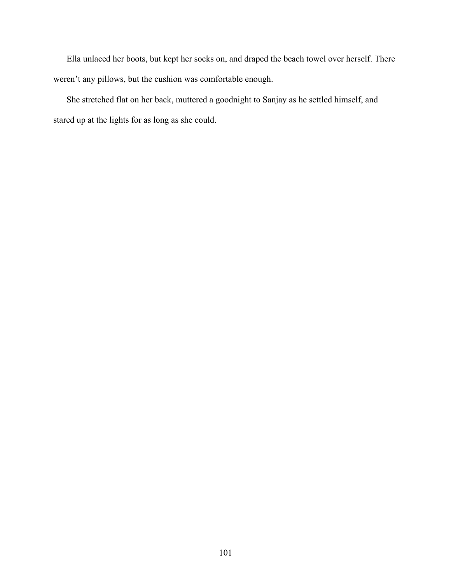Ella unlaced her boots, but kept her socks on, and draped the beach towel over herself. There weren't any pillows, but the cushion was comfortable enough.

She stretched flat on her back, muttered a goodnight to Sanjay as he settled himself, and stared up at the lights for as long as she could.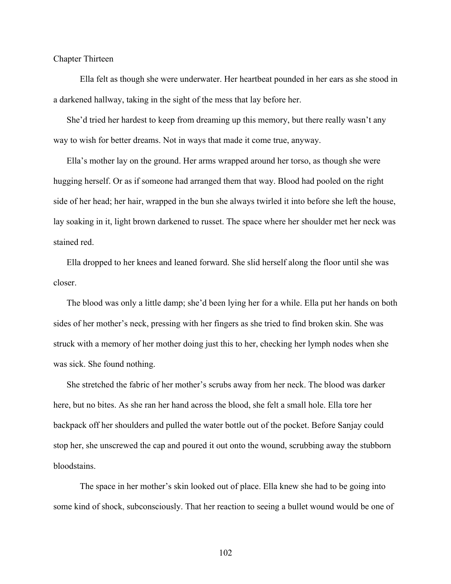Chapter Thirteen

Ella felt as though she were underwater. Her heartbeat pounded in her ears as she stood in a darkened hallway, taking in the sight of the mess that lay before her.

She'd tried her hardest to keep from dreaming up this memory, but there really wasn't any way to wish for better dreams. Not in ways that made it come true, anyway.

Ella's mother lay on the ground. Her arms wrapped around her torso, as though she were hugging herself. Or as if someone had arranged them that way. Blood had pooled on the right side of her head; her hair, wrapped in the bun she always twirled it into before she left the house, lay soaking in it, light brown darkened to russet. The space where her shoulder met her neck was stained red.

Ella dropped to her knees and leaned forward. She slid herself along the floor until she was closer.

The blood was only a little damp; she'd been lying her for a while. Ella put her hands on both sides of her mother's neck, pressing with her fingers as she tried to find broken skin. She was struck with a memory of her mother doing just this to her, checking her lymph nodes when she was sick. She found nothing.

She stretched the fabric of her mother's scrubs away from her neck. The blood was darker here, but no bites. As she ran her hand across the blood, she felt a small hole. Ella tore her backpack off her shoulders and pulled the water bottle out of the pocket. Before Sanjay could stop her, she unscrewed the cap and poured it out onto the wound, scrubbing away the stubborn bloodstains.

The space in her mother's skin looked out of place. Ella knew she had to be going into some kind of shock, subconsciously. That her reaction to seeing a bullet wound would be one of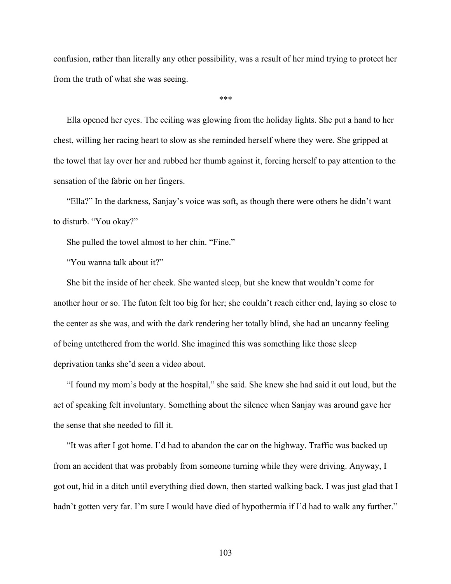confusion, rather than literally any other possibility, was a result of her mind trying to protect her from the truth of what she was seeing.

\*\*\*

Ella opened her eyes. The ceiling was glowing from the holiday lights. She put a hand to her chest, willing her racing heart to slow as she reminded herself where they were. She gripped at the towel that lay over her and rubbed her thumb against it, forcing herself to pay attention to the sensation of the fabric on her fingers.

"Ella?" In the darkness, Sanjay's voice was soft, as though there were others he didn't want to disturb. "You okay?"

She pulled the towel almost to her chin. "Fine."

"You wanna talk about it?"

She bit the inside of her cheek. She wanted sleep, but she knew that wouldn't come for another hour or so. The futon felt too big for her; she couldn't reach either end, laying so close to the center as she was, and with the dark rendering her totally blind, she had an uncanny feeling of being untethered from the world. She imagined this was something like those sleep deprivation tanks she'd seen a video about.

"I found my mom's body at the hospital," she said. She knew she had said it out loud, but the act of speaking felt involuntary. Something about the silence when Sanjay was around gave her the sense that she needed to fill it.

"It was after I got home. I'd had to abandon the car on the highway. Traffic was backed up from an accident that was probably from someone turning while they were driving. Anyway, I got out, hid in a ditch until everything died down, then started walking back. I was just glad that I hadn't gotten very far. I'm sure I would have died of hypothermia if I'd had to walk any further."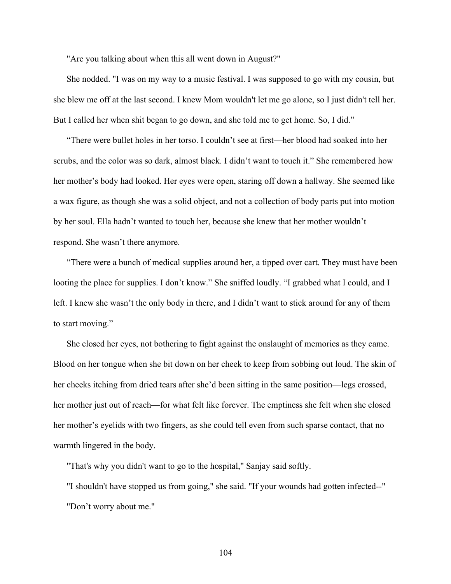"Are you talking about when this all went down in August?"

She nodded. "I was on my way to a music festival. I was supposed to go with my cousin, but she blew me off at the last second. I knew Mom wouldn't let me go alone, so I just didn't tell her. But I called her when shit began to go down, and she told me to get home. So, I did."

"There were bullet holes in her torso. I couldn't see at first—her blood had soaked into her scrubs, and the color was so dark, almost black. I didn't want to touch it." She remembered how her mother's body had looked. Her eyes were open, staring off down a hallway. She seemed like a wax figure, as though she was a solid object, and not a collection of body parts put into motion by her soul. Ella hadn't wanted to touch her, because she knew that her mother wouldn't respond. She wasn't there anymore.

"There were a bunch of medical supplies around her, a tipped over cart. They must have been looting the place for supplies. I don't know." She sniffed loudly. "I grabbed what I could, and I left. I knew she wasn't the only body in there, and I didn't want to stick around for any of them to start moving."

She closed her eyes, not bothering to fight against the onslaught of memories as they came. Blood on her tongue when she bit down on her cheek to keep from sobbing out loud. The skin of her cheeks itching from dried tears after she'd been sitting in the same position—legs crossed, her mother just out of reach—for what felt like forever. The emptiness she felt when she closed her mother's eyelids with two fingers, as she could tell even from such sparse contact, that no warmth lingered in the body.

"That's why you didn't want to go to the hospital," Sanjay said softly.

"I shouldn't have stopped us from going," she said. "If your wounds had gotten infected--" "Don't worry about me."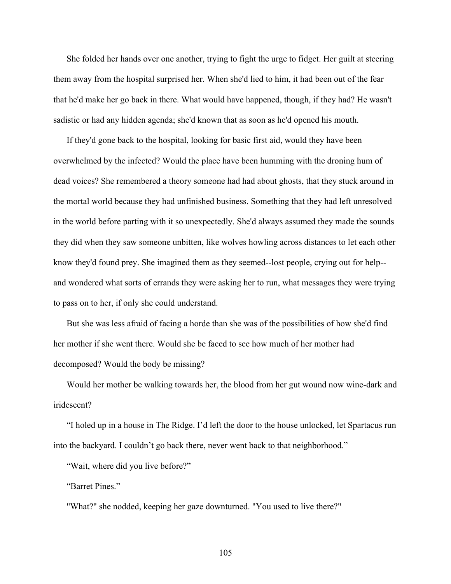She folded her hands over one another, trying to fight the urge to fidget. Her guilt at steering them away from the hospital surprised her. When she'd lied to him, it had been out of the fear that he'd make her go back in there. What would have happened, though, if they had? He wasn't sadistic or had any hidden agenda; she'd known that as soon as he'd opened his mouth.

If they'd gone back to the hospital, looking for basic first aid, would they have been overwhelmed by the infected? Would the place have been humming with the droning hum of dead voices? She remembered a theory someone had had about ghosts, that they stuck around in the mortal world because they had unfinished business. Something that they had left unresolved in the world before parting with it so unexpectedly. She'd always assumed they made the sounds they did when they saw someone unbitten, like wolves howling across distances to let each other know they'd found prey. She imagined them as they seemed--lost people, crying out for help- and wondered what sorts of errands they were asking her to run, what messages they were trying to pass on to her, if only she could understand.

But she was less afraid of facing a horde than she was of the possibilities of how she'd find her mother if she went there. Would she be faced to see how much of her mother had decomposed? Would the body be missing?

Would her mother be walking towards her, the blood from her gut wound now wine-dark and iridescent?

"I holed up in a house in The Ridge. I'd left the door to the house unlocked, let Spartacus run into the backyard. I couldn't go back there, never went back to that neighborhood."

"Wait, where did you live before?"

"Barret Pines."

"What?" she nodded, keeping her gaze downturned. "You used to live there?"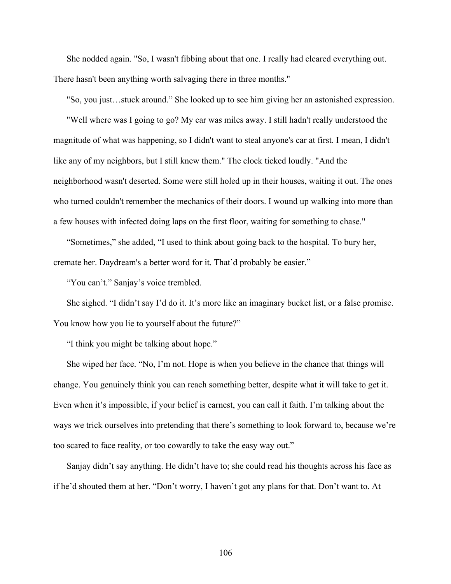She nodded again. "So, I wasn't fibbing about that one. I really had cleared everything out. There hasn't been anything worth salvaging there in three months."

"So, you just…stuck around." She looked up to see him giving her an astonished expression.

"Well where was I going to go? My car was miles away. I still hadn't really understood the magnitude of what was happening, so I didn't want to steal anyone's car at first. I mean, I didn't like any of my neighbors, but I still knew them." The clock ticked loudly. "And the neighborhood wasn't deserted. Some were still holed up in their houses, waiting it out. The ones who turned couldn't remember the mechanics of their doors. I wound up walking into more than a few houses with infected doing laps on the first floor, waiting for something to chase."

"Sometimes," she added, "I used to think about going back to the hospital. To bury her, cremate her. Daydream's a better word for it. That'd probably be easier."

"You can't." Sanjay's voice trembled.

She sighed. "I didn't say I'd do it. It's more like an imaginary bucket list, or a false promise. You know how you lie to yourself about the future?"

"I think you might be talking about hope."

She wiped her face. "No, I'm not. Hope is when you believe in the chance that things will change. You genuinely think you can reach something better, despite what it will take to get it. Even when it's impossible, if your belief is earnest, you can call it faith. I'm talking about the ways we trick ourselves into pretending that there's something to look forward to, because we're too scared to face reality, or too cowardly to take the easy way out."

Sanjay didn't say anything. He didn't have to; she could read his thoughts across his face as if he'd shouted them at her. "Don't worry, I haven't got any plans for that. Don't want to. At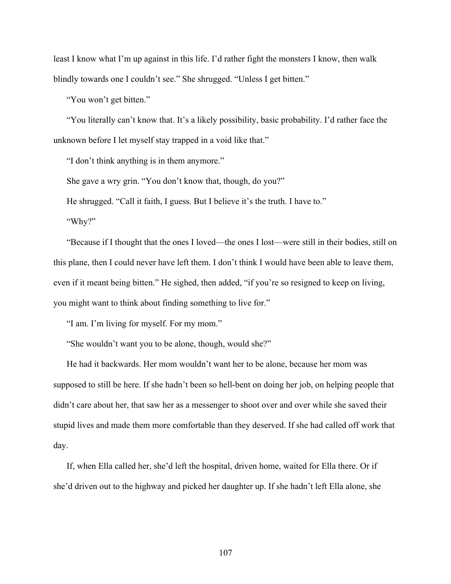least I know what I'm up against in this life. I'd rather fight the monsters I know, then walk blindly towards one I couldn't see." She shrugged. "Unless I get bitten."

"You won't get bitten."

"You literally can't know that. It's a likely possibility, basic probability. I'd rather face the unknown before I let myself stay trapped in a void like that."

"I don't think anything is in them anymore."

She gave a wry grin. "You don't know that, though, do you?"

He shrugged. "Call it faith, I guess. But I believe it's the truth. I have to."

"Why?"

"Because if I thought that the ones I loved—the ones I lost—were still in their bodies, still on this plane, then I could never have left them. I don't think I would have been able to leave them, even if it meant being bitten." He sighed, then added, "if you're so resigned to keep on living, you might want to think about finding something to live for."

"I am. I'm living for myself. For my mom."

"She wouldn't want you to be alone, though, would she?"

He had it backwards. Her mom wouldn't want her to be alone, because her mom was supposed to still be here. If she hadn't been so hell-bent on doing her job, on helping people that didn't care about her, that saw her as a messenger to shoot over and over while she saved their stupid lives and made them more comfortable than they deserved. If she had called off work that day.

If, when Ella called her, she'd left the hospital, driven home, waited for Ella there. Or if she'd driven out to the highway and picked her daughter up. If she hadn't left Ella alone, she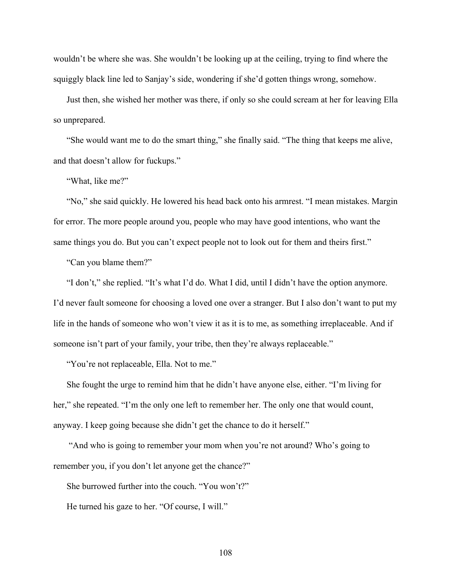wouldn't be where she was. She wouldn't be looking up at the ceiling, trying to find where the squiggly black line led to Sanjay's side, wondering if she'd gotten things wrong, somehow.

Just then, she wished her mother was there, if only so she could scream at her for leaving Ella so unprepared.

"She would want me to do the smart thing," she finally said. "The thing that keeps me alive, and that doesn't allow for fuckups."

"What, like me?"

"No," she said quickly. He lowered his head back onto his armrest. "I mean mistakes. Margin for error. The more people around you, people who may have good intentions, who want the same things you do. But you can't expect people not to look out for them and theirs first."

"Can you blame them?"

"I don't," she replied. "It's what I'd do. What I did, until I didn't have the option anymore. I'd never fault someone for choosing a loved one over a stranger. But I also don't want to put my life in the hands of someone who won't view it as it is to me, as something irreplaceable. And if someone isn't part of your family, your tribe, then they're always replaceable."

"You're not replaceable, Ella. Not to me."

She fought the urge to remind him that he didn't have anyone else, either. "I'm living for her," she repeated. "I'm the only one left to remember her. The only one that would count, anyway. I keep going because she didn't get the chance to do it herself."

"And who is going to remember your mom when you're not around? Who's going to remember you, if you don't let anyone get the chance?"

She burrowed further into the couch. "You won't?"

He turned his gaze to her. "Of course, I will."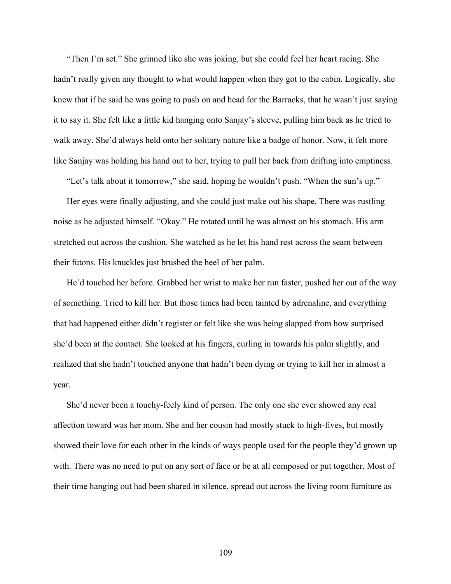"Then I'm set." She grinned like she was joking, but she could feel her heart racing. She hadn't really given any thought to what would happen when they got to the cabin. Logically, she knew that if he said he was going to push on and head for the Barracks, that he wasn't just saying it to say it. She felt like a little kid hanging onto Sanjay's sleeve, pulling him back as he tried to walk away. She'd always held onto her solitary nature like a badge of honor. Now, it felt more like Sanjay was holding his hand out to her, trying to pull her back from drifting into emptiness.

"Let's talk about it tomorrow," she said, hoping he wouldn't push. "When the sun's up."

Her eyes were finally adjusting, and she could just make out his shape. There was rustling noise as he adjusted himself. "Okay." He rotated until he was almost on his stomach. His arm stretched out across the cushion. She watched as he let his hand rest across the seam between their futons. His knuckles just brushed the heel of her palm.

He'd touched her before. Grabbed her wrist to make her run faster, pushed her out of the way of something. Tried to kill her. But those times had been tainted by adrenaline, and everything that had happened either didn't register or felt like she was being slapped from how surprised she'd been at the contact. She looked at his fingers, curling in towards his palm slightly, and realized that she hadn't touched anyone that hadn't been dying or trying to kill her in almost a year.

She'd never been a touchy-feely kind of person. The only one she ever showed any real affection toward was her mom. She and her cousin had mostly stuck to high-fives, but mostly showed their love for each other in the kinds of ways people used for the people they'd grown up with. There was no need to put on any sort of face or be at all composed or put together. Most of their time hanging out had been shared in silence, spread out across the living room furniture as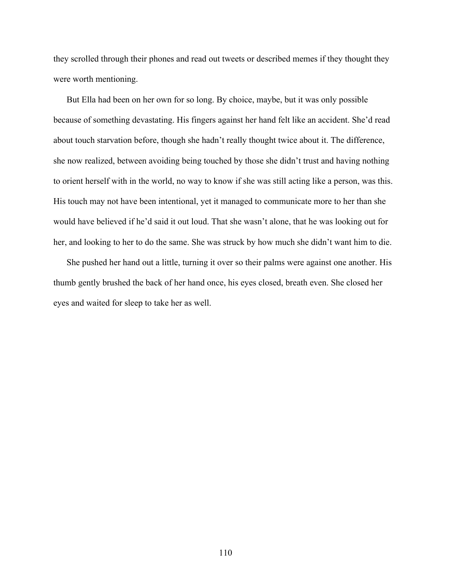they scrolled through their phones and read out tweets or described memes if they thought they were worth mentioning.

But Ella had been on her own for so long. By choice, maybe, but it was only possible because of something devastating. His fingers against her hand felt like an accident. She'd read about touch starvation before, though she hadn't really thought twice about it. The difference, she now realized, between avoiding being touched by those she didn't trust and having nothing to orient herself with in the world, no way to know if she was still acting like a person, was this. His touch may not have been intentional, yet it managed to communicate more to her than she would have believed if he'd said it out loud. That she wasn't alone, that he was looking out for her, and looking to her to do the same. She was struck by how much she didn't want him to die.

She pushed her hand out a little, turning it over so their palms were against one another. His thumb gently brushed the back of her hand once, his eyes closed, breath even. She closed her eyes and waited for sleep to take her as well.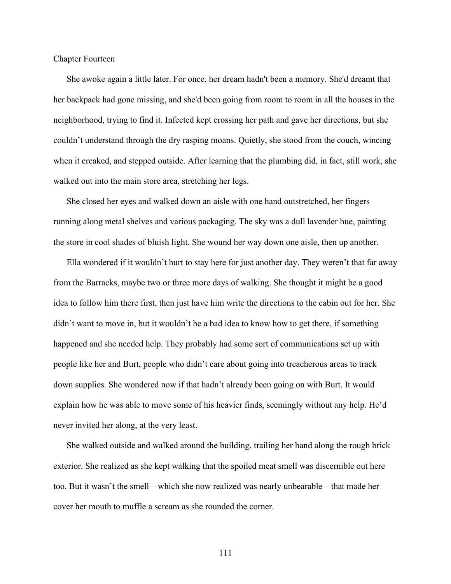Chapter Fourteen

She awoke again a little later. For once, her dream hadn't been a memory. She'd dreamt that her backpack had gone missing, and she'd been going from room to room in all the houses in the neighborhood, trying to find it. Infected kept crossing her path and gave her directions, but she couldn't understand through the dry rasping moans. Quietly, she stood from the couch, wincing when it creaked, and stepped outside. After learning that the plumbing did, in fact, still work, she walked out into the main store area, stretching her legs.

She closed her eyes and walked down an aisle with one hand outstretched, her fingers running along metal shelves and various packaging. The sky was a dull lavender hue, painting the store in cool shades of bluish light. She wound her way down one aisle, then up another.

Ella wondered if it wouldn't hurt to stay here for just another day. They weren't that far away from the Barracks, maybe two or three more days of walking. She thought it might be a good idea to follow him there first, then just have him write the directions to the cabin out for her. She didn't want to move in, but it wouldn't be a bad idea to know how to get there, if something happened and she needed help. They probably had some sort of communications set up with people like her and Burt, people who didn't care about going into treacherous areas to track down supplies. She wondered now if that hadn't already been going on with Burt. It would explain how he was able to move some of his heavier finds, seemingly without any help. He'd never invited her along, at the very least.

She walked outside and walked around the building, trailing her hand along the rough brick exterior. She realized as she kept walking that the spoiled meat smell was discernible out here too. But it wasn't the smell—which she now realized was nearly unbearable—that made her cover her mouth to muffle a scream as she rounded the corner.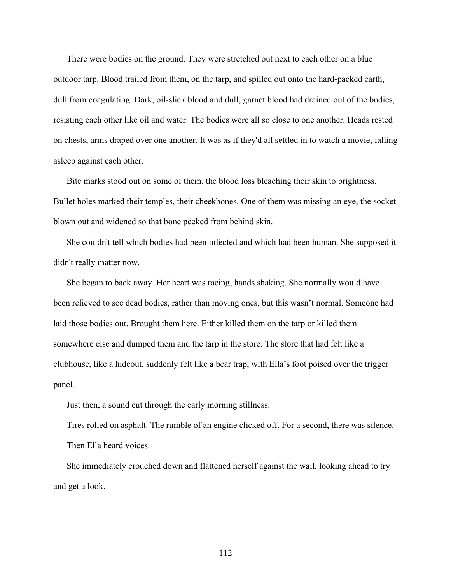There were bodies on the ground. They were stretched out next to each other on a blue outdoor tarp. Blood trailed from them, on the tarp, and spilled out onto the hard-packed earth, dull from coagulating. Dark, oil-slick blood and dull, garnet blood had drained out of the bodies, resisting each other like oil and water. The bodies were all so close to one another. Heads rested on chests, arms draped over one another. It was as if they'd all settled in to watch a movie, falling asleep against each other.

Bite marks stood out on some of them, the blood loss bleaching their skin to brightness. Bullet holes marked their temples, their cheekbones. One of them was missing an eye, the socket blown out and widened so that bone peeked from behind skin.

She couldn't tell which bodies had been infected and which had been human. She supposed it didn't really matter now.

She began to back away. Her heart was racing, hands shaking. She normally would have been relieved to see dead bodies, rather than moving ones, but this wasn't normal. Someone had laid those bodies out. Brought them here. Either killed them on the tarp or killed them somewhere else and dumped them and the tarp in the store. The store that had felt like a clubhouse, like a hideout, suddenly felt like a bear trap, with Ella's foot poised over the trigger panel.

Just then, a sound cut through the early morning stillness.

Tires rolled on asphalt. The rumble of an engine clicked off. For a second, there was silence. Then Ella heard voices.

She immediately crouched down and flattened herself against the wall, looking ahead to try and get a look.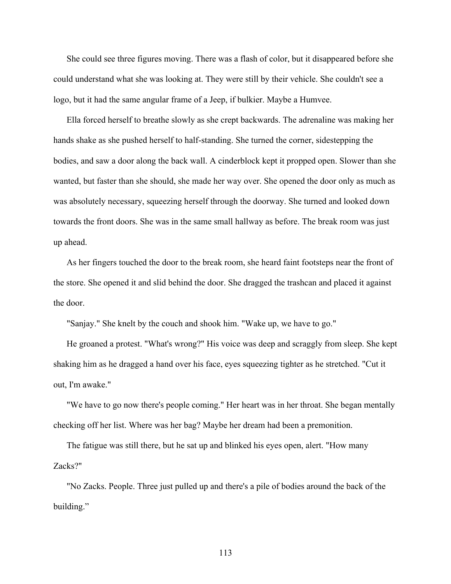She could see three figures moving. There was a flash of color, but it disappeared before she could understand what she was looking at. They were still by their vehicle. She couldn't see a logo, but it had the same angular frame of a Jeep, if bulkier. Maybe a Humvee.

Ella forced herself to breathe slowly as she crept backwards. The adrenaline was making her hands shake as she pushed herself to half-standing. She turned the corner, sidestepping the bodies, and saw a door along the back wall. A cinderblock kept it propped open. Slower than she wanted, but faster than she should, she made her way over. She opened the door only as much as was absolutely necessary, squeezing herself through the doorway. She turned and looked down towards the front doors. She was in the same small hallway as before. The break room was just up ahead.

As her fingers touched the door to the break room, she heard faint footsteps near the front of the store. She opened it and slid behind the door. She dragged the trashcan and placed it against the door.

"Sanjay." She knelt by the couch and shook him. "Wake up, we have to go."

He groaned a protest. "What's wrong?" His voice was deep and scraggly from sleep. She kept shaking him as he dragged a hand over his face, eyes squeezing tighter as he stretched. "Cut it out, I'm awake."

"We have to go now there's people coming." Her heart was in her throat. She began mentally checking off her list. Where was her bag? Maybe her dream had been a premonition.

The fatigue was still there, but he sat up and blinked his eyes open, alert. "How many Zacks?"

"No Zacks. People. Three just pulled up and there's a pile of bodies around the back of the building."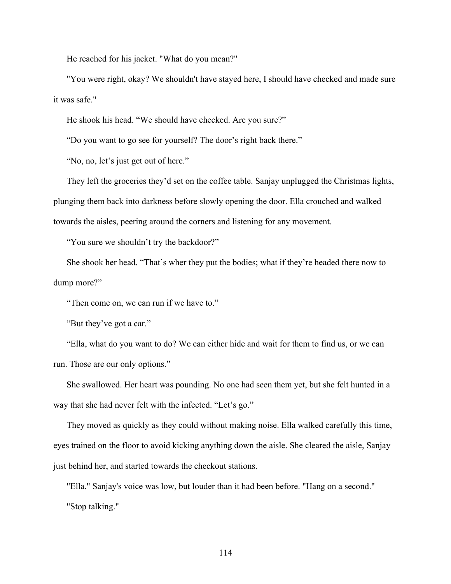He reached for his jacket. "What do you mean?"

"You were right, okay? We shouldn't have stayed here, I should have checked and made sure it was safe."

He shook his head. "We should have checked. Are you sure?"

"Do you want to go see for yourself? The door's right back there."

"No, no, let's just get out of here."

They left the groceries they'd set on the coffee table. Sanjay unplugged the Christmas lights, plunging them back into darkness before slowly opening the door. Ella crouched and walked towards the aisles, peering around the corners and listening for any movement.

"You sure we shouldn't try the backdoor?"

She shook her head. "That's wher they put the bodies; what if they're headed there now to dump more?"

"Then come on, we can run if we have to."

"But they've got a car."

"Ella, what do you want to do? We can either hide and wait for them to find us, or we can run. Those are our only options."

She swallowed. Her heart was pounding. No one had seen them yet, but she felt hunted in a way that she had never felt with the infected. "Let's go."

They moved as quickly as they could without making noise. Ella walked carefully this time, eyes trained on the floor to avoid kicking anything down the aisle. She cleared the aisle, Sanjay just behind her, and started towards the checkout stations.

"Ella." Sanjay's voice was low, but louder than it had been before. "Hang on a second." "Stop talking."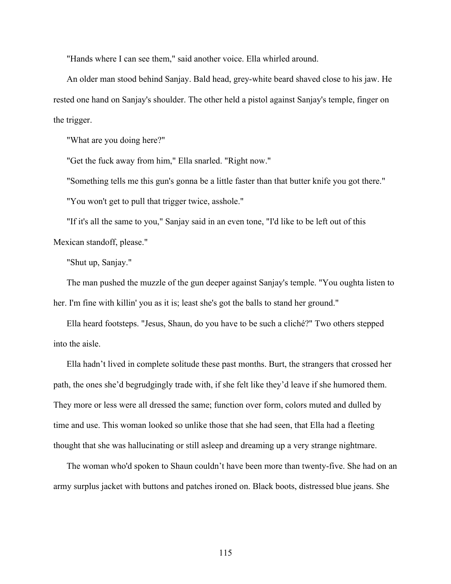"Hands where I can see them," said another voice. Ella whirled around.

An older man stood behind Sanjay. Bald head, grey-white beard shaved close to his jaw. He rested one hand on Sanjay's shoulder. The other held a pistol against Sanjay's temple, finger on the trigger.

"What are you doing here?"

"Get the fuck away from him," Ella snarled. "Right now."

"Something tells me this gun's gonna be a little faster than that butter knife you got there."

"You won't get to pull that trigger twice, asshole."

"If it's all the same to you," Sanjay said in an even tone, "I'd like to be left out of this Mexican standoff, please."

"Shut up, Sanjay."

The man pushed the muzzle of the gun deeper against Sanjay's temple. "You oughta listen to her. I'm fine with killin' you as it is; least she's got the balls to stand her ground."

Ella heard footsteps. "Jesus, Shaun, do you have to be such a cliché?" Two others stepped into the aisle.

Ella hadn't lived in complete solitude these past months. Burt, the strangers that crossed her path, the ones she'd begrudgingly trade with, if she felt like they'd leave if she humored them. They more or less were all dressed the same; function over form, colors muted and dulled by time and use. This woman looked so unlike those that she had seen, that Ella had a fleeting thought that she was hallucinating or still asleep and dreaming up a very strange nightmare.

The woman who'd spoken to Shaun couldn't have been more than twenty-five. She had on an army surplus jacket with buttons and patches ironed on. Black boots, distressed blue jeans. She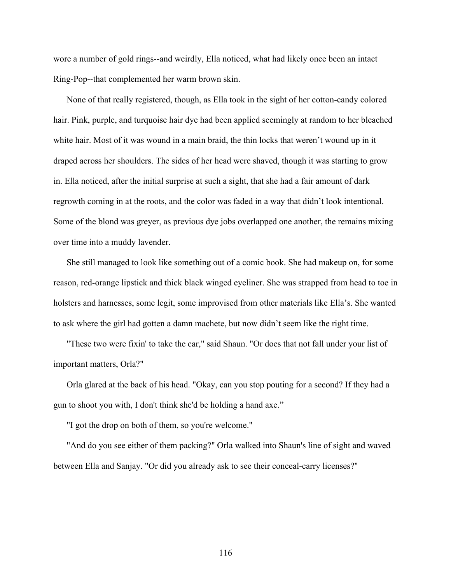wore a number of gold rings--and weirdly, Ella noticed, what had likely once been an intact Ring-Pop--that complemented her warm brown skin.

None of that really registered, though, as Ella took in the sight of her cotton-candy colored hair. Pink, purple, and turquoise hair dye had been applied seemingly at random to her bleached white hair. Most of it was wound in a main braid, the thin locks that weren't wound up in it draped across her shoulders. The sides of her head were shaved, though it was starting to grow in. Ella noticed, after the initial surprise at such a sight, that she had a fair amount of dark regrowth coming in at the roots, and the color was faded in a way that didn't look intentional. Some of the blond was greyer, as previous dye jobs overlapped one another, the remains mixing over time into a muddy lavender.

She still managed to look like something out of a comic book. She had makeup on, for some reason, red-orange lipstick and thick black winged eyeliner. She was strapped from head to toe in holsters and harnesses, some legit, some improvised from other materials like Ella's. She wanted to ask where the girl had gotten a damn machete, but now didn't seem like the right time.

"These two were fixin' to take the car," said Shaun. "Or does that not fall under your list of important matters, Orla?"

Orla glared at the back of his head. "Okay, can you stop pouting for a second? If they had a gun to shoot you with, I don't think she'd be holding a hand axe."

"I got the drop on both of them, so you're welcome."

"And do you see either of them packing?" Orla walked into Shaun's line of sight and waved between Ella and Sanjay. "Or did you already ask to see their conceal-carry licenses?"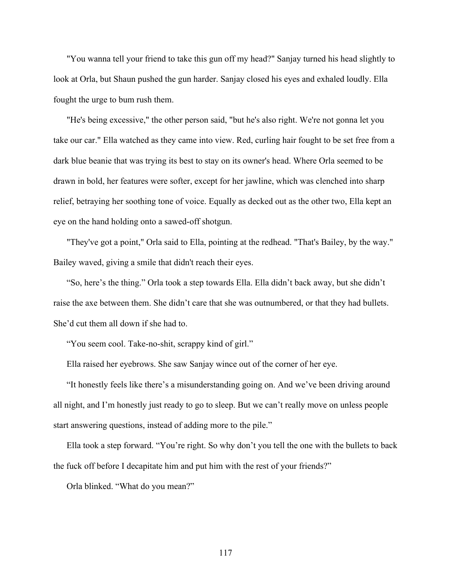"You wanna tell your friend to take this gun off my head?" Sanjay turned his head slightly to look at Orla, but Shaun pushed the gun harder. Sanjay closed his eyes and exhaled loudly. Ella fought the urge to bum rush them.

"He's being excessive," the other person said, "but he's also right. We're not gonna let you take our car." Ella watched as they came into view. Red, curling hair fought to be set free from a dark blue beanie that was trying its best to stay on its owner's head. Where Orla seemed to be drawn in bold, her features were softer, except for her jawline, which was clenched into sharp relief, betraying her soothing tone of voice. Equally as decked out as the other two, Ella kept an eye on the hand holding onto a sawed-off shotgun.

"They've got a point," Orla said to Ella, pointing at the redhead. "That's Bailey, by the way." Bailey waved, giving a smile that didn't reach their eyes.

"So, here's the thing." Orla took a step towards Ella. Ella didn't back away, but she didn't raise the axe between them. She didn't care that she was outnumbered, or that they had bullets. She'd cut them all down if she had to.

"You seem cool. Take-no-shit, scrappy kind of girl."

Ella raised her eyebrows. She saw Sanjay wince out of the corner of her eye.

"It honestly feels like there's a misunderstanding going on. And we've been driving around all night, and I'm honestly just ready to go to sleep. But we can't really move on unless people start answering questions, instead of adding more to the pile."

Ella took a step forward. "You're right. So why don't you tell the one with the bullets to back the fuck off before I decapitate him and put him with the rest of your friends?"

Orla blinked. "What do you mean?"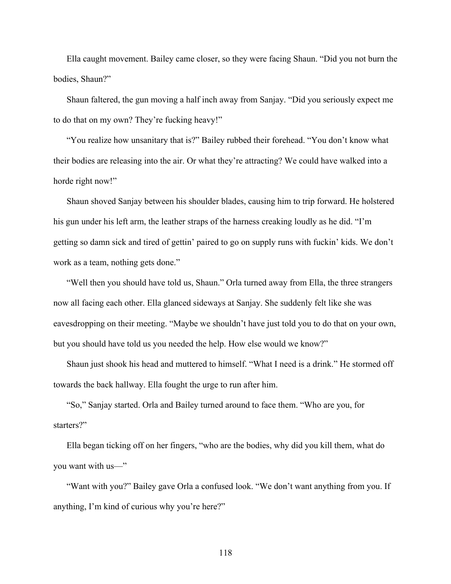Ella caught movement. Bailey came closer, so they were facing Shaun. "Did you not burn the bodies, Shaun?"

Shaun faltered, the gun moving a half inch away from Sanjay. "Did you seriously expect me to do that on my own? They're fucking heavy!"

"You realize how unsanitary that is?" Bailey rubbed their forehead. "You don't know what their bodies are releasing into the air. Or what they're attracting? We could have walked into a horde right now!"

Shaun shoved Sanjay between his shoulder blades, causing him to trip forward. He holstered his gun under his left arm, the leather straps of the harness creaking loudly as he did. "I'm getting so damn sick and tired of gettin' paired to go on supply runs with fuckin' kids. We don't work as a team, nothing gets done."

"Well then you should have told us, Shaun." Orla turned away from Ella, the three strangers now all facing each other. Ella glanced sideways at Sanjay. She suddenly felt like she was eavesdropping on their meeting. "Maybe we shouldn't have just told you to do that on your own, but you should have told us you needed the help. How else would we know?"

Shaun just shook his head and muttered to himself. "What I need is a drink." He stormed off towards the back hallway. Ella fought the urge to run after him.

"So," Sanjay started. Orla and Bailey turned around to face them. "Who are you, for starters?"

Ella began ticking off on her fingers, "who are the bodies, why did you kill them, what do you want with us—"

"Want with you?" Bailey gave Orla a confused look. "We don't want anything from you. If anything, I'm kind of curious why you're here?"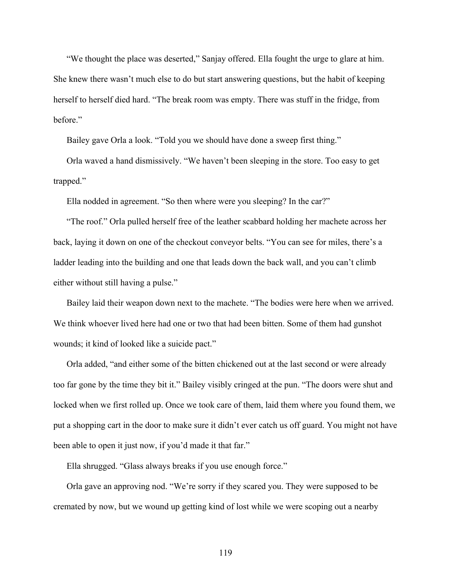"We thought the place was deserted," Sanjay offered. Ella fought the urge to glare at him. She knew there wasn't much else to do but start answering questions, but the habit of keeping herself to herself died hard. "The break room was empty. There was stuff in the fridge, from before."

Bailey gave Orla a look. "Told you we should have done a sweep first thing."

Orla waved a hand dismissively. "We haven't been sleeping in the store. Too easy to get trapped."

Ella nodded in agreement. "So then where were you sleeping? In the car?"

"The roof." Orla pulled herself free of the leather scabbard holding her machete across her back, laying it down on one of the checkout conveyor belts. "You can see for miles, there's a ladder leading into the building and one that leads down the back wall, and you can't climb either without still having a pulse."

Bailey laid their weapon down next to the machete. "The bodies were here when we arrived. We think whoever lived here had one or two that had been bitten. Some of them had gunshot wounds; it kind of looked like a suicide pact."

Orla added, "and either some of the bitten chickened out at the last second or were already too far gone by the time they bit it." Bailey visibly cringed at the pun. "The doors were shut and locked when we first rolled up. Once we took care of them, laid them where you found them, we put a shopping cart in the door to make sure it didn't ever catch us off guard. You might not have been able to open it just now, if you'd made it that far."

Ella shrugged. "Glass always breaks if you use enough force."

Orla gave an approving nod. "We're sorry if they scared you. They were supposed to be cremated by now, but we wound up getting kind of lost while we were scoping out a nearby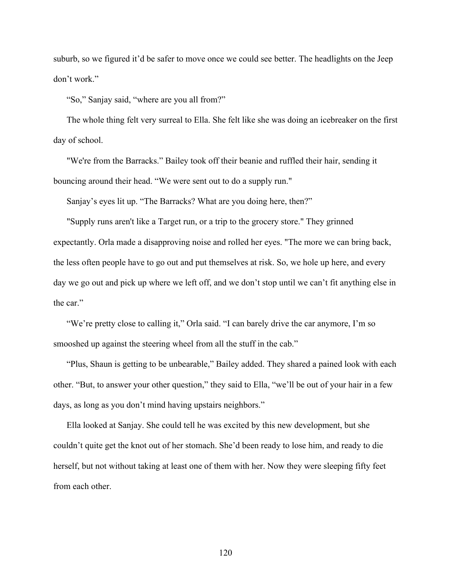suburb, so we figured it'd be safer to move once we could see better. The headlights on the Jeep don't work."

"So," Sanjay said, "where are you all from?"

The whole thing felt very surreal to Ella. She felt like she was doing an icebreaker on the first day of school.

"We're from the Barracks." Bailey took off their beanie and ruffled their hair, sending it bouncing around their head. "We were sent out to do a supply run."

Sanjay's eyes lit up. "The Barracks? What are you doing here, then?"

"Supply runs aren't like a Target run, or a trip to the grocery store." They grinned expectantly. Orla made a disapproving noise and rolled her eyes. "The more we can bring back, the less often people have to go out and put themselves at risk. So, we hole up here, and every day we go out and pick up where we left off, and we don't stop until we can't fit anything else in the car."

"We're pretty close to calling it," Orla said. "I can barely drive the car anymore, I'm so smooshed up against the steering wheel from all the stuff in the cab."

"Plus, Shaun is getting to be unbearable," Bailey added. They shared a pained look with each other. "But, to answer your other question," they said to Ella, "we'll be out of your hair in a few days, as long as you don't mind having upstairs neighbors."

Ella looked at Sanjay. She could tell he was excited by this new development, but she couldn't quite get the knot out of her stomach. She'd been ready to lose him, and ready to die herself, but not without taking at least one of them with her. Now they were sleeping fifty feet from each other.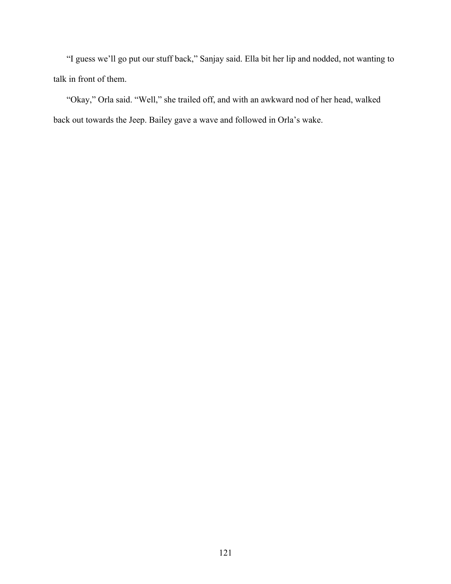"I guess we'll go put our stuff back," Sanjay said. Ella bit her lip and nodded, not wanting to talk in front of them.

"Okay," Orla said. "Well," she trailed off, and with an awkward nod of her head, walked back out towards the Jeep. Bailey gave a wave and followed in Orla's wake.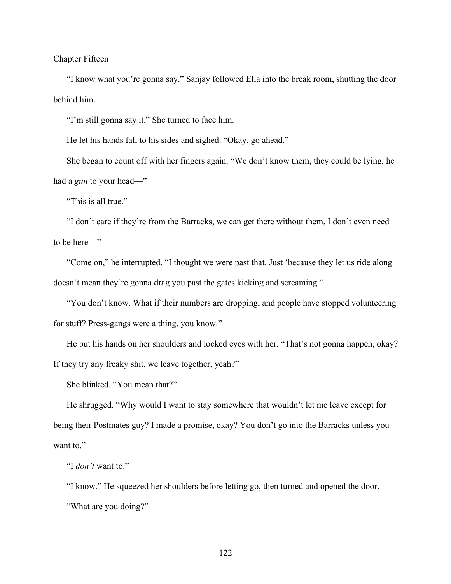Chapter Fifteen

"I know what you're gonna say." Sanjay followed Ella into the break room, shutting the door behind him.

"I'm still gonna say it." She turned to face him.

He let his hands fall to his sides and sighed. "Okay, go ahead."

She began to count off with her fingers again. "We don't know them, they could be lying, he had a *gun* to your head—"

"This is all true."

"I don't care if they're from the Barracks, we can get there without them, I don't even need to be here—"

"Come on," he interrupted. "I thought we were past that. Just 'because they let us ride along doesn't mean they're gonna drag you past the gates kicking and screaming."

"You don't know. What if their numbers are dropping, and people have stopped volunteering for stuff? Press-gangs were a thing, you know."

He put his hands on her shoulders and locked eyes with her. "That's not gonna happen, okay? If they try any freaky shit, we leave together, yeah?"

She blinked. "You mean that?"

He shrugged. "Why would I want to stay somewhere that wouldn't let me leave except for being their Postmates guy? I made a promise, okay? You don't go into the Barracks unless you want to."

"I *don't* want to."

"I know." He squeezed her shoulders before letting go, then turned and opened the door. "What are you doing?"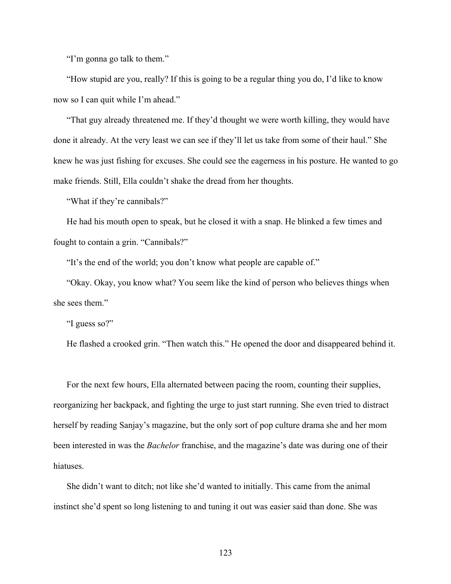"I'm gonna go talk to them."

"How stupid are you, really? If this is going to be a regular thing you do, I'd like to know now so I can quit while I'm ahead."

"That guy already threatened me. If they'd thought we were worth killing, they would have done it already. At the very least we can see if they'll let us take from some of their haul." She knew he was just fishing for excuses. She could see the eagerness in his posture. He wanted to go make friends. Still, Ella couldn't shake the dread from her thoughts.

"What if they're cannibals?"

He had his mouth open to speak, but he closed it with a snap. He blinked a few times and fought to contain a grin. "Cannibals?"

"It's the end of the world; you don't know what people are capable of."

"Okay. Okay, you know what? You seem like the kind of person who believes things when she sees them."

"I guess so?"

He flashed a crooked grin. "Then watch this." He opened the door and disappeared behind it.

For the next few hours, Ella alternated between pacing the room, counting their supplies, reorganizing her backpack, and fighting the urge to just start running. She even tried to distract herself by reading Sanjay's magazine, but the only sort of pop culture drama she and her mom been interested in was the *Bachelor* franchise, and the magazine's date was during one of their hiatuses.

She didn't want to ditch; not like she'd wanted to initially. This came from the animal instinct she'd spent so long listening to and tuning it out was easier said than done. She was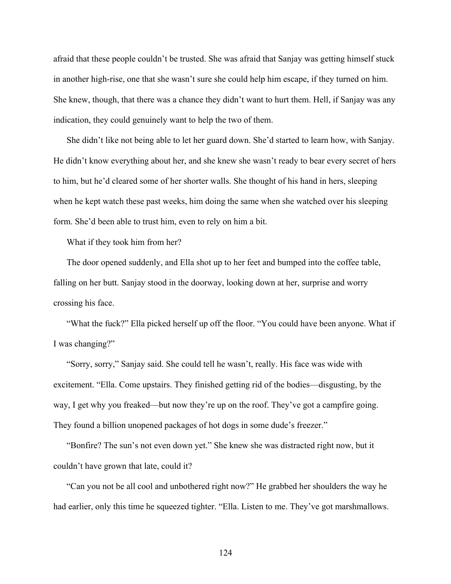afraid that these people couldn't be trusted. She was afraid that Sanjay was getting himself stuck in another high-rise, one that she wasn't sure she could help him escape, if they turned on him. She knew, though, that there was a chance they didn't want to hurt them. Hell, if Sanjay was any indication, they could genuinely want to help the two of them.

She didn't like not being able to let her guard down. She'd started to learn how, with Sanjay. He didn't know everything about her, and she knew she wasn't ready to bear every secret of hers to him, but he'd cleared some of her shorter walls. She thought of his hand in hers, sleeping when he kept watch these past weeks, him doing the same when she watched over his sleeping form. She'd been able to trust him, even to rely on him a bit.

What if they took him from her?

The door opened suddenly, and Ella shot up to her feet and bumped into the coffee table, falling on her butt. Sanjay stood in the doorway, looking down at her, surprise and worry crossing his face.

"What the fuck?" Ella picked herself up off the floor. "You could have been anyone. What if I was changing?"

"Sorry, sorry," Sanjay said. She could tell he wasn't, really. His face was wide with excitement. "Ella. Come upstairs. They finished getting rid of the bodies—disgusting, by the way, I get why you freaked—but now they're up on the roof. They've got a campfire going. They found a billion unopened packages of hot dogs in some dude's freezer."

"Bonfire? The sun's not even down yet." She knew she was distracted right now, but it couldn't have grown that late, could it?

"Can you not be all cool and unbothered right now?" He grabbed her shoulders the way he had earlier, only this time he squeezed tighter. "Ella. Listen to me. They've got marshmallows.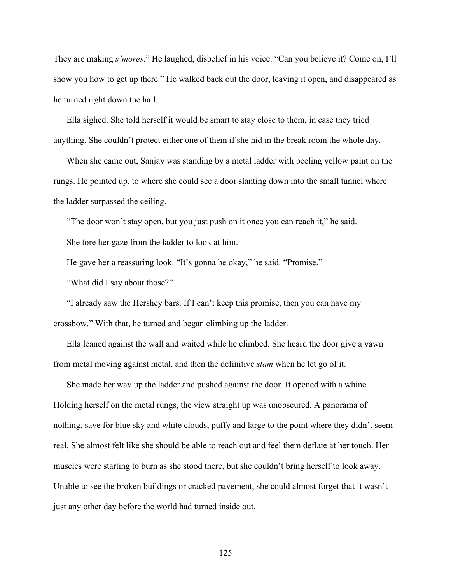They are making *s'mores*." He laughed, disbelief in his voice. "Can you believe it? Come on, I'll show you how to get up there." He walked back out the door, leaving it open, and disappeared as he turned right down the hall.

Ella sighed. She told herself it would be smart to stay close to them, in case they tried anything. She couldn't protect either one of them if she hid in the break room the whole day.

When she came out, Sanjay was standing by a metal ladder with peeling yellow paint on the rungs. He pointed up, to where she could see a door slanting down into the small tunnel where the ladder surpassed the ceiling.

"The door won't stay open, but you just push on it once you can reach it," he said. She tore her gaze from the ladder to look at him.

He gave her a reassuring look. "It's gonna be okay," he said. "Promise."

"What did I say about those?"

"I already saw the Hershey bars. If I can't keep this promise, then you can have my crossbow." With that, he turned and began climbing up the ladder.

Ella leaned against the wall and waited while he climbed. She heard the door give a yawn from metal moving against metal, and then the definitive *slam* when he let go of it.

She made her way up the ladder and pushed against the door. It opened with a whine. Holding herself on the metal rungs, the view straight up was unobscured. A panorama of nothing, save for blue sky and white clouds, puffy and large to the point where they didn't seem real. She almost felt like she should be able to reach out and feel them deflate at her touch. Her muscles were starting to burn as she stood there, but she couldn't bring herself to look away. Unable to see the broken buildings or cracked pavement, she could almost forget that it wasn't just any other day before the world had turned inside out.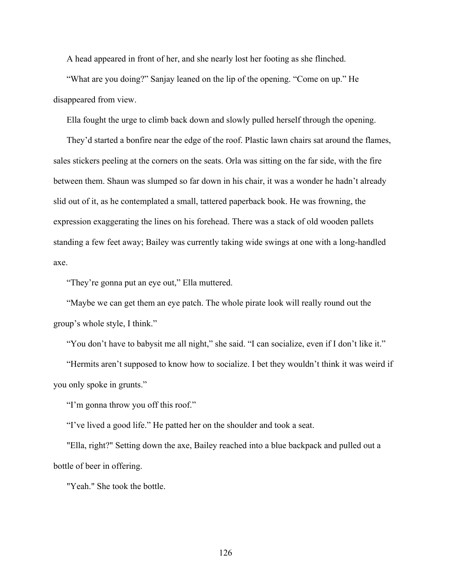A head appeared in front of her, and she nearly lost her footing as she flinched.

"What are you doing?" Sanjay leaned on the lip of the opening. "Come on up." He disappeared from view.

Ella fought the urge to climb back down and slowly pulled herself through the opening.

They'd started a bonfire near the edge of the roof. Plastic lawn chairs sat around the flames, sales stickers peeling at the corners on the seats. Orla was sitting on the far side, with the fire between them. Shaun was slumped so far down in his chair, it was a wonder he hadn't already slid out of it, as he contemplated a small, tattered paperback book. He was frowning, the expression exaggerating the lines on his forehead. There was a stack of old wooden pallets standing a few feet away; Bailey was currently taking wide swings at one with a long-handled axe.

"They're gonna put an eye out," Ella muttered.

"Maybe we can get them an eye patch. The whole pirate look will really round out the group's whole style, I think."

"You don't have to babysit me all night," she said. "I can socialize, even if I don't like it."

"Hermits aren't supposed to know how to socialize. I bet they wouldn't think it was weird if you only spoke in grunts."

"I'm gonna throw you off this roof."

"I've lived a good life." He patted her on the shoulder and took a seat.

"Ella, right?" Setting down the axe, Bailey reached into a blue backpack and pulled out a bottle of beer in offering.

"Yeah." She took the bottle.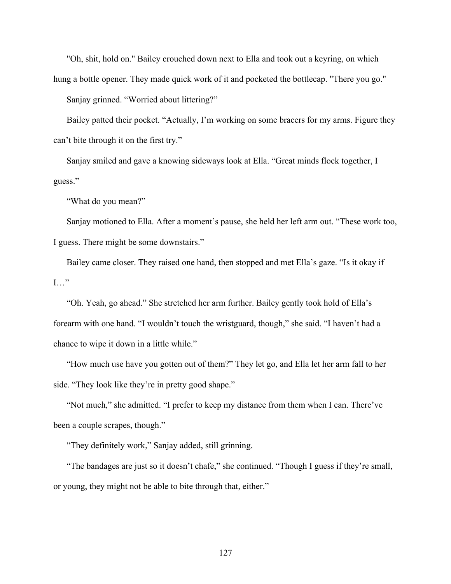"Oh, shit, hold on." Bailey crouched down next to Ella and took out a keyring, on which hung a bottle opener. They made quick work of it and pocketed the bottlecap. "There you go."

Sanjay grinned. "Worried about littering?"

Bailey patted their pocket. "Actually, I'm working on some bracers for my arms. Figure they can't bite through it on the first try."

Sanjay smiled and gave a knowing sideways look at Ella. "Great minds flock together, I guess."

"What do you mean?"

Sanjay motioned to Ella. After a moment's pause, she held her left arm out. "These work too, I guess. There might be some downstairs."

Bailey came closer. They raised one hand, then stopped and met Ella's gaze. "Is it okay if I…"

"Oh. Yeah, go ahead." She stretched her arm further. Bailey gently took hold of Ella's forearm with one hand. "I wouldn't touch the wristguard, though," she said. "I haven't had a chance to wipe it down in a little while."

"How much use have you gotten out of them?" They let go, and Ella let her arm fall to her side. "They look like they're in pretty good shape."

"Not much," she admitted. "I prefer to keep my distance from them when I can. There've been a couple scrapes, though."

"They definitely work," Sanjay added, still grinning.

"The bandages are just so it doesn't chafe," she continued. "Though I guess if they're small, or young, they might not be able to bite through that, either."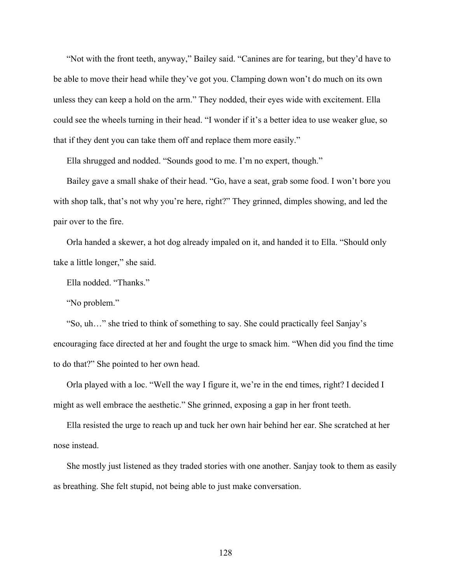"Not with the front teeth, anyway," Bailey said. "Canines are for tearing, but they'd have to be able to move their head while they've got you. Clamping down won't do much on its own unless they can keep a hold on the arm." They nodded, their eyes wide with excitement. Ella could see the wheels turning in their head. "I wonder if it's a better idea to use weaker glue, so that if they dent you can take them off and replace them more easily."

Ella shrugged and nodded. "Sounds good to me. I'm no expert, though."

Bailey gave a small shake of their head. "Go, have a seat, grab some food. I won't bore you with shop talk, that's not why you're here, right?" They grinned, dimples showing, and led the pair over to the fire.

Orla handed a skewer, a hot dog already impaled on it, and handed it to Ella. "Should only take a little longer," she said.

Ella nodded. "Thanks."

"No problem."

"So, uh…" she tried to think of something to say. She could practically feel Sanjay's encouraging face directed at her and fought the urge to smack him. "When did you find the time to do that?" She pointed to her own head.

Orla played with a loc. "Well the way I figure it, we're in the end times, right? I decided I might as well embrace the aesthetic." She grinned, exposing a gap in her front teeth.

Ella resisted the urge to reach up and tuck her own hair behind her ear. She scratched at her nose instead.

She mostly just listened as they traded stories with one another. Sanjay took to them as easily as breathing. She felt stupid, not being able to just make conversation.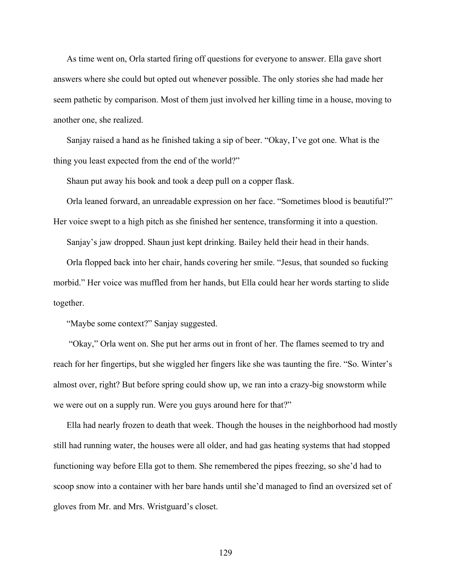As time went on, Orla started firing off questions for everyone to answer. Ella gave short answers where she could but opted out whenever possible. The only stories she had made her seem pathetic by comparison. Most of them just involved her killing time in a house, moving to another one, she realized.

Sanjay raised a hand as he finished taking a sip of beer. "Okay, I've got one. What is the thing you least expected from the end of the world?"

Shaun put away his book and took a deep pull on a copper flask.

Orla leaned forward, an unreadable expression on her face. "Sometimes blood is beautiful?" Her voice swept to a high pitch as she finished her sentence, transforming it into a question.

Sanjay's jaw dropped. Shaun just kept drinking. Bailey held their head in their hands.

Orla flopped back into her chair, hands covering her smile. "Jesus, that sounded so fucking morbid." Her voice was muffled from her hands, but Ella could hear her words starting to slide together.

"Maybe some context?" Sanjay suggested.

"Okay," Orla went on. She put her arms out in front of her. The flames seemed to try and reach for her fingertips, but she wiggled her fingers like she was taunting the fire. "So. Winter's almost over, right? But before spring could show up, we ran into a crazy-big snowstorm while we were out on a supply run. Were you guys around here for that?"

Ella had nearly frozen to death that week. Though the houses in the neighborhood had mostly still had running water, the houses were all older, and had gas heating systems that had stopped functioning way before Ella got to them. She remembered the pipes freezing, so she'd had to scoop snow into a container with her bare hands until she'd managed to find an oversized set of gloves from Mr. and Mrs. Wristguard's closet.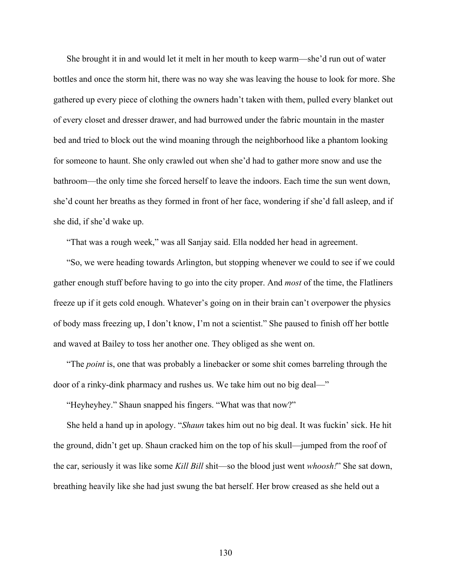She brought it in and would let it melt in her mouth to keep warm—she'd run out of water bottles and once the storm hit, there was no way she was leaving the house to look for more. She gathered up every piece of clothing the owners hadn't taken with them, pulled every blanket out of every closet and dresser drawer, and had burrowed under the fabric mountain in the master bed and tried to block out the wind moaning through the neighborhood like a phantom looking for someone to haunt. She only crawled out when she'd had to gather more snow and use the bathroom—the only time she forced herself to leave the indoors. Each time the sun went down, she'd count her breaths as they formed in front of her face, wondering if she'd fall asleep, and if she did, if she'd wake up.

"That was a rough week," was all Sanjay said. Ella nodded her head in agreement.

"So, we were heading towards Arlington, but stopping whenever we could to see if we could gather enough stuff before having to go into the city proper. And *most* of the time, the Flatliners freeze up if it gets cold enough. Whatever's going on in their brain can't overpower the physics of body mass freezing up, I don't know, I'm not a scientist." She paused to finish off her bottle and waved at Bailey to toss her another one. They obliged as she went on.

"The *point* is, one that was probably a linebacker or some shit comes barreling through the door of a rinky-dink pharmacy and rushes us. We take him out no big deal—"

"Heyheyhey." Shaun snapped his fingers. "What was that now?"

She held a hand up in apology. "*Shaun* takes him out no big deal. It was fuckin' sick. He hit the ground, didn't get up. Shaun cracked him on the top of his skull—jumped from the roof of the car, seriously it was like some *Kill Bill* shit—so the blood just went *whoosh!*" She sat down, breathing heavily like she had just swung the bat herself. Her brow creased as she held out a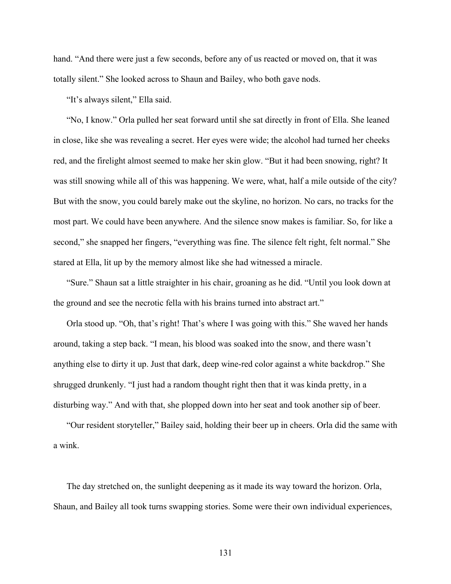hand. "And there were just a few seconds, before any of us reacted or moved on, that it was totally silent." She looked across to Shaun and Bailey, who both gave nods.

"It's always silent," Ella said.

"No, I know." Orla pulled her seat forward until she sat directly in front of Ella. She leaned in close, like she was revealing a secret. Her eyes were wide; the alcohol had turned her cheeks red, and the firelight almost seemed to make her skin glow. "But it had been snowing, right? It was still snowing while all of this was happening. We were, what, half a mile outside of the city? But with the snow, you could barely make out the skyline, no horizon. No cars, no tracks for the most part. We could have been anywhere. And the silence snow makes is familiar. So, for like a second," she snapped her fingers, "everything was fine. The silence felt right, felt normal." She stared at Ella, lit up by the memory almost like she had witnessed a miracle.

"Sure." Shaun sat a little straighter in his chair, groaning as he did. "Until you look down at the ground and see the necrotic fella with his brains turned into abstract art."

Orla stood up. "Oh, that's right! That's where I was going with this." She waved her hands around, taking a step back. "I mean, his blood was soaked into the snow, and there wasn't anything else to dirty it up. Just that dark, deep wine-red color against a white backdrop." She shrugged drunkenly. "I just had a random thought right then that it was kinda pretty, in a disturbing way." And with that, she plopped down into her seat and took another sip of beer.

"Our resident storyteller," Bailey said, holding their beer up in cheers. Orla did the same with a wink.

The day stretched on, the sunlight deepening as it made its way toward the horizon. Orla, Shaun, and Bailey all took turns swapping stories. Some were their own individual experiences,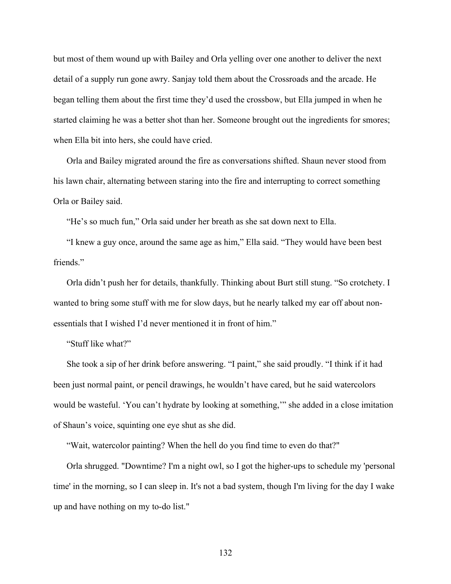but most of them wound up with Bailey and Orla yelling over one another to deliver the next detail of a supply run gone awry. Sanjay told them about the Crossroads and the arcade. He began telling them about the first time they'd used the crossbow, but Ella jumped in when he started claiming he was a better shot than her. Someone brought out the ingredients for smores; when Ella bit into hers, she could have cried.

Orla and Bailey migrated around the fire as conversations shifted. Shaun never stood from his lawn chair, alternating between staring into the fire and interrupting to correct something Orla or Bailey said.

"He's so much fun," Orla said under her breath as she sat down next to Ella.

"I knew a guy once, around the same age as him," Ella said. "They would have been best friends."

Orla didn't push her for details, thankfully. Thinking about Burt still stung. "So crotchety. I wanted to bring some stuff with me for slow days, but he nearly talked my ear off about nonessentials that I wished I'd never mentioned it in front of him."

"Stuff like what?"

She took a sip of her drink before answering. "I paint," she said proudly. "I think if it had been just normal paint, or pencil drawings, he wouldn't have cared, but he said watercolors would be wasteful. 'You can't hydrate by looking at something,'" she added in a close imitation of Shaun's voice, squinting one eye shut as she did.

"Wait, watercolor painting? When the hell do you find time to even do that?"

Orla shrugged. "Downtime? I'm a night owl, so I got the higher-ups to schedule my 'personal time' in the morning, so I can sleep in. It's not a bad system, though I'm living for the day I wake up and have nothing on my to-do list."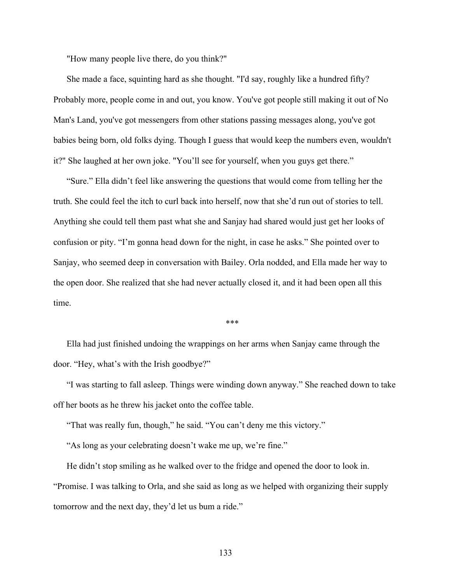"How many people live there, do you think?"

She made a face, squinting hard as she thought. "I'd say, roughly like a hundred fifty? Probably more, people come in and out, you know. You've got people still making it out of No Man's Land, you've got messengers from other stations passing messages along, you've got babies being born, old folks dying. Though I guess that would keep the numbers even, wouldn't it?" She laughed at her own joke. "You'll see for yourself, when you guys get there."

"Sure." Ella didn't feel like answering the questions that would come from telling her the truth. She could feel the itch to curl back into herself, now that she'd run out of stories to tell. Anything she could tell them past what she and Sanjay had shared would just get her looks of confusion or pity. "I'm gonna head down for the night, in case he asks." She pointed over to Sanjay, who seemed deep in conversation with Bailey. Orla nodded, and Ella made her way to the open door. She realized that she had never actually closed it, and it had been open all this time.

\*\*\*

Ella had just finished undoing the wrappings on her arms when Sanjay came through the door. "Hey, what's with the Irish goodbye?"

"I was starting to fall asleep. Things were winding down anyway." She reached down to take off her boots as he threw his jacket onto the coffee table.

"That was really fun, though," he said. "You can't deny me this victory."

"As long as your celebrating doesn't wake me up, we're fine."

He didn't stop smiling as he walked over to the fridge and opened the door to look in. "Promise. I was talking to Orla, and she said as long as we helped with organizing their supply tomorrow and the next day, they'd let us bum a ride."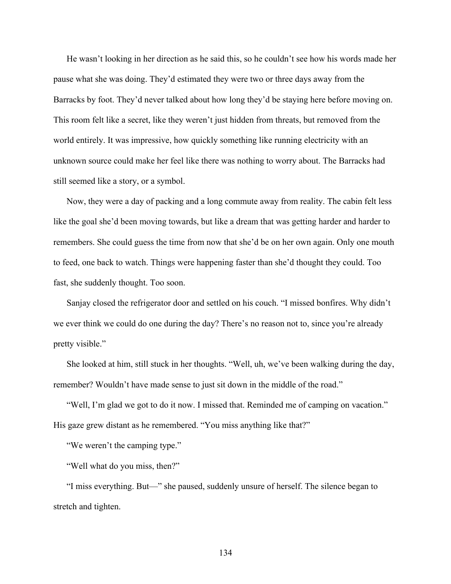He wasn't looking in her direction as he said this, so he couldn't see how his words made her pause what she was doing. They'd estimated they were two or three days away from the Barracks by foot. They'd never talked about how long they'd be staying here before moving on. This room felt like a secret, like they weren't just hidden from threats, but removed from the world entirely. It was impressive, how quickly something like running electricity with an unknown source could make her feel like there was nothing to worry about. The Barracks had still seemed like a story, or a symbol.

Now, they were a day of packing and a long commute away from reality. The cabin felt less like the goal she'd been moving towards, but like a dream that was getting harder and harder to remembers. She could guess the time from now that she'd be on her own again. Only one mouth to feed, one back to watch. Things were happening faster than she'd thought they could. Too fast, she suddenly thought. Too soon.

Sanjay closed the refrigerator door and settled on his couch. "I missed bonfires. Why didn't we ever think we could do one during the day? There's no reason not to, since you're already pretty visible."

She looked at him, still stuck in her thoughts. "Well, uh, we've been walking during the day, remember? Wouldn't have made sense to just sit down in the middle of the road."

"Well, I'm glad we got to do it now. I missed that. Reminded me of camping on vacation." His gaze grew distant as he remembered. "You miss anything like that?"

"We weren't the camping type."

"Well what do you miss, then?"

"I miss everything. But—" she paused, suddenly unsure of herself. The silence began to stretch and tighten.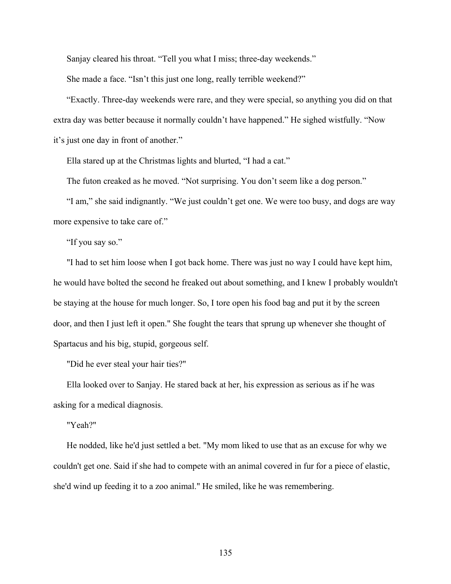Sanjay cleared his throat. "Tell you what I miss; three-day weekends."

She made a face. "Isn't this just one long, really terrible weekend?"

"Exactly. Three-day weekends were rare, and they were special, so anything you did on that extra day was better because it normally couldn't have happened." He sighed wistfully. "Now it's just one day in front of another."

Ella stared up at the Christmas lights and blurted, "I had a cat."

The futon creaked as he moved. "Not surprising. You don't seem like a dog person."

"I am," she said indignantly. "We just couldn't get one. We were too busy, and dogs are way more expensive to take care of."

"If you say so."

"I had to set him loose when I got back home. There was just no way I could have kept him, he would have bolted the second he freaked out about something, and I knew I probably wouldn't be staying at the house for much longer. So, I tore open his food bag and put it by the screen door, and then I just left it open." She fought the tears that sprung up whenever she thought of Spartacus and his big, stupid, gorgeous self.

"Did he ever steal your hair ties?"

Ella looked over to Sanjay. He stared back at her, his expression as serious as if he was asking for a medical diagnosis.

"Yeah?"

He nodded, like he'd just settled a bet. "My mom liked to use that as an excuse for why we couldn't get one. Said if she had to compete with an animal covered in fur for a piece of elastic, she'd wind up feeding it to a zoo animal." He smiled, like he was remembering.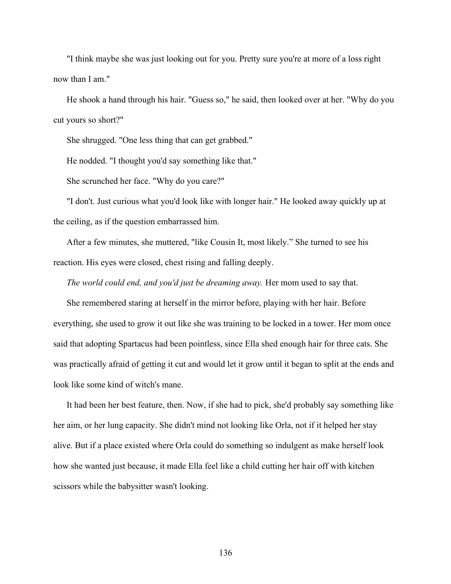"I think maybe she was just looking out for you. Pretty sure you're at more of a loss right now than I am."

He shook a hand through his hair. "Guess so," he said, then looked over at her. "Why do you cut yours so short?"

She shrugged. "One less thing that can get grabbed."

He nodded. "I thought you'd say something like that."

She scrunched her face. "Why do you care?"

"I don't. Just curious what you'd look like with longer hair." He looked away quickly up at the ceiling, as if the question embarrassed him.

After a few minutes, she muttered, "like Cousin It, most likely." She turned to see his reaction. His eyes were closed, chest rising and falling deeply.

*The world could end, and you'd just be dreaming away.* Her mom used to say that.

She remembered staring at herself in the mirror before, playing with her hair. Before everything, she used to grow it out like she was training to be locked in a tower. Her mom once said that adopting Spartacus had been pointless, since Ella shed enough hair for three cats. She was practically afraid of getting it cut and would let it grow until it began to split at the ends and look like some kind of witch's mane.

It had been her best feature, then. Now, if she had to pick, she'd probably say something like her aim, or her lung capacity. She didn't mind not looking like Orla, not if it helped her stay alive. But if a place existed where Orla could do something so indulgent as make herself look how she wanted just because, it made Ella feel like a child cutting her hair off with kitchen scissors while the babysitter wasn't looking.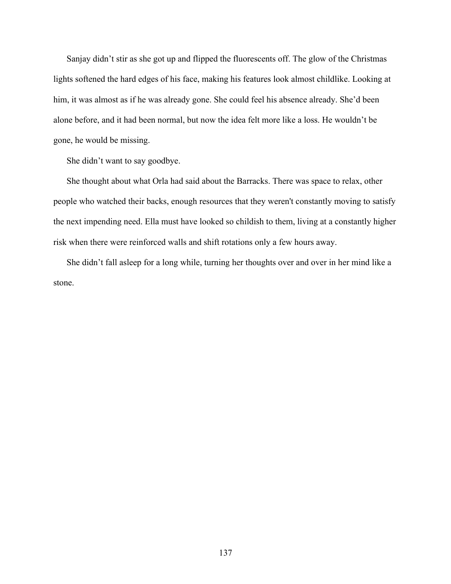Sanjay didn't stir as she got up and flipped the fluorescents off. The glow of the Christmas lights softened the hard edges of his face, making his features look almost childlike. Looking at him, it was almost as if he was already gone. She could feel his absence already. She'd been alone before, and it had been normal, but now the idea felt more like a loss. He wouldn't be gone, he would be missing.

She didn't want to say goodbye.

She thought about what Orla had said about the Barracks. There was space to relax, other people who watched their backs, enough resources that they weren't constantly moving to satisfy the next impending need. Ella must have looked so childish to them, living at a constantly higher risk when there were reinforced walls and shift rotations only a few hours away.

She didn't fall asleep for a long while, turning her thoughts over and over in her mind like a stone.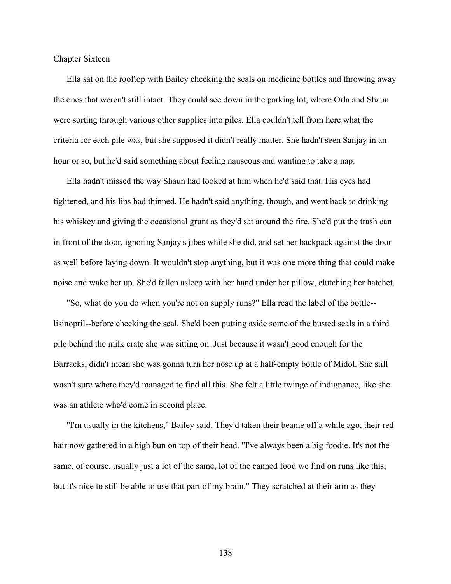Chapter Sixteen

Ella sat on the rooftop with Bailey checking the seals on medicine bottles and throwing away the ones that weren't still intact. They could see down in the parking lot, where Orla and Shaun were sorting through various other supplies into piles. Ella couldn't tell from here what the criteria for each pile was, but she supposed it didn't really matter. She hadn't seen Sanjay in an hour or so, but he'd said something about feeling nauseous and wanting to take a nap.

Ella hadn't missed the way Shaun had looked at him when he'd said that. His eyes had tightened, and his lips had thinned. He hadn't said anything, though, and went back to drinking his whiskey and giving the occasional grunt as they'd sat around the fire. She'd put the trash can in front of the door, ignoring Sanjay's jibes while she did, and set her backpack against the door as well before laying down. It wouldn't stop anything, but it was one more thing that could make noise and wake her up. She'd fallen asleep with her hand under her pillow, clutching her hatchet.

"So, what do you do when you're not on supply runs?" Ella read the label of the bottle- lisinopril--before checking the seal. She'd been putting aside some of the busted seals in a third pile behind the milk crate she was sitting on. Just because it wasn't good enough for the Barracks, didn't mean she was gonna turn her nose up at a half-empty bottle of Midol. She still wasn't sure where they'd managed to find all this. She felt a little twinge of indignance, like she was an athlete who'd come in second place.

"I'm usually in the kitchens," Bailey said. They'd taken their beanie off a while ago, their red hair now gathered in a high bun on top of their head. "I've always been a big foodie. It's not the same, of course, usually just a lot of the same, lot of the canned food we find on runs like this, but it's nice to still be able to use that part of my brain." They scratched at their arm as they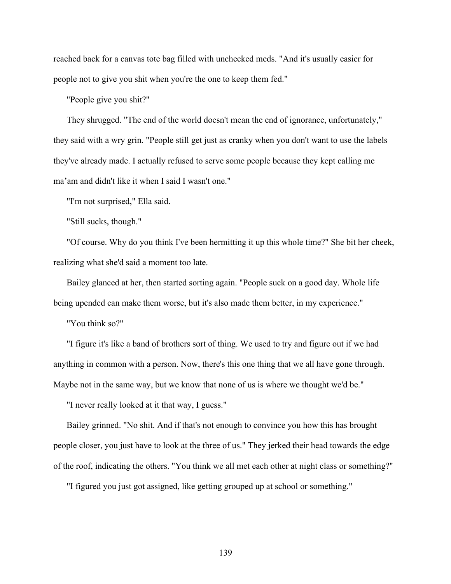reached back for a canvas tote bag filled with unchecked meds. "And it's usually easier for people not to give you shit when you're the one to keep them fed."

"People give you shit?"

They shrugged. "The end of the world doesn't mean the end of ignorance, unfortunately," they said with a wry grin. "People still get just as cranky when you don't want to use the labels they've already made. I actually refused to serve some people because they kept calling me ma'am and didn't like it when I said I wasn't one."

"I'm not surprised," Ella said.

"Still sucks, though."

"Of course. Why do you think I've been hermitting it up this whole time?" She bit her cheek, realizing what she'd said a moment too late.

Bailey glanced at her, then started sorting again. "People suck on a good day. Whole life being upended can make them worse, but it's also made them better, in my experience."

"You think so?"

"I figure it's like a band of brothers sort of thing. We used to try and figure out if we had anything in common with a person. Now, there's this one thing that we all have gone through. Maybe not in the same way, but we know that none of us is where we thought we'd be."

"I never really looked at it that way, I guess."

Bailey grinned. "No shit. And if that's not enough to convince you how this has brought people closer, you just have to look at the three of us." They jerked their head towards the edge of the roof, indicating the others. "You think we all met each other at night class or something?"

"I figured you just got assigned, like getting grouped up at school or something."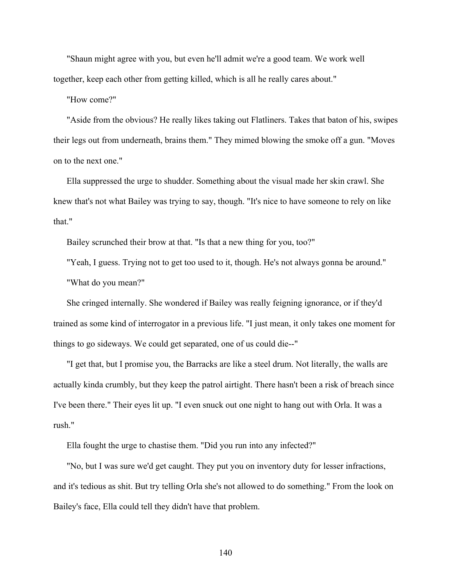"Shaun might agree with you, but even he'll admit we're a good team. We work well together, keep each other from getting killed, which is all he really cares about."

"How come?"

"Aside from the obvious? He really likes taking out Flatliners. Takes that baton of his, swipes their legs out from underneath, brains them." They mimed blowing the smoke off a gun. "Moves on to the next one."

Ella suppressed the urge to shudder. Something about the visual made her skin crawl. She knew that's not what Bailey was trying to say, though. "It's nice to have someone to rely on like that."

Bailey scrunched their brow at that. "Is that a new thing for you, too?"

"Yeah, I guess. Trying not to get too used to it, though. He's not always gonna be around." "What do you mean?"

She cringed internally. She wondered if Bailey was really feigning ignorance, or if they'd trained as some kind of interrogator in a previous life. "I just mean, it only takes one moment for things to go sideways. We could get separated, one of us could die--"

"I get that, but I promise you, the Barracks are like a steel drum. Not literally, the walls are actually kinda crumbly, but they keep the patrol airtight. There hasn't been a risk of breach since I've been there." Their eyes lit up. "I even snuck out one night to hang out with Orla. It was a rush."

Ella fought the urge to chastise them. "Did you run into any infected?"

"No, but I was sure we'd get caught. They put you on inventory duty for lesser infractions, and it's tedious as shit. But try telling Orla she's not allowed to do something." From the look on Bailey's face, Ella could tell they didn't have that problem.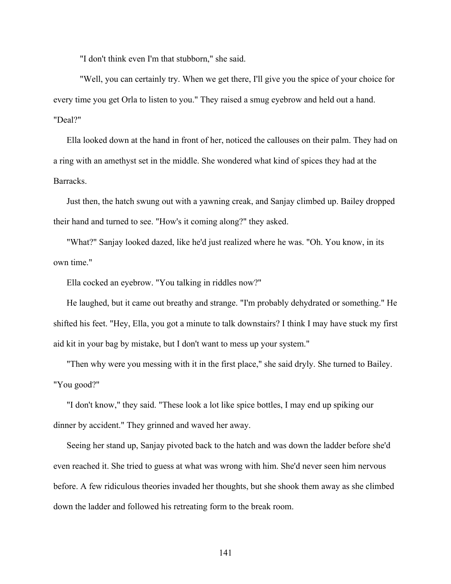"I don't think even I'm that stubborn," she said.

"Well, you can certainly try. When we get there, I'll give you the spice of your choice for every time you get Orla to listen to you." They raised a smug eyebrow and held out a hand. "Deal?"

Ella looked down at the hand in front of her, noticed the callouses on their palm. They had on a ring with an amethyst set in the middle. She wondered what kind of spices they had at the Barracks.

Just then, the hatch swung out with a yawning creak, and Sanjay climbed up. Bailey dropped their hand and turned to see. "How's it coming along?" they asked.

"What?" Sanjay looked dazed, like he'd just realized where he was. "Oh. You know, in its own time."

Ella cocked an eyebrow. "You talking in riddles now?"

He laughed, but it came out breathy and strange. "I'm probably dehydrated or something." He shifted his feet. "Hey, Ella, you got a minute to talk downstairs? I think I may have stuck my first aid kit in your bag by mistake, but I don't want to mess up your system."

"Then why were you messing with it in the first place," she said dryly. She turned to Bailey. "You good?"

"I don't know," they said. "These look a lot like spice bottles, I may end up spiking our dinner by accident." They grinned and waved her away.

Seeing her stand up, Sanjay pivoted back to the hatch and was down the ladder before she'd even reached it. She tried to guess at what was wrong with him. She'd never seen him nervous before. A few ridiculous theories invaded her thoughts, but she shook them away as she climbed down the ladder and followed his retreating form to the break room.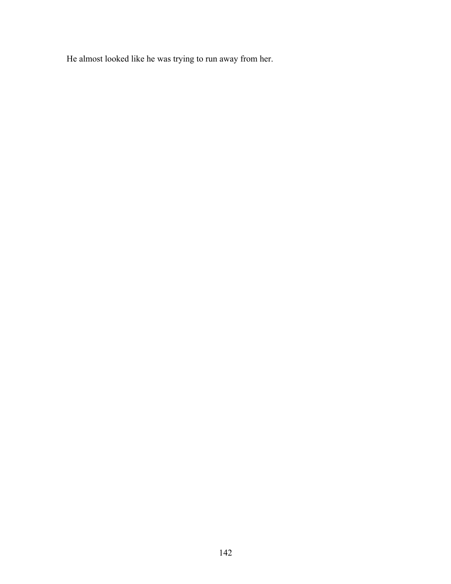He almost looked like he was trying to run away from her.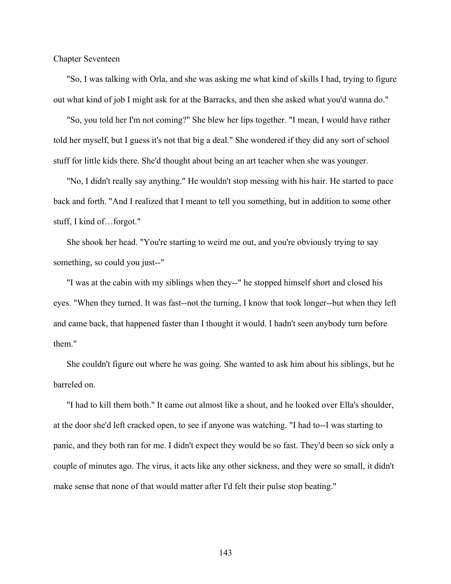Chapter Seventeen

"So, I was talking with Orla, and she was asking me what kind of skills I had, trying to figure out what kind of job I might ask for at the Barracks, and then she asked what you'd wanna do."

"So, you told her I'm not coming?" She blew her lips together. "I mean, I would have rather told her myself, but I guess it's not that big a deal." She wondered if they did any sort of school stuff for little kids there. She'd thought about being an art teacher when she was younger.

"No, I didn't really say anything." He wouldn't stop messing with his hair. He started to pace back and forth. "And I realized that I meant to tell you something, but in addition to some other stuff, I kind of…forgot."

She shook her head. "You're starting to weird me out, and you're obviously trying to say something, so could you just--"

"I was at the cabin with my siblings when they--" he stopped himself short and closed his eyes. "When they turned. It was fast--not the turning, I know that took longer--but when they left and came back, that happened faster than I thought it would. I hadn't seen anybody turn before them."

She couldn't figure out where he was going. She wanted to ask him about his siblings, but he barreled on.

"I had to kill them both." It came out almost like a shout, and he looked over Ella's shoulder, at the door she'd left cracked open, to see if anyone was watching. "I had to--I was starting to panic, and they both ran for me. I didn't expect they would be so fast. They'd been so sick only a couple of minutes ago. The virus, it acts like any other sickness, and they were so small, it didn't make sense that none of that would matter after I'd felt their pulse stop beating."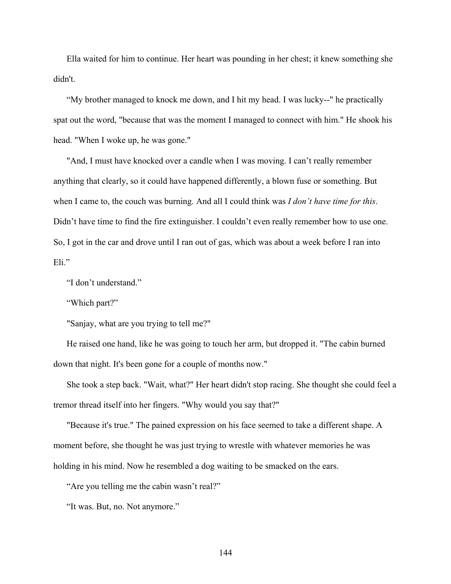Ella waited for him to continue. Her heart was pounding in her chest; it knew something she didn't.

"My brother managed to knock me down, and I hit my head. I was lucky--" he practically spat out the word, "because that was the moment I managed to connect with him." He shook his head. "When I woke up, he was gone."

"And, I must have knocked over a candle when I was moving. I can't really remember anything that clearly, so it could have happened differently, a blown fuse or something. But when I came to, the couch was burning. And all I could think was *I don't have time for this*. Didn't have time to find the fire extinguisher. I couldn't even really remember how to use one. So, I got in the car and drove until I ran out of gas, which was about a week before I ran into Eli."

"I don't understand."

"Which part?"

"Sanjay, what are you trying to tell me?"

He raised one hand, like he was going to touch her arm, but dropped it. "The cabin burned down that night. It's been gone for a couple of months now."

She took a step back. "Wait, what?" Her heart didn't stop racing. She thought she could feel a tremor thread itself into her fingers. "Why would you say that?"

"Because it's true." The pained expression on his face seemed to take a different shape. A moment before, she thought he was just trying to wrestle with whatever memories he was holding in his mind. Now he resembled a dog waiting to be smacked on the ears.

"Are you telling me the cabin wasn't real?"

"It was. But, no. Not anymore."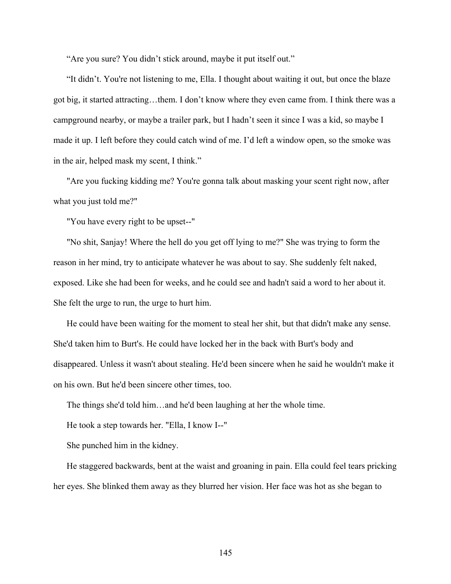"Are you sure? You didn't stick around, maybe it put itself out."

"It didn't. You're not listening to me, Ella. I thought about waiting it out, but once the blaze got big, it started attracting…them. I don't know where they even came from. I think there was a campground nearby, or maybe a trailer park, but I hadn't seen it since I was a kid, so maybe I made it up. I left before they could catch wind of me. I'd left a window open, so the smoke was in the air, helped mask my scent, I think."

"Are you fucking kidding me? You're gonna talk about masking your scent right now, after what you just told me?"

"You have every right to be upset--"

"No shit, Sanjay! Where the hell do you get off lying to me?" She was trying to form the reason in her mind, try to anticipate whatever he was about to say. She suddenly felt naked, exposed. Like she had been for weeks, and he could see and hadn't said a word to her about it. She felt the urge to run, the urge to hurt him.

He could have been waiting for the moment to steal her shit, but that didn't make any sense. She'd taken him to Burt's. He could have locked her in the back with Burt's body and disappeared. Unless it wasn't about stealing. He'd been sincere when he said he wouldn't make it on his own. But he'd been sincere other times, too.

The things she'd told him…and he'd been laughing at her the whole time.

He took a step towards her. "Ella, I know I--"

She punched him in the kidney.

He staggered backwards, bent at the waist and groaning in pain. Ella could feel tears pricking her eyes. She blinked them away as they blurred her vision. Her face was hot as she began to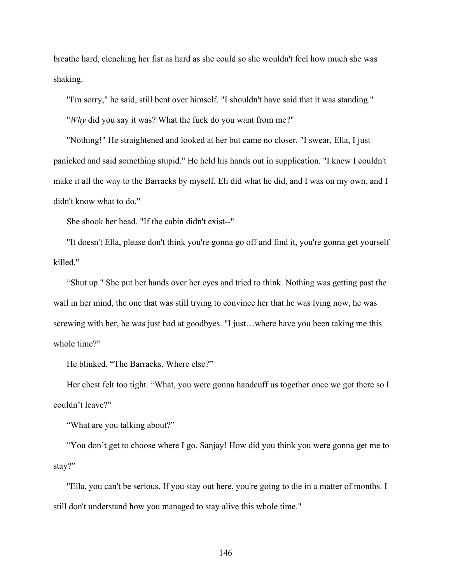breathe hard, clenching her fist as hard as she could so she wouldn't feel how much she was shaking.

"I'm sorry," he said, still bent over himself. "I shouldn't have said that it was standing."

"*Why* did you say it was? What the fuck do you want from me?"

"Nothing!" He straightened and looked at her but came no closer. "I swear, Ella, I just panicked and said something stupid." He held his hands out in supplication. "I knew I couldn't make it all the way to the Barracks by myself. Eli did what he did, and I was on my own, and I didn't know what to do."

She shook her head. "If the cabin didn't exist--"

"It doesn't Ella, please don't think you're gonna go off and find it, you're gonna get yourself killed."

"Shut up." She put her hands over her eyes and tried to think. Nothing was getting past the wall in her mind, the one that was still trying to convince her that he was lying now, he was screwing with her, he was just bad at goodbyes. "I just…where have you been taking me this whole time?"

He blinked. "The Barracks. Where else?"

Her chest felt too tight. "What, you were gonna handcuff us together once we got there so I couldn't leave?"

"What are you talking about?"

"You don't get to choose where I go, Sanjay! How did you think you were gonna get me to stay?"

"Ella, you can't be serious. If you stay out here, you're going to die in a matter of months. I still don't understand how you managed to stay alive this whole time."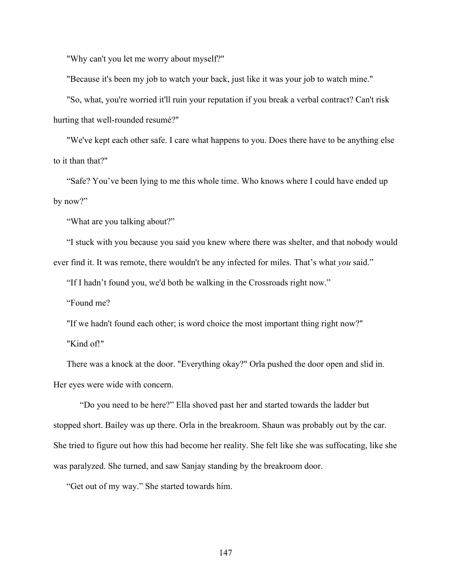"Why can't you let me worry about myself?"

"Because it's been my job to watch your back, just like it was your job to watch mine."

"So, what, you're worried it'll ruin your reputation if you break a verbal contract? Can't risk hurting that well-rounded resumé?"

"We've kept each other safe. I care what happens to you. Does there have to be anything else to it than that?"

"Safe? You've been lying to me this whole time. Who knows where I could have ended up by now?"

"What are you talking about?"

"I stuck with you because you said you knew where there was shelter, and that nobody would ever find it. It was remote, there wouldn't be any infected for miles. That's what *you* said."

"If I hadn't found you, we'd both be walking in the Crossroads right now."

"Found me?

"If we hadn't found each other; is word choice the most important thing right now?" "Kind of!"

There was a knock at the door. "Everything okay?" Orla pushed the door open and slid in. Her eyes were wide with concern.

"Do you need to be here?" Ella shoved past her and started towards the ladder but stopped short. Bailey was up there. Orla in the breakroom. Shaun was probably out by the car. She tried to figure out how this had become her reality. She felt like she was suffocating, like she was paralyzed. She turned, and saw Sanjay standing by the breakroom door.

"Get out of my way." She started towards him.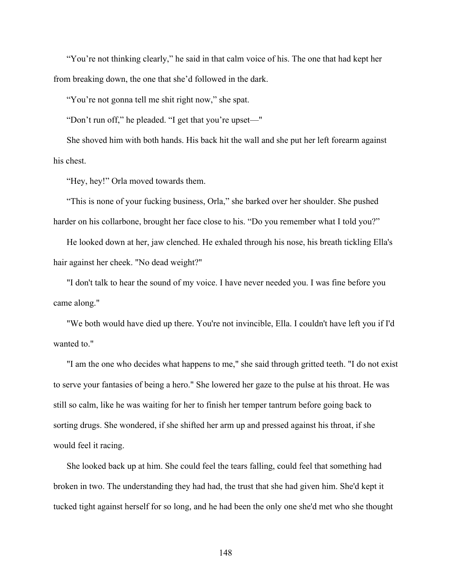"You're not thinking clearly," he said in that calm voice of his. The one that had kept her from breaking down, the one that she'd followed in the dark.

"You're not gonna tell me shit right now," she spat.

"Don't run off," he pleaded. "I get that you're upset—"

She shoved him with both hands. His back hit the wall and she put her left forearm against his chest.

"Hey, hey!" Orla moved towards them.

"This is none of your fucking business, Orla," she barked over her shoulder. She pushed harder on his collarbone, brought her face close to his. "Do you remember what I told you?"

He looked down at her, jaw clenched. He exhaled through his nose, his breath tickling Ella's hair against her cheek. "No dead weight?"

"I don't talk to hear the sound of my voice. I have never needed you. I was fine before you came along."

"We both would have died up there. You're not invincible, Ella. I couldn't have left you if I'd wanted to."

"I am the one who decides what happens to me," she said through gritted teeth. "I do not exist to serve your fantasies of being a hero." She lowered her gaze to the pulse at his throat. He was still so calm, like he was waiting for her to finish her temper tantrum before going back to sorting drugs. She wondered, if she shifted her arm up and pressed against his throat, if she would feel it racing.

She looked back up at him. She could feel the tears falling, could feel that something had broken in two. The understanding they had had, the trust that she had given him. She'd kept it tucked tight against herself for so long, and he had been the only one she'd met who she thought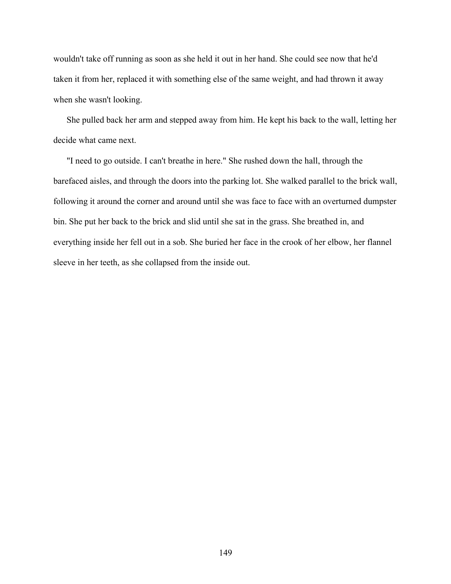wouldn't take off running as soon as she held it out in her hand. She could see now that he'd taken it from her, replaced it with something else of the same weight, and had thrown it away when she wasn't looking.

She pulled back her arm and stepped away from him. He kept his back to the wall, letting her decide what came next.

"I need to go outside. I can't breathe in here." She rushed down the hall, through the barefaced aisles, and through the doors into the parking lot. She walked parallel to the brick wall, following it around the corner and around until she was face to face with an overturned dumpster bin. She put her back to the brick and slid until she sat in the grass. She breathed in, and everything inside her fell out in a sob. She buried her face in the crook of her elbow, her flannel sleeve in her teeth, as she collapsed from the inside out.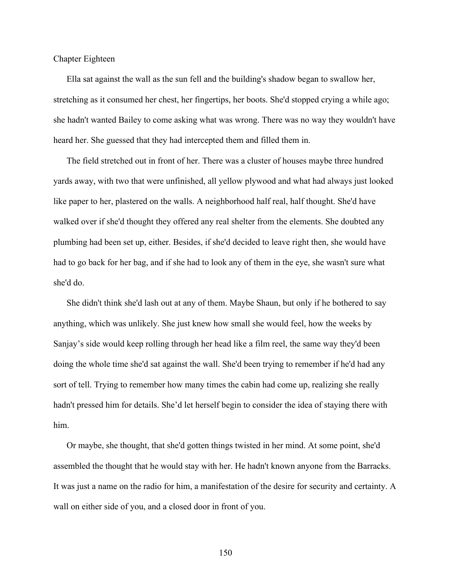Chapter Eighteen

Ella sat against the wall as the sun fell and the building's shadow began to swallow her, stretching as it consumed her chest, her fingertips, her boots. She'd stopped crying a while ago; she hadn't wanted Bailey to come asking what was wrong. There was no way they wouldn't have heard her. She guessed that they had intercepted them and filled them in.

The field stretched out in front of her. There was a cluster of houses maybe three hundred yards away, with two that were unfinished, all yellow plywood and what had always just looked like paper to her, plastered on the walls. A neighborhood half real, half thought. She'd have walked over if she'd thought they offered any real shelter from the elements. She doubted any plumbing had been set up, either. Besides, if she'd decided to leave right then, she would have had to go back for her bag, and if she had to look any of them in the eye, she wasn't sure what she'd do.

She didn't think she'd lash out at any of them. Maybe Shaun, but only if he bothered to say anything, which was unlikely. She just knew how small she would feel, how the weeks by Sanjay's side would keep rolling through her head like a film reel, the same way they'd been doing the whole time she'd sat against the wall. She'd been trying to remember if he'd had any sort of tell. Trying to remember how many times the cabin had come up, realizing she really hadn't pressed him for details. She'd let herself begin to consider the idea of staying there with him.

Or maybe, she thought, that she'd gotten things twisted in her mind. At some point, she'd assembled the thought that he would stay with her. He hadn't known anyone from the Barracks. It was just a name on the radio for him, a manifestation of the desire for security and certainty. A wall on either side of you, and a closed door in front of you.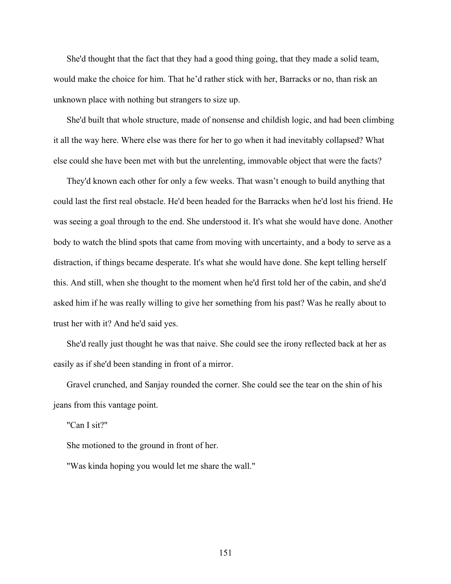She'd thought that the fact that they had a good thing going, that they made a solid team, would make the choice for him. That he'd rather stick with her, Barracks or no, than risk an unknown place with nothing but strangers to size up.

She'd built that whole structure, made of nonsense and childish logic, and had been climbing it all the way here. Where else was there for her to go when it had inevitably collapsed? What else could she have been met with but the unrelenting, immovable object that were the facts?

They'd known each other for only a few weeks. That wasn't enough to build anything that could last the first real obstacle. He'd been headed for the Barracks when he'd lost his friend. He was seeing a goal through to the end. She understood it. It's what she would have done. Another body to watch the blind spots that came from moving with uncertainty, and a body to serve as a distraction, if things became desperate. It's what she would have done. She kept telling herself this. And still, when she thought to the moment when he'd first told her of the cabin, and she'd asked him if he was really willing to give her something from his past? Was he really about to trust her with it? And he'd said yes.

She'd really just thought he was that naive. She could see the irony reflected back at her as easily as if she'd been standing in front of a mirror.

Gravel crunched, and Sanjay rounded the corner. She could see the tear on the shin of his jeans from this vantage point.

"Can I sit?"

She motioned to the ground in front of her.

"Was kinda hoping you would let me share the wall."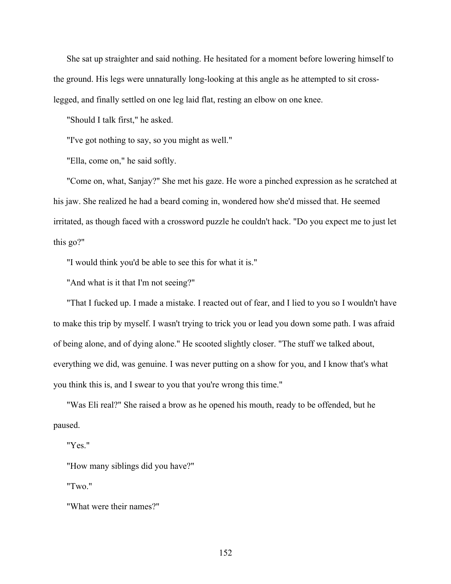She sat up straighter and said nothing. He hesitated for a moment before lowering himself to the ground. His legs were unnaturally long-looking at this angle as he attempted to sit crosslegged, and finally settled on one leg laid flat, resting an elbow on one knee.

"Should I talk first," he asked.

"I've got nothing to say, so you might as well."

"Ella, come on," he said softly.

"Come on, what, Sanjay?" She met his gaze. He wore a pinched expression as he scratched at his jaw. She realized he had a beard coming in, wondered how she'd missed that. He seemed irritated, as though faced with a crossword puzzle he couldn't hack. "Do you expect me to just let this go?"

"I would think you'd be able to see this for what it is."

"And what is it that I'm not seeing?"

"That I fucked up. I made a mistake. I reacted out of fear, and I lied to you so I wouldn't have to make this trip by myself. I wasn't trying to trick you or lead you down some path. I was afraid of being alone, and of dying alone." He scooted slightly closer. "The stuff we talked about, everything we did, was genuine. I was never putting on a show for you, and I know that's what you think this is, and I swear to you that you're wrong this time."

"Was Eli real?" She raised a brow as he opened his mouth, ready to be offended, but he paused.

"Yes."

"How many siblings did you have?"

"Two."

"What were their names?"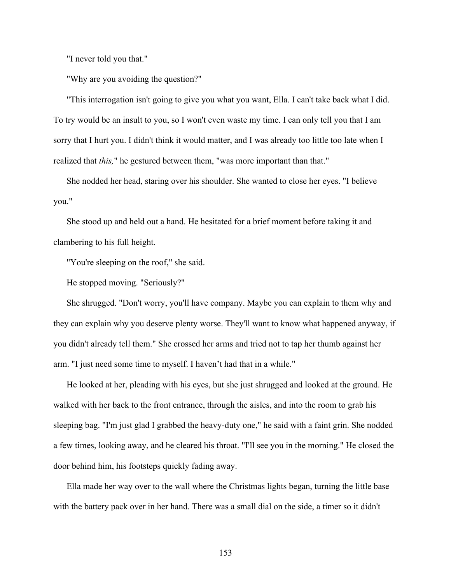"I never told you that."

"Why are you avoiding the question?"

"This interrogation isn't going to give you what you want, Ella. I can't take back what I did. To try would be an insult to you, so I won't even waste my time. I can only tell you that I am sorry that I hurt you. I didn't think it would matter, and I was already too little too late when I realized that *this,*" he gestured between them, "was more important than that."

She nodded her head, staring over his shoulder. She wanted to close her eyes. "I believe you."

She stood up and held out a hand. He hesitated for a brief moment before taking it and clambering to his full height.

"You're sleeping on the roof," she said.

He stopped moving. "Seriously?"

She shrugged. "Don't worry, you'll have company. Maybe you can explain to them why and they can explain why you deserve plenty worse. They'll want to know what happened anyway, if you didn't already tell them." She crossed her arms and tried not to tap her thumb against her arm. "I just need some time to myself. I haven't had that in a while."

He looked at her, pleading with his eyes, but she just shrugged and looked at the ground. He walked with her back to the front entrance, through the aisles, and into the room to grab his sleeping bag. "I'm just glad I grabbed the heavy-duty one," he said with a faint grin. She nodded a few times, looking away, and he cleared his throat. "I'll see you in the morning." He closed the door behind him, his footsteps quickly fading away.

Ella made her way over to the wall where the Christmas lights began, turning the little base with the battery pack over in her hand. There was a small dial on the side, a timer so it didn't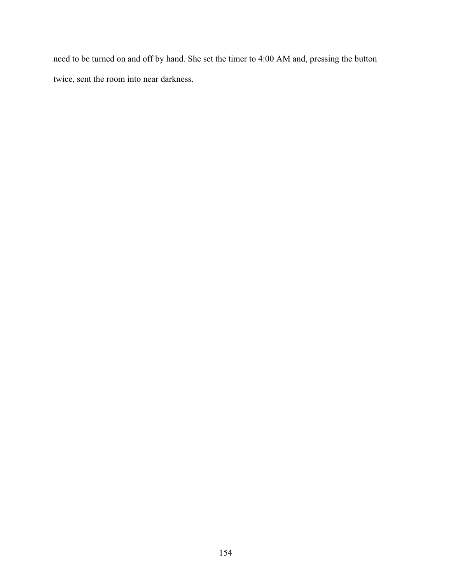need to be turned on and off by hand. She set the timer to 4:00 AM and, pressing the button twice, sent the room into near darkness.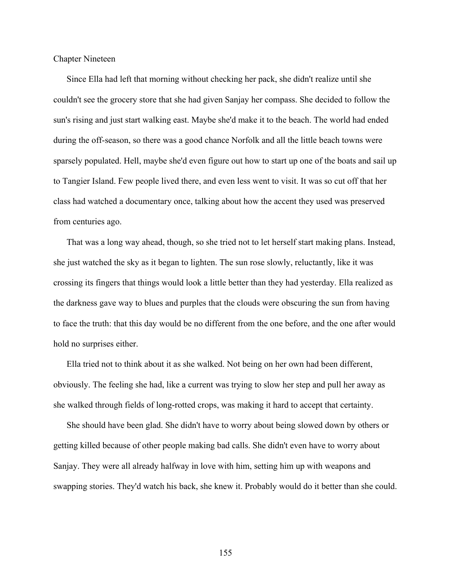Chapter Nineteen

Since Ella had left that morning without checking her pack, she didn't realize until she couldn't see the grocery store that she had given Sanjay her compass. She decided to follow the sun's rising and just start walking east. Maybe she'd make it to the beach. The world had ended during the off-season, so there was a good chance Norfolk and all the little beach towns were sparsely populated. Hell, maybe she'd even figure out how to start up one of the boats and sail up to Tangier Island. Few people lived there, and even less went to visit. It was so cut off that her class had watched a documentary once, talking about how the accent they used was preserved from centuries ago.

That was a long way ahead, though, so she tried not to let herself start making plans. Instead, she just watched the sky as it began to lighten. The sun rose slowly, reluctantly, like it was crossing its fingers that things would look a little better than they had yesterday. Ella realized as the darkness gave way to blues and purples that the clouds were obscuring the sun from having to face the truth: that this day would be no different from the one before, and the one after would hold no surprises either.

Ella tried not to think about it as she walked. Not being on her own had been different, obviously. The feeling she had, like a current was trying to slow her step and pull her away as she walked through fields of long-rotted crops, was making it hard to accept that certainty.

She should have been glad. She didn't have to worry about being slowed down by others or getting killed because of other people making bad calls. She didn't even have to worry about Sanjay. They were all already halfway in love with him, setting him up with weapons and swapping stories. They'd watch his back, she knew it. Probably would do it better than she could.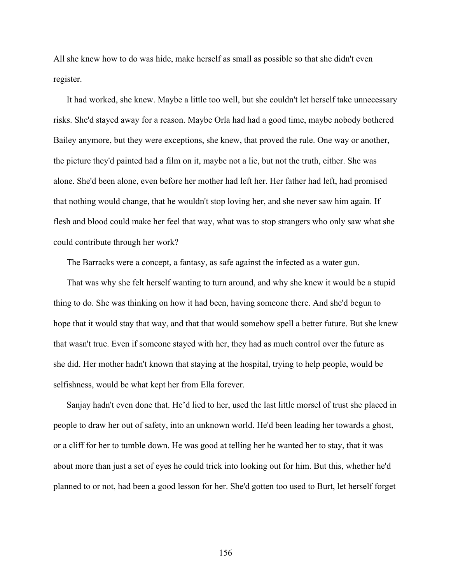All she knew how to do was hide, make herself as small as possible so that she didn't even register.

It had worked, she knew. Maybe a little too well, but she couldn't let herself take unnecessary risks. She'd stayed away for a reason. Maybe Orla had had a good time, maybe nobody bothered Bailey anymore, but they were exceptions, she knew, that proved the rule. One way or another, the picture they'd painted had a film on it, maybe not a lie, but not the truth, either. She was alone. She'd been alone, even before her mother had left her. Her father had left, had promised that nothing would change, that he wouldn't stop loving her, and she never saw him again. If flesh and blood could make her feel that way, what was to stop strangers who only saw what she could contribute through her work?

The Barracks were a concept, a fantasy, as safe against the infected as a water gun.

That was why she felt herself wanting to turn around, and why she knew it would be a stupid thing to do. She was thinking on how it had been, having someone there. And she'd begun to hope that it would stay that way, and that that would somehow spell a better future. But she knew that wasn't true. Even if someone stayed with her, they had as much control over the future as she did. Her mother hadn't known that staying at the hospital, trying to help people, would be selfishness, would be what kept her from Ella forever.

Sanjay hadn't even done that. He'd lied to her, used the last little morsel of trust she placed in people to draw her out of safety, into an unknown world. He'd been leading her towards a ghost, or a cliff for her to tumble down. He was good at telling her he wanted her to stay, that it was about more than just a set of eyes he could trick into looking out for him. But this, whether he'd planned to or not, had been a good lesson for her. She'd gotten too used to Burt, let herself forget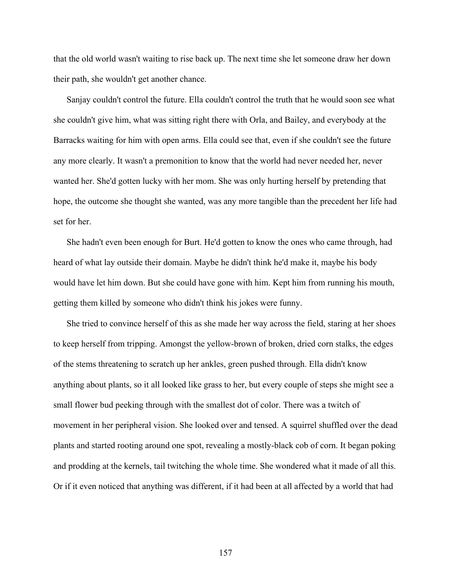that the old world wasn't waiting to rise back up. The next time she let someone draw her down their path, she wouldn't get another chance.

Sanjay couldn't control the future. Ella couldn't control the truth that he would soon see what she couldn't give him, what was sitting right there with Orla, and Bailey, and everybody at the Barracks waiting for him with open arms. Ella could see that, even if she couldn't see the future any more clearly. It wasn't a premonition to know that the world had never needed her, never wanted her. She'd gotten lucky with her mom. She was only hurting herself by pretending that hope, the outcome she thought she wanted, was any more tangible than the precedent her life had set for her.

She hadn't even been enough for Burt. He'd gotten to know the ones who came through, had heard of what lay outside their domain. Maybe he didn't think he'd make it, maybe his body would have let him down. But she could have gone with him. Kept him from running his mouth, getting them killed by someone who didn't think his jokes were funny.

She tried to convince herself of this as she made her way across the field, staring at her shoes to keep herself from tripping. Amongst the yellow-brown of broken, dried corn stalks, the edges of the stems threatening to scratch up her ankles, green pushed through. Ella didn't know anything about plants, so it all looked like grass to her, but every couple of steps she might see a small flower bud peeking through with the smallest dot of color. There was a twitch of movement in her peripheral vision. She looked over and tensed. A squirrel shuffled over the dead plants and started rooting around one spot, revealing a mostly-black cob of corn. It began poking and prodding at the kernels, tail twitching the whole time. She wondered what it made of all this. Or if it even noticed that anything was different, if it had been at all affected by a world that had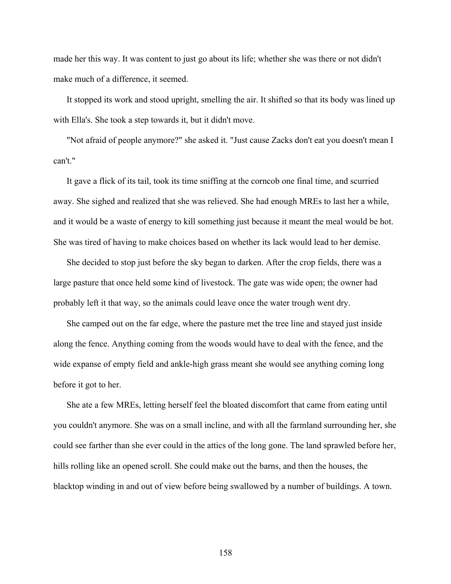made her this way. It was content to just go about its life; whether she was there or not didn't make much of a difference, it seemed.

It stopped its work and stood upright, smelling the air. It shifted so that its body was lined up with Ella's. She took a step towards it, but it didn't move.

"Not afraid of people anymore?" she asked it. "Just cause Zacks don't eat you doesn't mean I can't."

It gave a flick of its tail, took its time sniffing at the corncob one final time, and scurried away. She sighed and realized that she was relieved. She had enough MREs to last her a while, and it would be a waste of energy to kill something just because it meant the meal would be hot. She was tired of having to make choices based on whether its lack would lead to her demise.

She decided to stop just before the sky began to darken. After the crop fields, there was a large pasture that once held some kind of livestock. The gate was wide open; the owner had probably left it that way, so the animals could leave once the water trough went dry.

She camped out on the far edge, where the pasture met the tree line and stayed just inside along the fence. Anything coming from the woods would have to deal with the fence, and the wide expanse of empty field and ankle-high grass meant she would see anything coming long before it got to her.

She ate a few MREs, letting herself feel the bloated discomfort that came from eating until you couldn't anymore. She was on a small incline, and with all the farmland surrounding her, she could see farther than she ever could in the attics of the long gone. The land sprawled before her, hills rolling like an opened scroll. She could make out the barns, and then the houses, the blacktop winding in and out of view before being swallowed by a number of buildings. A town.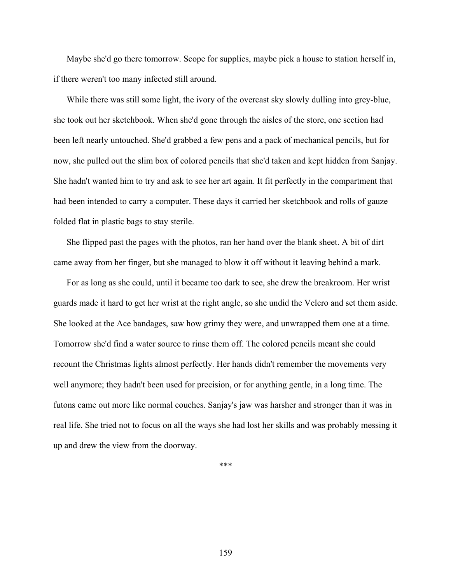Maybe she'd go there tomorrow. Scope for supplies, maybe pick a house to station herself in, if there weren't too many infected still around.

While there was still some light, the ivory of the overcast sky slowly dulling into grey-blue, she took out her sketchbook. When she'd gone through the aisles of the store, one section had been left nearly untouched. She'd grabbed a few pens and a pack of mechanical pencils, but for now, she pulled out the slim box of colored pencils that she'd taken and kept hidden from Sanjay. She hadn't wanted him to try and ask to see her art again. It fit perfectly in the compartment that had been intended to carry a computer. These days it carried her sketchbook and rolls of gauze folded flat in plastic bags to stay sterile.

She flipped past the pages with the photos, ran her hand over the blank sheet. A bit of dirt came away from her finger, but she managed to blow it off without it leaving behind a mark.

For as long as she could, until it became too dark to see, she drew the breakroom. Her wrist guards made it hard to get her wrist at the right angle, so she undid the Velcro and set them aside. She looked at the Ace bandages, saw how grimy they were, and unwrapped them one at a time. Tomorrow she'd find a water source to rinse them off. The colored pencils meant she could recount the Christmas lights almost perfectly. Her hands didn't remember the movements very well anymore; they hadn't been used for precision, or for anything gentle, in a long time. The futons came out more like normal couches. Sanjay's jaw was harsher and stronger than it was in real life. She tried not to focus on all the ways she had lost her skills and was probably messing it up and drew the view from the doorway.

\*\*\*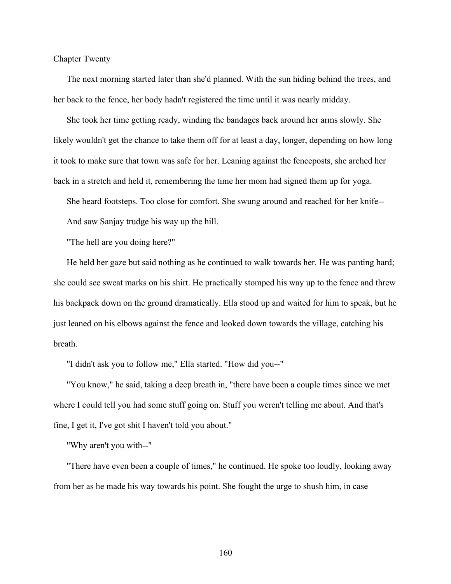Chapter Twenty

The next morning started later than she'd planned. With the sun hiding behind the trees, and her back to the fence, her body hadn't registered the time until it was nearly midday.

She took her time getting ready, winding the bandages back around her arms slowly. She likely wouldn't get the chance to take them off for at least a day, longer, depending on how long it took to make sure that town was safe for her. Leaning against the fenceposts, she arched her back in a stretch and held it, remembering the time her mom had signed them up for yoga.

She heard footsteps. Too close for comfort. She swung around and reached for her knife--

And saw Sanjay trudge his way up the hill.

"The hell are you doing here?"

He held her gaze but said nothing as he continued to walk towards her. He was panting hard; she could see sweat marks on his shirt. He practically stomped his way up to the fence and threw his backpack down on the ground dramatically. Ella stood up and waited for him to speak, but he just leaned on his elbows against the fence and looked down towards the village, catching his breath.

"I didn't ask you to follow me," Ella started. "How did you--"

"You know," he said, taking a deep breath in, "there have been a couple times since we met where I could tell you had some stuff going on. Stuff you weren't telling me about. And that's fine, I get it, I've got shit I haven't told you about."

"Why aren't you with--"

"There have even been a couple of times," he continued. He spoke too loudly, looking away from her as he made his way towards his point. She fought the urge to shush him, in case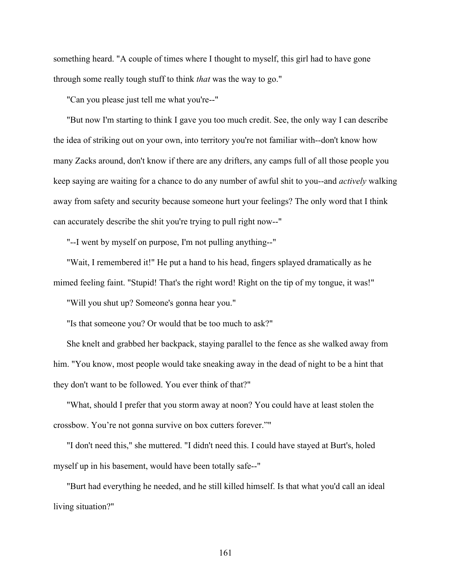something heard. "A couple of times where I thought to myself, this girl had to have gone through some really tough stuff to think *that* was the way to go."

"Can you please just tell me what you're--"

"But now I'm starting to think I gave you too much credit. See, the only way I can describe the idea of striking out on your own, into territory you're not familiar with--don't know how many Zacks around, don't know if there are any drifters, any camps full of all those people you keep saying are waiting for a chance to do any number of awful shit to you--and *actively* walking away from safety and security because someone hurt your feelings? The only word that I think can accurately describe the shit you're trying to pull right now--"

"--I went by myself on purpose, I'm not pulling anything--"

"Wait, I remembered it!" He put a hand to his head, fingers splayed dramatically as he mimed feeling faint. "Stupid! That's the right word! Right on the tip of my tongue, it was!"

"Will you shut up? Someone's gonna hear you."

"Is that someone you? Or would that be too much to ask?"

She knelt and grabbed her backpack, staying parallel to the fence as she walked away from him. "You know, most people would take sneaking away in the dead of night to be a hint that they don't want to be followed. You ever think of that?"

"What, should I prefer that you storm away at noon? You could have at least stolen the crossbow. You're not gonna survive on box cutters forever.""

"I don't need this," she muttered. "I didn't need this. I could have stayed at Burt's, holed myself up in his basement, would have been totally safe--"

"Burt had everything he needed, and he still killed himself. Is that what you'd call an ideal living situation?"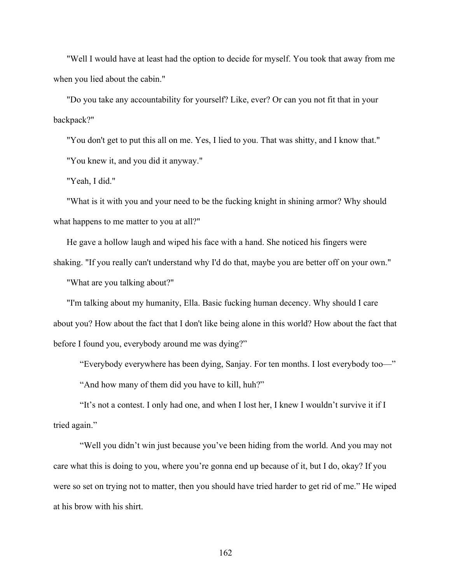"Well I would have at least had the option to decide for myself. You took that away from me when you lied about the cabin."

"Do you take any accountability for yourself? Like, ever? Or can you not fit that in your backpack?"

"You don't get to put this all on me. Yes, I lied to you. That was shitty, and I know that." "You knew it, and you did it anyway."

"Yeah, I did."

"What is it with you and your need to be the fucking knight in shining armor? Why should what happens to me matter to you at all?"

He gave a hollow laugh and wiped his face with a hand. She noticed his fingers were shaking. "If you really can't understand why I'd do that, maybe you are better off on your own." "What are you talking about?"

"I'm talking about my humanity, Ella. Basic fucking human decency. Why should I care about you? How about the fact that I don't like being alone in this world? How about the fact that before I found you, everybody around me was dying?"

"Everybody everywhere has been dying, Sanjay. For ten months. I lost everybody too—" "And how many of them did you have to kill, huh?"

"It's not a contest. I only had one, and when I lost her, I knew I wouldn't survive it if I tried again."

"Well you didn't win just because you've been hiding from the world. And you may not care what this is doing to you, where you're gonna end up because of it, but I do, okay? If you were so set on trying not to matter, then you should have tried harder to get rid of me." He wiped at his brow with his shirt.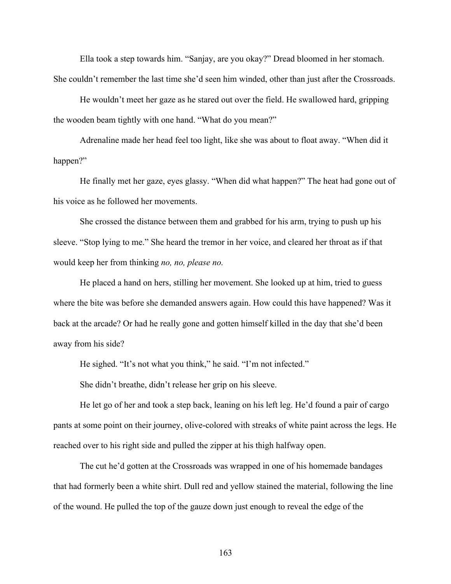Ella took a step towards him. "Sanjay, are you okay?" Dread bloomed in her stomach. She couldn't remember the last time she'd seen him winded, other than just after the Crossroads.

He wouldn't meet her gaze as he stared out over the field. He swallowed hard, gripping the wooden beam tightly with one hand. "What do you mean?"

Adrenaline made her head feel too light, like she was about to float away. "When did it happen?"

He finally met her gaze, eyes glassy. "When did what happen?" The heat had gone out of his voice as he followed her movements.

She crossed the distance between them and grabbed for his arm, trying to push up his sleeve. "Stop lying to me." She heard the tremor in her voice, and cleared her throat as if that would keep her from thinking *no, no, please no.*

He placed a hand on hers, stilling her movement. She looked up at him, tried to guess where the bite was before she demanded answers again. How could this have happened? Was it back at the arcade? Or had he really gone and gotten himself killed in the day that she'd been away from his side?

He sighed. "It's not what you think," he said. "I'm not infected."

She didn't breathe, didn't release her grip on his sleeve.

He let go of her and took a step back, leaning on his left leg. He'd found a pair of cargo pants at some point on their journey, olive-colored with streaks of white paint across the legs. He reached over to his right side and pulled the zipper at his thigh halfway open.

The cut he'd gotten at the Crossroads was wrapped in one of his homemade bandages that had formerly been a white shirt. Dull red and yellow stained the material, following the line of the wound. He pulled the top of the gauze down just enough to reveal the edge of the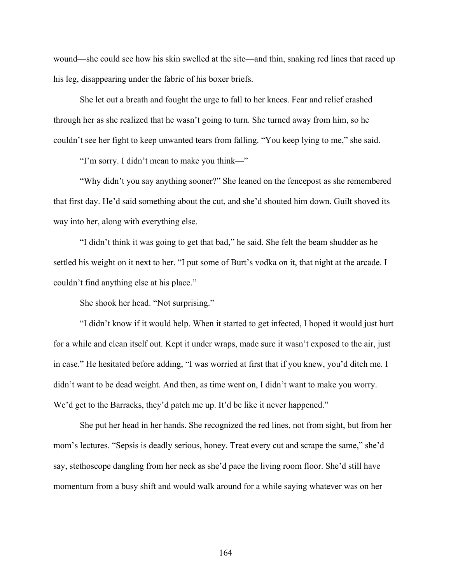wound—she could see how his skin swelled at the site—and thin, snaking red lines that raced up his leg, disappearing under the fabric of his boxer briefs.

She let out a breath and fought the urge to fall to her knees. Fear and relief crashed through her as she realized that he wasn't going to turn. She turned away from him, so he couldn't see her fight to keep unwanted tears from falling. "You keep lying to me," she said.

"I'm sorry. I didn't mean to make you think—"

"Why didn't you say anything sooner?" She leaned on the fencepost as she remembered that first day. He'd said something about the cut, and she'd shouted him down. Guilt shoved its way into her, along with everything else.

"I didn't think it was going to get that bad," he said. She felt the beam shudder as he settled his weight on it next to her. "I put some of Burt's vodka on it, that night at the arcade. I couldn't find anything else at his place."

She shook her head. "Not surprising."

"I didn't know if it would help. When it started to get infected, I hoped it would just hurt for a while and clean itself out. Kept it under wraps, made sure it wasn't exposed to the air, just in case." He hesitated before adding, "I was worried at first that if you knew, you'd ditch me. I didn't want to be dead weight. And then, as time went on, I didn't want to make you worry. We'd get to the Barracks, they'd patch me up. It'd be like it never happened."

She put her head in her hands. She recognized the red lines, not from sight, but from her mom's lectures. "Sepsis is deadly serious, honey. Treat every cut and scrape the same," she'd say, stethoscope dangling from her neck as she'd pace the living room floor. She'd still have momentum from a busy shift and would walk around for a while saying whatever was on her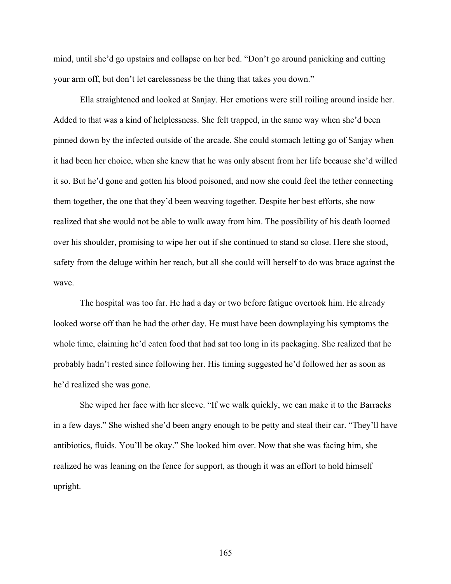mind, until she'd go upstairs and collapse on her bed. "Don't go around panicking and cutting your arm off, but don't let carelessness be the thing that takes you down."

Ella straightened and looked at Sanjay. Her emotions were still roiling around inside her. Added to that was a kind of helplessness. She felt trapped, in the same way when she'd been pinned down by the infected outside of the arcade. She could stomach letting go of Sanjay when it had been her choice, when she knew that he was only absent from her life because she'd willed it so. But he'd gone and gotten his blood poisoned, and now she could feel the tether connecting them together, the one that they'd been weaving together. Despite her best efforts, she now realized that she would not be able to walk away from him. The possibility of his death loomed over his shoulder, promising to wipe her out if she continued to stand so close. Here she stood, safety from the deluge within her reach, but all she could will herself to do was brace against the wave.

The hospital was too far. He had a day or two before fatigue overtook him. He already looked worse off than he had the other day. He must have been downplaying his symptoms the whole time, claiming he'd eaten food that had sat too long in its packaging. She realized that he probably hadn't rested since following her. His timing suggested he'd followed her as soon as he'd realized she was gone.

She wiped her face with her sleeve. "If we walk quickly, we can make it to the Barracks in a few days." She wished she'd been angry enough to be petty and steal their car. "They'll have antibiotics, fluids. You'll be okay." She looked him over. Now that she was facing him, she realized he was leaning on the fence for support, as though it was an effort to hold himself upright.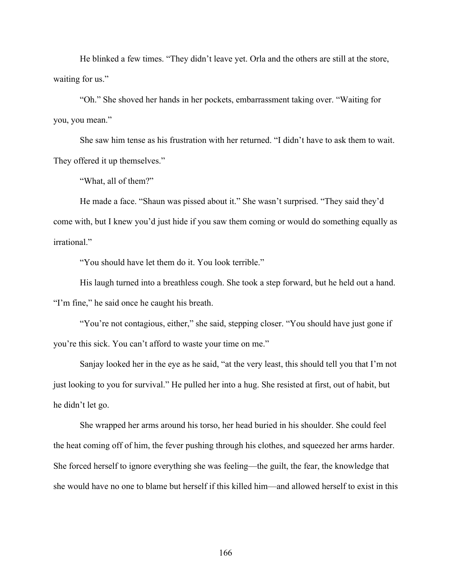He blinked a few times. "They didn't leave yet. Orla and the others are still at the store, waiting for us."

"Oh." She shoved her hands in her pockets, embarrassment taking over. "Waiting for you, you mean."

She saw him tense as his frustration with her returned. "I didn't have to ask them to wait. They offered it up themselves."

"What, all of them?"

He made a face. "Shaun was pissed about it." She wasn't surprised. "They said they'd come with, but I knew you'd just hide if you saw them coming or would do something equally as irrational."

"You should have let them do it. You look terrible."

His laugh turned into a breathless cough. She took a step forward, but he held out a hand. "I'm fine," he said once he caught his breath.

"You're not contagious, either," she said, stepping closer. "You should have just gone if you're this sick. You can't afford to waste your time on me."

Sanjay looked her in the eye as he said, "at the very least, this should tell you that I'm not just looking to you for survival." He pulled her into a hug. She resisted at first, out of habit, but he didn't let go.

She wrapped her arms around his torso, her head buried in his shoulder. She could feel the heat coming off of him, the fever pushing through his clothes, and squeezed her arms harder. She forced herself to ignore everything she was feeling—the guilt, the fear, the knowledge that she would have no one to blame but herself if this killed him—and allowed herself to exist in this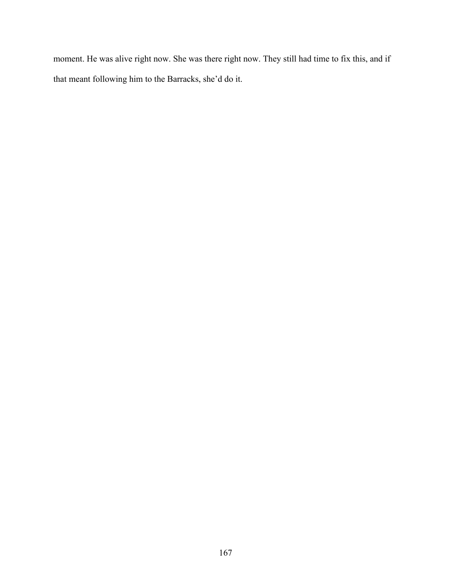moment. He was alive right now. She was there right now. They still had time to fix this, and if that meant following him to the Barracks, she'd do it.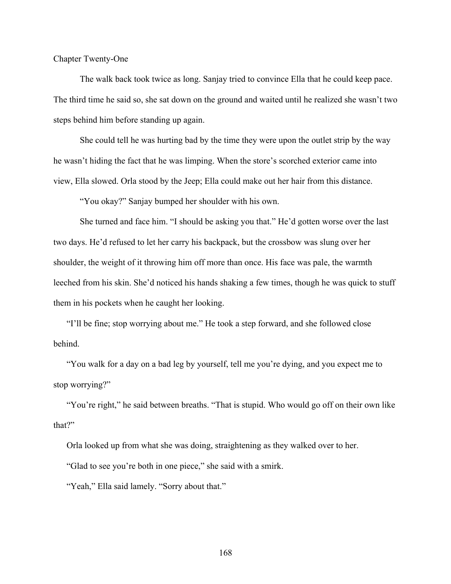Chapter Twenty-One

The walk back took twice as long. Sanjay tried to convince Ella that he could keep pace. The third time he said so, she sat down on the ground and waited until he realized she wasn't two steps behind him before standing up again.

She could tell he was hurting bad by the time they were upon the outlet strip by the way he wasn't hiding the fact that he was limping. When the store's scorched exterior came into view, Ella slowed. Orla stood by the Jeep; Ella could make out her hair from this distance.

"You okay?" Sanjay bumped her shoulder with his own.

She turned and face him. "I should be asking you that." He'd gotten worse over the last two days. He'd refused to let her carry his backpack, but the crossbow was slung over her shoulder, the weight of it throwing him off more than once. His face was pale, the warmth leeched from his skin. She'd noticed his hands shaking a few times, though he was quick to stuff them in his pockets when he caught her looking.

"I'll be fine; stop worrying about me." He took a step forward, and she followed close behind.

"You walk for a day on a bad leg by yourself, tell me you're dying, and you expect me to stop worrying?"

"You're right," he said between breaths. "That is stupid. Who would go off on their own like that?"

Orla looked up from what she was doing, straightening as they walked over to her.

"Glad to see you're both in one piece," she said with a smirk.

"Yeah," Ella said lamely. "Sorry about that."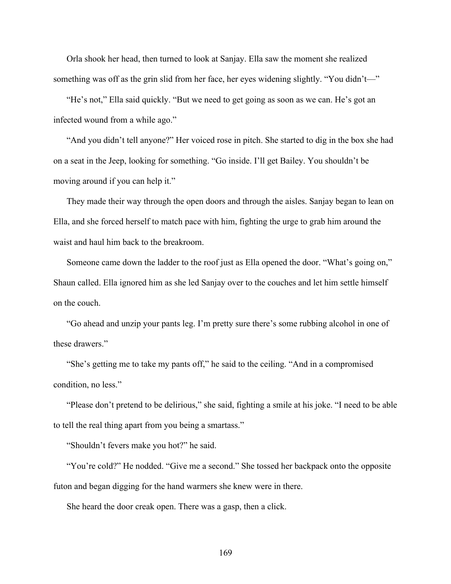Orla shook her head, then turned to look at Sanjay. Ella saw the moment she realized something was off as the grin slid from her face, her eyes widening slightly. "You didn't—"

"He's not," Ella said quickly. "But we need to get going as soon as we can. He's got an infected wound from a while ago."

"And you didn't tell anyone?" Her voiced rose in pitch. She started to dig in the box she had on a seat in the Jeep, looking for something. "Go inside. I'll get Bailey. You shouldn't be moving around if you can help it."

They made their way through the open doors and through the aisles. Sanjay began to lean on Ella, and she forced herself to match pace with him, fighting the urge to grab him around the waist and haul him back to the breakroom.

Someone came down the ladder to the roof just as Ella opened the door. "What's going on," Shaun called. Ella ignored him as she led Sanjay over to the couches and let him settle himself on the couch.

"Go ahead and unzip your pants leg. I'm pretty sure there's some rubbing alcohol in one of these drawers."

"She's getting me to take my pants off," he said to the ceiling. "And in a compromised condition, no less."

"Please don't pretend to be delirious," she said, fighting a smile at his joke. "I need to be able to tell the real thing apart from you being a smartass."

"Shouldn't fevers make you hot?" he said.

"You're cold?" He nodded. "Give me a second." She tossed her backpack onto the opposite futon and began digging for the hand warmers she knew were in there.

She heard the door creak open. There was a gasp, then a click.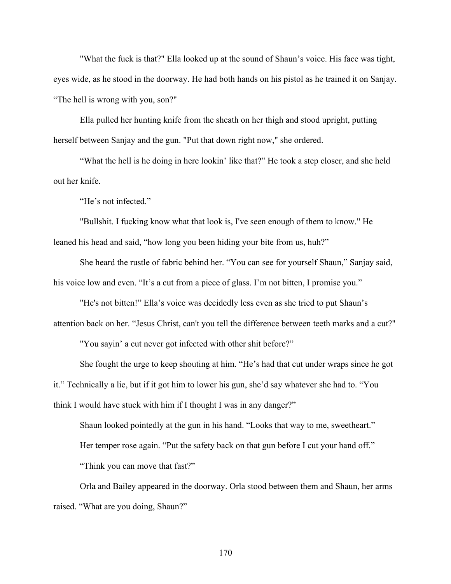"What the fuck is that?" Ella looked up at the sound of Shaun's voice. His face was tight, eyes wide, as he stood in the doorway. He had both hands on his pistol as he trained it on Sanjay. "The hell is wrong with you, son?"

Ella pulled her hunting knife from the sheath on her thigh and stood upright, putting herself between Sanjay and the gun. "Put that down right now," she ordered.

"What the hell is he doing in here lookin' like that?" He took a step closer, and she held out her knife.

"He's not infected."

"Bullshit. I fucking know what that look is, I've seen enough of them to know." He leaned his head and said, "how long you been hiding your bite from us, huh?"

She heard the rustle of fabric behind her. "You can see for yourself Shaun," Sanjay said, his voice low and even. "It's a cut from a piece of glass. I'm not bitten, I promise you."

"He's not bitten!" Ella's voice was decidedly less even as she tried to put Shaun's

attention back on her. "Jesus Christ, can't you tell the difference between teeth marks and a cut?"

"You sayin' a cut never got infected with other shit before?"

She fought the urge to keep shouting at him. "He's had that cut under wraps since he got it." Technically a lie, but if it got him to lower his gun, she'd say whatever she had to. "You think I would have stuck with him if I thought I was in any danger?"

Shaun looked pointedly at the gun in his hand. "Looks that way to me, sweetheart." Her temper rose again. "Put the safety back on that gun before I cut your hand off." "Think you can move that fast?"

Orla and Bailey appeared in the doorway. Orla stood between them and Shaun, her arms raised. "What are you doing, Shaun?"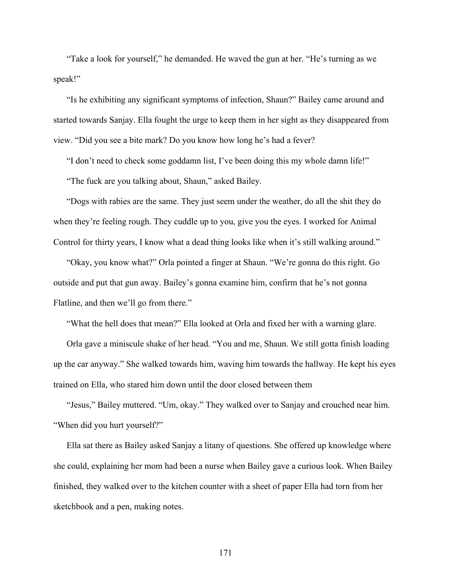"Take a look for yourself," he demanded. He waved the gun at her. "He's turning as we speak!"

"Is he exhibiting any significant symptoms of infection, Shaun?" Bailey came around and started towards Sanjay. Ella fought the urge to keep them in her sight as they disappeared from view. "Did you see a bite mark? Do you know how long he's had a fever?

"I don't need to check some goddamn list, I've been doing this my whole damn life!"

"The fuck are you talking about, Shaun," asked Bailey.

"Dogs with rabies are the same. They just seem under the weather, do all the shit they do when they're feeling rough. They cuddle up to you, give you the eyes. I worked for Animal Control for thirty years, I know what a dead thing looks like when it's still walking around."

"Okay, you know what?" Orla pointed a finger at Shaun. "We're gonna do this right. Go outside and put that gun away. Bailey's gonna examine him, confirm that he's not gonna Flatline, and then we'll go from there."

"What the hell does that mean?" Ella looked at Orla and fixed her with a warning glare.

Orla gave a miniscule shake of her head. "You and me, Shaun. We still gotta finish loading up the car anyway." She walked towards him, waving him towards the hallway. He kept his eyes trained on Ella, who stared him down until the door closed between them

"Jesus," Bailey muttered. "Um, okay." They walked over to Sanjay and crouched near him. "When did you hurt yourself?"

Ella sat there as Bailey asked Sanjay a litany of questions. She offered up knowledge where she could, explaining her mom had been a nurse when Bailey gave a curious look. When Bailey finished, they walked over to the kitchen counter with a sheet of paper Ella had torn from her sketchbook and a pen, making notes.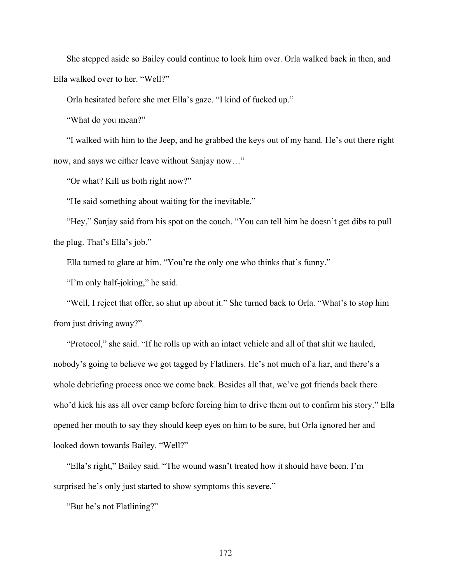She stepped aside so Bailey could continue to look him over. Orla walked back in then, and Ella walked over to her. "Well?"

Orla hesitated before she met Ella's gaze. "I kind of fucked up."

"What do you mean?"

"I walked with him to the Jeep, and he grabbed the keys out of my hand. He's out there right now, and says we either leave without Sanjay now…"

"Or what? Kill us both right now?"

"He said something about waiting for the inevitable."

"Hey," Sanjay said from his spot on the couch. "You can tell him he doesn't get dibs to pull the plug. That's Ella's job."

Ella turned to glare at him. "You're the only one who thinks that's funny."

"I'm only half-joking," he said.

"Well, I reject that offer, so shut up about it." She turned back to Orla. "What's to stop him from just driving away?"

"Protocol," she said. "If he rolls up with an intact vehicle and all of that shit we hauled, nobody's going to believe we got tagged by Flatliners. He's not much of a liar, and there's a whole debriefing process once we come back. Besides all that, we've got friends back there who'd kick his ass all over camp before forcing him to drive them out to confirm his story." Ella opened her mouth to say they should keep eyes on him to be sure, but Orla ignored her and looked down towards Bailey. "Well?"

"Ella's right," Bailey said. "The wound wasn't treated how it should have been. I'm surprised he's only just started to show symptoms this severe."

"But he's not Flatlining?"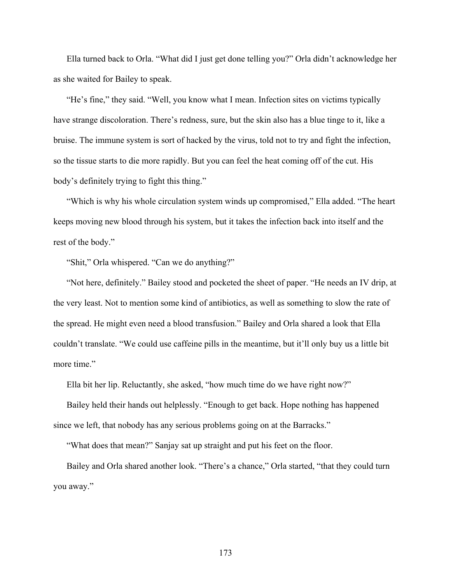Ella turned back to Orla. "What did I just get done telling you?" Orla didn't acknowledge her as she waited for Bailey to speak.

"He's fine," they said. "Well, you know what I mean. Infection sites on victims typically have strange discoloration. There's redness, sure, but the skin also has a blue tinge to it, like a bruise. The immune system is sort of hacked by the virus, told not to try and fight the infection, so the tissue starts to die more rapidly. But you can feel the heat coming off of the cut. His body's definitely trying to fight this thing."

"Which is why his whole circulation system winds up compromised," Ella added. "The heart keeps moving new blood through his system, but it takes the infection back into itself and the rest of the body."

"Shit," Orla whispered. "Can we do anything?"

"Not here, definitely." Bailey stood and pocketed the sheet of paper. "He needs an IV drip, at the very least. Not to mention some kind of antibiotics, as well as something to slow the rate of the spread. He might even need a blood transfusion." Bailey and Orla shared a look that Ella couldn't translate. "We could use caffeine pills in the meantime, but it'll only buy us a little bit more time."

Ella bit her lip. Reluctantly, she asked, "how much time do we have right now?"

Bailey held their hands out helplessly. "Enough to get back. Hope nothing has happened since we left, that nobody has any serious problems going on at the Barracks."

"What does that mean?" Sanjay sat up straight and put his feet on the floor.

Bailey and Orla shared another look. "There's a chance," Orla started, "that they could turn you away."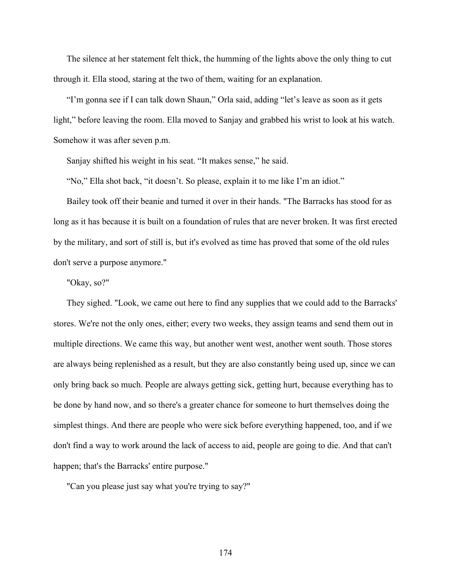The silence at her statement felt thick, the humming of the lights above the only thing to cut through it. Ella stood, staring at the two of them, waiting for an explanation.

"I'm gonna see if I can talk down Shaun," Orla said, adding "let's leave as soon as it gets light," before leaving the room. Ella moved to Sanjay and grabbed his wrist to look at his watch. Somehow it was after seven p.m.

Sanjay shifted his weight in his seat. "It makes sense," he said.

"No," Ella shot back, "it doesn't. So please, explain it to me like I'm an idiot."

Bailey took off their beanie and turned it over in their hands. "The Barracks has stood for as long as it has because it is built on a foundation of rules that are never broken. It was first erected by the military, and sort of still is, but it's evolved as time has proved that some of the old rules don't serve a purpose anymore."

## "Okay, so?"

They sighed. "Look, we came out here to find any supplies that we could add to the Barracks' stores. We're not the only ones, either; every two weeks, they assign teams and send them out in multiple directions. We came this way, but another went west, another went south. Those stores are always being replenished as a result, but they are also constantly being used up, since we can only bring back so much. People are always getting sick, getting hurt, because everything has to be done by hand now, and so there's a greater chance for someone to hurt themselves doing the simplest things. And there are people who were sick before everything happened, too, and if we don't find a way to work around the lack of access to aid, people are going to die. And that can't happen; that's the Barracks' entire purpose."

"Can you please just say what you're trying to say?"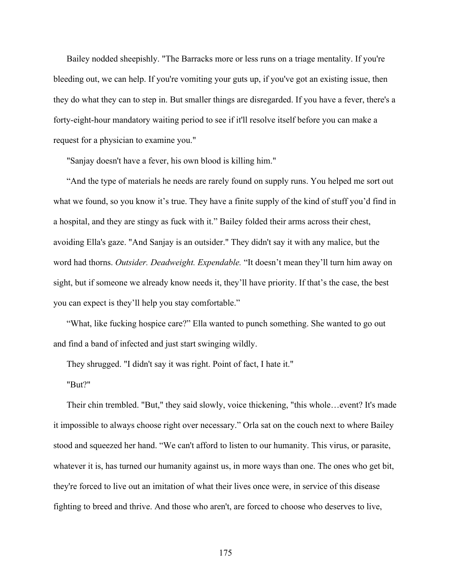Bailey nodded sheepishly. "The Barracks more or less runs on a triage mentality. If you're bleeding out, we can help. If you're vomiting your guts up, if you've got an existing issue, then they do what they can to step in. But smaller things are disregarded. If you have a fever, there's a forty-eight-hour mandatory waiting period to see if it'll resolve itself before you can make a request for a physician to examine you."

"Sanjay doesn't have a fever, his own blood is killing him."

"And the type of materials he needs are rarely found on supply runs. You helped me sort out what we found, so you know it's true. They have a finite supply of the kind of stuff you'd find in a hospital, and they are stingy as fuck with it." Bailey folded their arms across their chest, avoiding Ella's gaze. "And Sanjay is an outsider." They didn't say it with any malice, but the word had thorns. *Outsider. Deadweight. Expendable.* "It doesn't mean they'll turn him away on sight, but if someone we already know needs it, they'll have priority. If that's the case, the best you can expect is they'll help you stay comfortable."

"What, like fucking hospice care?" Ella wanted to punch something. She wanted to go out and find a band of infected and just start swinging wildly.

They shrugged. "I didn't say it was right. Point of fact, I hate it."

"But?"

Their chin trembled. "But," they said slowly, voice thickening, "this whole…event? It's made it impossible to always choose right over necessary." Orla sat on the couch next to where Bailey stood and squeezed her hand. "We can't afford to listen to our humanity. This virus, or parasite, whatever it is, has turned our humanity against us, in more ways than one. The ones who get bit, they're forced to live out an imitation of what their lives once were, in service of this disease fighting to breed and thrive. And those who aren't, are forced to choose who deserves to live,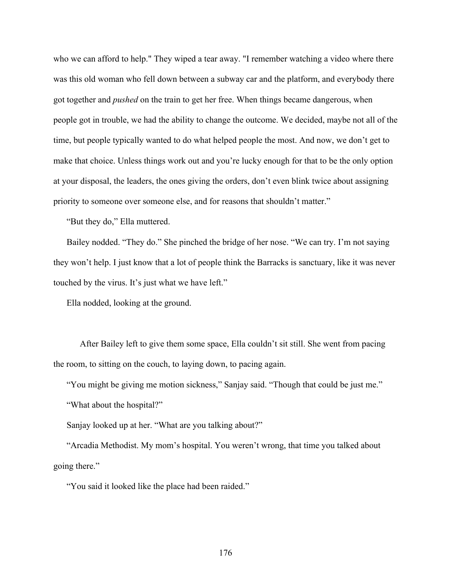who we can afford to help." They wiped a tear away. "I remember watching a video where there was this old woman who fell down between a subway car and the platform, and everybody there got together and *pushed* on the train to get her free. When things became dangerous, when people got in trouble, we had the ability to change the outcome. We decided, maybe not all of the time, but people typically wanted to do what helped people the most. And now, we don't get to make that choice. Unless things work out and you're lucky enough for that to be the only option at your disposal, the leaders, the ones giving the orders, don't even blink twice about assigning priority to someone over someone else, and for reasons that shouldn't matter."

"But they do," Ella muttered.

Bailey nodded. "They do." She pinched the bridge of her nose. "We can try. I'm not saying they won't help. I just know that a lot of people think the Barracks is sanctuary, like it was never touched by the virus. It's just what we have left."

Ella nodded, looking at the ground.

After Bailey left to give them some space, Ella couldn't sit still. She went from pacing the room, to sitting on the couch, to laying down, to pacing again.

"You might be giving me motion sickness," Sanjay said. "Though that could be just me."

"What about the hospital?"

Sanjay looked up at her. "What are you talking about?"

"Arcadia Methodist. My mom's hospital. You weren't wrong, that time you talked about going there."

"You said it looked like the place had been raided."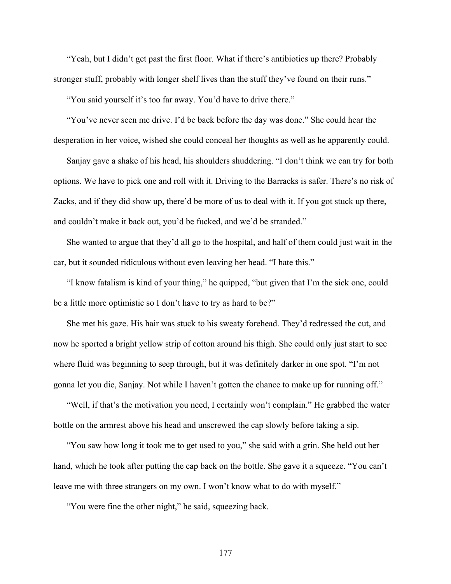"Yeah, but I didn't get past the first floor. What if there's antibiotics up there? Probably stronger stuff, probably with longer shelf lives than the stuff they've found on their runs."

"You said yourself it's too far away. You'd have to drive there."

"You've never seen me drive. I'd be back before the day was done." She could hear the desperation in her voice, wished she could conceal her thoughts as well as he apparently could.

Sanjay gave a shake of his head, his shoulders shuddering. "I don't think we can try for both options. We have to pick one and roll with it. Driving to the Barracks is safer. There's no risk of Zacks, and if they did show up, there'd be more of us to deal with it. If you got stuck up there, and couldn't make it back out, you'd be fucked, and we'd be stranded."

She wanted to argue that they'd all go to the hospital, and half of them could just wait in the car, but it sounded ridiculous without even leaving her head. "I hate this."

"I know fatalism is kind of your thing," he quipped, "but given that I'm the sick one, could be a little more optimistic so I don't have to try as hard to be?"

She met his gaze. His hair was stuck to his sweaty forehead. They'd redressed the cut, and now he sported a bright yellow strip of cotton around his thigh. She could only just start to see where fluid was beginning to seep through, but it was definitely darker in one spot. "I'm not gonna let you die, Sanjay. Not while I haven't gotten the chance to make up for running off."

"Well, if that's the motivation you need, I certainly won't complain." He grabbed the water bottle on the armrest above his head and unscrewed the cap slowly before taking a sip.

"You saw how long it took me to get used to you," she said with a grin. She held out her hand, which he took after putting the cap back on the bottle. She gave it a squeeze. "You can't leave me with three strangers on my own. I won't know what to do with myself."

"You were fine the other night," he said, squeezing back.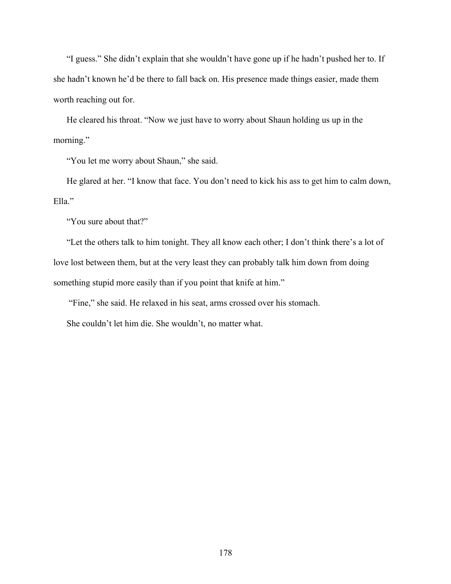"I guess." She didn't explain that she wouldn't have gone up if he hadn't pushed her to. If she hadn't known he'd be there to fall back on. His presence made things easier, made them worth reaching out for.

He cleared his throat. "Now we just have to worry about Shaun holding us up in the morning."

"You let me worry about Shaun," she said.

He glared at her. "I know that face. You don't need to kick his ass to get him to calm down, Ella."

"You sure about that?"

"Let the others talk to him tonight. They all know each other; I don't think there's a lot of love lost between them, but at the very least they can probably talk him down from doing something stupid more easily than if you point that knife at him."

"Fine," she said. He relaxed in his seat, arms crossed over his stomach.

She couldn't let him die. She wouldn't, no matter what.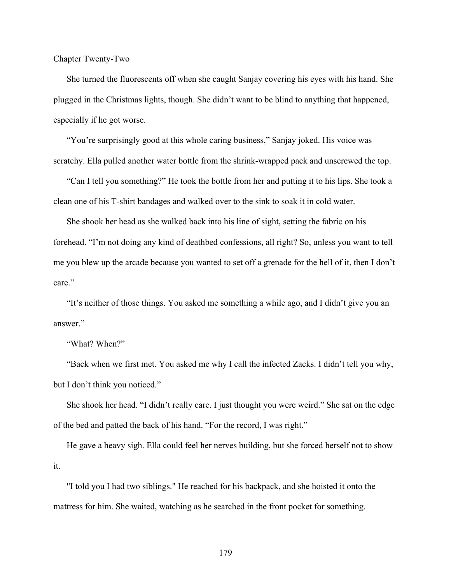Chapter Twenty-Two

She turned the fluorescents off when she caught Sanjay covering his eyes with his hand. She plugged in the Christmas lights, though. She didn't want to be blind to anything that happened, especially if he got worse.

"You're surprisingly good at this whole caring business," Sanjay joked. His voice was scratchy. Ella pulled another water bottle from the shrink-wrapped pack and unscrewed the top.

"Can I tell you something?" He took the bottle from her and putting it to his lips. She took a clean one of his T-shirt bandages and walked over to the sink to soak it in cold water.

She shook her head as she walked back into his line of sight, setting the fabric on his forehead. "I'm not doing any kind of deathbed confessions, all right? So, unless you want to tell me you blew up the arcade because you wanted to set off a grenade for the hell of it, then I don't care."

"It's neither of those things. You asked me something a while ago, and I didn't give you an answer."

"What? When?"

"Back when we first met. You asked me why I call the infected Zacks. I didn't tell you why, but I don't think you noticed."

She shook her head. "I didn't really care. I just thought you were weird." She sat on the edge of the bed and patted the back of his hand. "For the record, I was right."

He gave a heavy sigh. Ella could feel her nerves building, but she forced herself not to show it.

"I told you I had two siblings." He reached for his backpack, and she hoisted it onto the mattress for him. She waited, watching as he searched in the front pocket for something.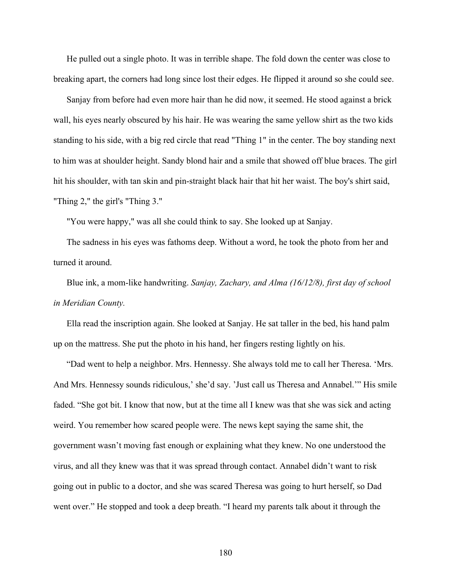He pulled out a single photo. It was in terrible shape. The fold down the center was close to breaking apart, the corners had long since lost their edges. He flipped it around so she could see.

Sanjay from before had even more hair than he did now, it seemed. He stood against a brick wall, his eyes nearly obscured by his hair. He was wearing the same yellow shirt as the two kids standing to his side, with a big red circle that read "Thing 1" in the center. The boy standing next to him was at shoulder height. Sandy blond hair and a smile that showed off blue braces. The girl hit his shoulder, with tan skin and pin-straight black hair that hit her waist. The boy's shirt said, "Thing 2," the girl's "Thing 3."

"You were happy," was all she could think to say. She looked up at Sanjay.

The sadness in his eyes was fathoms deep. Without a word, he took the photo from her and turned it around.

Blue ink, a mom-like handwriting. *Sanjay, Zachary, and Alma (16/12/8), first day of school in Meridian County.*

Ella read the inscription again. She looked at Sanjay. He sat taller in the bed, his hand palm up on the mattress. She put the photo in his hand, her fingers resting lightly on his.

"Dad went to help a neighbor. Mrs. Hennessy. She always told me to call her Theresa. 'Mrs. And Mrs. Hennessy sounds ridiculous,' she'd say. 'Just call us Theresa and Annabel.'" His smile faded. "She got bit. I know that now, but at the time all I knew was that she was sick and acting weird. You remember how scared people were. The news kept saying the same shit, the government wasn't moving fast enough or explaining what they knew. No one understood the virus, and all they knew was that it was spread through contact. Annabel didn't want to risk going out in public to a doctor, and she was scared Theresa was going to hurt herself, so Dad went over." He stopped and took a deep breath. "I heard my parents talk about it through the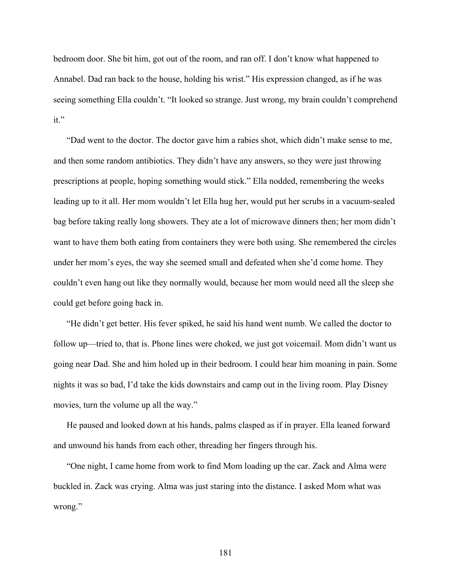bedroom door. She bit him, got out of the room, and ran off. I don't know what happened to Annabel. Dad ran back to the house, holding his wrist." His expression changed, as if he was seeing something Ella couldn't. "It looked so strange. Just wrong, my brain couldn't comprehend it."

"Dad went to the doctor. The doctor gave him a rabies shot, which didn't make sense to me, and then some random antibiotics. They didn't have any answers, so they were just throwing prescriptions at people, hoping something would stick." Ella nodded, remembering the weeks leading up to it all. Her mom wouldn't let Ella hug her, would put her scrubs in a vacuum-sealed bag before taking really long showers. They ate a lot of microwave dinners then; her mom didn't want to have them both eating from containers they were both using. She remembered the circles under her mom's eyes, the way she seemed small and defeated when she'd come home. They couldn't even hang out like they normally would, because her mom would need all the sleep she could get before going back in.

"He didn't get better. His fever spiked, he said his hand went numb. We called the doctor to follow up—tried to, that is. Phone lines were choked, we just got voicemail. Mom didn't want us going near Dad. She and him holed up in their bedroom. I could hear him moaning in pain. Some nights it was so bad, I'd take the kids downstairs and camp out in the living room. Play Disney movies, turn the volume up all the way."

He paused and looked down at his hands, palms clasped as if in prayer. Ella leaned forward and unwound his hands from each other, threading her fingers through his.

"One night, I came home from work to find Mom loading up the car. Zack and Alma were buckled in. Zack was crying. Alma was just staring into the distance. I asked Mom what was wrong."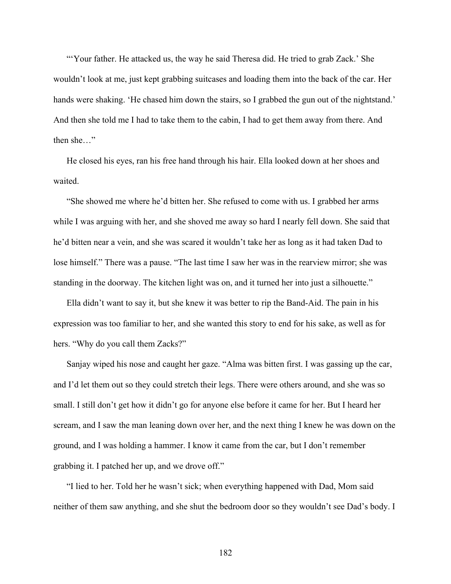"Your father. He attacked us, the way he said Theresa did. He tried to grab Zack.' She wouldn't look at me, just kept grabbing suitcases and loading them into the back of the car. Her hands were shaking. 'He chased him down the stairs, so I grabbed the gun out of the nightstand.' And then she told me I had to take them to the cabin, I had to get them away from there. And then she…"

He closed his eyes, ran his free hand through his hair. Ella looked down at her shoes and waited.

"She showed me where he'd bitten her. She refused to come with us. I grabbed her arms while I was arguing with her, and she shoved me away so hard I nearly fell down. She said that he'd bitten near a vein, and she was scared it wouldn't take her as long as it had taken Dad to lose himself." There was a pause. "The last time I saw her was in the rearview mirror; she was standing in the doorway. The kitchen light was on, and it turned her into just a silhouette."

Ella didn't want to say it, but she knew it was better to rip the Band-Aid. The pain in his expression was too familiar to her, and she wanted this story to end for his sake, as well as for hers. "Why do you call them Zacks?"

Sanjay wiped his nose and caught her gaze. "Alma was bitten first. I was gassing up the car, and I'd let them out so they could stretch their legs. There were others around, and she was so small. I still don't get how it didn't go for anyone else before it came for her. But I heard her scream, and I saw the man leaning down over her, and the next thing I knew he was down on the ground, and I was holding a hammer. I know it came from the car, but I don't remember grabbing it. I patched her up, and we drove off."

"I lied to her. Told her he wasn't sick; when everything happened with Dad, Mom said neither of them saw anything, and she shut the bedroom door so they wouldn't see Dad's body. I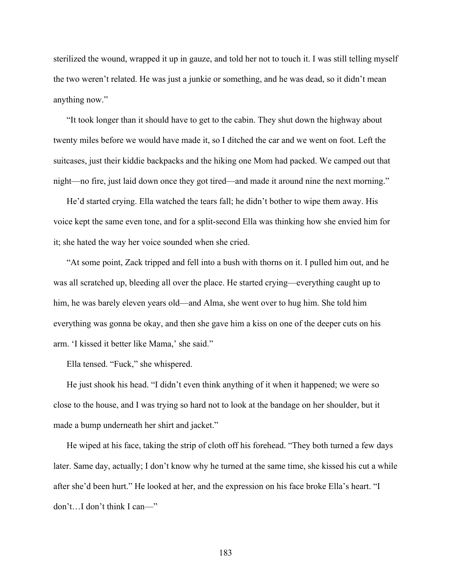sterilized the wound, wrapped it up in gauze, and told her not to touch it. I was still telling myself the two weren't related. He was just a junkie or something, and he was dead, so it didn't mean anything now."

"It took longer than it should have to get to the cabin. They shut down the highway about twenty miles before we would have made it, so I ditched the car and we went on foot. Left the suitcases, just their kiddie backpacks and the hiking one Mom had packed. We camped out that night—no fire, just laid down once they got tired—and made it around nine the next morning."

He'd started crying. Ella watched the tears fall; he didn't bother to wipe them away. His voice kept the same even tone, and for a split-second Ella was thinking how she envied him for it; she hated the way her voice sounded when she cried.

"At some point, Zack tripped and fell into a bush with thorns on it. I pulled him out, and he was all scratched up, bleeding all over the place. He started crying—everything caught up to him, he was barely eleven years old—and Alma, she went over to hug him. She told him everything was gonna be okay, and then she gave him a kiss on one of the deeper cuts on his arm. 'I kissed it better like Mama,' she said."

Ella tensed. "Fuck," she whispered.

He just shook his head. "I didn't even think anything of it when it happened; we were so close to the house, and I was trying so hard not to look at the bandage on her shoulder, but it made a bump underneath her shirt and jacket."

He wiped at his face, taking the strip of cloth off his forehead. "They both turned a few days later. Same day, actually; I don't know why he turned at the same time, she kissed his cut a while after she'd been hurt." He looked at her, and the expression on his face broke Ella's heart. "I don't…I don't think I can—"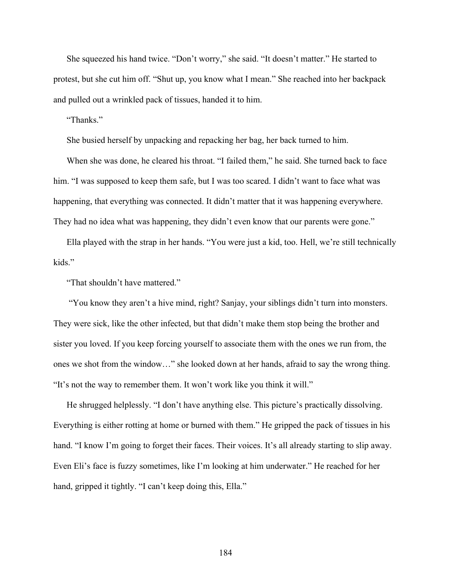She squeezed his hand twice. "Don't worry," she said. "It doesn't matter." He started to protest, but she cut him off. "Shut up, you know what I mean." She reached into her backpack and pulled out a wrinkled pack of tissues, handed it to him.

"Thanks."

She busied herself by unpacking and repacking her bag, her back turned to him.

When she was done, he cleared his throat. "I failed them," he said. She turned back to face him. "I was supposed to keep them safe, but I was too scared. I didn't want to face what was happening, that everything was connected. It didn't matter that it was happening everywhere. They had no idea what was happening, they didn't even know that our parents were gone."

Ella played with the strap in her hands. "You were just a kid, too. Hell, we're still technically kids."

"That shouldn't have mattered."

"You know they aren't a hive mind, right? Sanjay, your siblings didn't turn into monsters. They were sick, like the other infected, but that didn't make them stop being the brother and sister you loved. If you keep forcing yourself to associate them with the ones we run from, the ones we shot from the window…" she looked down at her hands, afraid to say the wrong thing. "It's not the way to remember them. It won't work like you think it will."

He shrugged helplessly. "I don't have anything else. This picture's practically dissolving. Everything is either rotting at home or burned with them." He gripped the pack of tissues in his hand. "I know I'm going to forget their faces. Their voices. It's all already starting to slip away. Even Eli's face is fuzzy sometimes, like I'm looking at him underwater." He reached for her hand, gripped it tightly. "I can't keep doing this, Ella."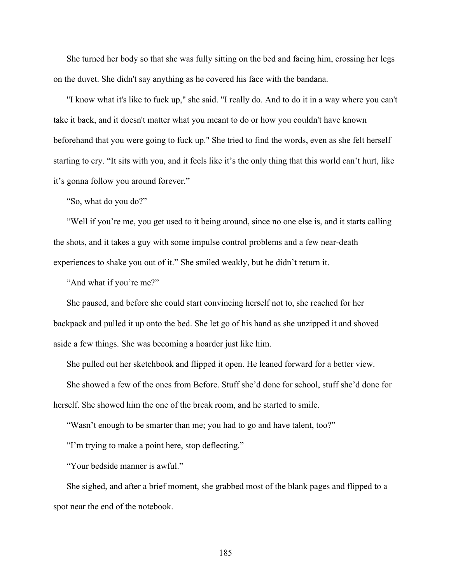She turned her body so that she was fully sitting on the bed and facing him, crossing her legs on the duvet. She didn't say anything as he covered his face with the bandana.

"I know what it's like to fuck up," she said. "I really do. And to do it in a way where you can't take it back, and it doesn't matter what you meant to do or how you couldn't have known beforehand that you were going to fuck up." She tried to find the words, even as she felt herself starting to cry. "It sits with you, and it feels like it's the only thing that this world can't hurt, like it's gonna follow you around forever."

"So, what do you do?"

"Well if you're me, you get used to it being around, since no one else is, and it starts calling the shots, and it takes a guy with some impulse control problems and a few near-death experiences to shake you out of it." She smiled weakly, but he didn't return it.

"And what if you're me?"

She paused, and before she could start convincing herself not to, she reached for her backpack and pulled it up onto the bed. She let go of his hand as she unzipped it and shoved aside a few things. She was becoming a hoarder just like him.

She pulled out her sketchbook and flipped it open. He leaned forward for a better view.

She showed a few of the ones from Before. Stuff she'd done for school, stuff she'd done for herself. She showed him the one of the break room, and he started to smile.

"Wasn't enough to be smarter than me; you had to go and have talent, too?"

"I'm trying to make a point here, stop deflecting."

"Your bedside manner is awful."

She sighed, and after a brief moment, she grabbed most of the blank pages and flipped to a spot near the end of the notebook.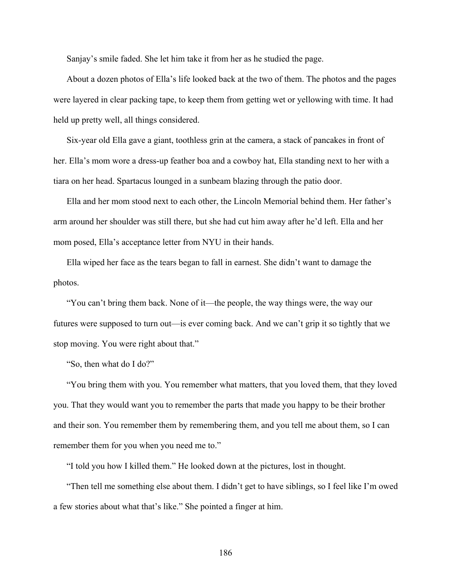Sanjay's smile faded. She let him take it from her as he studied the page.

About a dozen photos of Ella's life looked back at the two of them. The photos and the pages were layered in clear packing tape, to keep them from getting wet or yellowing with time. It had held up pretty well, all things considered.

Six-year old Ella gave a giant, toothless grin at the camera, a stack of pancakes in front of her. Ella's mom wore a dress-up feather boa and a cowboy hat, Ella standing next to her with a tiara on her head. Spartacus lounged in a sunbeam blazing through the patio door.

Ella and her mom stood next to each other, the Lincoln Memorial behind them. Her father's arm around her shoulder was still there, but she had cut him away after he'd left. Ella and her mom posed, Ella's acceptance letter from NYU in their hands.

Ella wiped her face as the tears began to fall in earnest. She didn't want to damage the photos.

"You can't bring them back. None of it—the people, the way things were, the way our futures were supposed to turn out—is ever coming back. And we can't grip it so tightly that we stop moving. You were right about that."

"So, then what do I do?"

"You bring them with you. You remember what matters, that you loved them, that they loved you. That they would want you to remember the parts that made you happy to be their brother and their son. You remember them by remembering them, and you tell me about them, so I can remember them for you when you need me to."

"I told you how I killed them." He looked down at the pictures, lost in thought.

"Then tell me something else about them. I didn't get to have siblings, so I feel like I'm owed a few stories about what that's like." She pointed a finger at him.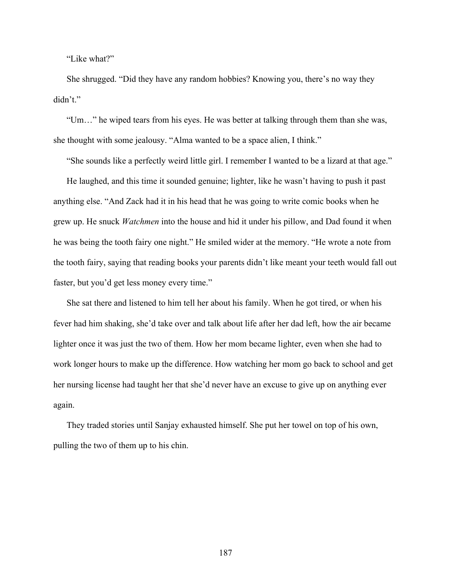"Like what?"

She shrugged. "Did they have any random hobbies? Knowing you, there's no way they didn't."

"Um…" he wiped tears from his eyes. He was better at talking through them than she was, she thought with some jealousy. "Alma wanted to be a space alien, I think."

"She sounds like a perfectly weird little girl. I remember I wanted to be a lizard at that age." He laughed, and this time it sounded genuine; lighter, like he wasn't having to push it past anything else. "And Zack had it in his head that he was going to write comic books when he grew up. He snuck *Watchmen* into the house and hid it under his pillow, and Dad found it when he was being the tooth fairy one night." He smiled wider at the memory. "He wrote a note from the tooth fairy, saying that reading books your parents didn't like meant your teeth would fall out faster, but you'd get less money every time."

She sat there and listened to him tell her about his family. When he got tired, or when his fever had him shaking, she'd take over and talk about life after her dad left, how the air became lighter once it was just the two of them. How her mom became lighter, even when she had to work longer hours to make up the difference. How watching her mom go back to school and get her nursing license had taught her that she'd never have an excuse to give up on anything ever again.

They traded stories until Sanjay exhausted himself. She put her towel on top of his own, pulling the two of them up to his chin.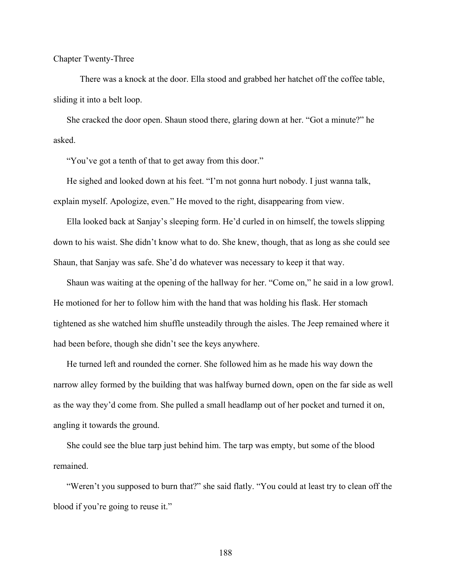Chapter Twenty-Three

There was a knock at the door. Ella stood and grabbed her hatchet off the coffee table, sliding it into a belt loop.

She cracked the door open. Shaun stood there, glaring down at her. "Got a minute?" he asked.

"You've got a tenth of that to get away from this door."

He sighed and looked down at his feet. "I'm not gonna hurt nobody. I just wanna talk, explain myself. Apologize, even." He moved to the right, disappearing from view.

Ella looked back at Sanjay's sleeping form. He'd curled in on himself, the towels slipping down to his waist. She didn't know what to do. She knew, though, that as long as she could see Shaun, that Sanjay was safe. She'd do whatever was necessary to keep it that way.

Shaun was waiting at the opening of the hallway for her. "Come on," he said in a low growl. He motioned for her to follow him with the hand that was holding his flask. Her stomach tightened as she watched him shuffle unsteadily through the aisles. The Jeep remained where it had been before, though she didn't see the keys anywhere.

He turned left and rounded the corner. She followed him as he made his way down the narrow alley formed by the building that was halfway burned down, open on the far side as well as the way they'd come from. She pulled a small headlamp out of her pocket and turned it on, angling it towards the ground.

She could see the blue tarp just behind him. The tarp was empty, but some of the blood remained.

"Weren't you supposed to burn that?" she said flatly. "You could at least try to clean off the blood if you're going to reuse it."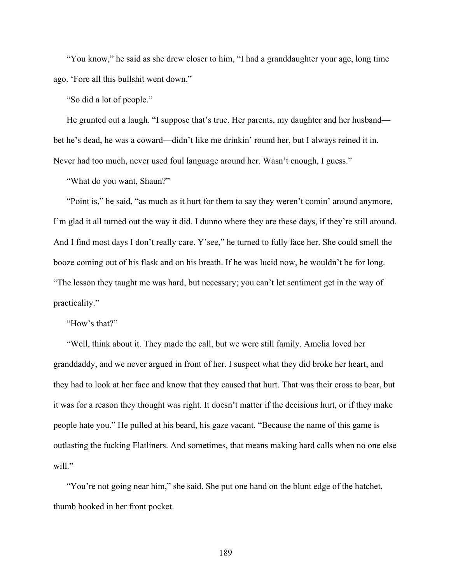"You know," he said as she drew closer to him, "I had a granddaughter your age, long time ago. 'Fore all this bullshit went down."

"So did a lot of people."

He grunted out a laugh. "I suppose that's true. Her parents, my daughter and her husband bet he's dead, he was a coward—didn't like me drinkin' round her, but I always reined it in. Never had too much, never used foul language around her. Wasn't enough, I guess."

"What do you want, Shaun?"

"Point is," he said, "as much as it hurt for them to say they weren't comin' around anymore, I'm glad it all turned out the way it did. I dunno where they are these days, if they're still around. And I find most days I don't really care. Y'see," he turned to fully face her. She could smell the booze coming out of his flask and on his breath. If he was lucid now, he wouldn't be for long. "The lesson they taught me was hard, but necessary; you can't let sentiment get in the way of practicality."

"How's that?"

"Well, think about it. They made the call, but we were still family. Amelia loved her granddaddy, and we never argued in front of her. I suspect what they did broke her heart, and they had to look at her face and know that they caused that hurt. That was their cross to bear, but it was for a reason they thought was right. It doesn't matter if the decisions hurt, or if they make people hate you." He pulled at his beard, his gaze vacant. "Because the name of this game is outlasting the fucking Flatliners. And sometimes, that means making hard calls when no one else will."

"You're not going near him," she said. She put one hand on the blunt edge of the hatchet, thumb hooked in her front pocket.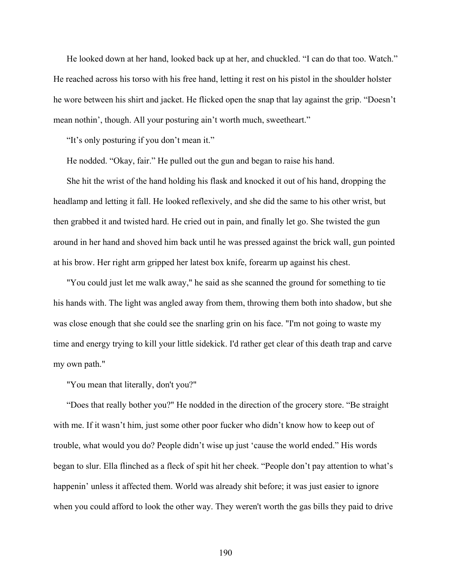He looked down at her hand, looked back up at her, and chuckled. "I can do that too. Watch." He reached across his torso with his free hand, letting it rest on his pistol in the shoulder holster he wore between his shirt and jacket. He flicked open the snap that lay against the grip. "Doesn't mean nothin', though. All your posturing ain't worth much, sweetheart."

"It's only posturing if you don't mean it."

He nodded. "Okay, fair." He pulled out the gun and began to raise his hand.

She hit the wrist of the hand holding his flask and knocked it out of his hand, dropping the headlamp and letting it fall. He looked reflexively, and she did the same to his other wrist, but then grabbed it and twisted hard. He cried out in pain, and finally let go. She twisted the gun around in her hand and shoved him back until he was pressed against the brick wall, gun pointed at his brow. Her right arm gripped her latest box knife, forearm up against his chest.

"You could just let me walk away," he said as she scanned the ground for something to tie his hands with. The light was angled away from them, throwing them both into shadow, but she was close enough that she could see the snarling grin on his face. "I'm not going to waste my time and energy trying to kill your little sidekick. I'd rather get clear of this death trap and carve my own path."

"You mean that literally, don't you?"

"Does that really bother you?" He nodded in the direction of the grocery store. "Be straight with me. If it wasn't him, just some other poor fucker who didn't know how to keep out of trouble, what would you do? People didn't wise up just 'cause the world ended." His words began to slur. Ella flinched as a fleck of spit hit her cheek. "People don't pay attention to what's happenin' unless it affected them. World was already shit before; it was just easier to ignore when you could afford to look the other way. They weren't worth the gas bills they paid to drive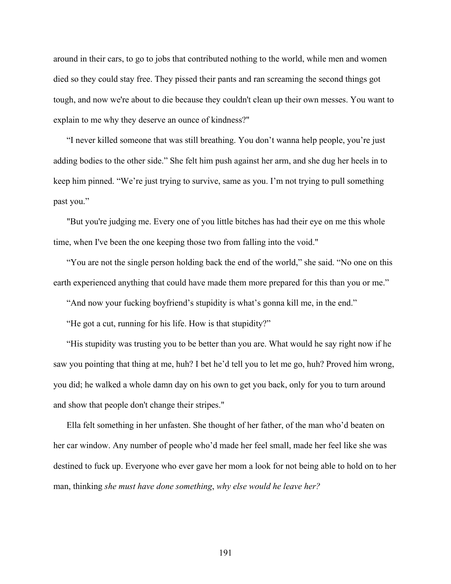around in their cars, to go to jobs that contributed nothing to the world, while men and women died so they could stay free. They pissed their pants and ran screaming the second things got tough, and now we're about to die because they couldn't clean up their own messes. You want to explain to me why they deserve an ounce of kindness?"

"I never killed someone that was still breathing. You don't wanna help people, you're just adding bodies to the other side." She felt him push against her arm, and she dug her heels in to keep him pinned. "We're just trying to survive, same as you. I'm not trying to pull something past you."

"But you're judging me. Every one of you little bitches has had their eye on me this whole time, when I've been the one keeping those two from falling into the void."

"You are not the single person holding back the end of the world," she said. "No one on this earth experienced anything that could have made them more prepared for this than you or me."

"And now your fucking boyfriend's stupidity is what's gonna kill me, in the end."

"He got a cut, running for his life. How is that stupidity?"

"His stupidity was trusting you to be better than you are. What would he say right now if he saw you pointing that thing at me, huh? I bet he'd tell you to let me go, huh? Proved him wrong, you did; he walked a whole damn day on his own to get you back, only for you to turn around and show that people don't change their stripes."

Ella felt something in her unfasten. She thought of her father, of the man who'd beaten on her car window. Any number of people who'd made her feel small, made her feel like she was destined to fuck up. Everyone who ever gave her mom a look for not being able to hold on to her man, thinking *she must have done something*, *why else would he leave her?*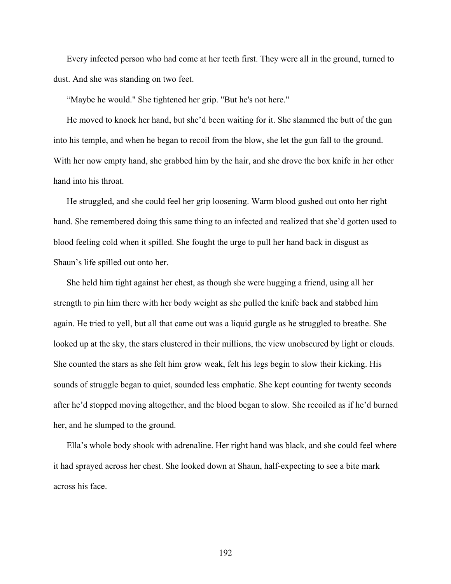Every infected person who had come at her teeth first. They were all in the ground, turned to dust. And she was standing on two feet.

"Maybe he would." She tightened her grip. "But he's not here."

He moved to knock her hand, but she'd been waiting for it. She slammed the butt of the gun into his temple, and when he began to recoil from the blow, she let the gun fall to the ground. With her now empty hand, she grabbed him by the hair, and she drove the box knife in her other hand into his throat.

He struggled, and she could feel her grip loosening. Warm blood gushed out onto her right hand. She remembered doing this same thing to an infected and realized that she'd gotten used to blood feeling cold when it spilled. She fought the urge to pull her hand back in disgust as Shaun's life spilled out onto her.

She held him tight against her chest, as though she were hugging a friend, using all her strength to pin him there with her body weight as she pulled the knife back and stabbed him again. He tried to yell, but all that came out was a liquid gurgle as he struggled to breathe. She looked up at the sky, the stars clustered in their millions, the view unobscured by light or clouds. She counted the stars as she felt him grow weak, felt his legs begin to slow their kicking. His sounds of struggle began to quiet, sounded less emphatic. She kept counting for twenty seconds after he'd stopped moving altogether, and the blood began to slow. She recoiled as if he'd burned her, and he slumped to the ground.

Ella's whole body shook with adrenaline. Her right hand was black, and she could feel where it had sprayed across her chest. She looked down at Shaun, half-expecting to see a bite mark across his face.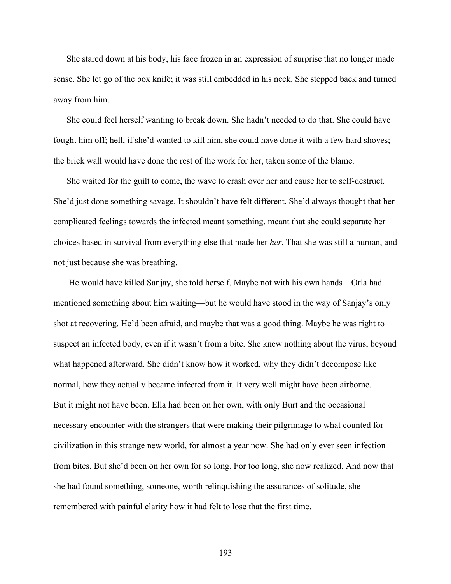She stared down at his body, his face frozen in an expression of surprise that no longer made sense. She let go of the box knife; it was still embedded in his neck. She stepped back and turned away from him.

She could feel herself wanting to break down. She hadn't needed to do that. She could have fought him off; hell, if she'd wanted to kill him, she could have done it with a few hard shoves; the brick wall would have done the rest of the work for her, taken some of the blame.

She waited for the guilt to come, the wave to crash over her and cause her to self-destruct. She'd just done something savage. It shouldn't have felt different. She'd always thought that her complicated feelings towards the infected meant something, meant that she could separate her choices based in survival from everything else that made her *her*. That she was still a human, and not just because she was breathing.

He would have killed Sanjay, she told herself. Maybe not with his own hands—Orla had mentioned something about him waiting—but he would have stood in the way of Sanjay's only shot at recovering. He'd been afraid, and maybe that was a good thing. Maybe he was right to suspect an infected body, even if it wasn't from a bite. She knew nothing about the virus, beyond what happened afterward. She didn't know how it worked, why they didn't decompose like normal, how they actually became infected from it. It very well might have been airborne. But it might not have been. Ella had been on her own, with only Burt and the occasional necessary encounter with the strangers that were making their pilgrimage to what counted for civilization in this strange new world, for almost a year now. She had only ever seen infection from bites. But she'd been on her own for so long. For too long, she now realized. And now that she had found something, someone, worth relinquishing the assurances of solitude, she remembered with painful clarity how it had felt to lose that the first time.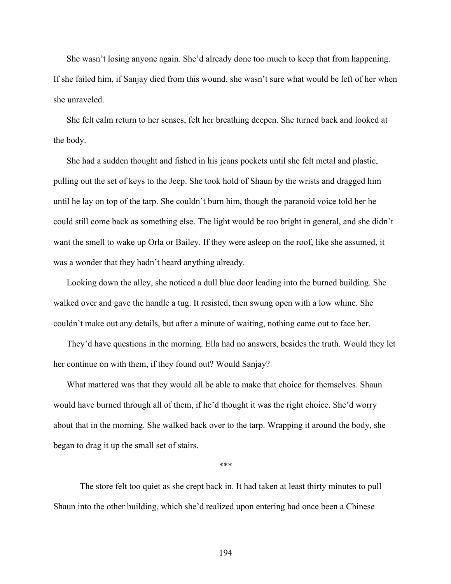She wasn't losing anyone again. She'd already done too much to keep that from happening. If she failed him, if Sanjay died from this wound, she wasn't sure what would be left of her when she unraveled.

She felt calm return to her senses, felt her breathing deepen. She turned back and looked at the body.

She had a sudden thought and fished in his jeans pockets until she felt metal and plastic, pulling out the set of keys to the Jeep. She took hold of Shaun by the wrists and dragged him until he lay on top of the tarp. She couldn't burn him, though the paranoid voice told her he could still come back as something else. The light would be too bright in general, and she didn't want the smell to wake up Orla or Bailey. If they were asleep on the roof, like she assumed, it was a wonder that they hadn't heard anything already.

Looking down the alley, she noticed a dull blue door leading into the burned building. She walked over and gave the handle a tug. It resisted, then swung open with a low whine. She couldn't make out any details, but after a minute of waiting, nothing came out to face her.

They'd have questions in the morning. Ella had no answers, besides the truth. Would they let her continue on with them, if they found out? Would Sanjay?

What mattered was that they would all be able to make that choice for themselves. Shaun would have burned through all of them, if he'd thought it was the right choice. She'd worry about that in the morning. She walked back over to the tarp. Wrapping it around the body, she began to drag it up the small set of stairs.

\*\*\*

The store felt too quiet as she crept back in. It had taken at least thirty minutes to pull Shaun into the other building, which she'd realized upon entering had once been a Chinese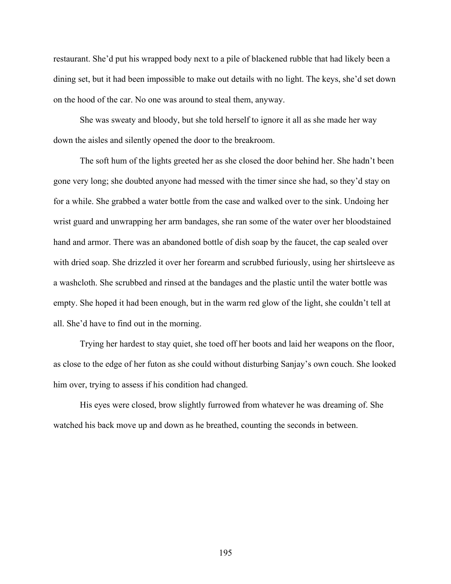restaurant. She'd put his wrapped body next to a pile of blackened rubble that had likely been a dining set, but it had been impossible to make out details with no light. The keys, she'd set down on the hood of the car. No one was around to steal them, anyway.

She was sweaty and bloody, but she told herself to ignore it all as she made her way down the aisles and silently opened the door to the breakroom.

The soft hum of the lights greeted her as she closed the door behind her. She hadn't been gone very long; she doubted anyone had messed with the timer since she had, so they'd stay on for a while. She grabbed a water bottle from the case and walked over to the sink. Undoing her wrist guard and unwrapping her arm bandages, she ran some of the water over her bloodstained hand and armor. There was an abandoned bottle of dish soap by the faucet, the cap sealed over with dried soap. She drizzled it over her forearm and scrubbed furiously, using her shirtsleeve as a washcloth. She scrubbed and rinsed at the bandages and the plastic until the water bottle was empty. She hoped it had been enough, but in the warm red glow of the light, she couldn't tell at all. She'd have to find out in the morning.

Trying her hardest to stay quiet, she toed off her boots and laid her weapons on the floor, as close to the edge of her futon as she could without disturbing Sanjay's own couch. She looked him over, trying to assess if his condition had changed.

His eyes were closed, brow slightly furrowed from whatever he was dreaming of. She watched his back move up and down as he breathed, counting the seconds in between.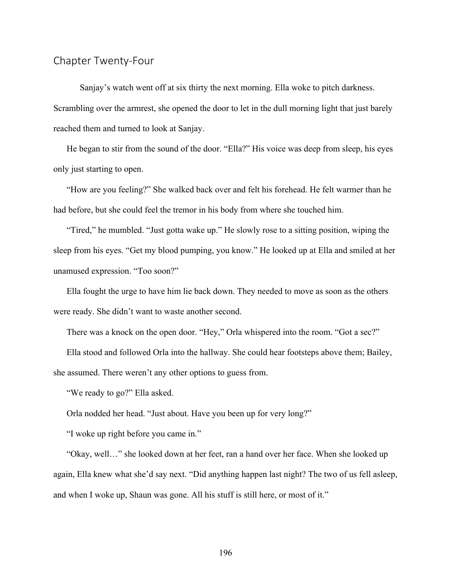## Chapter Twenty-Four

Sanjay's watch went off at six thirty the next morning. Ella woke to pitch darkness. Scrambling over the armrest, she opened the door to let in the dull morning light that just barely reached them and turned to look at Sanjay.

He began to stir from the sound of the door. "Ella?" His voice was deep from sleep, his eyes only just starting to open.

"How are you feeling?" She walked back over and felt his forehead. He felt warmer than he had before, but she could feel the tremor in his body from where she touched him.

"Tired," he mumbled. "Just gotta wake up." He slowly rose to a sitting position, wiping the sleep from his eyes. "Get my blood pumping, you know." He looked up at Ella and smiled at her unamused expression. "Too soon?"

Ella fought the urge to have him lie back down. They needed to move as soon as the others were ready. She didn't want to waste another second.

There was a knock on the open door. "Hey," Orla whispered into the room. "Got a sec?"

Ella stood and followed Orla into the hallway. She could hear footsteps above them; Bailey, she assumed. There weren't any other options to guess from.

"We ready to go?" Ella asked.

Orla nodded her head. "Just about. Have you been up for very long?"

"I woke up right before you came in."

"Okay, well…" she looked down at her feet, ran a hand over her face. When she looked up again, Ella knew what she'd say next. "Did anything happen last night? The two of us fell asleep, and when I woke up, Shaun was gone. All his stuff is still here, or most of it."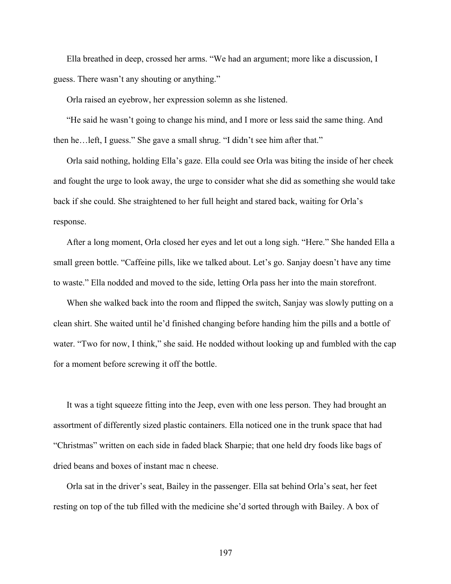Ella breathed in deep, crossed her arms. "We had an argument; more like a discussion, I guess. There wasn't any shouting or anything."

Orla raised an eyebrow, her expression solemn as she listened.

"He said he wasn't going to change his mind, and I more or less said the same thing. And then he…left, I guess." She gave a small shrug. "I didn't see him after that."

Orla said nothing, holding Ella's gaze. Ella could see Orla was biting the inside of her cheek and fought the urge to look away, the urge to consider what she did as something she would take back if she could. She straightened to her full height and stared back, waiting for Orla's response.

After a long moment, Orla closed her eyes and let out a long sigh. "Here." She handed Ella a small green bottle. "Caffeine pills, like we talked about. Let's go. Sanjay doesn't have any time to waste." Ella nodded and moved to the side, letting Orla pass her into the main storefront.

When she walked back into the room and flipped the switch, Sanjay was slowly putting on a clean shirt. She waited until he'd finished changing before handing him the pills and a bottle of water. "Two for now, I think," she said. He nodded without looking up and fumbled with the cap for a moment before screwing it off the bottle.

It was a tight squeeze fitting into the Jeep, even with one less person. They had brought an assortment of differently sized plastic containers. Ella noticed one in the trunk space that had "Christmas" written on each side in faded black Sharpie; that one held dry foods like bags of dried beans and boxes of instant mac n cheese.

Orla sat in the driver's seat, Bailey in the passenger. Ella sat behind Orla's seat, her feet resting on top of the tub filled with the medicine she'd sorted through with Bailey. A box of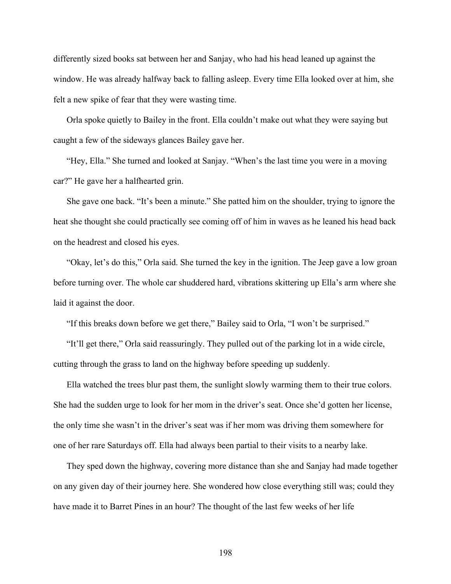differently sized books sat between her and Sanjay, who had his head leaned up against the window. He was already halfway back to falling asleep. Every time Ella looked over at him, she felt a new spike of fear that they were wasting time.

Orla spoke quietly to Bailey in the front. Ella couldn't make out what they were saying but caught a few of the sideways glances Bailey gave her.

"Hey, Ella." She turned and looked at Sanjay. "When's the last time you were in a moving car?" He gave her a halfhearted grin.

She gave one back. "It's been a minute." She patted him on the shoulder, trying to ignore the heat she thought she could practically see coming off of him in waves as he leaned his head back on the headrest and closed his eyes.

"Okay, let's do this," Orla said. She turned the key in the ignition. The Jeep gave a low groan before turning over. The whole car shuddered hard, vibrations skittering up Ella's arm where she laid it against the door.

"If this breaks down before we get there," Bailey said to Orla, "I won't be surprised."

"It'll get there," Orla said reassuringly. They pulled out of the parking lot in a wide circle, cutting through the grass to land on the highway before speeding up suddenly.

Ella watched the trees blur past them, the sunlight slowly warming them to their true colors. She had the sudden urge to look for her mom in the driver's seat. Once she'd gotten her license, the only time she wasn't in the driver's seat was if her mom was driving them somewhere for one of her rare Saturdays off. Ella had always been partial to their visits to a nearby lake.

They sped down the highway, covering more distance than she and Sanjay had made together on any given day of their journey here. She wondered how close everything still was; could they have made it to Barret Pines in an hour? The thought of the last few weeks of her life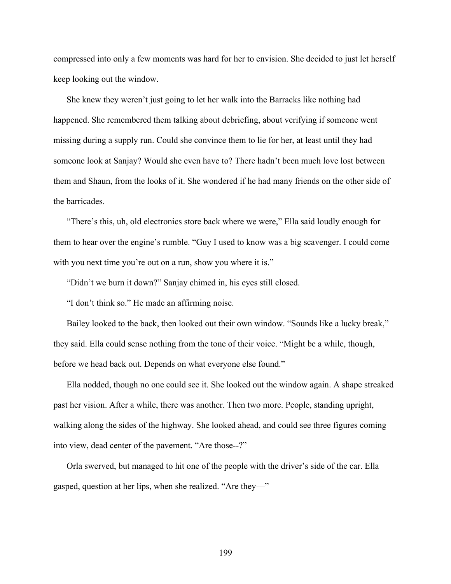compressed into only a few moments was hard for her to envision. She decided to just let herself keep looking out the window.

She knew they weren't just going to let her walk into the Barracks like nothing had happened. She remembered them talking about debriefing, about verifying if someone went missing during a supply run. Could she convince them to lie for her, at least until they had someone look at Sanjay? Would she even have to? There hadn't been much love lost between them and Shaun, from the looks of it. She wondered if he had many friends on the other side of the barricades.

"There's this, uh, old electronics store back where we were," Ella said loudly enough for them to hear over the engine's rumble. "Guy I used to know was a big scavenger. I could come with you next time you're out on a run, show you where it is."

"Didn't we burn it down?" Sanjay chimed in, his eyes still closed.

"I don't think so." He made an affirming noise.

Bailey looked to the back, then looked out their own window. "Sounds like a lucky break," they said. Ella could sense nothing from the tone of their voice. "Might be a while, though, before we head back out. Depends on what everyone else found."

Ella nodded, though no one could see it. She looked out the window again. A shape streaked past her vision. After a while, there was another. Then two more. People, standing upright, walking along the sides of the highway. She looked ahead, and could see three figures coming into view, dead center of the pavement. "Are those--?"

Orla swerved, but managed to hit one of the people with the driver's side of the car. Ella gasped, question at her lips, when she realized. "Are they—"